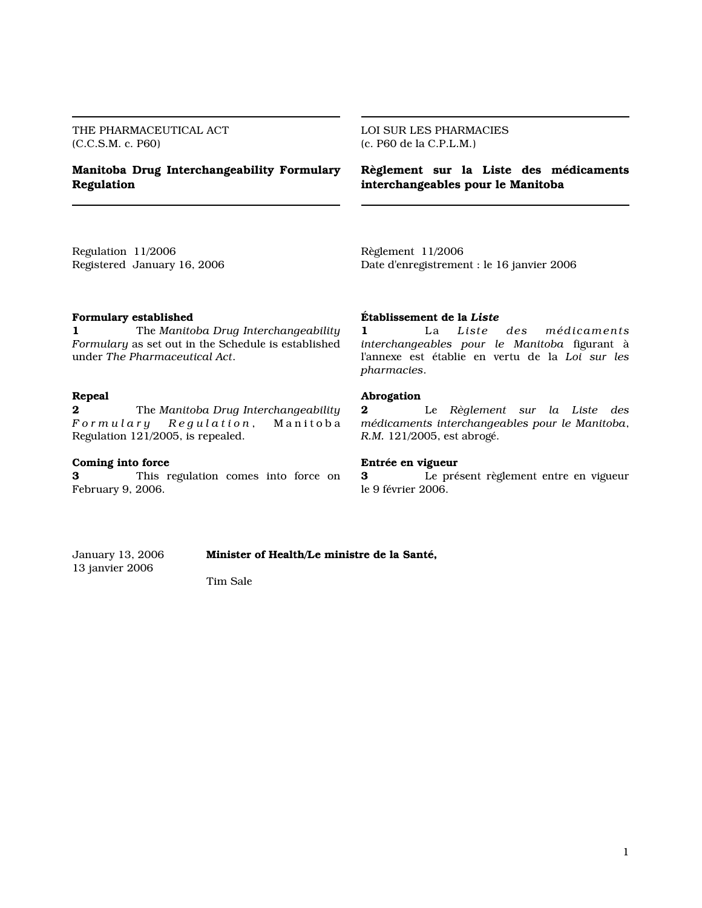THE PHARMACEUTICAL ACT (C.C.S.M. c. P60)

# Manitoba Drug Interchangeability Formulary Regulation

LOI SUR LES PHARMACIES (c. P60 de la C.P.L.M.)

Règlement sur la Liste des médicaments interchangeables pour le Manitoba

Regulation 11/2006 Registered January 16, 2006 Règlement 11/2006 Date d'enregistrement : le 16 janvier 2006

## Formulary established

1 The Manitoba Drug Interchangeability Formulary as set out in the Schedule is established under The Pharmaceutical Act.

### Repeal

2 The Manitoba Drug Interchangeability<br> $\sqrt{F}$  or  $m$  ul a r y  $\sqrt{F}$  Regulation, Manitoba  $Regulation,$  Manitoba Regulation 121/2005, is repealed.

#### Coming into force

3 This regulation comes into force on February 9, 2006.

#### Établissement de la Liste

1 La Liste des médicaments interchangeables pour le Manitoba figurant à l'annexe est établie en vertu de la Loi sur les pharmacies.

#### Abrogation

2 Le Règlement sur la Liste des médicaments interchangeables pour le Manitoba, R.M. 121/2005, est abrogé.

#### Entrée en vigueur

3 Le présent règlement entre en vigueur le 9 février 2006.

January 13, 2006 **Minister of Health/Le ministre de la Santé,** 13 janvier 2006

Tim Sale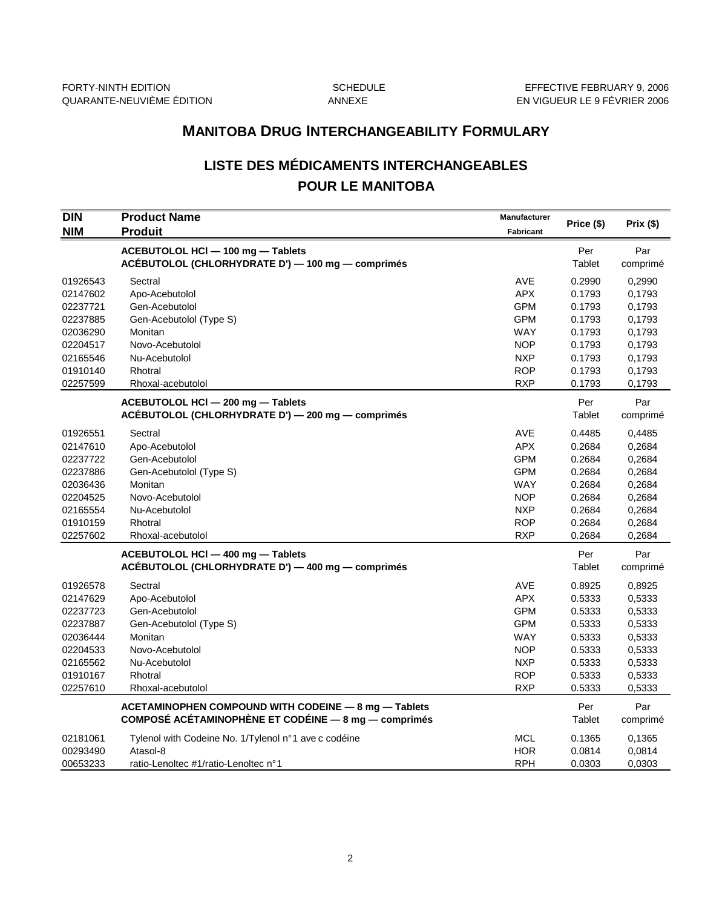# **MANITOBA DRUG INTERCHANGEABILITY FORMULARY**

# **LISTE DES MÉDICAMENTS INTERCHANGEABLES POUR LE MANITOBA**

| DIN<br><b>NIM</b>    | <b>Product Name</b>                                                                    | Manufacturer<br>Fabricant | Price (\$)       | Prix (\$)        |
|----------------------|----------------------------------------------------------------------------------------|---------------------------|------------------|------------------|
|                      | <b>Produit</b>                                                                         |                           |                  |                  |
|                      | ACEBUTOLOL HCI - 100 mg - Tablets<br>ACÉBUTOLOL (CHLORHYDRATE D') - 100 mg - comprimés |                           | Per<br>Tablet    | Par<br>comprimé  |
|                      |                                                                                        |                           |                  |                  |
| 01926543             | Sectral                                                                                | <b>AVE</b>                | 0.2990           | 0,2990           |
| 02147602             | Apo-Acebutolol                                                                         | <b>APX</b>                | 0.1793           | 0,1793           |
| 02237721             | Gen-Acebutolol                                                                         | <b>GPM</b><br><b>GPM</b>  | 0.1793<br>0.1793 | 0.1793           |
| 02237885<br>02036290 | Gen-Acebutolol (Type S)<br>Monitan                                                     | WAY                       | 0.1793           | 0,1793<br>0.1793 |
| 02204517             | Novo-Acebutolol                                                                        | <b>NOP</b>                | 0.1793           | 0,1793           |
| 02165546             | Nu-Acebutolol                                                                          | <b>NXP</b>                | 0.1793           | 0,1793           |
| 01910140             | Rhotral                                                                                | <b>ROP</b>                | 0.1793           | 0,1793           |
| 02257599             | Rhoxal-acebutolol                                                                      | <b>RXP</b>                | 0.1793           | 0,1793           |
|                      |                                                                                        |                           |                  |                  |
|                      | ACEBUTOLOL HCI - 200 mg - Tablets                                                      |                           | Per              | Par              |
|                      | ACEBUTOLOL (CHLORHYDRATE D') - 200 mg - comprimés                                      |                           | Tablet           | comprimé         |
| 01926551             | Sectral                                                                                | <b>AVE</b>                | 0.4485           | 0,4485           |
| 02147610             | Apo-Acebutolol                                                                         | <b>APX</b>                | 0.2684           | 0,2684           |
| 02237722             | Gen-Acebutolol                                                                         | <b>GPM</b>                | 0.2684           | 0,2684           |
| 02237886             | Gen-Acebutolol (Type S)                                                                | <b>GPM</b>                | 0.2684           | 0,2684           |
| 02036436             | Monitan                                                                                | <b>WAY</b>                | 0.2684           | 0,2684           |
| 02204525             | Novo-Acebutolol                                                                        | <b>NOP</b>                | 0.2684           | 0,2684           |
| 02165554             | Nu-Acebutolol                                                                          | <b>NXP</b>                | 0.2684           | 0,2684           |
| 01910159             | Rhotral                                                                                | <b>ROP</b>                | 0.2684           | 0,2684           |
| 02257602             | Rhoxal-acebutolol                                                                      | <b>RXP</b>                | 0.2684           | 0,2684           |
|                      | ACEBUTOLOL HCI - 400 mg - Tablets                                                      |                           | Per              | Par              |
|                      | ACEBUTOLOL (CHLORHYDRATE D') — 400 mg — comprimés                                      |                           | Tablet           | comprimé         |
| 01926578             | Sectral                                                                                | AVE                       | 0.8925           | 0,8925           |
| 02147629             | Apo-Acebutolol                                                                         | <b>APX</b>                | 0.5333           | 0,5333           |
| 02237723             | Gen-Acebutolol                                                                         | <b>GPM</b>                | 0.5333           | 0,5333           |
| 02237887             | Gen-Acebutolol (Type S)                                                                | <b>GPM</b>                | 0.5333           | 0,5333           |
| 02036444             | Monitan                                                                                | <b>WAY</b>                | 0.5333           | 0,5333           |
| 02204533             | Novo-Acebutolol                                                                        | <b>NOP</b>                | 0.5333           | 0,5333           |
| 02165562             | Nu-Acebutolol                                                                          | <b>NXP</b>                | 0.5333           | 0,5333           |
| 01910167             | Rhotral                                                                                | <b>ROP</b>                | 0.5333           | 0,5333           |
| 02257610             | Rhoxal-acebutolol                                                                      | <b>RXP</b>                | 0.5333           | 0,5333           |
|                      | ACETAMINOPHEN COMPOUND WITH CODEINE - 8 mg - Tablets                                   |                           | Per              | Par              |
|                      | COMPOSÉ ACÉTAMINOPHÈNE ET CODÉINE - 8 mg - comprimés                                   |                           | Tablet           | comprimé         |
| 02181061             | Tylenol with Codeine No. 1/Tylenol n°1 ave c codéine                                   | <b>MCL</b>                | 0.1365           | 0,1365           |
| 00293490             | Atasol-8                                                                               | <b>HOR</b>                | 0.0814           | 0,0814           |
| 00653233             | ratio-Lenoltec #1/ratio-Lenoltec n°1                                                   | <b>RPH</b>                | 0.0303           | 0,0303           |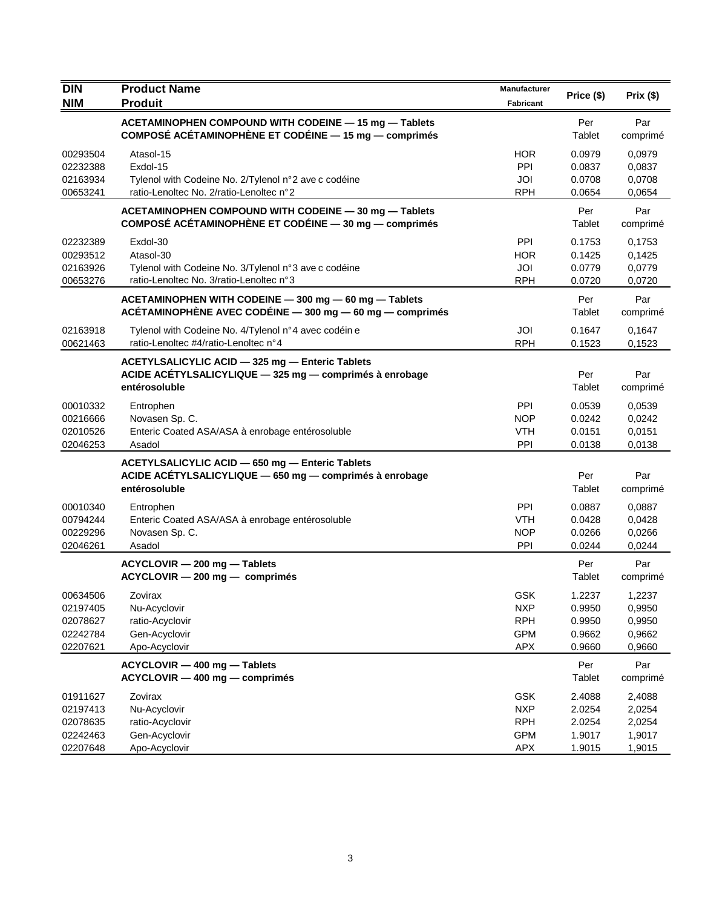| <b>DIN</b>                                               | <b>Product Name</b>                                                                                                         | Manufacturer                                                       | Price (\$)                                     | Prix(\$)                                       |
|----------------------------------------------------------|-----------------------------------------------------------------------------------------------------------------------------|--------------------------------------------------------------------|------------------------------------------------|------------------------------------------------|
| <b>NIM</b>                                               | <b>Produit</b>                                                                                                              | Fabricant                                                          |                                                |                                                |
|                                                          | ACETAMINOPHEN COMPOUND WITH CODEINE - 15 mg - Tablets<br>COMPOSÉ ACÉTAMINOPHÈNE ET CODÉINE — 15 mg — comprimés              |                                                                    | Per<br>Tablet                                  | Par<br>comprimé                                |
| 00293504<br>02232388<br>02163934<br>00653241             | Atasol-15<br>Exdol-15<br>Tylenol with Codeine No. 2/Tylenol n°2 ave c codéine<br>ratio-Lenoltec No. 2/ratio-Lenoltec n°2    | <b>HOR</b><br>PPI<br>JOI<br><b>RPH</b>                             | 0.0979<br>0.0837<br>0.0708<br>0.0654           | 0,0979<br>0,0837<br>0,0708<br>0,0654           |
|                                                          | ACETAMINOPHEN COMPOUND WITH CODEINE - 30 mg - Tablets<br>COMPOSÉ ACÉTAMINOPHÈNE ET CODÉINE — 30 mg — comprimés              |                                                                    | Per<br>Tablet                                  | Par<br>comprimé                                |
| 02232389<br>00293512<br>02163926<br>00653276             | Exdol-30<br>Atasol-30<br>Tylenol with Codeine No. 3/Tylenol n°3 ave c codéine<br>ratio-Lenoltec No. 3/ratio-Lenoltec n°3    | PPI<br><b>HOR</b><br>JOI<br><b>RPH</b>                             | 0.1753<br>0.1425<br>0.0779<br>0.0720           | 0,1753<br>0,1425<br>0,0779<br>0,0720           |
|                                                          | ACETAMINOPHEN WITH CODEINE - 300 mg - 60 mg - Tablets<br>ACÉTAMINOPHÈNE AVEC CODÉINE - 300 mg - 60 mg - comprimés           |                                                                    | Per<br>Tablet                                  | Par<br>comprimé                                |
| 02163918<br>00621463                                     | Tylenol with Codeine No. 4/Tylenol n°4 avec codéin e<br>ratio-Lenoltec #4/ratio-Lenoltec n°4                                | JOI<br><b>RPH</b>                                                  | 0.1647<br>0.1523                               | 0,1647<br>0,1523                               |
|                                                          | ACETYLSALICYLIC ACID - 325 mg - Enteric Tablets<br>ACIDE ACÉTYLSALICYLIQUE - 325 mg - comprimés à enrobage<br>entérosoluble |                                                                    | Per<br>Tablet                                  | Par<br>comprimé                                |
| 00010332<br>00216666<br>02010526<br>02046253             | Entrophen<br>Novasen Sp. C.<br>Enteric Coated ASA/ASA à enrobage entérosoluble<br>Asadol                                    | <b>PPI</b><br><b>NOP</b><br><b>VTH</b><br>PPI                      | 0.0539<br>0.0242<br>0.0151<br>0.0138           | 0.0539<br>0,0242<br>0,0151<br>0,0138           |
|                                                          | ACETYLSALICYLIC ACID - 650 mg - Enteric Tablets<br>ACIDE ACÉTYLSALICYLIQUE - 650 mg - comprimés à enrobage<br>entérosoluble |                                                                    | Per<br>Tablet                                  | Par<br>comprimé                                |
| 00010340<br>00794244<br>00229296<br>02046261             | Entrophen<br>Enteric Coated ASA/ASA à enrobage entérosoluble<br>Novasen Sp. C.<br>Asadol                                    | PPI<br><b>VTH</b><br><b>NOP</b><br>PPI                             | 0.0887<br>0.0428<br>0.0266<br>0.0244           | 0,0887<br>0,0428<br>0,0266<br>0,0244           |
|                                                          | ACYCLOVIR - 200 mg - Tablets<br>ACYCLOVIR - 200 mg - comprimés                                                              |                                                                    | Per<br>Tablet                                  | Par<br>comprimé                                |
| 00634506<br>02197405<br>02078627<br>02242784<br>02207621 | Zovirax<br>Nu-Acyclovir<br>ratio-Acyclovir<br>Gen-Acyclovir<br>Apo-Acyclovir                                                | GSK<br><b>NXP</b><br><b>RPH</b><br><b>GPM</b><br><b>APX</b>        | 1.2237<br>0.9950<br>0.9950<br>0.9662<br>0.9660 | 1,2237<br>0,9950<br>0,9950<br>0,9662<br>0,9660 |
|                                                          | ACYCLOVIR - 400 mg - Tablets<br>ACYCLOVIR - 400 mg - comprimés                                                              |                                                                    | Per<br>Tablet                                  | Par<br>comprimé                                |
| 01911627<br>02197413<br>02078635<br>02242463<br>02207648 | Zovirax<br>Nu-Acyclovir<br>ratio-Acyclovir<br>Gen-Acyclovir<br>Apo-Acyclovir                                                | <b>GSK</b><br><b>NXP</b><br><b>RPH</b><br><b>GPM</b><br><b>APX</b> | 2.4088<br>2.0254<br>2.0254<br>1.9017<br>1.9015 | 2,4088<br>2,0254<br>2,0254<br>1,9017<br>1,9015 |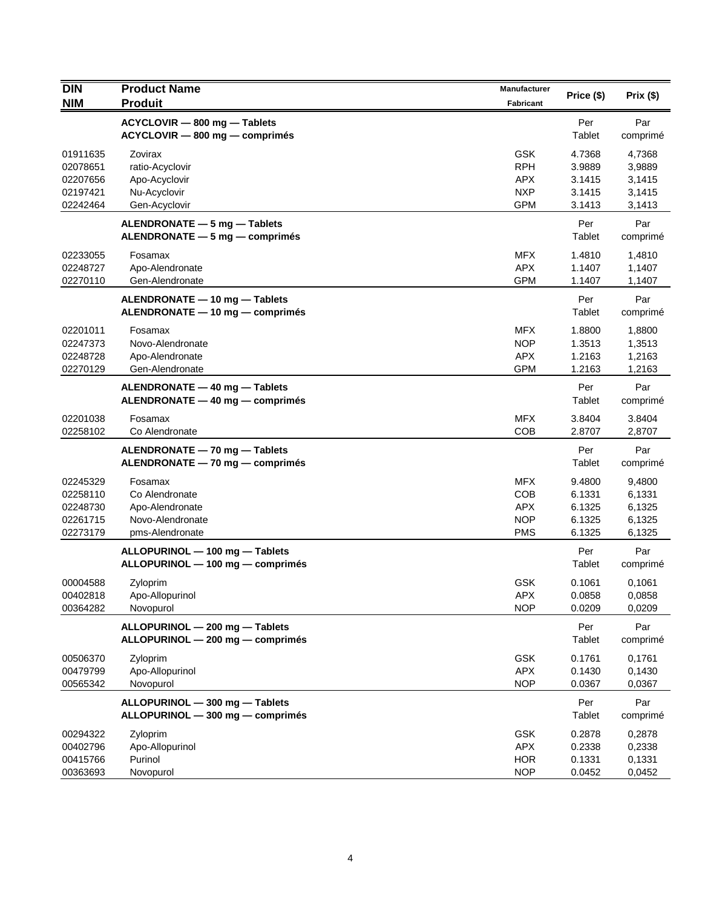| <b>DIN</b>                                               | <b>Product Name</b>                                                                 | <b>Manufacturer</b>                                                | Price (\$)                                     | Prix(\$)                                       |
|----------------------------------------------------------|-------------------------------------------------------------------------------------|--------------------------------------------------------------------|------------------------------------------------|------------------------------------------------|
| <b>NIM</b>                                               | <b>Produit</b>                                                                      | Fabricant                                                          |                                                |                                                |
|                                                          | ACYCLOVIR - 800 mg - Tablets<br>ACYCLOVIR - 800 mg - comprimés                      |                                                                    | Per<br>Tablet                                  | Par<br>comprimé                                |
| 01911635<br>02078651<br>02207656<br>02197421<br>02242464 | Zovirax<br>ratio-Acyclovir<br>Apo-Acyclovir<br>Nu-Acyclovir<br>Gen-Acyclovir        | <b>GSK</b><br><b>RPH</b><br><b>APX</b><br><b>NXP</b><br><b>GPM</b> | 4.7368<br>3.9889<br>3.1415<br>3.1415<br>3.1413 | 4,7368<br>3,9889<br>3,1415<br>3,1415<br>3,1413 |
|                                                          | ALENDRONATE - 5 mg - Tablets<br>ALENDRONATE - 5 mg - comprimés                      |                                                                    | Per<br>Tablet                                  | Par<br>comprimé                                |
| 02233055<br>02248727<br>02270110                         | Fosamax<br>Apo-Alendronate<br>Gen-Alendronate                                       | <b>MFX</b><br><b>APX</b><br><b>GPM</b>                             | 1.4810<br>1.1407<br>1.1407                     | 1,4810<br>1,1407<br>1,1407                     |
|                                                          | ALENDRONATE - 10 mg - Tablets<br>ALENDRONATE - 10 mg - comprimés                    |                                                                    | Per<br>Tablet                                  | Par<br>comprimé                                |
| 02201011<br>02247373<br>02248728<br>02270129             | Fosamax<br>Novo-Alendronate<br>Apo-Alendronate<br>Gen-Alendronate                   | <b>MFX</b><br><b>NOP</b><br><b>APX</b><br><b>GPM</b>               | 1.8800<br>1.3513<br>1.2163<br>1.2163           | 1,8800<br>1,3513<br>1,2163<br>1,2163           |
|                                                          | ALENDRONATE - 40 mg - Tablets<br>ALENDRONATE - 40 mg - comprimés                    |                                                                    | Per<br>Tablet                                  | Par<br>comprimé                                |
| 02201038<br>02258102                                     | Fosamax<br>Co Alendronate                                                           | <b>MFX</b><br><b>COB</b>                                           | 3.8404<br>2.8707                               | 3.8404<br>2,8707                               |
|                                                          | ALENDRONATE - 70 mg - Tablets<br>ALENDRONATE - 70 mg - comprimés                    |                                                                    | Per<br>Tablet                                  | Par<br>comprimé                                |
| 02245329<br>02258110<br>02248730<br>02261715<br>02273179 | Fosamax<br>Co Alendronate<br>Apo-Alendronate<br>Novo-Alendronate<br>pms-Alendronate | <b>MFX</b><br><b>COB</b><br><b>APX</b><br><b>NOP</b><br><b>PMS</b> | 9.4800<br>6.1331<br>6.1325<br>6.1325<br>6.1325 | 9,4800<br>6,1331<br>6,1325<br>6,1325<br>6,1325 |
|                                                          | ALLOPURINOL - 100 mg - Tablets<br>ALLOPURINOL - 100 mg - comprimés                  |                                                                    | Per<br>Tablet                                  | Par<br>comprimé                                |
| 00004588<br>00402818<br>00364282                         | Zyloprim<br>Apo-Allopurinol<br>Novopurol                                            | <b>GSK</b><br><b>APX</b><br><b>NOP</b>                             | 0.1061<br>0.0858<br>0.0209                     | 0,1061<br>0,0858<br>0,0209                     |
|                                                          | ALLOPURINOL - 200 mg - Tablets<br>ALLOPURINOL - 200 mg - comprimés                  |                                                                    | Per<br>Tablet                                  | Par<br>comprimé                                |
| 00506370<br>00479799<br>00565342                         | Zyloprim<br>Apo-Allopurinol<br>Novopurol                                            | <b>GSK</b><br><b>APX</b><br><b>NOP</b>                             | 0.1761<br>0.1430<br>0.0367                     | 0,1761<br>0,1430<br>0,0367                     |
|                                                          | ALLOPURINOL - 300 mg - Tablets<br>ALLOPURINOL - 300 mg - comprimés                  |                                                                    | Per<br>Tablet                                  | Par<br>comprimé                                |
| 00294322<br>00402796<br>00415766<br>00363693             | Zyloprim<br>Apo-Allopurinol<br>Purinol<br>Novopurol                                 | GSK<br><b>APX</b><br><b>HOR</b><br><b>NOP</b>                      | 0.2878<br>0.2338<br>0.1331<br>0.0452           | 0,2878<br>0,2338<br>0,1331<br>0,0452           |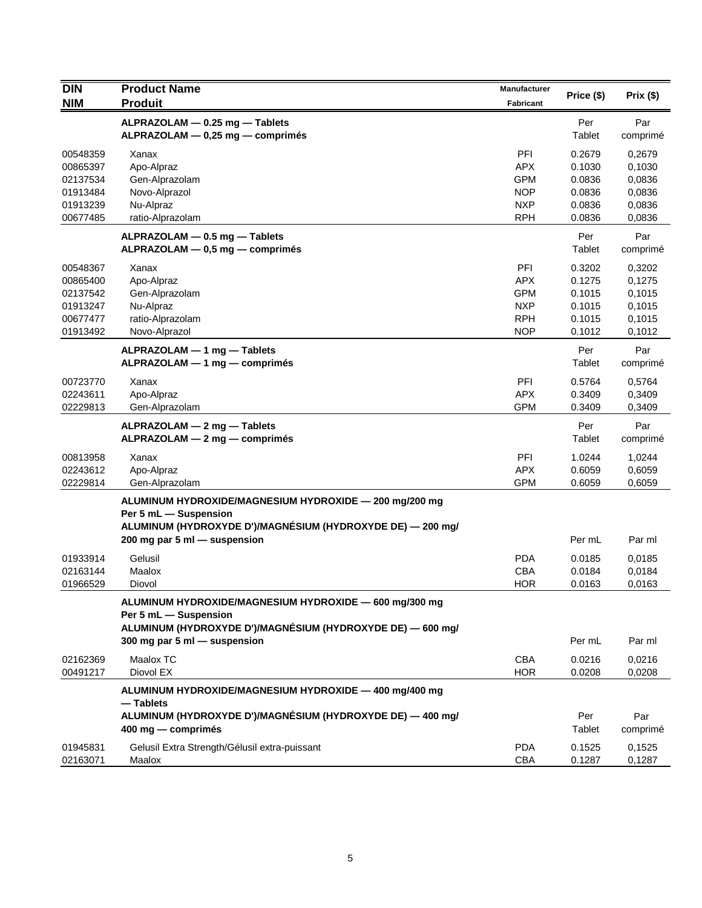| <b>DIN</b>                                                           | <b>Product Name</b><br><b>Produit</b>                                                                                                                                         | Manufacturer                                                              | Price (\$)                                               | Prix(\$)                                                 |
|----------------------------------------------------------------------|-------------------------------------------------------------------------------------------------------------------------------------------------------------------------------|---------------------------------------------------------------------------|----------------------------------------------------------|----------------------------------------------------------|
| <b>NIM</b>                                                           |                                                                                                                                                                               | Fabricant                                                                 |                                                          |                                                          |
|                                                                      | ALPRAZOLAM - 0.25 mg - Tablets<br>ALPRAZOLAM - 0,25 mg - comprimés                                                                                                            |                                                                           | Per<br>Tablet                                            | Par<br>comprimé                                          |
| 00548359<br>00865397<br>02137534<br>01913484<br>01913239<br>00677485 | Xanax<br>Apo-Alpraz<br>Gen-Alprazolam<br>Novo-Alprazol<br>Nu-Alpraz<br>ratio-Alprazolam                                                                                       | PFI<br><b>APX</b><br><b>GPM</b><br><b>NOP</b><br><b>NXP</b><br><b>RPH</b> | 0.2679<br>0.1030<br>0.0836<br>0.0836<br>0.0836<br>0.0836 | 0,2679<br>0,1030<br>0,0836<br>0,0836<br>0,0836<br>0,0836 |
|                                                                      | ALPRAZOLAM - 0.5 mg - Tablets<br>ALPRAZOLAM - 0,5 mg - comprimés                                                                                                              |                                                                           | Per<br>Tablet                                            | Par<br>comprimé                                          |
| 00548367<br>00865400<br>02137542<br>01913247<br>00677477<br>01913492 | Xanax<br>Apo-Alpraz<br>Gen-Alprazolam<br>Nu-Alpraz<br>ratio-Alprazolam<br>Novo-Alprazol                                                                                       | PFI<br><b>APX</b><br><b>GPM</b><br><b>NXP</b><br><b>RPH</b><br><b>NOP</b> | 0.3202<br>0.1275<br>0.1015<br>0.1015<br>0.1015<br>0.1012 | 0,3202<br>0,1275<br>0,1015<br>0,1015<br>0,1015<br>0,1012 |
|                                                                      | ALPRAZOLAM - 1 mg - Tablets<br>ALPRAZOLAM - 1 mg - comprimés                                                                                                                  |                                                                           | Per<br>Tablet                                            | Par<br>comprimé                                          |
| 00723770<br>02243611<br>02229813                                     | Xanax<br>Apo-Alpraz<br>Gen-Alprazolam                                                                                                                                         | PFI<br><b>APX</b><br><b>GPM</b>                                           | 0.5764<br>0.3409<br>0.3409                               | 0,5764<br>0,3409<br>0,3409                               |
|                                                                      | $ALPRAZOLAM - 2 mg - Tables$<br>ALPRAZOLAM - 2 mg - comprimés                                                                                                                 |                                                                           | Per<br>Tablet                                            | Par<br>comprimé                                          |
| 00813958<br>02243612<br>02229814                                     | Xanax<br>Apo-Alpraz<br>Gen-Alprazolam                                                                                                                                         | PFI<br><b>APX</b><br><b>GPM</b>                                           | 1.0244<br>0.6059<br>0.6059                               | 1,0244<br>0,6059<br>0,6059                               |
|                                                                      | ALUMINUM HYDROXIDE/MAGNESIUM HYDROXIDE - 200 mg/200 mg<br>Per 5 mL - Suspension<br>ALUMINUM (HYDROXYDE D')/MAGNÉSIUM (HYDROXYDE DE) - 200 mg/<br>200 mg par 5 ml - suspension |                                                                           | Per mL                                                   | Par ml                                                   |
| 01933914<br>02163144<br>01966529                                     | Gelusil<br>Maalox<br>Diovol                                                                                                                                                   | <b>PDA</b><br><b>CBA</b><br><b>HOR</b>                                    | 0.0185<br>0.0184<br>0.0163                               | 0,0185<br>0,0184<br>0,0163                               |
|                                                                      | ALUMINUM HYDROXIDE/MAGNESIUM HYDROXIDE - 600 mg/300 mg<br>Per 5 mL - Suspension<br>ALUMINUM (HYDROXYDE D')/MAGNÉSIUM (HYDROXYDE DE) - 600 mg/<br>300 mg par 5 ml - suspension |                                                                           | Per mL                                                   | Par ml                                                   |
| 02162369<br>00491217                                                 | Maalox TC<br>Diovol EX                                                                                                                                                        | CBA<br><b>HOR</b>                                                         | 0.0216<br>0.0208                                         | 0,0216<br>0,0208                                         |
|                                                                      | ALUMINUM HYDROXIDE/MAGNESIUM HYDROXIDE - 400 mg/400 mg<br>— Tablets<br>ALUMINUM (HYDROXYDE D')/MAGNÉSIUM (HYDROXYDE DE) - 400 mg/<br>400 mg — comprimés                       |                                                                           | Per<br>Tablet                                            | Par<br>comprimé                                          |
| 01945831<br>02163071                                                 | Gelusil Extra Strength/Gélusil extra-puissant<br>Maalox                                                                                                                       | <b>PDA</b><br>CBA                                                         | 0.1525<br>0.1287                                         | 0,1525<br>0,1287                                         |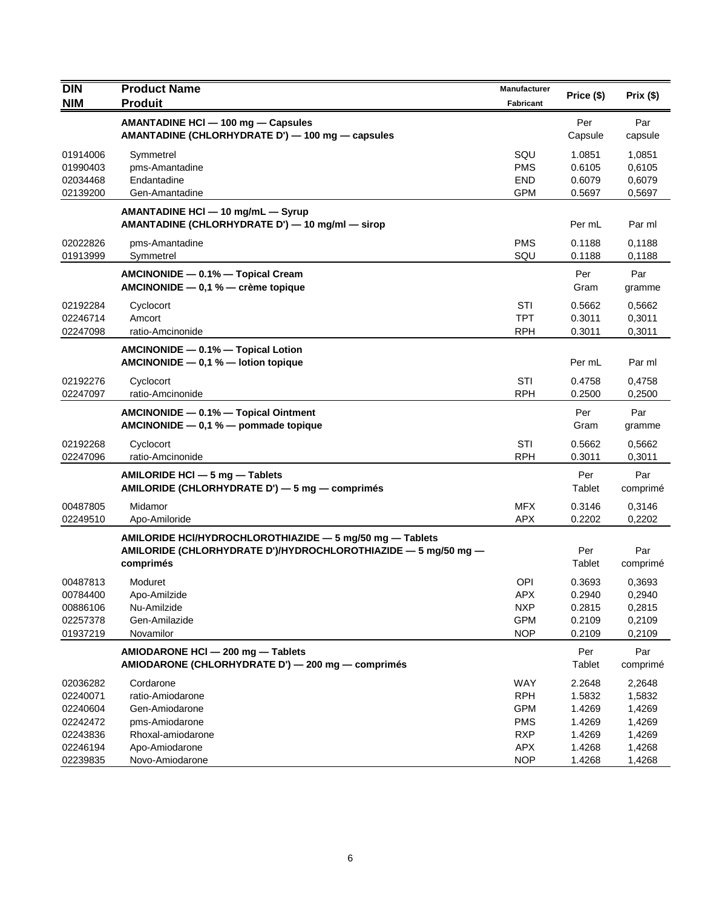| DIN                                                      | <b>Product Name</b>                                                                                                                     | Manufacturer                                                |                                                |                                                |
|----------------------------------------------------------|-----------------------------------------------------------------------------------------------------------------------------------------|-------------------------------------------------------------|------------------------------------------------|------------------------------------------------|
| <b>NIM</b>                                               | <b>Produit</b>                                                                                                                          | Fabricant                                                   | Price (\$)                                     | Prix(\$)                                       |
|                                                          | AMANTADINE HCI - 100 mg - Capsules<br>AMANTADINE (CHLORHYDRATE D') - 100 mg - capsules                                                  |                                                             | Per<br>Capsule                                 | Par<br>capsule                                 |
| 01914006<br>01990403<br>02034468<br>02139200             | Symmetrel<br>pms-Amantadine<br>Endantadine<br>Gen-Amantadine                                                                            | SQU<br><b>PMS</b><br><b>END</b><br><b>GPM</b>               | 1.0851<br>0.6105<br>0.6079<br>0.5697           | 1,0851<br>0,6105<br>0,6079<br>0,5697           |
|                                                          | AMANTADINE HCI - 10 mg/mL - Syrup<br>AMANTADINE (CHLORHYDRATE D') - 10 mg/ml - sirop                                                    |                                                             | Per mL                                         | Par ml                                         |
| 02022826<br>01913999                                     | pms-Amantadine<br>Symmetrel                                                                                                             | <b>PMS</b><br>SQU                                           | 0.1188<br>0.1188                               | 0,1188<br>0,1188                               |
|                                                          | AMCINONIDE - 0.1% - Topical Cream<br>AMCINONIDE - 0,1 % - crème topique                                                                 |                                                             | Per<br>Gram                                    | Par<br>gramme                                  |
| 02192284<br>02246714<br>02247098                         | Cyclocort<br>Amcort<br>ratio-Amcinonide                                                                                                 | STI<br>TPT<br><b>RPH</b>                                    | 0.5662<br>0.3011<br>0.3011                     | 0,5662<br>0,3011<br>0,3011                     |
|                                                          | AMCINONIDE - 0.1% - Topical Lotion<br>AMCINONIDE $-$ 0,1 % $-$ lotion topique                                                           |                                                             | Per mL                                         | Par ml                                         |
| 02192276<br>02247097                                     | Cyclocort<br>ratio-Amcinonide                                                                                                           | STI<br><b>RPH</b>                                           | 0.4758<br>0.2500                               | 0,4758<br>0,2500                               |
|                                                          | AMCINONIDE - 0.1% - Topical Ointment<br>AMCINONIDE - 0,1 % - pommade topique                                                            |                                                             | Per<br>Gram                                    | Par<br>gramme                                  |
| 02192268<br>02247096                                     | Cyclocort<br>ratio-Amcinonide                                                                                                           | STI<br><b>RPH</b>                                           | 0.5662<br>0.3011                               | 0,5662<br>0,3011                               |
|                                                          | AMILORIDE HCI - 5 mg - Tablets<br>AMILORIDE (CHLORHYDRATE D') - 5 mg - comprimés                                                        |                                                             | Per<br>Tablet                                  | Par<br>comprimé                                |
| 00487805<br>02249510                                     | Midamor<br>Apo-Amiloride                                                                                                                | <b>MFX</b><br><b>APX</b>                                    | 0.3146<br>0.2202                               | 0,3146<br>0,2202                               |
|                                                          | AMILORIDE HCI/HYDROCHLOROTHIAZIDE - 5 mg/50 mg - Tablets<br>AMILORIDE (CHLORHYDRATE D')/HYDROCHLOROTHIAZIDE - 5 mg/50 mg -<br>comprimés |                                                             | Per<br>Tablet                                  | Par<br>comprimé                                |
| 00487813<br>00784400<br>00886106<br>02257378<br>01937219 | Moduret<br>Apo-Amilzide<br>Nu-Amilzide<br>Gen-Amilazide<br>Novamilor                                                                    | OPI<br>APX<br><b>NXP</b><br><b>GPM</b><br><b>NOP</b>        | 0.3693<br>0.2940<br>0.2815<br>0.2109<br>0.2109 | 0,3693<br>0,2940<br>0,2815<br>0,2109<br>0,2109 |
|                                                          | AMIODARONE HCI - 200 mg - Tablets<br>AMIODARONE (CHLORHYDRATE D') - 200 mg - comprimés                                                  |                                                             | Per<br>Tablet                                  | Par<br>comprimé                                |
| 02036282<br>02240071<br>02240604<br>02242472<br>02243836 | Cordarone<br>ratio-Amiodarone<br>Gen-Amiodarone<br>pms-Amiodarone<br>Rhoxal-amiodarone                                                  | WAY<br><b>RPH</b><br><b>GPM</b><br><b>PMS</b><br><b>RXP</b> | 2.2648<br>1.5832<br>1.4269<br>1.4269<br>1.4269 | 2,2648<br>1,5832<br>1,4269<br>1,4269<br>1,4269 |
| 02246194<br>02239835                                     | Apo-Amiodarone<br>Novo-Amiodarone                                                                                                       | <b>APX</b><br><b>NOP</b>                                    | 1.4268<br>1.4268                               | 1,4268<br>1,4268                               |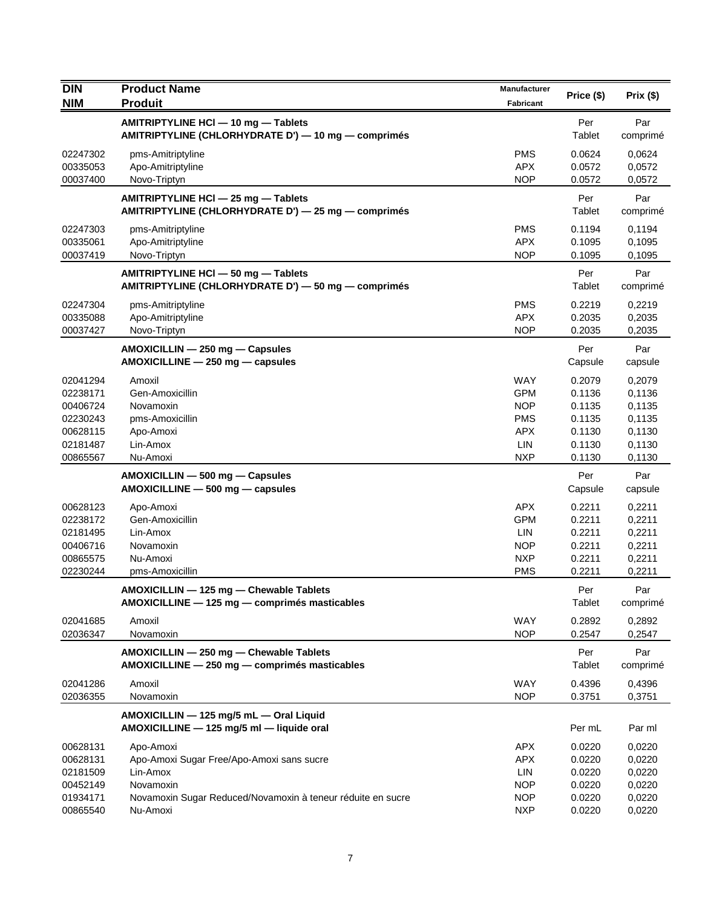| <b>DIN</b> | <b>Product Name</b>                                                                  | <b>Manufacturer</b> | Price (\$)     | Prix(\$)       |
|------------|--------------------------------------------------------------------------------------|---------------------|----------------|----------------|
| <b>NIM</b> | <b>Produit</b>                                                                       | <b>Fabricant</b>    |                |                |
|            | AMITRIPTYLINE HCI - 10 mg - Tablets                                                  |                     | Per            | Par            |
|            | AMITRIPTYLINE (CHLORHYDRATE D') - 10 mg - comprimés                                  |                     | Tablet         | comprimé       |
| 02247302   | pms-Amitriptyline                                                                    | <b>PMS</b>          | 0.0624         | 0,0624         |
| 00335053   | Apo-Amitriptyline                                                                    | <b>APX</b>          | 0.0572         | 0,0572         |
| 00037400   | Novo-Triptyn                                                                         | <b>NOP</b>          | 0.0572         | 0,0572         |
|            | AMITRIPTYLINE HCI - 25 mg - Tablets                                                  |                     | Per            | Par            |
|            | AMITRIPTYLINE (CHLORHYDRATE D') - 25 mg - comprimés                                  |                     | Tablet         | comprimé       |
| 02247303   | pms-Amitriptyline                                                                    | <b>PMS</b>          | 0.1194         | 0,1194         |
| 00335061   | Apo-Amitriptyline                                                                    | <b>APX</b>          | 0.1095         | 0,1095         |
| 00037419   | Novo-Triptyn                                                                         | <b>NOP</b>          | 0.1095         | 0,1095         |
|            | AMITRIPTYLINE HCI - 50 mg - Tablets                                                  |                     | Per            | Par            |
|            | AMITRIPTYLINE (CHLORHYDRATE D') - 50 mg - comprimés                                  |                     | Tablet         | comprimé       |
| 02247304   | pms-Amitriptyline                                                                    | <b>PMS</b>          | 0.2219         | 0,2219         |
| 00335088   | Apo-Amitriptyline                                                                    | <b>APX</b>          | 0.2035         | 0,2035         |
| 00037427   | Novo-Triptyn                                                                         | <b>NOP</b>          | 0.2035         | 0,2035         |
|            |                                                                                      |                     |                |                |
|            | AMOXICILLIN - 250 mg - Capsules<br>AMOXICILLINE - 250 mg - capsules                  |                     | Per<br>Capsule | Par<br>capsule |
|            |                                                                                      |                     |                |                |
| 02041294   | Amoxil                                                                               | <b>WAY</b>          | 0.2079         | 0,2079         |
| 02238171   | Gen-Amoxicillin                                                                      | <b>GPM</b>          | 0.1136         | 0,1136         |
| 00406724   | Novamoxin                                                                            | <b>NOP</b>          | 0.1135         | 0,1135         |
| 02230243   | pms-Amoxicillin                                                                      | <b>PMS</b>          | 0.1135         | 0,1135         |
| 00628115   | Apo-Amoxi                                                                            | <b>APX</b>          | 0.1130         | 0,1130         |
| 02181487   | Lin-Amox                                                                             | LIN<br><b>NXP</b>   | 0.1130         | 0,1130         |
| 00865567   | Nu-Amoxi                                                                             |                     | 0.1130         | 0,1130         |
|            | AMOXICILLIN - 500 mg - Capsules                                                      |                     | Per            | Par            |
|            | $AMOXICILLINE - 500 mg - capsules$                                                   |                     | Capsule        | capsule        |
| 00628123   | Apo-Amoxi                                                                            | <b>APX</b>          | 0.2211         | 0,2211         |
| 02238172   | Gen-Amoxicillin                                                                      | <b>GPM</b>          | 0.2211         | 0,2211         |
| 02181495   | Lin-Amox                                                                             | LIN                 | 0.2211         | 0,2211         |
| 00406716   | Novamoxin                                                                            | <b>NOP</b>          | 0.2211         | 0,2211         |
| 00865575   | Nu-Amoxi                                                                             | <b>NXP</b>          | 0.2211         | 0,2211         |
| 02230244   | pms-Amoxicillin                                                                      | <b>PMS</b>          | 0.2211         | 0,2211         |
|            | AMOXICILLIN - 125 mg - Chewable Tablets                                              |                     | Per            | Par            |
|            | AMOXICILLINE - 125 mg - comprimés masticables                                        |                     | Tablet         | comprimé       |
| 02041685   | Amoxil                                                                               | <b>WAY</b>          | 0.2892         | 0,2892         |
| 02036347   | Novamoxin                                                                            | <b>NOP</b>          | 0.2547         | 0,2547         |
|            | AMOXICILLIN - 250 mg - Chewable Tablets                                              |                     | Per            | Par            |
|            | AMOXICILLINE - 250 mg - comprimés masticables                                        |                     | Tablet         | comprimé       |
| 02041286   | Amoxil                                                                               | WAY                 | 0.4396         | 0,4396         |
| 02036355   | Novamoxin                                                                            | <b>NOP</b>          | 0.3751         | 0,3751         |
|            |                                                                                      |                     |                |                |
|            | AMOXICILLIN - 125 mg/5 mL - Oral Liquid<br>AMOXICILLINE - 125 mg/5 ml - liquide oral |                     | Per mL         | Par ml         |
| 00628131   | Apo-Amoxi                                                                            | <b>APX</b>          | 0.0220         | 0,0220         |
| 00628131   | Apo-Amoxi Sugar Free/Apo-Amoxi sans sucre                                            | <b>APX</b>          | 0.0220         | 0,0220         |
| 02181509   | Lin-Amox                                                                             | <b>LIN</b>          | 0.0220         | 0,0220         |
| 00452149   | Novamoxin                                                                            | <b>NOP</b>          | 0.0220         | 0,0220         |
| 01934171   | Novamoxin Sugar Reduced/Novamoxin à teneur réduite en sucre                          | <b>NOP</b>          | 0.0220         | 0,0220         |
| 00865540   | Nu-Amoxi                                                                             | <b>NXP</b>          | 0.0220         | 0,0220         |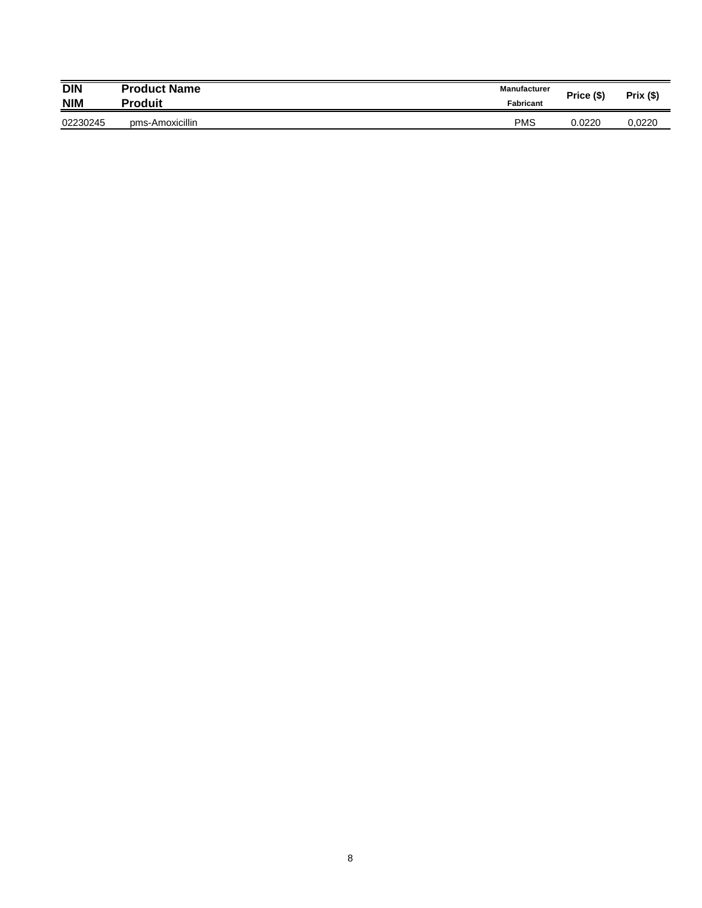| <b>DIN</b> | <b>Product Name</b> | <b>Manufacturer</b> | Price (\$) | Prix (\$) |
|------------|---------------------|---------------------|------------|-----------|
| <b>NIM</b> | Produit             | <b>Fabricant</b>    |            |           |
| 02230245   | pms-Amoxicillin     | <b>PMS</b>          | 0.0220     | 0.0220    |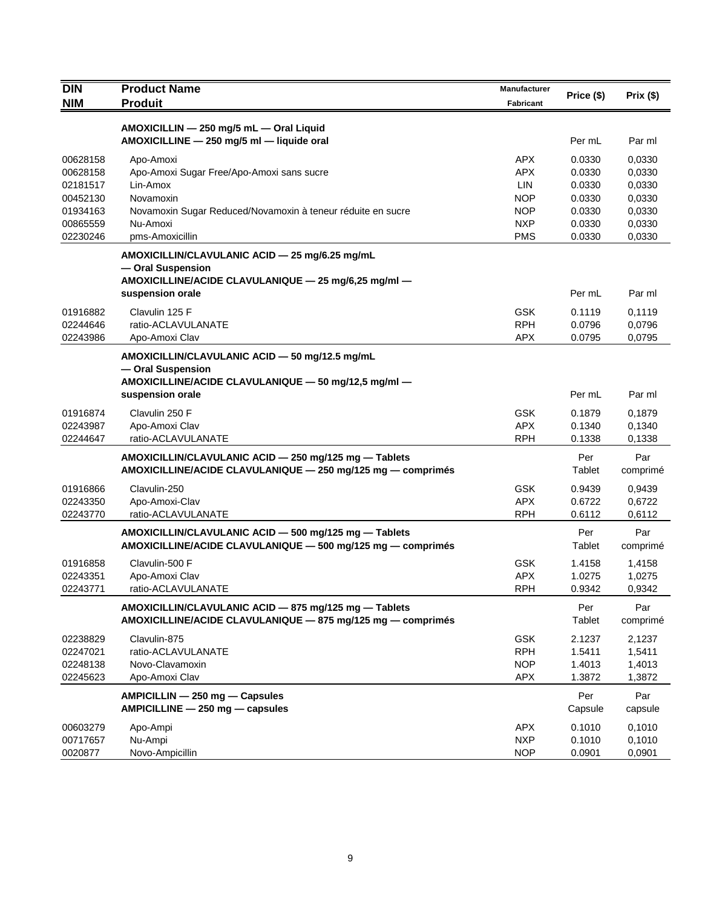| <b>DIN</b> | <b>Product Name</b>                                         | Manufacturer | Price (\$) | Prix(\$) |
|------------|-------------------------------------------------------------|--------------|------------|----------|
| <b>NIM</b> | <b>Produit</b>                                              | Fabricant    |            |          |
|            | AMOXICILLIN - 250 mg/5 mL - Oral Liquid                     |              |            |          |
|            | AMOXICILLINE - 250 mg/5 ml - liquide oral                   |              | Per mL     | Par ml   |
| 00628158   | Apo-Amoxi                                                   | <b>APX</b>   | 0.0330     | 0.0330   |
| 00628158   | Apo-Amoxi Sugar Free/Apo-Amoxi sans sucre                   | <b>APX</b>   | 0.0330     | 0,0330   |
| 02181517   | Lin-Amox                                                    | <b>LIN</b>   | 0.0330     | 0,0330   |
| 00452130   | Novamoxin                                                   | <b>NOP</b>   | 0.0330     | 0,0330   |
| 01934163   | Novamoxin Sugar Reduced/Novamoxin à teneur réduite en sucre | <b>NOP</b>   | 0.0330     | 0,0330   |
| 00865559   | Nu-Amoxi                                                    | <b>NXP</b>   | 0.0330     | 0,0330   |
| 02230246   | pms-Amoxicillin                                             | <b>PMS</b>   | 0.0330     | 0,0330   |
|            | AMOXICILLIN/CLAVULANIC ACID - 25 mg/6.25 mg/mL              |              |            |          |
|            | - Oral Suspension                                           |              |            |          |
|            | AMOXICILLINE/ACIDE CLAVULANIQUE - 25 mg/6,25 mg/ml -        |              |            |          |
|            | suspension orale                                            |              | Per mL     | Par ml   |
| 01916882   | Clavulin 125 F                                              | <b>GSK</b>   | 0.1119     | 0,1119   |
| 02244646   | ratio-ACLAVULANATE                                          | <b>RPH</b>   | 0.0796     | 0,0796   |
| 02243986   | Apo-Amoxi Clav                                              | <b>APX</b>   | 0.0795     | 0,0795   |
|            | AMOXICILLIN/CLAVULANIC ACID - 50 mg/12.5 mg/mL              |              |            |          |
|            | - Oral Suspension                                           |              |            |          |
|            | AMOXICILLINE/ACIDE CLAVULANIQUE - 50 mg/12,5 mg/ml -        |              |            |          |
|            | suspension orale                                            |              | Per mL     | Par ml   |
| 01916874   | Clavulin 250 F                                              | <b>GSK</b>   | 0.1879     | 0,1879   |
| 02243987   | Apo-Amoxi Clav                                              | <b>APX</b>   | 0.1340     | 0,1340   |
| 02244647   | ratio-ACLAVULANATE                                          | <b>RPH</b>   | 0.1338     | 0,1338   |
|            | AMOXICILLIN/CLAVULANIC ACID - 250 mg/125 mg - Tablets       |              | Per        | Par      |
|            | AMOXICILLINE/ACIDE CLAVULANIQUE - 250 mg/125 mg - comprimés |              | Tablet     | comprimé |
| 01916866   | Clavulin-250                                                | <b>GSK</b>   | 0.9439     | 0,9439   |
| 02243350   | Apo-Amoxi-Clav                                              | <b>APX</b>   | 0.6722     | 0,6722   |
| 02243770   | ratio-ACLAVULANATE                                          | <b>RPH</b>   | 0.6112     | 0,6112   |
|            | AMOXICILLIN/CLAVULANIC ACID - 500 mg/125 mg - Tablets       |              | Per        | Par      |
|            | AMOXICILLINE/ACIDE CLAVULANIQUE - 500 mg/125 mg - comprimés |              | Tablet     | comprimé |
| 01916858   | Clavulin-500 F                                              | <b>GSK</b>   | 1.4158     | 1,4158   |
| 02243351   | Apo-Amoxi Clav                                              | <b>APX</b>   | 1.0275     | 1,0275   |
| 02243771   | ratio-ACLAVULANATE                                          | <b>RPH</b>   | 0.9342     | 0,9342   |
|            | AMOXICILLIN/CLAVULANIC ACID - 875 mg/125 mg - Tablets       |              | Per        | Par      |
|            | AMOXICILLINE/ACIDE CLAVULANIQUE - 875 mg/125 mg - comprimés |              | Tablet     | comprimé |
| 02238829   | Clavulin-875                                                | <b>GSK</b>   | 2.1237     | 2,1237   |
| 02247021   | ratio-ACLAVULANATE                                          | <b>RPH</b>   | 1.5411     | 1,5411   |
| 02248138   | Novo-Clavamoxin                                             | <b>NOP</b>   | 1.4013     | 1,4013   |
| 02245623   | Apo-Amoxi Clav                                              | <b>APX</b>   | 1.3872     | 1,3872   |
|            | AMPICILLIN - 250 mg - Capsules                              |              | Per        | Par      |
|            | AMPICILLINE - 250 mg - capsules                             |              | Capsule    | capsule  |
| 00603279   | Apo-Ampi                                                    | <b>APX</b>   | 0.1010     | 0,1010   |
| 00717657   | Nu-Ampi                                                     | <b>NXP</b>   | 0.1010     | 0,1010   |
| 0020877    | Novo-Ampicillin                                             | <b>NOP</b>   | 0.0901     | 0,0901   |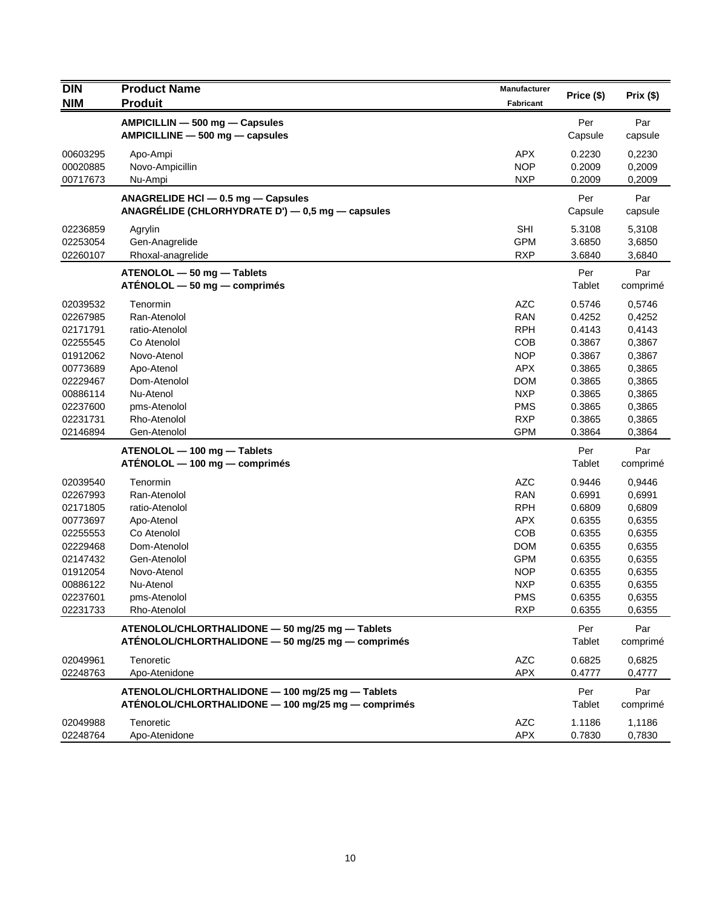| <b>DIN</b> | <b>Product Name</b><br><b>Produit</b>                                                                | <b>Manufacturer</b> | Price (\$)    | Prix(\$)        |
|------------|------------------------------------------------------------------------------------------------------|---------------------|---------------|-----------------|
| <b>NIM</b> |                                                                                                      | <b>Fabricant</b>    |               |                 |
|            | AMPICILLIN - 500 mg - Capsules                                                                       |                     | Per           | Par             |
|            | $AMPICILLINE - 500 mg - capsules$                                                                    |                     | Capsule       | capsule         |
| 00603295   | Apo-Ampi                                                                                             | <b>APX</b>          | 0.2230        | 0,2230          |
| 00020885   | Novo-Ampicillin                                                                                      | <b>NOP</b>          | 0.2009        | 0,2009          |
| 00717673   | Nu-Ampi                                                                                              | <b>NXP</b>          | 0.2009        | 0,2009          |
|            | ANAGRELIDE HCI - 0.5 mg - Capsules                                                                   |                     | Per           | Par             |
|            | ANAGRÉLIDE (CHLORHYDRATE D') $-$ 0,5 mg $-$ capsules                                                 |                     | Capsule       | capsule         |
| 02236859   | Agrylin                                                                                              | <b>SHI</b>          | 5.3108        | 5,3108          |
| 02253054   | Gen-Anagrelide                                                                                       | <b>GPM</b>          | 3.6850        | 3,6850          |
| 02260107   | Rhoxal-anagrelide                                                                                    | <b>RXP</b>          | 3.6840        | 3,6840          |
|            | ATENOLOL - 50 mg - Tablets                                                                           |                     | Per           | Par             |
|            | $ATÉNOLOL - 50 mg - comprimés$                                                                       |                     | Tablet        | comprimé        |
| 02039532   | Tenormin                                                                                             | <b>AZC</b>          | 0.5746        | 0,5746          |
| 02267985   | Ran-Atenolol                                                                                         | <b>RAN</b>          | 0.4252        | 0,4252          |
| 02171791   | ratio-Atenolol                                                                                       | <b>RPH</b>          | 0.4143        | 0,4143          |
| 02255545   | Co Atenolol                                                                                          | COB                 | 0.3867        | 0,3867          |
| 01912062   | Novo-Atenol                                                                                          | <b>NOP</b>          | 0.3867        | 0,3867          |
| 00773689   | Apo-Atenol                                                                                           | <b>APX</b>          | 0.3865        | 0,3865          |
| 02229467   | Dom-Atenolol                                                                                         | <b>DOM</b>          | 0.3865        | 0,3865          |
| 00886114   | Nu-Atenol                                                                                            | <b>NXP</b>          | 0.3865        | 0,3865          |
| 02237600   | pms-Atenolol                                                                                         | <b>PMS</b>          | 0.3865        | 0,3865          |
| 02231731   | Rho-Atenolol                                                                                         | <b>RXP</b>          | 0.3865        | 0,3865          |
| 02146894   | Gen-Atenolol                                                                                         | <b>GPM</b>          | 0.3864        | 0,3864          |
|            | ATENOLOL - 100 mg - Tablets                                                                          |                     | Per           | Par             |
|            | ATENOLOL - 100 mg - comprimés                                                                        |                     | Tablet        | comprimé        |
| 02039540   | Tenormin                                                                                             | <b>AZC</b>          | 0.9446        | 0,9446          |
| 02267993   | Ran-Atenolol                                                                                         | <b>RAN</b>          | 0.6991        | 0,6991          |
| 02171805   | ratio-Atenolol                                                                                       | <b>RPH</b>          | 0.6809        | 0,6809          |
| 00773697   | Apo-Atenol                                                                                           | <b>APX</b>          | 0.6355        | 0,6355          |
| 02255553   | Co Atenolol                                                                                          | COB                 | 0.6355        | 0,6355          |
| 02229468   | Dom-Atenolol                                                                                         | <b>DOM</b>          | 0.6355        | 0,6355          |
| 02147432   | Gen-Atenolol                                                                                         | <b>GPM</b>          | 0.6355        | 0,6355          |
| 01912054   | Novo-Atenol                                                                                          | <b>NOP</b>          | 0.6355        | 0,6355          |
| 00886122   | Nu-Atenol                                                                                            | <b>NXP</b>          | 0.6355        | 0,6355          |
| 02237601   | pms-Atenolol                                                                                         | <b>PMS</b>          | 0.6355        | 0,6355          |
| 02231733   | Rho-Atenolol                                                                                         | <b>RXP</b>          | 0.6355        | 0,6355          |
|            | ATENOLOL/CHLORTHALIDONE - 50 mg/25 mg - Tablets<br>ATÉNOLOL/CHLORTHALIDONE - 50 mg/25 mg - comprimés |                     | Per<br>Tablet | Par<br>comprimé |
| 02049961   | Tenoretic                                                                                            | <b>AZC</b>          | 0.6825        | 0,6825          |
| 02248763   | Apo-Atenidone                                                                                        | <b>APX</b>          | 0.4777        | 0,4777          |
|            | ATENOLOL/CHLORTHALIDONE - 100 mg/25 mg - Tablets                                                     |                     | Per           | Par             |
|            | ATÉNOLOL/CHLORTHALIDONE - 100 mg/25 mg - comprimés                                                   |                     | Tablet        | comprimé        |
| 02049988   | Tenoretic                                                                                            | <b>AZC</b>          | 1.1186        | 1,1186          |
| 02248764   | Apo-Atenidone                                                                                        | APX                 | 0.7830        | 0,7830          |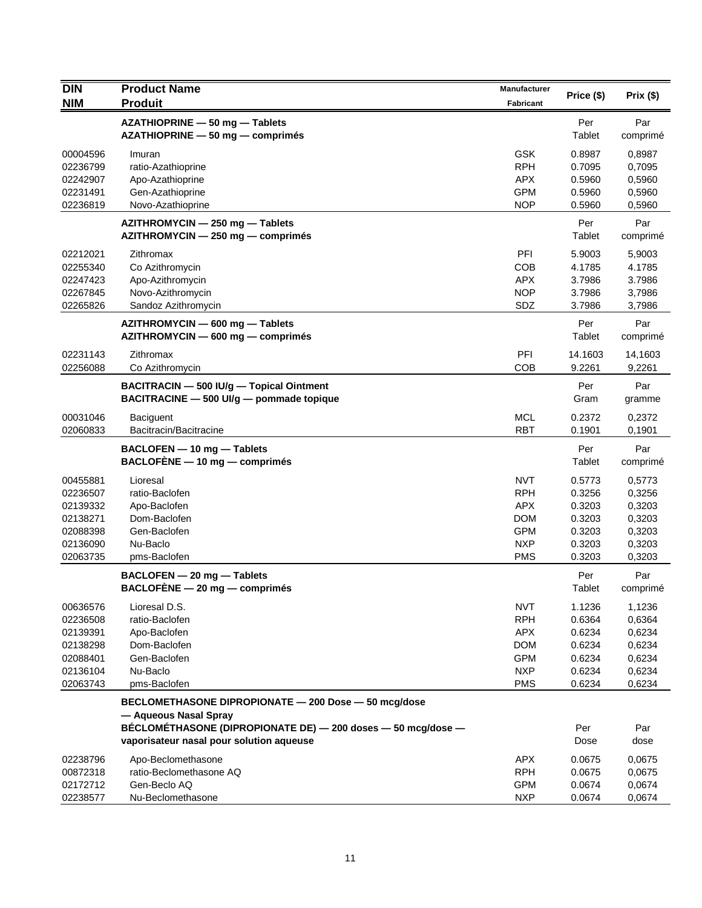| <b>DIN</b>           | <b>Product Name</b>                                                                   | Manufacturer             |                  |                  |
|----------------------|---------------------------------------------------------------------------------------|--------------------------|------------------|------------------|
| <b>NIM</b>           | <b>Produit</b>                                                                        | Fabricant                | Price (\$)       | Prix(\$)         |
|                      | AZATHIOPRINE - 50 mg - Tablets                                                        |                          | Per              | Par              |
|                      | AZATHIOPRINE - 50 mg - comprimés                                                      |                          | Tablet           | comprimé         |
|                      |                                                                                       |                          |                  |                  |
| 00004596             | Imuran                                                                                | <b>GSK</b>               | 0.8987           | 0,8987           |
| 02236799             | ratio-Azathioprine                                                                    | <b>RPH</b>               | 0.7095           | 0,7095           |
| 02242907<br>02231491 | Apo-Azathioprine<br>Gen-Azathioprine                                                  | <b>APX</b><br><b>GPM</b> | 0.5960<br>0.5960 | 0,5960<br>0,5960 |
| 02236819             | Novo-Azathioprine                                                                     | <b>NOP</b>               | 0.5960           | 0,5960           |
|                      |                                                                                       |                          |                  |                  |
|                      | AZITHROMYCIN - 250 mg - Tablets                                                       |                          | Per              | Par              |
|                      | AZITHROMYCIN - 250 mg - comprimés                                                     |                          | Tablet           | comprimé         |
| 02212021             | Zithromax                                                                             | <b>PFI</b>               | 5.9003           | 5,9003           |
| 02255340             | Co Azithromycin                                                                       | <b>COB</b>               | 4.1785           | 4.1785           |
| 02247423             | Apo-Azithromycin                                                                      | <b>APX</b>               | 3.7986           | 3.7986           |
| 02267845             | Novo-Azithromycin                                                                     | <b>NOP</b>               | 3.7986           | 3,7986           |
| 02265826             | Sandoz Azithromycin                                                                   | SDZ                      | 3.7986           | 3,7986           |
|                      | AZITHROMYCIN - 600 mg - Tablets                                                       |                          | Per              | Par              |
|                      | AZITHROMYCIN - 600 mg - comprimés                                                     |                          | Tablet           | comprimé         |
| 02231143             | Zithromax                                                                             | PFI                      | 14.1603          | 14,1603          |
| 02256088             | Co Azithromycin                                                                       | COB                      | 9.2261           | 9,2261           |
|                      | BACITRACIN - 500 IU/q - Topical Ointment                                              |                          | Per              | Par              |
|                      | BACITRACINE - 500 UI/g - pommade topique                                              |                          | Gram             | gramme           |
|                      |                                                                                       |                          |                  |                  |
| 00031046             | Baciguent                                                                             | <b>MCL</b>               | 0.2372           | 0,2372           |
| 02060833             | Bacitracin/Bacitracine                                                                | <b>RBT</b>               | 0.1901           | 0,1901           |
|                      | BACLOFEN - 10 mg - Tablets                                                            |                          | Per              | Par              |
|                      | $BACLOFENE - 10 mg - comprimés$                                                       |                          | Tablet           | comprimé         |
| 00455881             | Lioresal                                                                              | <b>NVT</b>               | 0.5773           | 0,5773           |
| 02236507             | ratio-Baclofen                                                                        | <b>RPH</b>               | 0.3256           | 0,3256           |
| 02139332             | Apo-Baclofen                                                                          | <b>APX</b>               | 0.3203           | 0,3203           |
| 02138271             | Dom-Baclofen                                                                          | <b>DOM</b>               | 0.3203           | 0,3203           |
| 02088398             | Gen-Baclofen                                                                          | <b>GPM</b>               | 0.3203           | 0,3203           |
| 02136090             | Nu-Baclo                                                                              | <b>NXP</b>               | 0.3203           | 0,3203           |
| 02063735             | pms-Baclofen                                                                          | <b>PMS</b>               | 0.3203           | 0,3203           |
|                      | BACLOFEN - 20 mg - Tablets                                                            |                          | Per              | Par              |
|                      | BACLOFÈNE - 20 mg - comprimés                                                         |                          | Tablet           | comprimé         |
|                      |                                                                                       |                          |                  |                  |
| 00636576             | Lioresal D.S.                                                                         | <b>NVT</b>               | 1.1236           | 1,1236           |
| 02236508             | ratio-Baclofen                                                                        | <b>RPH</b>               | 0.6364           | 0,6364           |
| 02139391             | Apo-Baclofen                                                                          | <b>APX</b>               | 0.6234           | 0,6234           |
| 02138298             | Dom-Baclofen<br>Gen-Baclofen                                                          | <b>DOM</b>               | 0.6234           | 0,6234           |
| 02088401<br>02136104 | Nu-Baclo                                                                              | <b>GPM</b><br><b>NXP</b> | 0.6234           | 0,6234           |
| 02063743             | pms-Baclofen                                                                          | <b>PMS</b>               | 0.6234<br>0.6234 | 0,6234<br>0,6234 |
|                      |                                                                                       |                          |                  |                  |
|                      | BECLOMETHASONE DIPROPIONATE - 200 Dose - 50 mcg/dose                                  |                          |                  |                  |
|                      | - Aqueous Nasal Spray<br>BÉCLOMÉTHASONE (DIPROPIONATE DE) - 200 doses - 50 mcg/dose - |                          | Per              | Par              |
|                      | vaporisateur nasal pour solution aqueuse                                              |                          | Dose             | dose             |
|                      |                                                                                       |                          |                  |                  |
| 02238796             | Apo-Beclomethasone                                                                    | <b>APX</b>               | 0.0675           | 0,0675           |
| 00872318             | ratio-Beclomethasone AQ                                                               | <b>RPH</b>               | 0.0675           | 0,0675           |
| 02172712             | Gen-Beclo AQ                                                                          | <b>GPM</b>               | 0.0674           | 0,0674           |
| 02238577             | Nu-Beclomethasone                                                                     | <b>NXP</b>               | 0.0674           | 0,0674           |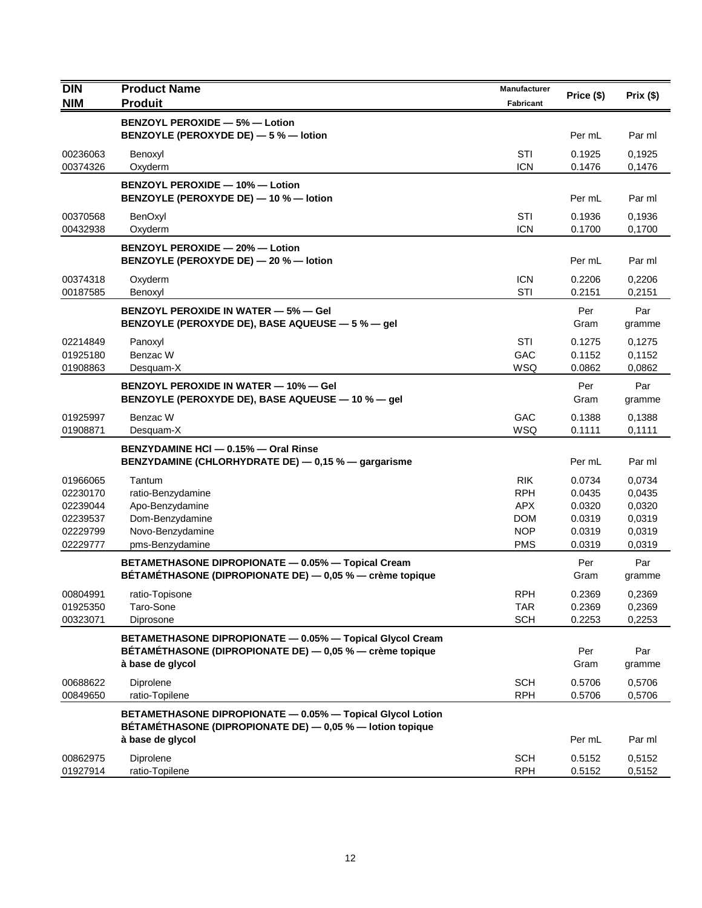| <b>DIN</b>           | <b>Product Name</b>                                                                                            | <b>Manufacturer</b>      | Price (\$)       | Prix(\$)         |
|----------------------|----------------------------------------------------------------------------------------------------------------|--------------------------|------------------|------------------|
| <b>NIM</b>           | <b>Produit</b>                                                                                                 | <b>Fabricant</b>         |                  |                  |
|                      | <b>BENZOYL PEROXIDE - 5% - Lotion</b>                                                                          |                          |                  |                  |
|                      | BENZOYLE (PEROXYDE DE) - 5 % - lotion                                                                          |                          | Per mL           | Par ml           |
| 00236063             | Benoxyl                                                                                                        | STI                      | 0.1925           | 0,1925           |
| 00374326             | Oxyderm                                                                                                        | <b>ICN</b>               | 0.1476           | 0,1476           |
|                      | BENZOYL PEROXIDE - 10% - Lotion                                                                                |                          |                  |                  |
|                      | BENZOYLE (PEROXYDE DE) - 10 % - lotion                                                                         |                          | Per mL           | Par ml           |
| 00370568             | BenOxyl                                                                                                        | STI                      | 0.1936           | 0,1936           |
| 00432938             | Oxyderm                                                                                                        | <b>ICN</b>               | 0.1700           | 0,1700           |
|                      | <b>BENZOYL PEROXIDE - 20% - Lotion</b>                                                                         |                          |                  |                  |
|                      | BENZOYLE (PEROXYDE DE) - 20 % - lotion                                                                         |                          | Per mL           | Par ml           |
| 00374318             | Oxyderm                                                                                                        | <b>ICN</b>               | 0.2206           | 0,2206           |
| 00187585             | Benoxyl                                                                                                        | STI                      | 0.2151           | 0,2151           |
|                      | <b>BENZOYL PEROXIDE IN WATER - 5% - Gel</b>                                                                    |                          | Per              | Par              |
|                      | BENZOYLE (PEROXYDE DE), BASE AQUEUSE - 5 % - gel                                                               |                          | Gram             | gramme           |
| 02214849             | Panoxyl                                                                                                        | <b>STI</b>               | 0.1275           | 0,1275           |
| 01925180             | Benzac W                                                                                                       | GAC                      | 0.1152           | 0,1152           |
| 01908863             | Desquam-X                                                                                                      | WSQ                      | 0.0862           | 0,0862           |
|                      | <b>BENZOYL PEROXIDE IN WATER - 10% - Gel</b>                                                                   |                          | Per              | Par              |
|                      | BENZOYLE (PEROXYDE DE), BASE AQUEUSE - 10 % - gel                                                              |                          | Gram             | gramme           |
| 01925997             | Benzac W                                                                                                       | GAC                      | 0.1388           | 0,1388           |
| 01908871             | Desquam-X                                                                                                      | WSQ                      | 0.1111           | 0,1111           |
|                      | BENZYDAMINE HCI - 0.15% - Oral Rinse                                                                           |                          |                  |                  |
|                      | BENZYDAMINE (CHLORHYDRATE DE) - 0,15 % - gargarisme                                                            |                          | Per mL           | Par ml           |
| 01966065             | Tantum                                                                                                         | <b>RIK</b>               | 0.0734           | 0,0734           |
| 02230170             | ratio-Benzydamine                                                                                              | <b>RPH</b>               | 0.0435           | 0,0435           |
| 02239044             | Apo-Benzydamine                                                                                                | <b>APX</b>               | 0.0320           | 0,0320           |
| 02239537<br>02229799 | Dom-Benzydamine<br>Novo-Benzydamine                                                                            | <b>DOM</b><br><b>NOP</b> | 0.0319<br>0.0319 | 0,0319<br>0,0319 |
| 02229777             | pms-Benzydamine                                                                                                | <b>PMS</b>               | 0.0319           | 0,0319           |
|                      |                                                                                                                |                          |                  |                  |
|                      | BETAMETHASONE DIPROPIONATE - 0.05% - Topical Cream<br>BÉTAMÉTHASONE (DIPROPIONATE DE) - 0,05 % - crème topique |                          | Per<br>Gram      | Par<br>gramme    |
|                      |                                                                                                                |                          |                  |                  |
| 00804991<br>01925350 | ratio-Topisone<br>Taro-Sone                                                                                    | <b>RPH</b><br><b>TAR</b> | 0.2369<br>0.2369 | 0,2369<br>0,2369 |
| 00323071             | Diprosone                                                                                                      | <b>SCH</b>               | 0.2253           | 0,2253           |
|                      | BETAMETHASONE DIPROPIONATE - 0.05% - Topical Glycol Cream                                                      |                          |                  |                  |
|                      | BÉTAMÉTHASONE (DIPROPIONATE DE) — 0,05 % — crème topique                                                       |                          | Per              | Par              |
|                      | à base de glycol                                                                                               |                          | Gram             | gramme           |
| 00688622             | Diprolene                                                                                                      | <b>SCH</b>               | 0.5706           | 0,5706           |
| 00849650             | ratio-Topilene                                                                                                 | <b>RPH</b>               | 0.5706           | 0,5706           |
|                      | BETAMETHASONE DIPROPIONATE - 0.05% - Topical Glycol Lotion                                                     |                          |                  |                  |
|                      | BÉTAMÉTHASONE (DIPROPIONATE DE) - 0,05 % - lotion topique                                                      |                          |                  |                  |
|                      | à base de glycol                                                                                               |                          | Per mL           | Par ml           |
| 00862975             | Diprolene                                                                                                      | <b>SCH</b>               | 0.5152           | 0,5152           |
| 01927914             | ratio-Topilene                                                                                                 | <b>RPH</b>               | 0.5152           | 0,5152           |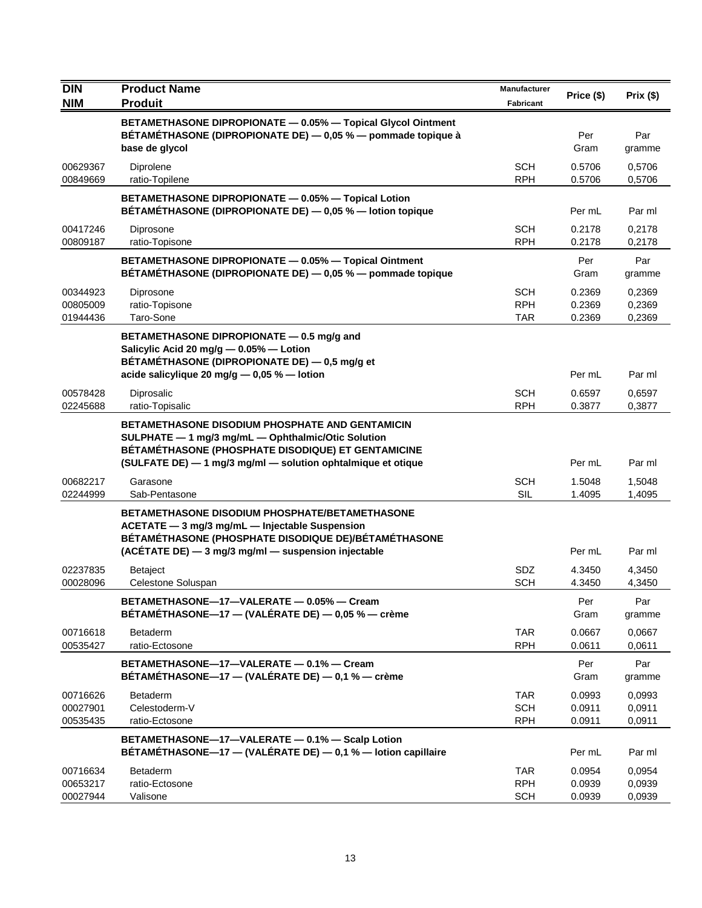| <b>DIN</b>                       | <b>Product Name</b>                                                                                                                                                                                                                | Manufacturer                           | Price (\$)                 | Prix (\$)                  |
|----------------------------------|------------------------------------------------------------------------------------------------------------------------------------------------------------------------------------------------------------------------------------|----------------------------------------|----------------------------|----------------------------|
| <b>NIM</b>                       | <b>Produit</b>                                                                                                                                                                                                                     | <b>Fabricant</b>                       |                            |                            |
|                                  | BETAMETHASONE DIPROPIONATE - 0.05% - Topical Glycol Ointment<br>BETAMETHASONE (DIPROPIONATE DE) - 0,05 % - pommade topique à<br>base de glycol                                                                                     |                                        | Per<br>Gram                | Par<br>gramme              |
| 00629367<br>00849669             | Diprolene<br>ratio-Topilene                                                                                                                                                                                                        | <b>SCH</b><br><b>RPH</b>               | 0.5706<br>0.5706           | 0,5706<br>0,5706           |
|                                  | BETAMETHASONE DIPROPIONATE - 0.05% - Topical Lotion<br>BÉTAMÉTHASONE (DIPROPIONATE DE) - 0,05 % - lotion topique                                                                                                                   |                                        | Per mL                     | Par ml                     |
| 00417246<br>00809187             | Diprosone<br>ratio-Topisone                                                                                                                                                                                                        | SCH<br><b>RPH</b>                      | 0.2178<br>0.2178           | 0.2178<br>0,2178           |
|                                  | BETAMETHASONE DIPROPIONATE - 0.05% - Topical Ointment<br>BÉTAMÉTHASONE (DIPROPIONATE DE) - 0,05 % - pommade topique                                                                                                                |                                        | Per<br>Gram                | Par<br>gramme              |
| 00344923<br>00805009<br>01944436 | Diprosone<br>ratio-Topisone<br>Taro-Sone                                                                                                                                                                                           | <b>SCH</b><br><b>RPH</b><br><b>TAR</b> | 0.2369<br>0.2369<br>0.2369 | 0,2369<br>0,2369<br>0,2369 |
|                                  | BETAMETHASONE DIPROPIONATE - 0.5 mg/g and<br>Salicylic Acid 20 mg/g - 0.05% - Lotion<br>BÉTAMÉTHASONE (DIPROPIONATE DE) - 0,5 mg/g et                                                                                              |                                        |                            |                            |
|                                  | acide salicylique 20 mg/g - 0,05 % - lotion                                                                                                                                                                                        |                                        | Per mL                     | Par ml                     |
| 00578428<br>02245688             | Diprosalic<br>ratio-Topisalic                                                                                                                                                                                                      | SCH<br><b>RPH</b>                      | 0.6597<br>0.3877           | 0,6597<br>0,3877           |
|                                  | <b>BETAMETHASONE DISODIUM PHOSPHATE AND GENTAMICIN</b><br>SULPHATE - 1 mg/3 mg/mL - Ophthalmic/Otic Solution<br>BÉTAMÉTHASONE (PHOSPHATE DISODIQUE) ET GENTAMICINE<br>(SULFATE DE) - 1 mg/3 mg/ml - solution ophtalmique et otique |                                        | Per mL                     | Par ml                     |
| 00682217<br>02244999             | Garasone<br>Sab-Pentasone                                                                                                                                                                                                          | <b>SCH</b><br><b>SIL</b>               | 1.5048<br>1.4095           | 1,5048<br>1,4095           |
|                                  | <b>BETAMETHASONE DISODIUM PHOSPHATE/BETAMETHASONE</b><br>ACETATE - 3 mg/3 mg/mL - Injectable Suspension<br>BÉTAMÉTHASONE (PHOSPHATE DISODIQUE DE)/BÉTAMÉTHASONE<br>(ACÉTATE DE) - 3 mg/3 mg/ml - suspension injectable             |                                        | Per mL                     | Par ml                     |
| 02237835                         | <b>Betaject</b>                                                                                                                                                                                                                    | <b>SDZ</b>                             | 4.3450                     | 4,3450                     |
| 00028096                         | Celestone Soluspan                                                                                                                                                                                                                 | <b>SCH</b>                             | 4.3450                     | 4,3450                     |
|                                  | BETAMETHASONE-17-VALERATE - 0.05% - Cream<br>BÉTAMÉTHASONE-17 - (VALÉRATE DE) - 0,05 % - crème                                                                                                                                     |                                        | Per<br>Gram                | Par<br>gramme              |
| 00716618<br>00535427             | Betaderm<br>ratio-Ectosone                                                                                                                                                                                                         | <b>TAR</b><br><b>RPH</b>               | 0.0667<br>0.0611           | 0,0667<br>0.0611           |
|                                  | BETAMETHASONE-17-VALERATE - 0.1% - Cream<br>BÉTAMÉTHASONE-17 - (VALÉRATE DE) - 0,1 % - crème                                                                                                                                       |                                        | Per<br>Gram                | Par<br>gramme              |
| 00716626<br>00027901<br>00535435 | <b>Betaderm</b><br>Celestoderm-V<br>ratio-Ectosone                                                                                                                                                                                 | <b>TAR</b><br><b>SCH</b><br><b>RPH</b> | 0.0993<br>0.0911<br>0.0911 | 0,0993<br>0,0911<br>0,0911 |
|                                  | BETAMETHASONE-17-VALERATE - 0.1% - Scalp Lotion<br>BÉTAMÉTHASONE-17 - (VALÉRATE DE) - 0,1 % - lotion capillaire                                                                                                                    |                                        | Per mL                     | Par ml                     |
| 00716634<br>00653217<br>00027944 | <b>Betaderm</b><br>ratio-Ectosone<br>Valisone                                                                                                                                                                                      | TAR<br><b>RPH</b><br><b>SCH</b>        | 0.0954<br>0.0939<br>0.0939 | 0,0954<br>0,0939<br>0,0939 |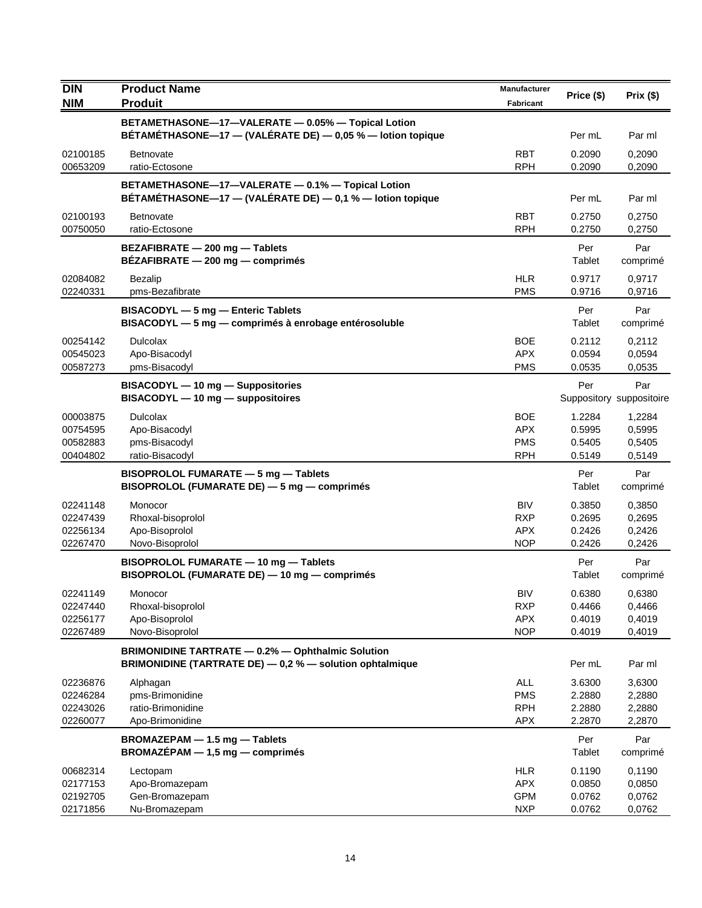| DIN                                          | <b>Product Name</b>                                                                                                  | <b>Manufacturer</b>                                  |                                      |                                      |
|----------------------------------------------|----------------------------------------------------------------------------------------------------------------------|------------------------------------------------------|--------------------------------------|--------------------------------------|
| <b>NIM</b>                                   | <b>Produit</b>                                                                                                       | Fabricant                                            | Price (\$)                           | Prix(\$)                             |
|                                              | BETAMETHASONE-17-VALERATE - 0.05% - Topical Lotion<br>BÉTAMÉTHASONE-17 - (VALÉRATE DE) - 0,05 % - lotion topique     |                                                      | Per mL                               | Par ml                               |
| 02100185<br>00653209                         | Betnovate<br>ratio-Ectosone                                                                                          | <b>RBT</b><br><b>RPH</b>                             | 0.2090<br>0.2090                     | 0,2090<br>0,2090                     |
|                                              | BETAMETHASONE-17-VALERATE - 0.1% - Topical Lotion<br>BÉTAMÉTHASONE-17 - (VALÉRATE DE) - 0,1 % - lotion topique       |                                                      | Per mL                               | Par ml                               |
| 02100193<br>00750050                         | <b>Betnovate</b><br>ratio-Ectosone                                                                                   | <b>RBT</b><br><b>RPH</b>                             | 0.2750<br>0.2750                     | 0,2750<br>0,2750                     |
|                                              | BEZAFIBRATE - 200 mg - Tablets<br>BEZAFIBRATE - 200 mg - comprimés                                                   |                                                      | Per<br>Tablet                        | Par<br>comprimé                      |
| 02084082<br>02240331                         | <b>Bezalip</b><br>pms-Bezafibrate                                                                                    | <b>HLR</b><br><b>PMS</b>                             | 0.9717<br>0.9716                     | 0,9717<br>0,9716                     |
|                                              | BISACODYL - 5 mg - Enteric Tablets<br>BISACODYL - 5 mg - comprimés à enrobage entérosoluble                          |                                                      | Per<br>Tablet                        | Par<br>comprimé                      |
| 00254142<br>00545023<br>00587273             | <b>Dulcolax</b><br>Apo-Bisacodyl<br>pms-Bisacodyl                                                                    | <b>BOE</b><br><b>APX</b><br><b>PMS</b>               | 0.2112<br>0.0594<br>0.0535           | 0,2112<br>0,0594<br>0,0535           |
|                                              | BISACODYL - 10 mg - Suppositories<br>BISACODYL - 10 mg - suppositoires                                               |                                                      | Per                                  | Par<br>Suppository suppositoire      |
| 00003875<br>00754595<br>00582883<br>00404802 | <b>Dulcolax</b><br>Apo-Bisacodyl<br>pms-Bisacodyl<br>ratio-Bisacodyl                                                 | <b>BOE</b><br><b>APX</b><br><b>PMS</b><br><b>RPH</b> | 1.2284<br>0.5995<br>0.5405<br>0.5149 | 1,2284<br>0,5995<br>0,5405<br>0,5149 |
|                                              | BISOPROLOL FUMARATE - 5 mg - Tablets<br>BISOPROLOL (FUMARATE DE) - 5 mg - comprimés                                  |                                                      | Per<br>Tablet                        | Par<br>comprimé                      |
| 02241148<br>02247439<br>02256134<br>02267470 | Monocor<br>Rhoxal-bisoprolol<br>Apo-Bisoprolol<br>Novo-Bisoprolol                                                    | <b>BIV</b><br><b>RXP</b><br><b>APX</b><br><b>NOP</b> | 0.3850<br>0.2695<br>0.2426<br>0.2426 | 0,3850<br>0,2695<br>0,2426<br>0,2426 |
|                                              | BISOPROLOL FUMARATE - 10 mg - Tablets<br>BISOPROLOL (FUMARATE DE) - 10 mg - comprimés                                |                                                      | Per<br>Tablet                        | Par<br>comprimé                      |
| 02241149<br>02247440<br>02256177<br>02267489 | Monocor<br>Rhoxal-bisoprolol<br>Apo-Bisoprolol<br>Novo-Bisoprolol                                                    | <b>BIV</b><br><b>RXP</b><br><b>APX</b><br><b>NOP</b> | 0.6380<br>0.4466<br>0.4019<br>0.4019 | 0,6380<br>0,4466<br>0,4019<br>0,4019 |
|                                              | <b>BRIMONIDINE TARTRATE - 0.2% - Ophthalmic Solution</b><br>BRIMONIDINE (TARTRATE DE) - 0,2 % - solution ophtalmique |                                                      | Per mL                               | Par ml                               |
| 02236876<br>02246284<br>02243026<br>02260077 | Alphagan<br>pms-Brimonidine<br>ratio-Brimonidine<br>Apo-Brimonidine                                                  | ALL<br><b>PMS</b><br><b>RPH</b><br><b>APX</b>        | 3.6300<br>2.2880<br>2.2880<br>2.2870 | 3,6300<br>2,2880<br>2,2880<br>2,2870 |
|                                              | BROMAZEPAM - 1.5 mg - Tablets<br>$BROMAZÉPAM - 1,5 mg - comprimés$                                                   |                                                      | Per<br>Tablet                        | Par<br>comprimé                      |
| 00682314<br>02177153<br>02192705<br>02171856 | Lectopam<br>Apo-Bromazepam<br>Gen-Bromazepam<br>Nu-Bromazepam                                                        | <b>HLR</b><br><b>APX</b><br><b>GPM</b><br><b>NXP</b> | 0.1190<br>0.0850<br>0.0762<br>0.0762 | 0,1190<br>0,0850<br>0,0762<br>0,0762 |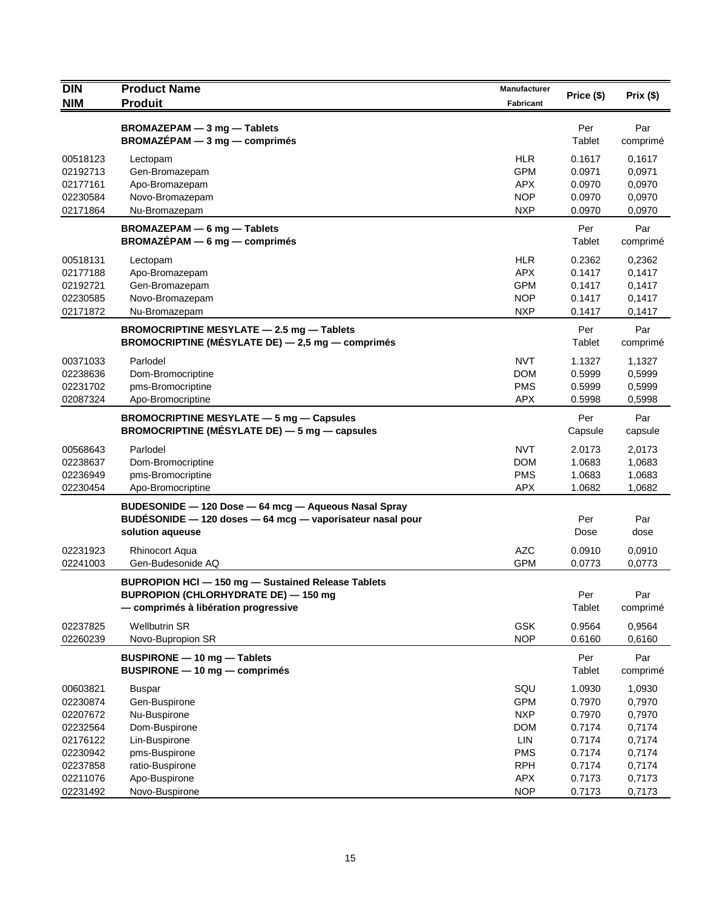| <b>DIN</b>           | <b>Product Name</b>                                                                       | Manufacturer             | Price (\$)       | Prix(\$)         |
|----------------------|-------------------------------------------------------------------------------------------|--------------------------|------------------|------------------|
| <b>NIM</b>           | <b>Produit</b>                                                                            | Fabricant                |                  |                  |
|                      | BROMAZEPAM - 3 mg - Tablets<br>$BROMAZÉPAM - 3 mg - comprimés$                            |                          | Per<br>Tablet    | Par<br>comprimé  |
|                      |                                                                                           |                          |                  |                  |
| 00518123<br>02192713 | Lectopam                                                                                  | <b>HLR</b><br><b>GPM</b> | 0.1617<br>0.0971 | 0,1617<br>0,0971 |
| 02177161             | Gen-Bromazepam<br>Apo-Bromazepam                                                          | <b>APX</b>               | 0.0970           | 0,0970           |
| 02230584             | Novo-Bromazepam                                                                           | <b>NOP</b>               | 0.0970           | 0,0970           |
| 02171864             | Nu-Bromazepam                                                                             | <b>NXP</b>               | 0.0970           | 0,0970           |
|                      | BROMAZEPAM - 6 mg - Tablets<br>$BROMAZÉPAM - 6 mg - comprimés$                            |                          | Per<br>Tablet    | Par<br>comprimé  |
|                      |                                                                                           |                          |                  |                  |
| 00518131             | Lectopam                                                                                  | <b>HLR</b>               | 0.2362           | 0,2362           |
| 02177188             | Apo-Bromazepam                                                                            | <b>APX</b>               | 0.1417           | 0,1417           |
| 02192721<br>02230585 | Gen-Bromazepam                                                                            | <b>GPM</b><br><b>NOP</b> | 0.1417<br>0.1417 | 0,1417           |
| 02171872             | Novo-Bromazepam<br>Nu-Bromazepam                                                          | <b>NXP</b>               | 0.1417           | 0,1417<br>0,1417 |
|                      | BROMOCRIPTINE MESYLATE - 2.5 mg - Tablets                                                 |                          | Per              | Par              |
|                      | BROMOCRIPTINE (MÉSYLATE DE) - 2,5 mg - comprimés                                          |                          | Tablet           | comprimé         |
| 00371033             | Parlodel                                                                                  | <b>NVT</b>               | 1.1327           | 1,1327           |
| 02238636             | Dom-Bromocriptine                                                                         | <b>DOM</b>               | 0.5999           | 0,5999           |
| 02231702             | pms-Bromocriptine                                                                         | <b>PMS</b>               | 0.5999           | 0,5999           |
| 02087324             | Apo-Bromocriptine                                                                         | <b>APX</b>               | 0.5998           | 0,5998           |
|                      | BROMOCRIPTINE MESYLATE - 5 mg - Capsules<br>BROMOCRIPTINE (MÉSYLATE DE) - 5 mg - capsules |                          | Per<br>Capsule   | Par<br>capsule   |
| 00568643             | Parlodel                                                                                  | <b>NVT</b>               | 2.0173           | 2,0173           |
| 02238637             | Dom-Bromocriptine                                                                         | <b>DOM</b>               | 1.0683           | 1,0683           |
| 02236949             | pms-Bromocriptine                                                                         | <b>PMS</b>               | 1.0683           | 1,0683           |
| 02230454             | Apo-Bromocriptine                                                                         | <b>APX</b>               | 1.0682           | 1,0682           |
|                      | BUDESONIDE - 120 Dose - 64 mcg - Aqueous Nasal Spray                                      |                          |                  |                  |
|                      | BUDESONIDE - 120 doses - 64 mcg - vaporisateur nasal pour                                 |                          | Per              | Par              |
|                      | solution aqueuse                                                                          |                          | Dose             | dose             |
| 02231923             | <b>Rhinocort Aqua</b>                                                                     | <b>AZC</b>               | 0.0910           | 0,0910           |
| 02241003             | Gen-Budesonide AQ                                                                         | <b>GPM</b>               | 0.0773           | 0,0773           |
|                      | BUPROPION HCI - 150 mg - Sustained Release Tablets                                        |                          |                  |                  |
|                      | <b>BUPROPION (CHLORHYDRATE DE) - 150 mg</b>                                               |                          | Per              | Par              |
|                      | - comprimés à libération progressive                                                      |                          | Tablet           | comprimé         |
| 02237825             | <b>Wellbutrin SR</b>                                                                      | <b>GSK</b>               | 0.9564           | 0,9564           |
| 02260239             | Novo-Bupropion SR                                                                         | <b>NOP</b>               | 0.6160           | 0,6160           |
|                      | BUSPIRONE - 10 mg - Tablets                                                               |                          | Per              | Par              |
|                      | BUSPIRONE - 10 mg - comprimés                                                             |                          | Tablet           | comprimé         |
| 00603821             | Buspar                                                                                    | SQU                      | 1.0930           | 1,0930           |
| 02230874             | Gen-Buspirone                                                                             | <b>GPM</b>               | 0.7970           | 0,7970           |
| 02207672             | Nu-Buspirone                                                                              | <b>NXP</b>               | 0.7970           | 0,7970           |
| 02232564             | Dom-Buspirone                                                                             | <b>DOM</b>               | 0.7174           | 0,7174           |
| 02176122<br>02230942 | Lin-Buspirone<br>pms-Buspirone                                                            | LIN<br><b>PMS</b>        | 0.7174<br>0.7174 | 0,7174<br>0,7174 |
| 02237858             | ratio-Buspirone                                                                           | <b>RPH</b>               | 0.7174           | 0,7174           |
| 02211076             | Apo-Buspirone                                                                             | APX                      | 0.7173           | 0,7173           |
| 02231492             | Novo-Buspirone                                                                            | <b>NOP</b>               | 0.7173           | 0,7173           |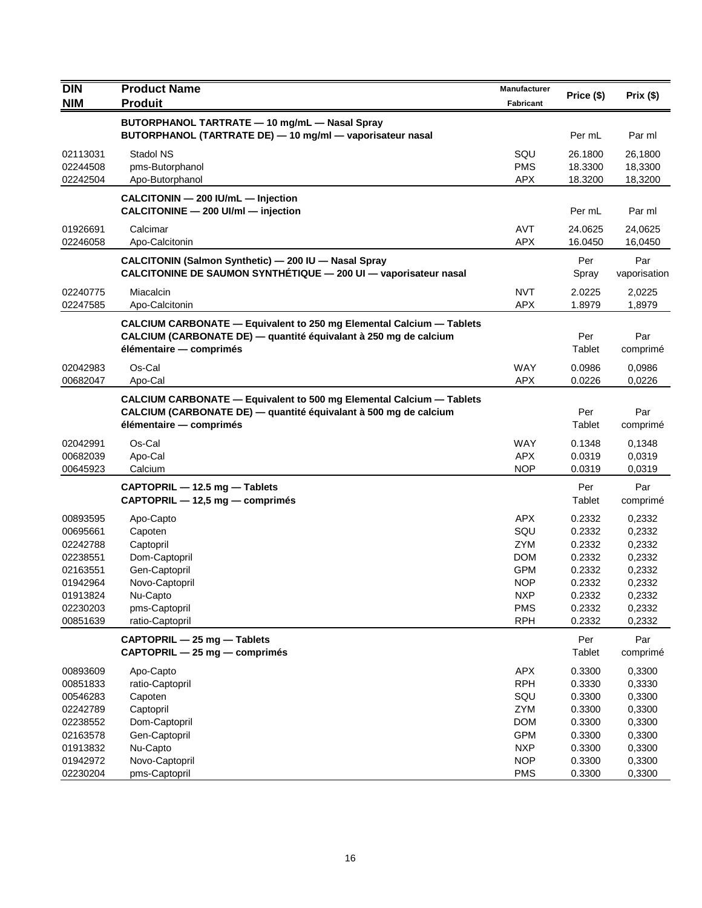| DIN                                                                                                      | <b>Product Name</b>                                                                                                                                                        | Manufacturer                                                                                                        |                                                                                        |                                                                                        |
|----------------------------------------------------------------------------------------------------------|----------------------------------------------------------------------------------------------------------------------------------------------------------------------------|---------------------------------------------------------------------------------------------------------------------|----------------------------------------------------------------------------------------|----------------------------------------------------------------------------------------|
| <b>NIM</b>                                                                                               | <b>Produit</b>                                                                                                                                                             | Fabricant                                                                                                           | Price (\$)                                                                             | Prix(\$)                                                                               |
|                                                                                                          | BUTORPHANOL TARTRATE - 10 mg/mL - Nasal Spray<br>BUTORPHANOL (TARTRATE DE) - 10 mg/ml - vaporisateur nasal                                                                 |                                                                                                                     | Per mL                                                                                 | Par ml                                                                                 |
| 02113031<br>02244508<br>02242504                                                                         | Stadol NS<br>pms-Butorphanol<br>Apo-Butorphanol                                                                                                                            | SQU<br><b>PMS</b><br><b>APX</b>                                                                                     | 26.1800<br>18.3300<br>18.3200                                                          | 26,1800<br>18,3300<br>18,3200                                                          |
|                                                                                                          | CALCITONIN - 200 IU/mL - Injection<br>CALCITONINE - 200 UI/ml - injection                                                                                                  |                                                                                                                     | Per mL                                                                                 | Par ml                                                                                 |
| 01926691<br>02246058                                                                                     | Calcimar<br>Apo-Calcitonin                                                                                                                                                 | <b>AVT</b><br><b>APX</b>                                                                                            | 24.0625<br>16.0450                                                                     | 24,0625<br>16,0450                                                                     |
|                                                                                                          | CALCITONIN (Salmon Synthetic) - 200 IU - Nasal Spray<br>CALCITONINE DE SAUMON SYNTHÉTIQUE - 200 UI - vaporisateur nasal                                                    |                                                                                                                     | Per<br>Spray                                                                           | Par<br>vaporisation                                                                    |
| 02240775<br>02247585                                                                                     | Miacalcin<br>Apo-Calcitonin                                                                                                                                                | <b>NVT</b><br><b>APX</b>                                                                                            | 2.0225<br>1.8979                                                                       | 2,0225<br>1,8979                                                                       |
|                                                                                                          | CALCIUM CARBONATE - Equivalent to 250 mg Elemental Calcium - Tablets<br>CALCIUM (CARBONATE DE) — quantité équivalant à 250 mg de calcium<br>élémentaire — comprimés        |                                                                                                                     | Per<br>Tablet                                                                          | Par<br>comprimé                                                                        |
| 02042983<br>00682047                                                                                     | Os-Cal<br>Apo-Cal                                                                                                                                                          | <b>WAY</b><br><b>APX</b>                                                                                            | 0.0986<br>0.0226                                                                       | 0,0986<br>0,0226                                                                       |
|                                                                                                          | <b>CALCIUM CARBONATE - Equivalent to 500 mg Elemental Calcium - Tablets</b><br>CALCIUM (CARBONATE DE) — quantité équivalant à 500 mg de calcium<br>élémentaire - comprimés |                                                                                                                     | Per<br>Tablet                                                                          | Par<br>comprimé                                                                        |
| 02042991<br>00682039<br>00645923                                                                         | Os-Cal<br>Apo-Cal<br>Calcium                                                                                                                                               | WAY<br><b>APX</b><br><b>NOP</b>                                                                                     | 0.1348<br>0.0319<br>0.0319                                                             | 0,1348<br>0,0319<br>0,0319                                                             |
|                                                                                                          | CAPTOPRIL - 12.5 mg - Tablets<br>CAPTOPRIL - 12,5 mg - comprimés                                                                                                           |                                                                                                                     | Per<br>Tablet                                                                          | Par<br>comprimé                                                                        |
| 00893595<br>00695661<br>02242788<br>02238551<br>02163551<br>01942964<br>01913824<br>02230203<br>00851639 | Apo-Capto<br>Capoten<br>Captopril<br>Dom-Captopril<br>Gen-Captopril<br>Novo-Captopril<br>Nu-Capto<br>pms-Captopril<br>ratio-Captopril                                      | <b>APX</b><br>SQU<br><b>ZYM</b><br><b>DOM</b><br><b>GPM</b><br><b>NOP</b><br><b>NXP</b><br><b>PMS</b><br><b>RPH</b> | 0.2332<br>0.2332<br>0.2332<br>0.2332<br>0.2332<br>0.2332<br>0.2332<br>0.2332<br>0.2332 | 0,2332<br>0,2332<br>0,2332<br>0,2332<br>0,2332<br>0,2332<br>0,2332<br>0,2332<br>0,2332 |
|                                                                                                          | CAPTOPRIL - 25 mg - Tablets<br>CAPTOPRIL - 25 mg - comprimés                                                                                                               |                                                                                                                     | Per<br>Tablet                                                                          | Par<br>comprimé                                                                        |
| 00893609<br>00851833<br>00546283<br>02242789<br>02238552<br>02163578<br>01913832                         | Apo-Capto<br>ratio-Captopril<br>Capoten<br>Captopril<br>Dom-Captopril<br>Gen-Captopril<br>Nu-Capto                                                                         | <b>APX</b><br><b>RPH</b><br>SQU<br><b>ZYM</b><br><b>DOM</b><br><b>GPM</b><br><b>NXP</b>                             | 0.3300<br>0.3330<br>0.3300<br>0.3300<br>0.3300<br>0.3300<br>0.3300                     | 0,3300<br>0,3330<br>0,3300<br>0,3300<br>0,3300<br>0,3300<br>0,3300                     |
| 01942972<br>02230204                                                                                     | Novo-Captopril<br>pms-Captopril                                                                                                                                            | <b>NOP</b><br><b>PMS</b>                                                                                            | 0.3300<br>0.3300                                                                       | 0,3300<br>0,3300                                                                       |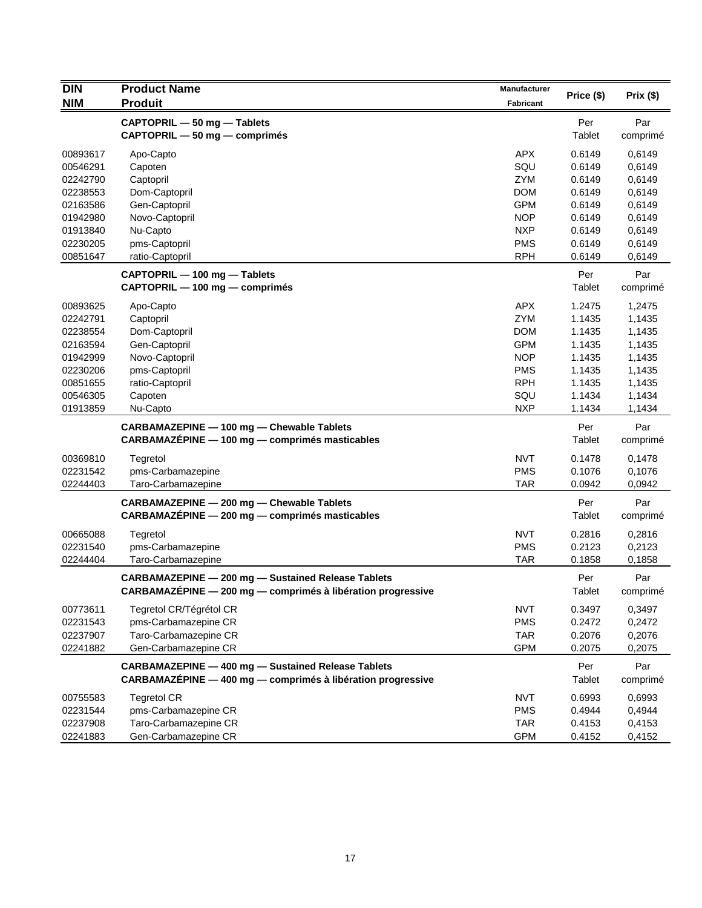| <b>DIN</b>           | <b>Product Name</b>                                         | <b>Manufacturer</b> |            | Prix (\$)        |
|----------------------|-------------------------------------------------------------|---------------------|------------|------------------|
| <b>NIM</b>           | <b>Produit</b>                                              |                     | Price (\$) |                  |
|                      | CAPTOPRIL - 50 mg - Tablets                                 |                     | Per        | Par              |
|                      | CAPTOPRIL - 50 mg - comprimés                               |                     | Tablet     | comprimé         |
| 00893617             | Apo-Capto                                                   | <b>APX</b>          | 0.6149     | 0,6149           |
| 00546291             | Capoten                                                     | SQU                 | 0.6149     | 0,6149           |
| 02242790             | Captopril                                                   | <b>ZYM</b>          | 0.6149     | 0,6149           |
| 02238553             | Dom-Captopril                                               | <b>DOM</b>          | 0.6149     | 0,6149           |
| 02163586             | Gen-Captopril                                               | <b>GPM</b>          | 0.6149     | 0,6149           |
| 01942980             | Novo-Captopril                                              | <b>NOP</b>          | 0.6149     | 0,6149           |
| 01913840             | Nu-Capto                                                    | <b>NXP</b>          | 0.6149     | 0,6149           |
| 02230205             | pms-Captopril                                               | <b>PMS</b>          | 0.6149     | 0,6149           |
| 00851647             | ratio-Captopril                                             | <b>RPH</b>          | 0.6149     | 0,6149           |
|                      | CAPTOPRIL - 100 mg - Tablets                                |                     | Per        | Par              |
|                      | CAPTOPRIL - 100 mg - comprimés                              |                     | Tablet     | comprimé         |
| 00893625             | Apo-Capto                                                   | <b>APX</b>          | 1.2475     | 1,2475           |
| 02242791             | Captopril                                                   | ZYM                 | 1.1435     | 1,1435           |
| 02238554             | Dom-Captopril                                               | <b>DOM</b>          | 1.1435     | 1,1435           |
| 02163594             | Gen-Captopril                                               | <b>GPM</b>          | 1.1435     | 1,1435           |
| 01942999             | Novo-Captopril                                              | <b>NOP</b>          | 1.1435     | 1,1435           |
| 02230206             | pms-Captopril                                               | <b>PMS</b>          | 1.1435     | 1,1435           |
| 00851655             | ratio-Captopril                                             | <b>RPH</b>          | 1.1435     | 1,1435           |
| 00546305<br>01913859 | Capoten                                                     | SQU<br><b>NXP</b>   | 1.1434     | 1,1434<br>1,1434 |
|                      | Nu-Capto                                                    |                     | 1.1434     |                  |
|                      | CARBAMAZEPINE - 100 mg - Chewable Tablets                   |                     | Per        | Par              |
|                      | CARBAMAZÉPINE - 100 mg - comprimés masticables              |                     | Tablet     | comprimé         |
| 00369810             | Tegretol                                                    | <b>NVT</b>          | 0.1478     | 0,1478           |
| 02231542             | pms-Carbamazepine                                           | <b>PMS</b>          | 0.1076     | 0,1076           |
| 02244403             | Taro-Carbamazepine                                          | <b>TAR</b>          | 0.0942     | 0,0942           |
|                      | CARBAMAZEPINE - 200 mg - Chewable Tablets                   |                     | Per        | Par              |
|                      | CARBAMAZÉPINE - 200 mg - comprimés masticables              |                     | Tablet     | comprimé         |
| 00665088             | Tegretol                                                    | <b>NVT</b>          | 0.2816     | 0,2816           |
| 02231540             | pms-Carbamazepine                                           | <b>PMS</b>          | 0.2123     | 0,2123           |
| 02244404             | Taro-Carbamazepine                                          | <b>TAR</b>          | 0.1858     | 0,1858           |
|                      | CARBAMAZEPINE - 200 mg - Sustained Release Tablets          |                     | Per        | Par              |
|                      | CARBAMAZÉPINE - 200 mg - comprimés à libération progressive |                     | Tablet     | comprimé         |
| 00773611             | Tegretol CR/Tégrétol CR                                     | <b>NVT</b>          | 0.3497     | 0,3497           |
| 02231543             | pms-Carbamazepine CR                                        | <b>PMS</b>          | 0.2472     | 0,2472           |
| 02237907             | Taro-Carbamazepine CR                                       | <b>TAR</b>          | 0.2076     | 0,2076           |
| 02241882             | Gen-Carbamazepine CR                                        | <b>GPM</b>          | 0.2075     | 0,2075           |
|                      | <b>CARBAMAZEPINE - 400 mg - Sustained Release Tablets</b>   |                     | Per        | Par              |
|                      | CARBAMAZÉPINE - 400 mg - comprimés à libération progressive |                     | Tablet     | comprimé         |
| 00755583             | <b>Tegretol CR</b>                                          | <b>NVT</b>          | 0.6993     | 0,6993           |
| 02231544             | pms-Carbamazepine CR                                        | <b>PMS</b>          | 0.4944     | 0,4944           |
| 02237908             | Taro-Carbamazepine CR                                       | <b>TAR</b>          | 0.4153     | 0,4153           |
| 02241883             | Gen-Carbamazepine CR                                        | <b>GPM</b>          | 0.4152     | 0,4152           |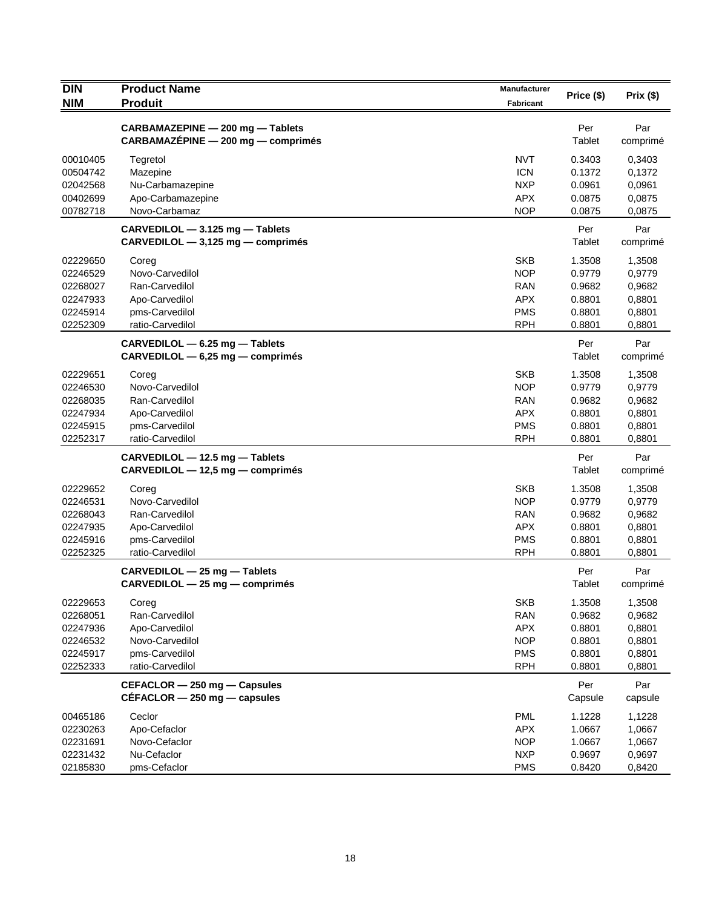| <b>DIN</b>                                                           | <b>Product Name</b>                                                                                | <b>Manufacturer</b>                                                              | Price (\$)                                               | Prix(\$)                                                 |
|----------------------------------------------------------------------|----------------------------------------------------------------------------------------------------|----------------------------------------------------------------------------------|----------------------------------------------------------|----------------------------------------------------------|
| <b>NIM</b>                                                           | <b>Produit</b>                                                                                     | Fabricant                                                                        |                                                          |                                                          |
|                                                                      | CARBAMAZEPINE - 200 mg - Tablets<br>CARBAMAZÉPINE - 200 mg - comprimés                             |                                                                                  | Per<br>Tablet                                            | Par<br>comprimé                                          |
| 00010405<br>00504742<br>02042568<br>00402699                         | Tegretol<br>Mazepine<br>Nu-Carbamazepine<br>Apo-Carbamazepine                                      | <b>NVT</b><br><b>ICN</b><br><b>NXP</b><br><b>APX</b>                             | 0.3403<br>0.1372<br>0.0961<br>0.0875                     | 0,3403<br>0,1372<br>0,0961<br>0,0875                     |
| 00782718                                                             | Novo-Carbamaz                                                                                      | <b>NOP</b>                                                                       | 0.0875                                                   | 0,0875                                                   |
|                                                                      | CARVEDILOL - 3.125 mg - Tablets<br>$CARVEDILOL - 3,125 mg - comprimés$                             |                                                                                  | Per<br>Tablet                                            | Par<br>comprimé                                          |
| 02229650<br>02246529<br>02268027<br>02247933<br>02245914<br>02252309 | Coreg<br>Novo-Carvedilol<br>Ran-Carvedilol<br>Apo-Carvedilol<br>pms-Carvedilol<br>ratio-Carvedilol | <b>SKB</b><br><b>NOP</b><br><b>RAN</b><br><b>APX</b><br><b>PMS</b><br><b>RPH</b> | 1.3508<br>0.9779<br>0.9682<br>0.8801<br>0.8801<br>0.8801 | 1,3508<br>0,9779<br>0,9682<br>0,8801<br>0,8801<br>0,8801 |
|                                                                      | CARVEDILOL - 6.25 mg - Tablets<br>$CARVEDILOL - 6,25 mg - comprimés$                               |                                                                                  | Per<br>Tablet                                            | Par<br>comprimé                                          |
| 02229651<br>02246530<br>02268035<br>02247934<br>02245915<br>02252317 | Coreg<br>Novo-Carvedilol<br>Ran-Carvedilol<br>Apo-Carvedilol<br>pms-Carvedilol<br>ratio-Carvedilol | <b>SKB</b><br><b>NOP</b><br><b>RAN</b><br><b>APX</b><br><b>PMS</b><br><b>RPH</b> | 1.3508<br>0.9779<br>0.9682<br>0.8801<br>0.8801<br>0.8801 | 1,3508<br>0,9779<br>0,9682<br>0,8801<br>0,8801<br>0,8801 |
|                                                                      | CARVEDILOL - 12.5 mg - Tablets<br>CARVEDILOL - 12,5 mg - comprimés                                 |                                                                                  | Per<br>Tablet                                            | Par<br>comprimé                                          |
| 02229652<br>02246531<br>02268043<br>02247935<br>02245916<br>02252325 | Coreg<br>Novo-Carvedilol<br>Ran-Carvedilol<br>Apo-Carvedilol<br>pms-Carvedilol<br>ratio-Carvedilol | <b>SKB</b><br><b>NOP</b><br><b>RAN</b><br><b>APX</b><br><b>PMS</b><br><b>RPH</b> | 1.3508<br>0.9779<br>0.9682<br>0.8801<br>0.8801<br>0.8801 | 1,3508<br>0,9779<br>0,9682<br>0,8801<br>0,8801<br>0,8801 |
|                                                                      | CARVEDILOL - 25 mg - Tablets<br>$CARVEDILOL - 25 mg - comprimés$                                   |                                                                                  | Per<br>Tablet                                            | Par<br>comprimé                                          |
| 02229653<br>02268051<br>02247936<br>02246532<br>02245917<br>02252333 | Coreg<br>Ran-Carvedilol<br>Apo-Carvedilol<br>Novo-Carvedilol<br>pms-Carvedilol<br>ratio-Carvedilol | <b>SKB</b><br><b>RAN</b><br>APX<br><b>NOP</b><br><b>PMS</b><br><b>RPH</b>        | 1.3508<br>0.9682<br>0.8801<br>0.8801<br>0.8801<br>0.8801 | 1,3508<br>0,9682<br>0,8801<br>0,8801<br>0,8801<br>0,8801 |
|                                                                      | CEFACLOR - 250 mg - Capsules<br>$CÉFACLOR - 250$ mg $-$ capsules                                   |                                                                                  | Per<br>Capsule                                           | Par<br>capsule                                           |
| 00465186<br>02230263<br>02231691<br>02231432<br>02185830             | Ceclor<br>Apo-Cefaclor<br>Novo-Cefaclor<br>Nu-Cefaclor<br>pms-Cefaclor                             | <b>PML</b><br><b>APX</b><br><b>NOP</b><br><b>NXP</b><br><b>PMS</b>               | 1.1228<br>1.0667<br>1.0667<br>0.9697<br>0.8420           | 1,1228<br>1,0667<br>1,0667<br>0,9697<br>0,8420           |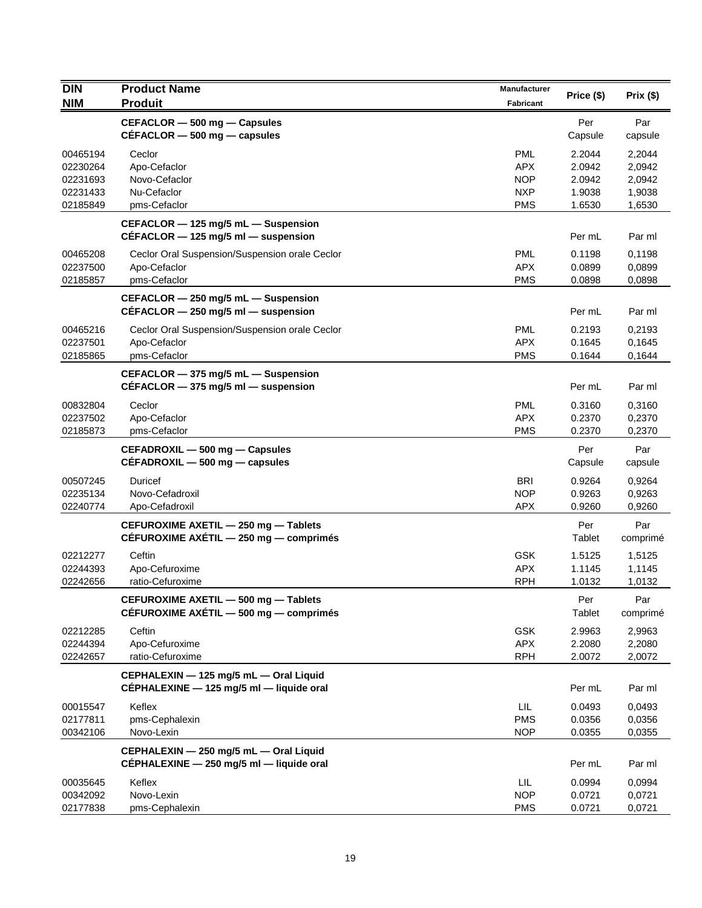| <b>DIN</b> | <b>Product Name</b>                                                                | Manufacturer     |                |                 |
|------------|------------------------------------------------------------------------------------|------------------|----------------|-----------------|
| <b>NIM</b> | <b>Produit</b>                                                                     | <b>Fabricant</b> | Price (\$)     | Prix(\$)        |
|            | CEFACLOR - 500 mg - Capsules                                                       |                  | Per            | Par             |
|            | $CÉFACLOR - 500$ mg - capsules                                                     |                  | Capsule        | capsule         |
| 00465194   | Ceclor                                                                             | <b>PML</b>       | 2.2044         | 2,2044          |
| 02230264   | Apo-Cefaclor                                                                       | <b>APX</b>       | 2.0942         | 2,0942          |
| 02231693   | Novo-Cefaclor                                                                      | <b>NOP</b>       | 2.0942         | 2,0942          |
| 02231433   | Nu-Cefaclor                                                                        | <b>NXP</b>       | 1.9038         | 1,9038          |
| 02185849   | pms-Cefaclor                                                                       | <b>PMS</b>       | 1.6530         | 1,6530          |
|            | CEFACLOR - 125 mg/5 mL - Suspension<br>$CÉFACLOR - 125$ mg/5 ml - suspension       |                  | Per mL         | Par ml          |
| 00465208   | Ceclor Oral Suspension/Suspension orale Ceclor                                     | <b>PML</b>       | 0.1198         | 0,1198          |
| 02237500   | Apo-Cefaclor                                                                       | <b>APX</b>       | 0.0899         | 0,0899          |
| 02185857   | pms-Cefaclor                                                                       | <b>PMS</b>       | 0.0898         | 0,0898          |
|            | CEFACLOR - 250 mg/5 mL - Suspension<br>$CÉFACLOR - 250$ mg/5 ml - suspension       |                  | Per mL         | Par ml          |
| 00465216   | Ceclor Oral Suspension/Suspension orale Ceclor                                     | <b>PML</b>       | 0.2193         | 0,2193          |
| 02237501   | Apo-Cefaclor                                                                       | <b>APX</b>       | 0.1645         | 0,1645          |
| 02185865   | pms-Cefaclor                                                                       | <b>PMS</b>       | 0.1644         | 0,1644          |
|            | CEFACLOR - 375 mg/5 mL - Suspension                                                |                  |                |                 |
|            | CÉFACLOR $-$ 375 mg/5 ml $-$ suspension                                            |                  | Per mL         | Par ml          |
| 00832804   | Ceclor                                                                             | PML              | 0.3160         | 0,3160          |
| 02237502   | Apo-Cefaclor                                                                       | <b>APX</b>       | 0.2370         | 0,2370          |
| 02185873   | pms-Cefaclor                                                                       | <b>PMS</b>       | 0.2370         | 0,2370          |
|            | CEFADROXIL - 500 mg - Capsules<br>$CEFADROXIL - 500 mg - capsules$                 |                  | Per<br>Capsule | Par<br>capsule  |
| 00507245   | Duricef                                                                            | <b>BRI</b>       | 0.9264         | 0,9264          |
| 02235134   | Novo-Cefadroxil                                                                    | <b>NOP</b>       | 0.9263         | 0,9263          |
| 02240774   | Apo-Cefadroxil                                                                     | <b>APX</b>       | 0.9260         | 0,9260          |
|            | CEFUROXIME AXETIL - 250 mg - Tablets<br>CÉFUROXIME AXÉTIL - 250 mg - comprimés     |                  | Per<br>Tablet  | Par<br>comprimé |
| 02212277   | Ceftin                                                                             | <b>GSK</b>       | 1.5125         | 1,5125          |
| 02244393   | Apo-Cefuroxime                                                                     | <b>APX</b>       | 1.1145         | 1,1145          |
| 02242656   | ratio-Cefuroxime                                                                   | <b>RPH</b>       | 1.0132         | 1,0132          |
|            | CEFUROXIME AXETIL - 500 mg - Tablets<br>CÉFUROXIME AXÉTIL - 500 mg - comprimés     |                  | Per<br>Tablet  | Par<br>comprimé |
| 02212285   | Ceftin                                                                             | <b>GSK</b>       | 2.9963         | 2,9963          |
| 02244394   | Apo-Cefuroxime                                                                     | APX              | 2.2080         | 2,2080          |
| 02242657   | ratio-Cefuroxime                                                                   | <b>RPH</b>       | 2.0072         | 2,0072          |
|            | CEPHALEXIN - 125 mg/5 mL - Oral Liquid<br>CEPHALEXINE - 125 mg/5 ml - liquide oral |                  | Per mL         | Par ml          |
| 00015547   | Keflex                                                                             | LIL              | 0.0493         | 0,0493          |
| 02177811   | pms-Cephalexin                                                                     | <b>PMS</b>       | 0.0356         | 0,0356          |
| 00342106   | Novo-Lexin                                                                         | <b>NOP</b>       | 0.0355         | 0,0355          |
|            | CEPHALEXIN - 250 mg/5 mL - Oral Liquid                                             |                  |                |                 |
|            | CÉPHALEXINE - 250 mg/5 ml - liquide oral                                           |                  | Per mL         | Par ml          |
| 00035645   | Keflex                                                                             | LIL              | 0.0994         | 0,0994          |
| 00342092   | Novo-Lexin                                                                         | <b>NOP</b>       | 0.0721         | 0,0721          |
| 02177838   | pms-Cephalexin                                                                     | <b>PMS</b>       | 0.0721         | 0,0721          |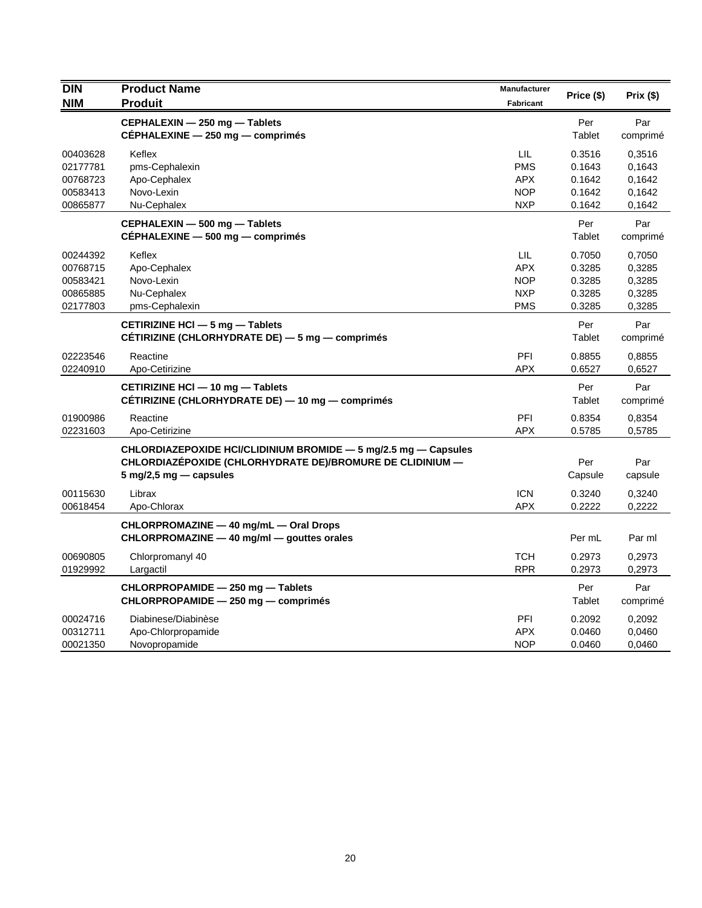| <b>DIN</b><br>NIM                                        | <b>Product Name</b><br><b>Produit</b>                                                                                                                                     | Manufacturer<br>Fabricant                                   | Price (\$)                                     | Prix (\$)                                      |
|----------------------------------------------------------|---------------------------------------------------------------------------------------------------------------------------------------------------------------------------|-------------------------------------------------------------|------------------------------------------------|------------------------------------------------|
|                                                          | CEPHALEXIN - 250 mg - Tablets<br>CÉPHALEXINE - 250 mg - comprimés                                                                                                         |                                                             | Per<br>Tablet                                  | Par<br>comprimé                                |
| 00403628<br>02177781<br>00768723<br>00583413<br>00865877 | Keflex<br>pms-Cephalexin<br>Apo-Cephalex<br>Novo-Lexin<br>Nu-Cephalex                                                                                                     | LIL<br><b>PMS</b><br><b>APX</b><br><b>NOP</b><br><b>NXP</b> | 0.3516<br>0.1643<br>0.1642<br>0.1642<br>0.1642 | 0,3516<br>0,1643<br>0,1642<br>0,1642<br>0,1642 |
|                                                          | CEPHALEXIN - 500 mg - Tablets<br>CÉPHALEXINE - 500 mg - comprimés                                                                                                         |                                                             | Per<br>Tablet                                  | Par<br>comprimé                                |
| 00244392<br>00768715<br>00583421<br>00865885<br>02177803 | Keflex<br>Apo-Cephalex<br>Novo-Lexin<br>Nu-Cephalex<br>pms-Cephalexin                                                                                                     | LIL<br><b>APX</b><br><b>NOP</b><br><b>NXP</b><br><b>PMS</b> | 0.7050<br>0.3285<br>0.3285<br>0.3285<br>0.3285 | 0,7050<br>0,3285<br>0,3285<br>0,3285<br>0,3285 |
|                                                          | CETIRIZINE HCI - 5 mg - Tablets<br>CETIRIZINE (CHLORHYDRATE DE) - 5 mg - comprimés                                                                                        |                                                             | Per<br>Tablet                                  | Par<br>comprimé                                |
| 02223546<br>02240910                                     | Reactine<br>Apo-Cetirizine                                                                                                                                                | PFI<br><b>APX</b>                                           | 0.8855<br>0.6527                               | 0.8855<br>0,6527                               |
|                                                          | CETIRIZINE HCI - 10 mg - Tablets<br>CÉTIRIZINE (CHLORHYDRATE DE) — 10 mg — comprimés                                                                                      |                                                             | Per<br>Tablet                                  | Par<br>comprimé                                |
| 01900986<br>02231603                                     | Reactine<br>Apo-Cetirizine                                                                                                                                                | PFI<br><b>APX</b>                                           | 0.8354<br>0.5785                               | 0,8354<br>0,5785                               |
|                                                          | CHLORDIAZEPOXIDE HCI/CLIDINIUM BROMIDE - 5 mg/2.5 mg - Capsules<br>CHLORDIAZÉPOXIDE (CHLORHYDRATE DE)/BROMURE DE CLIDINIUM -<br>$5 \text{ mg}/2, 5 \text{ mg}$ - capsules |                                                             | Per<br>Capsule                                 | Par<br>capsule                                 |
| 00115630<br>00618454                                     | Librax<br>Apo-Chlorax                                                                                                                                                     | <b>ICN</b><br><b>APX</b>                                    | 0.3240<br>0.2222                               | 0,3240<br>0,2222                               |
|                                                          | CHLORPROMAZINE - 40 mg/mL - Oral Drops<br>CHLORPROMAZINE - 40 mg/ml - gouttes orales                                                                                      |                                                             | Per mL                                         | Par ml                                         |
| 00690805<br>01929992                                     | Chlorpromanyl 40<br>Largactil                                                                                                                                             | <b>TCH</b><br><b>RPR</b>                                    | 0.2973<br>0.2973                               | 0,2973<br>0,2973                               |
|                                                          | CHLORPROPAMIDE - 250 mg - Tablets<br>CHLORPROPAMIDE - 250 mg - comprimés                                                                                                  |                                                             | Per<br>Tablet                                  | Par<br>comprimé                                |
| 00024716<br>00312711<br>00021350                         | Diabinese/Diabinèse<br>Apo-Chlorpropamide<br>Novopropamide                                                                                                                | PFI<br><b>APX</b><br><b>NOP</b>                             | 0.2092<br>0.0460<br>0.0460                     | 0,2092<br>0,0460<br>0,0460                     |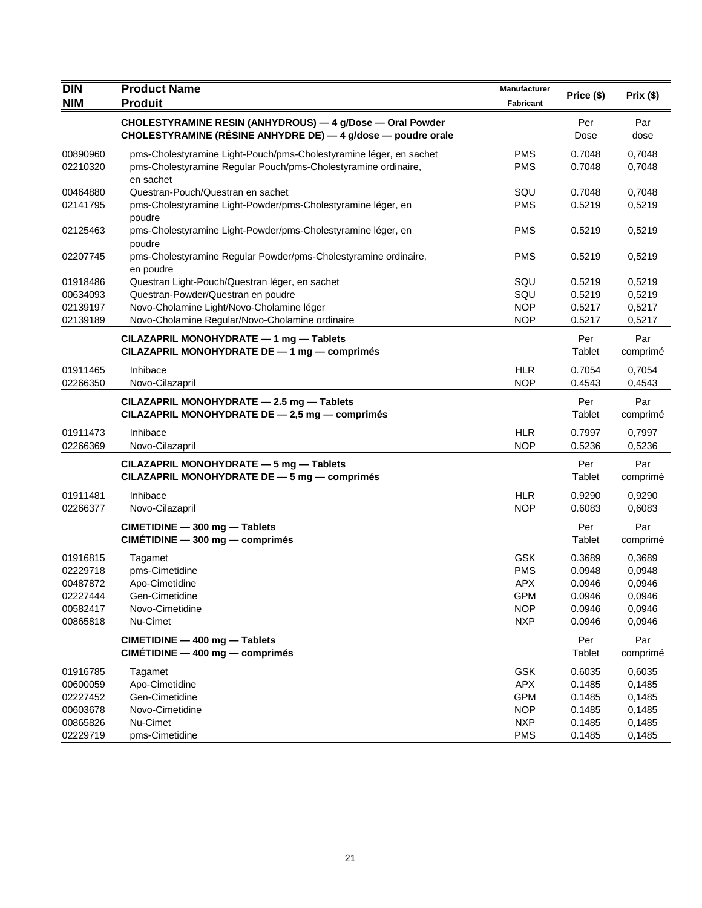| <b>DIN</b>                                                           | <b>Product Name</b>                                                                                                                                                                  | Manufacturer                                                                     | Price (\$)                                               | Prix(\$)                                                 |
|----------------------------------------------------------------------|--------------------------------------------------------------------------------------------------------------------------------------------------------------------------------------|----------------------------------------------------------------------------------|----------------------------------------------------------|----------------------------------------------------------|
| <b>NIM</b>                                                           | <b>Produit</b>                                                                                                                                                                       | Fabricant                                                                        |                                                          |                                                          |
|                                                                      | CHOLESTYRAMINE RESIN (ANHYDROUS) - 4 g/Dose - Oral Powder<br>CHOLESTYRAMINE (RÉSINE ANHYDRE DE) — 4 g/dose — poudre orale                                                            |                                                                                  | Per<br>Dose                                              | Par<br>dose                                              |
| 00890960<br>02210320                                                 | pms-Cholestyramine Light-Pouch/pms-Cholestyramine léger, en sachet<br>pms-Cholestyramine Regular Pouch/pms-Cholestyramine ordinaire,<br>en sachet                                    | <b>PMS</b><br><b>PMS</b>                                                         | 0.7048<br>0.7048                                         | 0,7048<br>0,7048                                         |
| 00464880<br>02141795                                                 | Questran-Pouch/Questran en sachet<br>pms-Cholestyramine Light-Powder/pms-Cholestyramine léger, en                                                                                    | SQU<br><b>PMS</b>                                                                | 0.7048<br>0.5219                                         | 0,7048<br>0,5219                                         |
| 02125463                                                             | poudre<br>pms-Cholestyramine Light-Powder/pms-Cholestyramine léger, en<br>poudre                                                                                                     | <b>PMS</b>                                                                       | 0.5219                                                   | 0,5219                                                   |
| 02207745                                                             | pms-Cholestyramine Regular Powder/pms-Cholestyramine ordinaire,<br>en poudre                                                                                                         | <b>PMS</b>                                                                       | 0.5219                                                   | 0,5219                                                   |
| 01918486<br>00634093<br>02139197<br>02139189                         | Questran Light-Pouch/Questran léger, en sachet<br>Questran-Powder/Questran en poudre<br>Novo-Cholamine Light/Novo-Cholamine léger<br>Novo-Cholamine Regular/Novo-Cholamine ordinaire | SQU<br>SQU<br><b>NOP</b><br><b>NOP</b>                                           | 0.5219<br>0.5219<br>0.5217<br>0.5217                     | 0,5219<br>0,5219<br>0,5217<br>0,5217                     |
|                                                                      | CILAZAPRIL MONOHYDRATE - 1 mg - Tablets<br>CILAZAPRIL MONOHYDRATE DE - 1 mg - comprimés                                                                                              |                                                                                  | Per<br>Tablet                                            | Par<br>comprimé                                          |
| 01911465<br>02266350                                                 | Inhibace<br>Novo-Cilazapril                                                                                                                                                          | <b>HLR</b><br><b>NOP</b>                                                         | 0.7054<br>0.4543                                         | 0,7054<br>0,4543                                         |
|                                                                      | CILAZAPRIL MONOHYDRATE - 2.5 mg - Tablets<br>CILAZAPRIL MONOHYDRATE DE - 2,5 mg - comprimés                                                                                          |                                                                                  | Per<br>Tablet                                            | Par<br>comprimé                                          |
| 01911473<br>02266369                                                 | Inhibace<br>Novo-Cilazapril                                                                                                                                                          | <b>HLR</b><br><b>NOP</b>                                                         | 0.7997<br>0.5236                                         | 0,7997<br>0,5236                                         |
|                                                                      | CILAZAPRIL MONOHYDRATE - 5 mg - Tablets<br>CILAZAPRIL MONOHYDRATE DE - 5 mg - comprimés                                                                                              |                                                                                  | Per<br>Tablet                                            | Par<br>comprimé                                          |
| 01911481<br>02266377                                                 | Inhibace<br>Novo-Cilazapril                                                                                                                                                          | <b>HLR</b><br><b>NOP</b>                                                         | 0.9290<br>0.6083                                         | 0,9290<br>0,6083                                         |
|                                                                      | CIMETIDINE - 300 mg - Tablets<br>$CIMÉTIDINE - 300 mg - comprimés$                                                                                                                   |                                                                                  | Per<br>Tablet                                            | Par<br>comprimé                                          |
| 01916815<br>02229718<br>00487872<br>02227444<br>00582417<br>00865818 | Tagamet<br>pms-Cimetidine<br>Apo-Cimetidine<br>Gen-Cimetidine<br>Novo-Cimetidine<br>Nu-Cimet                                                                                         | <b>GSK</b><br><b>PMS</b><br><b>APX</b><br><b>GPM</b><br><b>NOP</b><br><b>NXP</b> | 0.3689<br>0.0948<br>0.0946<br>0.0946<br>0.0946<br>0.0946 | 0,3689<br>0,0948<br>0,0946<br>0,0946<br>0,0946<br>0,0946 |
|                                                                      | CIMETIDINE - 400 mg - Tablets<br>CIMÉTIDINE - 400 mg - comprimés                                                                                                                     |                                                                                  | Per<br>Tablet                                            | Par<br>comprimé                                          |
| 01916785<br>00600059<br>02227452<br>00603678<br>00865826<br>02229719 | Tagamet<br>Apo-Cimetidine<br>Gen-Cimetidine<br>Novo-Cimetidine<br>Nu-Cimet<br>pms-Cimetidine                                                                                         | GSK<br><b>APX</b><br>GPM<br><b>NOP</b><br><b>NXP</b><br><b>PMS</b>               | 0.6035<br>0.1485<br>0.1485<br>0.1485<br>0.1485<br>0.1485 | 0,6035<br>0,1485<br>0,1485<br>0,1485<br>0,1485<br>0,1485 |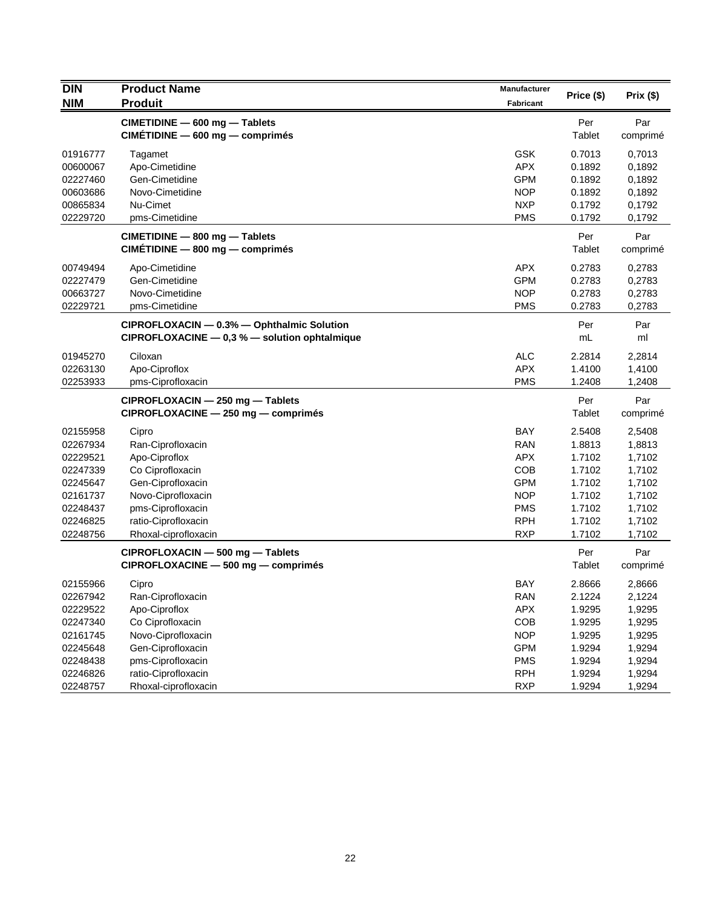| <b>DIN</b><br><b>NIM</b> | <b>Product Name</b><br><b>Produit</b>                                                       | Manufacturer<br>Fabricant | Price (\$)           | Prix(\$)         |
|--------------------------|---------------------------------------------------------------------------------------------|---------------------------|----------------------|------------------|
|                          | CIMETIDINE - 600 mg - Tablets<br>CIMETIDINE - 600 mg - comprimés                            |                           | Per<br>Tablet        | Par<br>comprimé  |
| 01916777<br>00600067     | Tagamet<br>Apo-Cimetidine                                                                   | <b>GSK</b><br><b>APX</b>  | 0.7013<br>0.1892     | 0,7013<br>0,1892 |
| 02227460                 | Gen-Cimetidine                                                                              | <b>GPM</b>                | 0.1892               | 0,1892           |
| 00603686                 | Novo-Cimetidine                                                                             | <b>NOP</b>                | 0.1892               | 0,1892           |
| 00865834                 | Nu-Cimet                                                                                    | <b>NXP</b>                | 0.1792               | 0,1792           |
| 02229720                 | pms-Cimetidine                                                                              | <b>PMS</b>                | 0.1792               | 0,1792           |
|                          | CIMETIDINE - 800 mg - Tablets<br>CIMETIDINE - 800 mg - comprimés                            |                           | Per<br>Tablet        | Par<br>comprimé  |
| 00749494                 | Apo-Cimetidine                                                                              | <b>APX</b>                | 0.2783               | 0,2783           |
| 02227479                 | Gen-Cimetidine                                                                              | <b>GPM</b>                | 0.2783               | 0,2783           |
| 00663727                 | Novo-Cimetidine                                                                             | <b>NOP</b>                | 0.2783               | 0,2783           |
| 02229721                 | pms-Cimetidine                                                                              | <b>PMS</b>                | 0.2783               | 0,2783           |
|                          | CIPROFLOXACIN - 0.3% - Ophthalmic Solution<br>CIPROFLOXACINE - 0,3 % - solution ophtalmique |                           | Per<br>mL            | Par<br>ml        |
|                          |                                                                                             |                           |                      |                  |
| 01945270<br>02263130     | Ciloxan                                                                                     | <b>ALC</b><br>APX         | 2.2814               | 2,2814           |
| 02253933                 | Apo-Ciproflox<br>pms-Ciprofloxacin                                                          | <b>PMS</b>                | 1.4100<br>1.2408     | 1,4100<br>1,2408 |
|                          |                                                                                             |                           |                      |                  |
|                          | CIPROFLOXACIN - 250 mg - Tablets<br>CIPROFLOXACINE - 250 mg - comprimés                     |                           | Per<br><b>Tablet</b> | Par<br>comprimé  |
| 02155958                 | Cipro                                                                                       | <b>BAY</b>                | 2.5408               | 2,5408           |
| 02267934                 | Ran-Ciprofloxacin                                                                           | <b>RAN</b>                | 1.8813               | 1,8813           |
| 02229521                 | Apo-Ciproflox                                                                               | <b>APX</b>                | 1.7102               | 1,7102           |
| 02247339                 | Co Ciprofloxacin                                                                            | COB                       | 1.7102               | 1,7102           |
| 02245647                 | Gen-Ciprofloxacin                                                                           | <b>GPM</b>                | 1.7102               | 1,7102           |
| 02161737                 | Novo-Ciprofloxacin                                                                          | <b>NOP</b>                | 1.7102               | 1,7102           |
| 02248437                 | pms-Ciprofloxacin                                                                           | <b>PMS</b>                | 1.7102               | 1,7102           |
| 02246825                 | ratio-Ciprofloxacin                                                                         | <b>RPH</b>                | 1.7102               | 1,7102           |
| 02248756                 | Rhoxal-ciprofloxacin                                                                        | <b>RXP</b>                | 1.7102               | 1,7102           |
|                          | CIPROFLOXACIN - 500 mg - Tablets<br>CIPROFLOXACINE - 500 mg - comprimés                     |                           | Per<br>Tablet        | Par<br>comprimé  |
| 02155966                 | Cipro                                                                                       | <b>BAY</b>                | 2.8666               | 2,8666           |
| 02267942                 | Ran-Ciprofloxacin                                                                           | RAN                       | 2.1224               | 2,1224           |
| 02229522                 | Apo-Ciproflox                                                                               | APX                       | 1.9295               | 1,9295           |
| 02247340                 | Co Ciprofloxacin                                                                            | COB                       | 1.9295               | 1,9295           |
| 02161745                 | Novo-Ciprofloxacin                                                                          | <b>NOP</b>                | 1.9295               | 1,9295           |
| 02245648                 | Gen-Ciprofloxacin                                                                           | <b>GPM</b>                | 1.9294               | 1,9294           |
| 02248438                 | pms-Ciprofloxacin                                                                           | <b>PMS</b>                | 1.9294               | 1,9294           |
| 02246826                 | ratio-Ciprofloxacin                                                                         | <b>RPH</b>                | 1.9294               | 1,9294           |
| 02248757                 | Rhoxal-ciprofloxacin                                                                        | <b>RXP</b>                | 1.9294               | 1,9294           |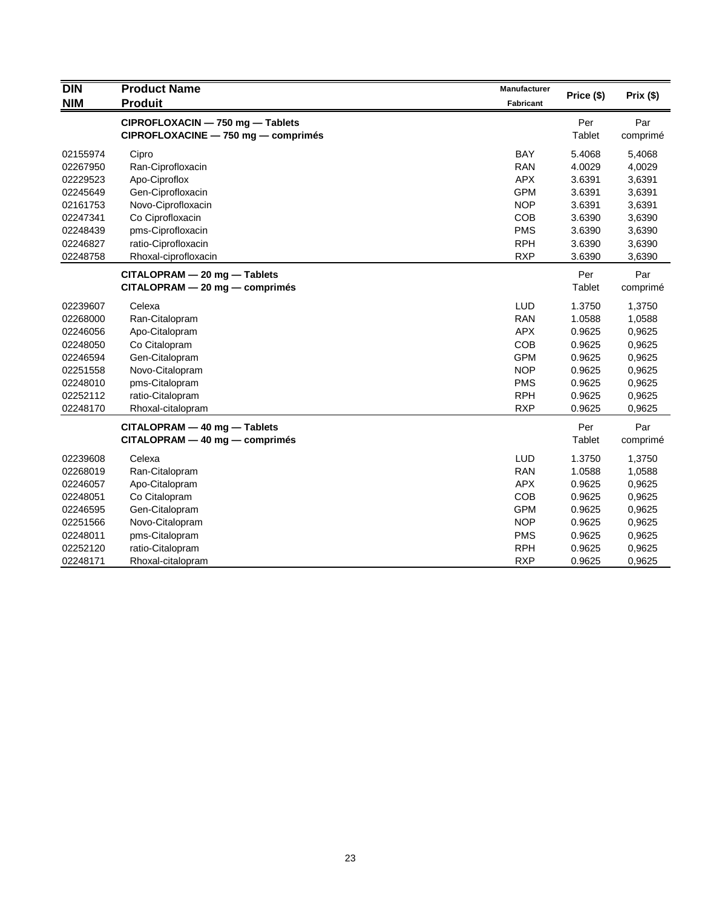| <b>DIN</b> | <b>Product Name</b>                 | Manufacturer | Price (\$) | Prix (\$) |
|------------|-------------------------------------|--------------|------------|-----------|
| <b>NIM</b> | <b>Produit</b>                      | Fabricant    |            |           |
|            | CIPROFLOXACIN - 750 mg - Tablets    |              | Per        | Par       |
|            | CIPROFLOXACINE - 750 mg - comprimés |              | Tablet     | comprimé  |
| 02155974   | Cipro                               | <b>BAY</b>   | 5.4068     | 5,4068    |
| 02267950   | Ran-Ciprofloxacin                   | <b>RAN</b>   | 4.0029     | 4,0029    |
| 02229523   | Apo-Ciproflox                       | <b>APX</b>   | 3.6391     | 3,6391    |
| 02245649   | Gen-Ciprofloxacin                   | <b>GPM</b>   | 3.6391     | 3,6391    |
| 02161753   | Novo-Ciprofloxacin                  | <b>NOP</b>   | 3.6391     | 3,6391    |
| 02247341   | Co Ciprofloxacin                    | <b>COB</b>   | 3.6390     | 3,6390    |
| 02248439   | pms-Ciprofloxacin                   | <b>PMS</b>   | 3.6390     | 3,6390    |
| 02246827   | ratio-Ciprofloxacin                 | <b>RPH</b>   | 3.6390     | 3,6390    |
| 02248758   | Rhoxal-ciprofloxacin                | <b>RXP</b>   | 3.6390     | 3,6390    |
|            | CITALOPRAM - 20 mg - Tablets        |              | Per        | Par       |
|            | $CITALOPRAM - 20 mg - comprimés$    |              | Tablet     | comprimé  |
| 02239607   | Celexa                              | LUD          | 1.3750     | 1,3750    |
| 02268000   | Ran-Citalopram                      | <b>RAN</b>   | 1.0588     | 1,0588    |
| 02246056   | Apo-Citalopram                      | <b>APX</b>   | 0.9625     | 0,9625    |
| 02248050   | Co Citalopram                       | COB          | 0.9625     | 0,9625    |
| 02246594   | Gen-Citalopram                      | <b>GPM</b>   | 0.9625     | 0,9625    |
| 02251558   | Novo-Citalopram                     | <b>NOP</b>   | 0.9625     | 0,9625    |
| 02248010   | pms-Citalopram                      | <b>PMS</b>   | 0.9625     | 0,9625    |
| 02252112   | ratio-Citalopram                    | <b>RPH</b>   | 0.9625     | 0,9625    |
| 02248170   | Rhoxal-citalopram                   | <b>RXP</b>   | 0.9625     | 0,9625    |
|            | CITALOPRAM - 40 mg - Tablets        |              | Per        | Par       |
|            | $CITALOPRAM - 40 mg - comprimés$    |              | Tablet     | comprimé  |
| 02239608   | Celexa                              | LUD          | 1.3750     | 1,3750    |
| 02268019   | Ran-Citalopram                      | <b>RAN</b>   | 1.0588     | 1,0588    |
| 02246057   | Apo-Citalopram                      | <b>APX</b>   | 0.9625     | 0,9625    |
| 02248051   | Co Citalopram                       | COB          | 0.9625     | 0,9625    |
| 02246595   | Gen-Citalopram                      | <b>GPM</b>   | 0.9625     | 0,9625    |
| 02251566   | Novo-Citalopram                     | <b>NOP</b>   | 0.9625     | 0,9625    |
| 02248011   | pms-Citalopram                      | <b>PMS</b>   | 0.9625     | 0,9625    |
| 02252120   | ratio-Citalopram                    | <b>RPH</b>   | 0.9625     | 0,9625    |
| 02248171   | Rhoxal-citalopram                   | <b>RXP</b>   | 0.9625     | 0,9625    |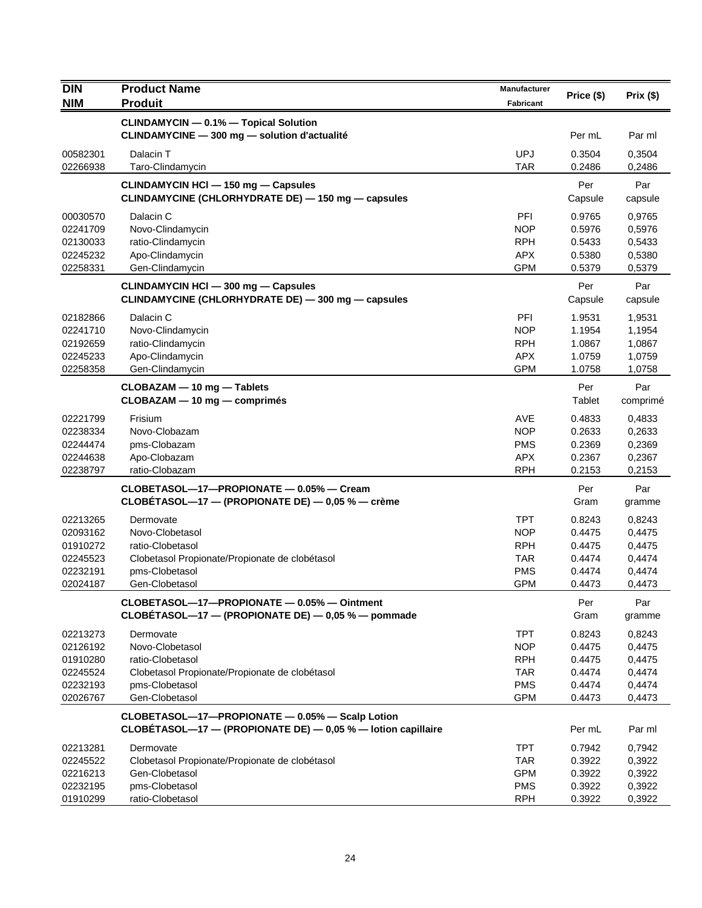| <b>DIN</b>           | <b>Product Name</b>                                                                                             | <b>Manufacturer</b>      | Price (\$)       | Prix(\$)         |
|----------------------|-----------------------------------------------------------------------------------------------------------------|--------------------------|------------------|------------------|
| <b>NIM</b>           | <b>Produit</b>                                                                                                  | <b>Fabricant</b>         |                  |                  |
|                      | <b>CLINDAMYCIN - 0.1% - Topical Solution</b>                                                                    |                          |                  |                  |
|                      | CLINDAMYCINE - 300 mg - solution d'actualité                                                                    |                          | Per mL           | Par ml           |
| 00582301             | Dalacin T                                                                                                       | <b>UPJ</b>               | 0.3504           | 0,3504           |
| 02266938             | Taro-Clindamycin                                                                                                | <b>TAR</b>               | 0.2486           | 0,2486           |
|                      | CLINDAMYCIN HCI - 150 mg - Capsules                                                                             |                          | Per              | Par              |
|                      | CLINDAMYCINE (CHLORHYDRATE DE) - 150 mg - capsules                                                              |                          | Capsule          | capsule          |
| 00030570             | Dalacin C                                                                                                       | PFI                      | 0.9765           | 0,9765           |
| 02241709             | Novo-Clindamycin                                                                                                | <b>NOP</b>               | 0.5976           | 0,5976           |
| 02130033             | ratio-Clindamycin                                                                                               | <b>RPH</b>               | 0.5433           | 0,5433           |
| 02245232             | Apo-Clindamycin                                                                                                 | <b>APX</b>               | 0.5380           | 0,5380           |
| 02258331             | Gen-Clindamycin                                                                                                 | <b>GPM</b>               | 0.5379           | 0,5379           |
|                      | <b>CLINDAMYCIN HCI - 300 mg - Capsules</b>                                                                      |                          | Per              | Par              |
|                      | CLINDAMYCINE (CHLORHYDRATE DE) - 300 mg - capsules                                                              |                          | Capsule          | capsule          |
| 02182866             | Dalacin C                                                                                                       | PFI                      | 1.9531           | 1,9531           |
| 02241710             | Novo-Clindamycin                                                                                                | NOP                      | 1.1954           | 1,1954           |
| 02192659             | ratio-Clindamycin                                                                                               | <b>RPH</b>               | 1.0867           | 1,0867           |
| 02245233<br>02258358 | Apo-Clindamycin<br>Gen-Clindamycin                                                                              | <b>APX</b><br><b>GPM</b> | 1.0759<br>1.0758 | 1,0759<br>1,0758 |
|                      |                                                                                                                 |                          |                  |                  |
|                      | CLOBAZAM - 10 mg - Tablets                                                                                      |                          | Per<br>Tablet    | Par              |
|                      | CLOBAZAM - 10 mg - comprimés                                                                                    |                          |                  | comprimé         |
| 02221799             | Frisium                                                                                                         | AVE                      | 0.4833           | 0,4833           |
| 02238334             | Novo-Clobazam                                                                                                   | <b>NOP</b>               | 0.2633           | 0,2633           |
| 02244474             | pms-Clobazam                                                                                                    | <b>PMS</b>               | 0.2369           | 0,2369           |
| 02244638             | Apo-Clobazam                                                                                                    | <b>APX</b>               | 0.2367           | 0,2367           |
| 02238797             | ratio-Clobazam                                                                                                  | <b>RPH</b>               | 0.2153           | 0,2153           |
|                      | CLOBETASOL-17-PROPIONATE - 0.05% - Cream                                                                        |                          | Per              | Par              |
|                      | CLOBETASOL—17 — (PROPIONATE DE) — $0.05$ % — crème                                                              |                          | Gram             | gramme           |
| 02213265             | Dermovate                                                                                                       | <b>TPT</b>               | 0.8243           | 0,8243           |
| 02093162             | Novo-Clobetasol                                                                                                 | <b>NOP</b>               | 0.4475           | 0,4475           |
| 01910272             | ratio-Clobetasol                                                                                                | <b>RPH</b>               | 0.4475           | 0,4475           |
| 02245523             | Clobetasol Propionate/Propionate de clobétasol                                                                  | <b>TAR</b>               | 0.4474           | 0,4474           |
| 02232191<br>02024187 | pms-Clobetasol<br>Gen-Clobetasol                                                                                | <b>PMS</b><br><b>GPM</b> | 0.4474<br>0.4473 | 0,4474<br>0,4473 |
|                      |                                                                                                                 |                          |                  |                  |
|                      | CLOBETASOL-17-PROPIONATE - 0.05% - Ointment<br>CLOBÉTASOL-17 - (PROPIONATE DE) - 0,05 % - pommade               |                          | Per<br>Gram      | Par<br>gramme    |
|                      |                                                                                                                 |                          |                  |                  |
| 02213273             | Dermovate                                                                                                       | <b>TPT</b>               | 0.8243           | 0,8243           |
| 02126192             | Novo-Clobetasol<br>ratio-Clobetasol                                                                             | NOP<br><b>RPH</b>        | 0.4475           | 0,4475           |
| 01910280             |                                                                                                                 | <b>TAR</b>               | 0.4475           | 0,4475           |
| 02245524<br>02232193 | Clobetasol Propionate/Propionate de clobétasol<br>pms-Clobetasol                                                | <b>PMS</b>               | 0.4474<br>0.4474 | 0,4474<br>0,4474 |
| 02026767             | Gen-Clobetasol                                                                                                  | <b>GPM</b>               | 0.4473           | 0,4473           |
|                      |                                                                                                                 |                          |                  |                  |
|                      | CLOBETASOL-17-PROPIONATE - 0.05% - Scalp Lotion<br>CLOBÉTASOL-17 - (PROPIONATE DE) - 0,05 % - lotion capillaire |                          | Per mL           | Par ml           |
| 02213281             | Dermovate                                                                                                       | <b>TPT</b>               | 0.7942           | 0,7942           |
| 02245522             | Clobetasol Propionate/Propionate de clobétasol                                                                  | <b>TAR</b>               | 0.3922           | 0,3922           |
| 02216213             | Gen-Clobetasol                                                                                                  | <b>GPM</b>               | 0.3922           | 0,3922           |
| 02232195             | pms-Clobetasol                                                                                                  | <b>PMS</b>               | 0.3922           | 0,3922           |
| 01910299             | ratio-Clobetasol                                                                                                | <b>RPH</b>               | 0.3922           | 0,3922           |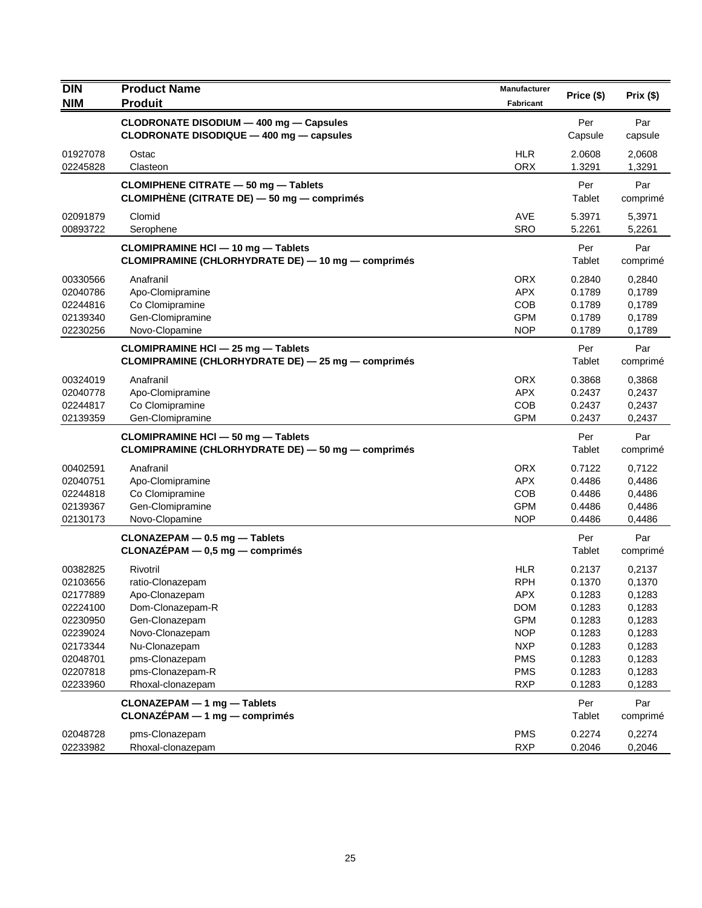| <b>DIN</b>           | <b>Product Name</b>                                | Manufacturer             | Price (\$)       | Prix(\$)         |
|----------------------|----------------------------------------------------|--------------------------|------------------|------------------|
| <b>NIM</b>           | <b>Produit</b>                                     | Fabricant                |                  |                  |
|                      | CLODRONATE DISODIUM - 400 mg - Capsules            |                          | Per              | Par              |
|                      | CLODRONATE DISODIQUE - 400 mg - capsules           |                          | Capsule          | capsule          |
| 01927078             | Ostac                                              | <b>HLR</b>               | 2.0608           | 2,0608           |
| 02245828             | Clasteon                                           | <b>ORX</b>               | 1.3291           | 1,3291           |
|                      | CLOMIPHENE CITRATE - 50 mg - Tablets               |                          | Per              | Par              |
|                      | CLOMIPHÈNE (CITRATE DE) - 50 mg - comprimés        |                          | Tablet           | comprimé         |
| 02091879             | Clomid                                             | <b>AVE</b>               | 5.3971           | 5,3971           |
| 00893722             | Serophene                                          | <b>SRO</b>               | 5.2261           | 5,2261           |
|                      | <b>CLOMIPRAMINE HCI - 10 mg - Tablets</b>          |                          | Per              | Par              |
|                      | CLOMIPRAMINE (CHLORHYDRATE DE) - 10 mg - comprimés |                          | Tablet           | comprimé         |
| 00330566             | Anafranil                                          | <b>ORX</b>               | 0.2840           | 0,2840           |
| 02040786             | Apo-Clomipramine                                   | <b>APX</b>               | 0.1789           | 0,1789           |
| 02244816             | Co Clomipramine                                    | <b>COB</b>               | 0.1789           | 0,1789           |
| 02139340             | Gen-Clomipramine                                   | <b>GPM</b>               | 0.1789           | 0,1789           |
| 02230256             | Novo-Clopamine                                     | <b>NOP</b>               | 0.1789           | 0,1789           |
|                      | CLOMIPRAMINE HCI - 25 mg - Tablets                 |                          | Per              | Par              |
|                      | CLOMIPRAMINE (CHLORHYDRATE DE) - 25 mg - comprimés |                          | Tablet           | comprimé         |
| 00324019             | Anafranil                                          | <b>ORX</b>               | 0.3868           | 0,3868           |
| 02040778             | Apo-Clomipramine                                   | <b>APX</b>               | 0.2437           | 0,2437           |
| 02244817             | Co Clomipramine                                    | <b>COB</b>               | 0.2437           | 0,2437           |
| 02139359             | Gen-Clomipramine                                   | <b>GPM</b>               | 0.2437           | 0,2437           |
|                      | CLOMIPRAMINE HCI - 50 mg - Tablets                 |                          | Per              | Par              |
|                      | CLOMIPRAMINE (CHLORHYDRATE DE) - 50 mg - comprimés |                          | Tablet           | comprimé         |
| 00402591             | Anafranil                                          | <b>ORX</b>               | 0.7122           | 0,7122           |
| 02040751             | Apo-Clomipramine                                   | <b>APX</b>               | 0.4486           | 0,4486           |
| 02244818             | Co Clomipramine                                    | <b>COB</b>               | 0.4486           | 0,4486           |
| 02139367<br>02130173 | Gen-Clomipramine                                   | <b>GPM</b><br><b>NOP</b> | 0.4486<br>0.4486 | 0,4486<br>0,4486 |
|                      | Novo-Clopamine                                     |                          |                  |                  |
|                      | CLONAZEPAM - 0.5 mg - Tablets                      |                          | Per              | Par              |
|                      | $CLONAZÉPAM - 0,5 mg - comprimés$                  |                          | <b>Tablet</b>    | comprimé         |
| 00382825             | Rivotril                                           | <b>HLR</b>               | 0.2137           | 0,2137           |
| 02103656             | ratio-Clonazepam                                   | <b>RPH</b>               | 0.1370           | 0,1370           |
| 02177889             | Apo-Clonazepam                                     | <b>APX</b>               | 0.1283           | 0,1283           |
| 02224100<br>02230950 | Dom-Clonazepam-R<br>Gen-Clonazepam                 | <b>DOM</b><br><b>GPM</b> | 0.1283           | 0,1283           |
| 02239024             | Novo-Clonazepam                                    | <b>NOP</b>               | 0.1283<br>0.1283 | 0,1283<br>0,1283 |
| 02173344             | Nu-Clonazepam                                      | <b>NXP</b>               | 0.1283           | 0,1283           |
| 02048701             | pms-Clonazepam                                     | <b>PMS</b>               | 0.1283           | 0,1283           |
| 02207818             | pms-Clonazepam-R                                   | <b>PMS</b>               | 0.1283           | 0,1283           |
| 02233960             | Rhoxal-clonazepam                                  | <b>RXP</b>               | 0.1283           | 0,1283           |
|                      | CLONAZEPAM - 1 mg - Tablets                        |                          | Per              | Par              |
|                      | CLONAZÉPAM - 1 mg - comprimés                      |                          | Tablet           | comprimé         |
| 02048728             | pms-Clonazepam                                     | <b>PMS</b>               | 0.2274           | 0,2274           |
| 02233982             | Rhoxal-clonazepam                                  | <b>RXP</b>               | 0.2046           | 0,2046           |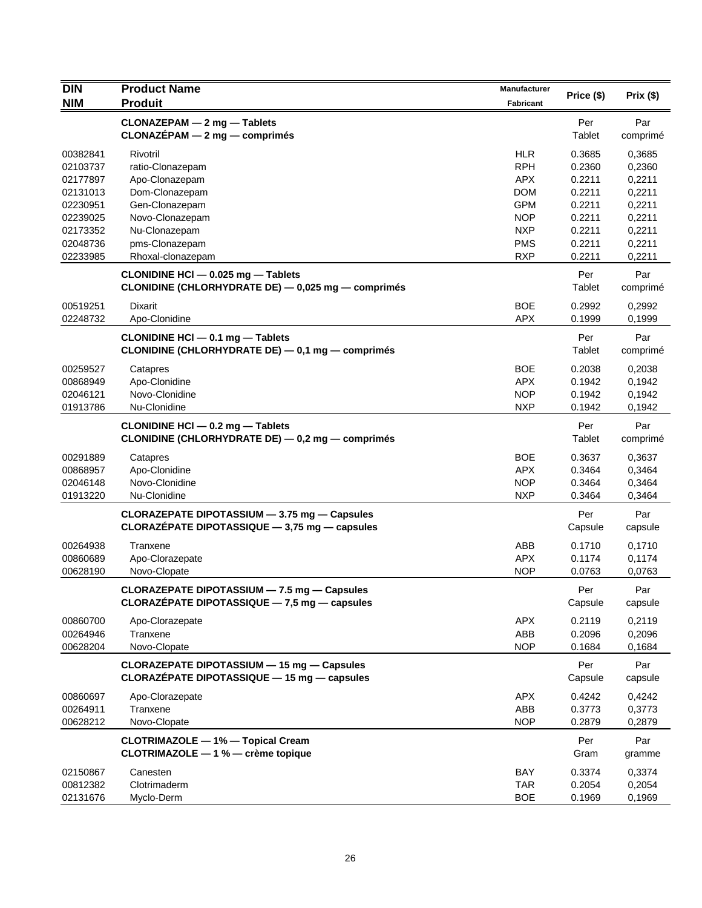| <b>DIN</b>           | <b>Product Name</b>                                                                              | <b>Manufacturer</b>      | Price (\$)       | Prix(\$)         |
|----------------------|--------------------------------------------------------------------------------------------------|--------------------------|------------------|------------------|
| <b>NIM</b>           | <b>Produit</b>                                                                                   | <b>Fabricant</b>         |                  |                  |
|                      | CLONAZEPAM - 2 mg - Tablets                                                                      |                          | Per              | Par              |
|                      | $CLONAZÉPAM - 2 mg - comprimés$                                                                  |                          | Tablet           | comprimé         |
| 00382841             | Rivotril                                                                                         | <b>HLR</b>               | 0.3685           | 0,3685           |
| 02103737             | ratio-Clonazepam                                                                                 | <b>RPH</b>               | 0.2360           | 0,2360           |
| 02177897             | Apo-Clonazepam                                                                                   | <b>APX</b>               | 0.2211           | 0,2211           |
| 02131013             | Dom-Clonazepam                                                                                   | <b>DOM</b>               | 0.2211           | 0,2211           |
| 02230951             | Gen-Clonazepam                                                                                   | <b>GPM</b>               | 0.2211           | 0,2211           |
| 02239025             | Novo-Clonazepam                                                                                  | <b>NOP</b>               | 0.2211           | 0,2211           |
| 02173352             | Nu-Clonazepam<br>pms-Clonazepam                                                                  | <b>NXP</b>               | 0.2211           | 0,2211           |
| 02048736<br>02233985 | Rhoxal-clonazepam                                                                                | <b>PMS</b><br><b>RXP</b> | 0.2211<br>0.2211 | 0,2211<br>0,2211 |
|                      | CLONIDINE HCI - 0.025 mg - Tablets<br>CLONIDINE (CHLORHYDRATE DE) - 0,025 mg - comprimés         |                          | Per<br>Tablet    | Par<br>comprimé  |
| 00519251             | <b>Dixarit</b>                                                                                   | <b>BOE</b>               | 0.2992           | 0,2992           |
| 02248732             | Apo-Clonidine                                                                                    | <b>APX</b>               | 0.1999           | 0,1999           |
|                      | CLONIDINE HCI - 0.1 mg - Tablets                                                                 |                          | Per              | Par              |
|                      | CLONIDINE (CHLORHYDRATE DE) - 0,1 mg - comprimés                                                 |                          | Tablet           | comprimé         |
| 00259527             | Catapres                                                                                         | <b>BOE</b>               | 0.2038           | 0,2038           |
| 00868949             | Apo-Clonidine                                                                                    | <b>APX</b>               | 0.1942           | 0,1942           |
| 02046121             | Novo-Clonidine                                                                                   | <b>NOP</b>               | 0.1942           | 0,1942           |
| 01913786             | Nu-Clonidine                                                                                     | <b>NXP</b>               | 0.1942           | 0,1942           |
|                      | CLONIDINE HCI - 0.2 mg - Tablets<br>CLONIDINE (CHLORHYDRATE DE) - 0,2 mg - comprimés             |                          | Per<br>Tablet    | Par<br>comprimé  |
| 00291889             | Catapres                                                                                         | <b>BOE</b>               | 0.3637           | 0,3637           |
| 00868957             | Apo-Clonidine                                                                                    | <b>APX</b>               | 0.3464           | 0,3464           |
| 02046148             | Novo-Clonidine                                                                                   | <b>NOP</b>               | 0.3464           | 0,3464           |
| 01913220             | Nu-Clonidine                                                                                     | <b>NXP</b>               | 0.3464           | 0,3464           |
|                      | CLORAZEPATE DIPOTASSIUM - 3.75 mg - Capsules                                                     |                          | Per              | Par              |
|                      | CLORAZÉPATE DIPOTASSIQUE - 3,75 mg - capsules                                                    |                          | Capsule          | capsule          |
| 00264938             | Tranxene                                                                                         | ABB                      | 0.1710           | 0,1710           |
| 00860689             | Apo-Clorazepate                                                                                  | <b>APX</b>               | 0.1174           | 0,1174           |
| 00628190             | Novo-Clopate                                                                                     | <b>NOP</b>               | 0.0763           | 0,0763           |
|                      | CLORAZEPATE DIPOTASSIUM - 7.5 mg - Capsules                                                      |                          | Per              | Par              |
|                      | CLORAZÉPATE DIPOTASSIQUE - 7,5 mg - capsules                                                     |                          | Capsule          | capsule          |
| 00860700             | Apo-Clorazepate                                                                                  | <b>APX</b>               | 0.2119           | 0,2119           |
| 00264946             | Tranxene                                                                                         | ABB                      | 0.2096           | 0,2096           |
| 00628204             | Novo-Clopate                                                                                     | <b>NOP</b>               | 0.1684           | 0,1684           |
|                      | <b>CLORAZEPATE DIPOTASSIUM - 15 mg - Capsules</b><br>CLORAZÉPATE DIPOTASSIQUE - 15 mg - capsules |                          | Per<br>Capsule   | Par<br>capsule   |
| 00860697             | Apo-Clorazepate                                                                                  | <b>APX</b>               | 0.4242           | 0,4242           |
| 00264911             | Tranxene                                                                                         | ABB                      | 0.3773           | 0,3773           |
| 00628212             | Novo-Clopate                                                                                     | <b>NOP</b>               | 0.2879           | 0,2879           |
|                      | <b>CLOTRIMAZOLE - 1% - Topical Cream</b>                                                         |                          | Per              | Par              |
|                      | CLOTRIMAZOLE - 1 % - crème topique                                                               |                          | Gram             | gramme           |
| 02150867             | Canesten                                                                                         | <b>BAY</b>               | 0.3374           | 0,3374           |
| 00812382<br>02131676 | Clotrimaderm<br>Myclo-Derm                                                                       | <b>TAR</b><br><b>BOE</b> | 0.2054<br>0.1969 | 0,2054<br>0,1969 |
|                      |                                                                                                  |                          |                  |                  |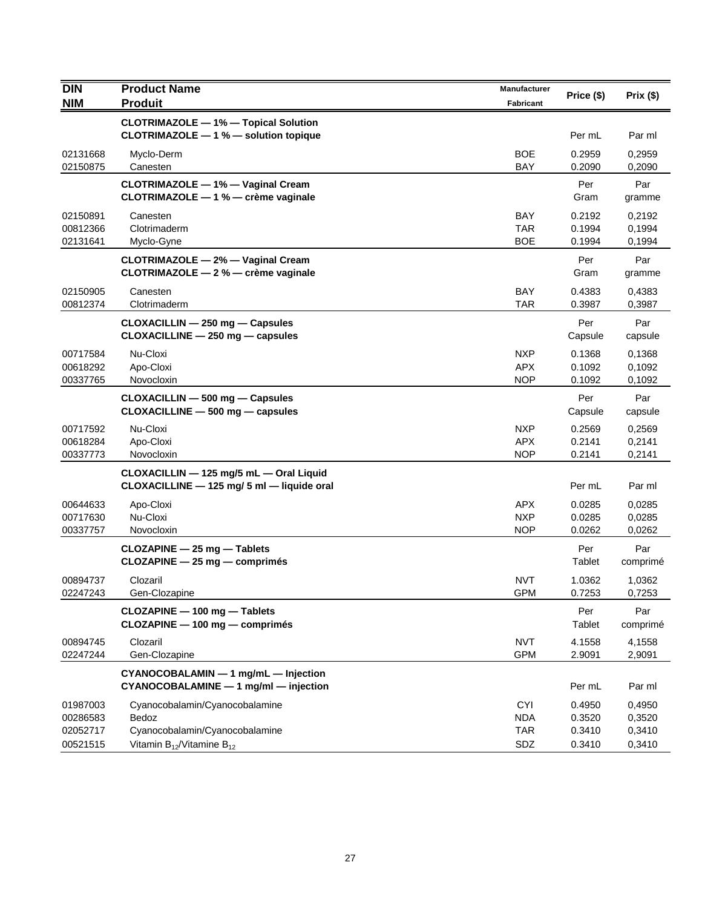| <b>DIN</b>                                   | <b>Product Name</b>                                                                                              | Manufacturer                                  | Price (\$)                           | Prix (\$)                            |
|----------------------------------------------|------------------------------------------------------------------------------------------------------------------|-----------------------------------------------|--------------------------------------|--------------------------------------|
| <b>NIM</b>                                   | <b>Produit</b>                                                                                                   | <b>Fabricant</b>                              |                                      |                                      |
|                                              | <b>CLOTRIMAZOLE - 1% - Topical Solution</b><br>CLOTRIMAZOLE - 1 % - solution topique                             |                                               | Per mL                               | Par ml                               |
| 02131668<br>02150875                         | Myclo-Derm<br>Canesten                                                                                           | <b>BOE</b><br><b>BAY</b>                      | 0.2959<br>0.2090                     | 0,2959<br>0,2090                     |
|                                              | CLOTRIMAZOLE - 1% - Vaginal Cream<br>CLOTRIMAZOLE - 1 % - crème vaginale                                         |                                               | Per<br>Gram                          | Par<br>gramme                        |
| 02150891<br>00812366<br>02131641             | Canesten<br>Clotrimaderm<br>Myclo-Gyne                                                                           | BAY<br><b>TAR</b><br><b>BOE</b>               | 0.2192<br>0.1994<br>0.1994           | 0,2192<br>0,1994<br>0,1994           |
|                                              | CLOTRIMAZOLE - 2% - Vaginal Cream<br>CLOTRIMAZOLE - 2 % - crème vaginale                                         |                                               | Per<br>Gram                          | Par<br>gramme                        |
| 02150905<br>00812374                         | Canesten<br>Clotrimaderm                                                                                         | <b>BAY</b><br><b>TAR</b>                      | 0.4383<br>0.3987                     | 0,4383<br>0,3987                     |
|                                              | CLOXACILLIN - 250 mg - Capsules<br>$CLOXACILLINE - 250 mg - capsules$                                            |                                               | Per<br>Capsule                       | Par<br>capsule                       |
| 00717584<br>00618292<br>00337765             | Nu-Cloxi<br>Apo-Cloxi<br>Novocloxin                                                                              | <b>NXP</b><br><b>APX</b><br><b>NOP</b>        | 0.1368<br>0.1092<br>0.1092           | 0,1368<br>0,1092<br>0,1092           |
|                                              | CLOXACILLIN - 500 mg - Capsules<br>CLOXACILLINE - 500 mg - capsules                                              |                                               | Per<br>Capsule                       | Par<br>capsule                       |
| 00717592<br>00618284<br>00337773             | Nu-Cloxi<br>Apo-Cloxi<br>Novocloxin                                                                              | <b>NXP</b><br><b>APX</b><br><b>NOP</b>        | 0.2569<br>0.2141<br>0.2141           | 0,2569<br>0,2141<br>0,2141           |
|                                              | CLOXACILLIN - 125 mg/5 mL - Oral Liquid<br>CLOXACILLINE - 125 mg/ 5 ml - liquide oral                            |                                               | Per mL                               | Par ml                               |
| 00644633<br>00717630<br>00337757             | Apo-Cloxi<br>Nu-Cloxi<br>Novocloxin                                                                              | <b>APX</b><br><b>NXP</b><br><b>NOP</b>        | 0.0285<br>0.0285<br>0.0262           | 0,0285<br>0,0285<br>0,0262           |
|                                              | CLOZAPINE - 25 mg - Tablets<br>CLOZAPINE - 25 mg - comprimés                                                     |                                               | Per<br>Tablet                        | Par<br>comprimé                      |
| 00894737<br>02247243                         | Clozaril<br>Gen-Clozapine                                                                                        | <b>NVT</b><br><b>GPM</b>                      | 1.0362<br>0.7253                     | 1,0362<br>0,7253                     |
|                                              | CLOZAPINE - 100 mg - Tablets<br>CLOZAPINE - 100 mg - comprimés                                                   |                                               | Per<br>Tablet                        | Par<br>comprimé                      |
| 00894745<br>02247244                         | Clozaril<br>Gen-Clozapine                                                                                        | <b>NVT</b><br><b>GPM</b>                      | 4.1558<br>2.9091                     | 4,1558<br>2,9091                     |
|                                              | CYANOCOBALAMIN - 1 mg/mL - Injection<br>CYANOCOBALAMINE - 1 mg/ml - injection                                    |                                               | Per mL                               | Par ml                               |
| 01987003<br>00286583<br>02052717<br>00521515 | Cyanocobalamin/Cyanocobalamine<br>Bedoz<br>Cyanocobalamin/Cyanocobalamine<br>Vitamin $B_{12}$ /Vitamine $B_{12}$ | <b>CYI</b><br><b>NDA</b><br><b>TAR</b><br>SDZ | 0.4950<br>0.3520<br>0.3410<br>0.3410 | 0,4950<br>0,3520<br>0,3410<br>0,3410 |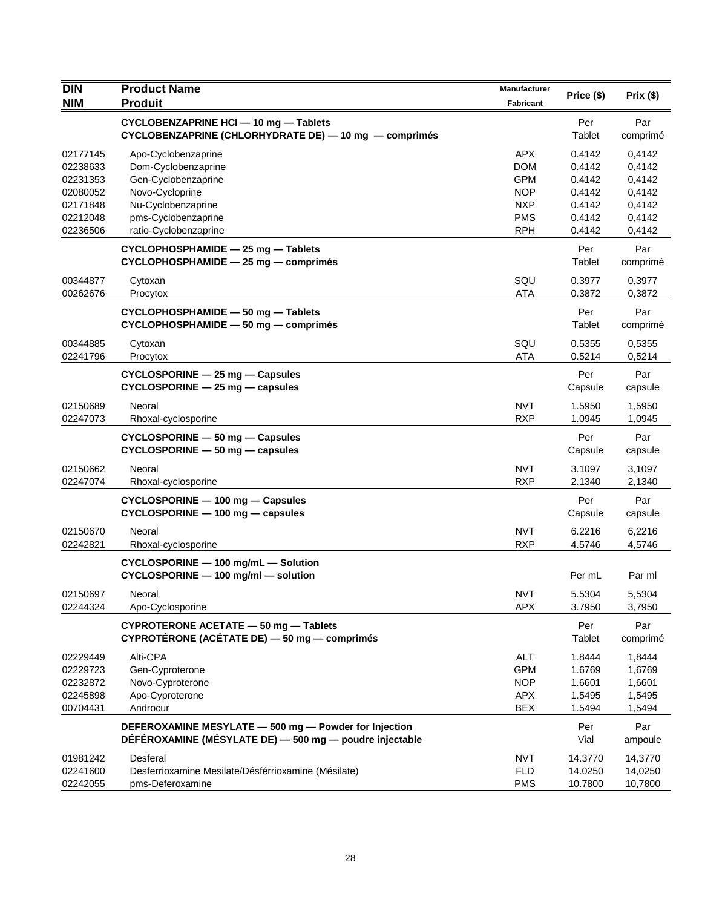| <b>DIN</b>           | <b>Product Name</b>                                                                                              | Manufacturer             | Price (\$)       | Prix(\$)         |
|----------------------|------------------------------------------------------------------------------------------------------------------|--------------------------|------------------|------------------|
| <b>NIM</b>           | <b>Produit</b>                                                                                                   | Fabricant                |                  |                  |
|                      | CYCLOBENZAPRINE HCI - 10 mg - Tablets<br>CYCLOBENZAPRINE (CHLORHYDRATE DE) - 10 mg - comprimés                   |                          | Per<br>Tablet    | Par<br>comprimé  |
| 02177145             | Apo-Cyclobenzaprine                                                                                              | <b>APX</b>               | 0.4142           | 0,4142           |
| 02238633             | Dom-Cyclobenzaprine                                                                                              | <b>DOM</b>               | 0.4142           | 0,4142           |
| 02231353             | Gen-Cyclobenzaprine                                                                                              | <b>GPM</b>               | 0.4142           | 0,4142           |
| 02080052             | Novo-Cycloprine                                                                                                  | NOP<br><b>NXP</b>        | 0.4142           | 0,4142           |
| 02171848<br>02212048 | Nu-Cyclobenzaprine<br>pms-Cyclobenzaprine                                                                        | <b>PMS</b>               | 0.4142<br>0.4142 | 0,4142<br>0,4142 |
| 02236506             | ratio-Cyclobenzaprine                                                                                            | <b>RPH</b>               | 0.4142           | 0,4142           |
|                      | CYCLOPHOSPHAMIDE - 25 mg - Tablets<br>CYCLOPHOSPHAMIDE - 25 mg - comprimés                                       |                          | Per<br>Tablet    | Par<br>comprimé  |
| 00344877             | Cytoxan                                                                                                          | SQU                      | 0.3977           | 0,3977           |
| 00262676             | Procytox                                                                                                         | <b>ATA</b>               | 0.3872           | 0,3872           |
|                      | CYCLOPHOSPHAMIDE - 50 mg - Tablets<br>CYCLOPHOSPHAMIDE - 50 mg - comprimés                                       |                          | Per<br>Tablet    | Par<br>comprimé  |
| 00344885             | Cytoxan                                                                                                          | SQU                      | 0.5355           | 0,5355           |
| 02241796             | Procytox                                                                                                         | <b>ATA</b>               | 0.5214           | 0,5214           |
|                      | CYCLOSPORINE - 25 mg - Capsules<br>CYCLOSPORINE - 25 mg - capsules                                               |                          | Per<br>Capsule   | Par<br>capsule   |
| 02150689             | Neoral                                                                                                           | <b>NVT</b>               | 1.5950           | 1,5950           |
| 02247073             | Rhoxal-cyclosporine                                                                                              | <b>RXP</b>               | 1.0945           | 1,0945           |
|                      | CYCLOSPORINE - 50 mg - Capsules<br>$CYCLOSPORINE - 50 mg - capsules$                                             |                          | Per<br>Capsule   | Par<br>capsule   |
| 02150662<br>02247074 | Neoral<br>Rhoxal-cyclosporine                                                                                    | <b>NVT</b><br><b>RXP</b> | 3.1097<br>2.1340 | 3,1097<br>2,1340 |
|                      | CYCLOSPORINE - 100 mg - Capsules<br>$CYCLOSPORTINE - 100 mg - capsules$                                          |                          | Per<br>Capsule   | Par<br>capsule   |
| 02150670             | Neoral                                                                                                           | <b>NVT</b>               | 6.2216           | 6,2216           |
| 02242821             | Rhoxal-cyclosporine                                                                                              | <b>RXP</b>               | 4.5746           | 4,5746           |
|                      | CYCLOSPORINE - 100 mg/mL - Solution<br>CYCLOSPORINE - 100 mg/ml - solution                                       |                          | Per mL           | Par ml           |
| 02150697<br>02244324 | Neoral<br>Apo-Cyclosporine                                                                                       | <b>NVT</b><br><b>APX</b> | 5.5304<br>3.7950 | 5,5304<br>3,7950 |
|                      | CYPROTERONE ACETATE - 50 mg - Tablets<br>CYPROTÉRONE (ACÉTATE DE) - 50 mg - comprimés                            |                          | Per<br>Tablet    | Par<br>comprimé  |
| 02229449             | Alti-CPA                                                                                                         | ALT                      | 1.8444           | 1,8444           |
| 02229723             | Gen-Cyproterone                                                                                                  | <b>GPM</b>               | 1.6769           | 1,6769           |
| 02232872             | Novo-Cyproterone                                                                                                 | <b>NOP</b>               | 1.6601           | 1,6601           |
| 02245898             | Apo-Cyproterone                                                                                                  | <b>APX</b>               | 1.5495           | 1,5495           |
| 00704431             | Androcur                                                                                                         | <b>BEX</b>               | 1.5494           | 1,5494           |
|                      | DEFEROXAMINE MESYLATE - 500 mg - Powder for Injection<br>DÉFÉROXAMINE (MÉSYLATE DE) - 500 mg - poudre injectable |                          | Per<br>Vial      | Par<br>ampoule   |
| 01981242             | Desferal                                                                                                         | <b>NVT</b>               | 14.3770          | 14,3770          |
| 02241600             | Desferrioxamine Mesilate/Désférrioxamine (Mésilate)                                                              | <b>FLD</b>               | 14.0250          | 14,0250          |
| 02242055             | pms-Deferoxamine                                                                                                 | <b>PMS</b>               | 10.7800          | 10,7800          |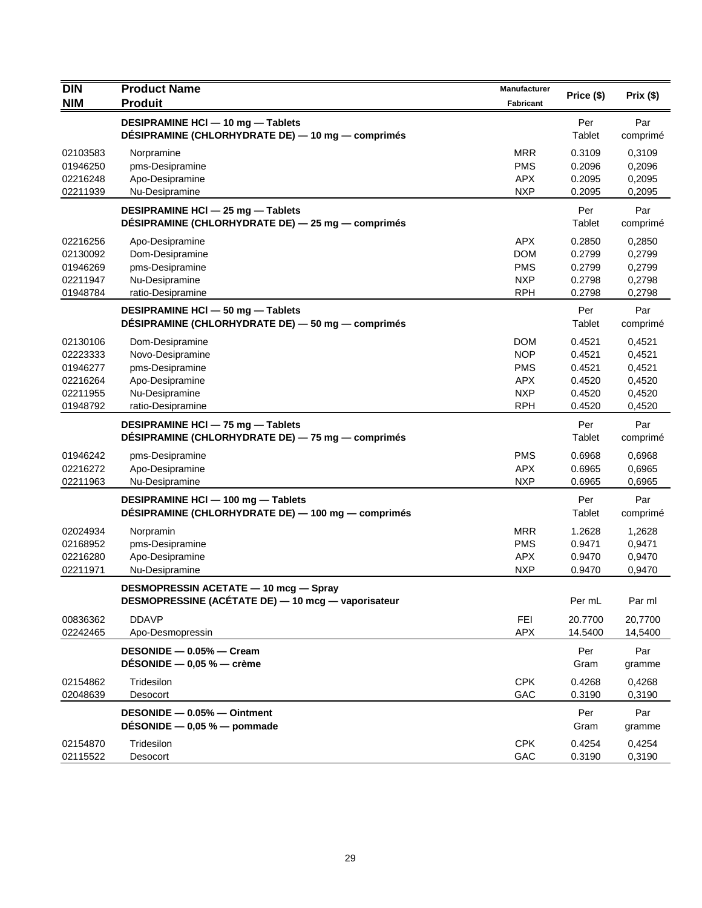| <b>DIN</b> | <b>Product Name</b>                                | Manufacturer | Price (\$) | Prix(\$)         |
|------------|----------------------------------------------------|--------------|------------|------------------|
| <b>NIM</b> | <b>Produit</b>                                     | Fabricant    |            |                  |
|            | DESIPRAMINE HCI - 10 mg - Tablets                  |              | Per        | Par              |
|            | DÉSIPRAMINE (CHLORHYDRATE DE) — 10 mg — comprimés  |              | Tablet     | comprimé         |
| 02103583   | Norpramine                                         | <b>MRR</b>   | 0.3109     | 0,3109           |
| 01946250   | pms-Desipramine                                    | <b>PMS</b>   | 0.2096     | 0,2096           |
| 02216248   | Apo-Desipramine                                    | <b>APX</b>   | 0.2095     | 0,2095           |
| 02211939   | Nu-Desipramine                                     | <b>NXP</b>   | 0.2095     | 0,2095           |
|            | DESIPRAMINE HCI - 25 mg - Tablets                  |              | Per        | Par              |
|            | DÉSIPRAMINE (CHLORHYDRATE DE) - 25 mg - comprimés  |              | Tablet     | comprimé         |
| 02216256   | Apo-Desipramine                                    | <b>APX</b>   | 0.2850     | 0,2850           |
| 02130092   | Dom-Desipramine                                    | <b>DOM</b>   | 0.2799     | 0,2799           |
| 01946269   | pms-Desipramine                                    | <b>PMS</b>   | 0.2799     | 0,2799           |
| 02211947   | Nu-Desipramine                                     | <b>NXP</b>   | 0.2798     | 0,2798           |
| 01948784   | ratio-Desipramine                                  | <b>RPH</b>   | 0.2798     | 0,2798           |
|            | DESIPRAMINE HCI - 50 mg - Tablets                  |              | Per        | Par              |
|            | DÉSIPRAMINE (CHLORHYDRATE DE) — 50 mg — comprimés  |              | Tablet     | comprimé         |
| 02130106   | Dom-Desipramine                                    | <b>DOM</b>   | 0.4521     | 0,4521           |
| 02223333   | Novo-Desipramine                                   | <b>NOP</b>   | 0.4521     | 0,4521           |
| 01946277   | pms-Desipramine                                    | <b>PMS</b>   | 0.4521     | 0,4521           |
| 02216264   | Apo-Desipramine                                    | <b>APX</b>   | 0.4520     | 0,4520           |
| 02211955   | Nu-Desipramine                                     | <b>NXP</b>   | 0.4520     | 0,4520           |
| 01948792   | ratio-Desipramine                                  | <b>RPH</b>   | 0.4520     | 0,4520           |
|            | DESIPRAMINE HCI - 75 mg - Tablets                  |              | Per        | Par              |
|            | DÉSIPRAMINE (CHLORHYDRATE DE) - 75 mg - comprimés  |              | Tablet     | comprimé         |
| 01946242   | pms-Desipramine                                    | <b>PMS</b>   | 0.6968     | 0,6968           |
| 02216272   | Apo-Desipramine                                    | <b>APX</b>   | 0.6965     | 0,6965           |
| 02211963   | Nu-Desipramine                                     | <b>NXP</b>   | 0.6965     | 0,6965           |
|            | DESIPRAMINE HCI-100 mg-Tablets                     |              | Per        | Par              |
|            | DÉSIPRAMINE (CHLORHYDRATE DE) — 100 mg — comprimés |              | Tablet     | comprimé         |
| 02024934   | Norpramin                                          | <b>MRR</b>   | 1.2628     | 1,2628           |
| 02168952   | pms-Desipramine                                    | <b>PMS</b>   | 0.9471     | 0,9471           |
| 02216280   | Apo-Desipramine                                    | <b>APX</b>   | 0.9470     | 0,9470           |
| 02211971   | Nu-Desipramine                                     | <b>NXP</b>   | 0.9470     | 0,9470           |
|            | DESMOPRESSIN ACETATE - 10 mcg - Spray              |              |            |                  |
|            | DESMOPRESSINE (ACETATE DE) - 10 mcg - vaporisateur |              | Per mL     | Par ml           |
| 00836362   | <b>DDAVP</b>                                       | FEI          | 20.7700    | 20,7700          |
| 02242465   | Apo-Desmopressin                                   | <b>APX</b>   | 14.5400    | 14,5400          |
|            | DESONIDE - 0.05% - Cream                           |              | Per        | Par              |
|            | DÉSONIDE $-$ 0,05 % $-$ crème                      |              | Gram       | gramme           |
| 02154862   | Tridesilon                                         | <b>CPK</b>   | 0.4268     |                  |
| 02048639   | Desocort                                           | GAC          | 0.3190     | 0,4268<br>0,3190 |
|            |                                                    |              |            |                  |
|            | DESONIDE - 0.05% - Ointment                        |              | Per        | Par              |
|            | DÉSONIDE $-$ 0,05 % $-$ pommade                    |              | Gram       | gramme           |
| 02154870   | Tridesilon                                         | <b>CPK</b>   | 0.4254     | 0,4254           |
| 02115522   | Desocort                                           | GAC          | 0.3190     | 0,3190           |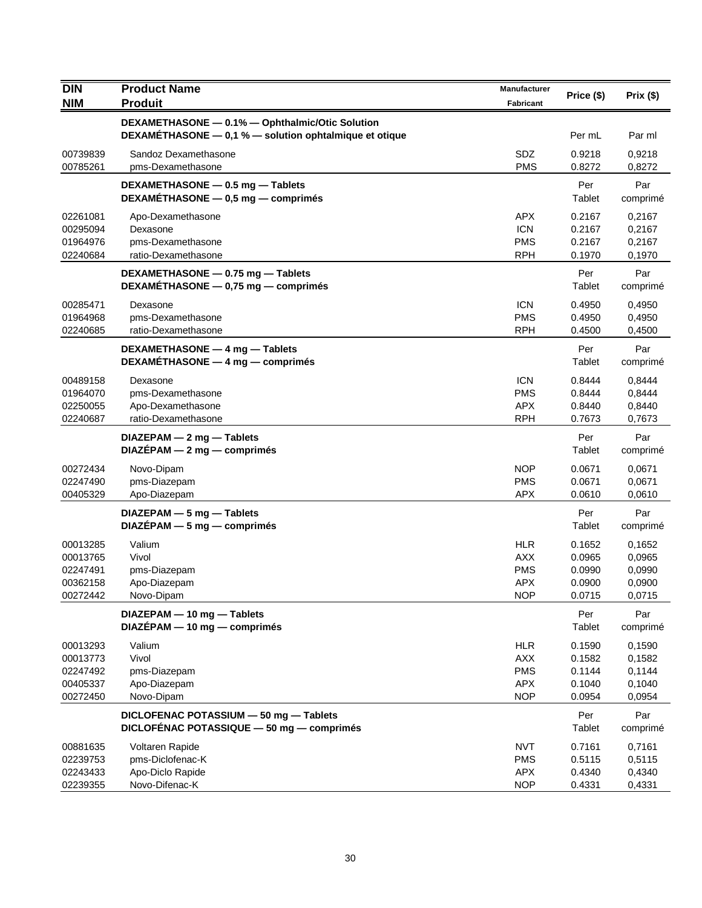| <b>DIN</b>                                               | <b>Product Name</b>                                                                                       | Manufacturer                                                       | Price (\$)                                     | Prix (\$)                                      |
|----------------------------------------------------------|-----------------------------------------------------------------------------------------------------------|--------------------------------------------------------------------|------------------------------------------------|------------------------------------------------|
| <b>NIM</b>                                               | <b>Produit</b>                                                                                            | <b>Fabricant</b>                                                   |                                                |                                                |
|                                                          | DEXAMETHASONE - 0.1% - Ophthalmic/Otic Solution<br>DEXAMETHASONE - 0,1 % - solution ophtalmique et otique |                                                                    | Per mL                                         | Par ml                                         |
| 00739839<br>00785261                                     | Sandoz Dexamethasone<br>pms-Dexamethasone                                                                 | SDZ<br><b>PMS</b>                                                  | 0.9218<br>0.8272                               | 0,9218<br>0,8272                               |
|                                                          | DEXAMETHASONE - 0.5 mg - Tablets<br>DEXAMÉTHASONE - 0,5 mg - comprimés                                    |                                                                    | Per<br>Tablet                                  | Par<br>comprimé                                |
| 02261081<br>00295094<br>01964976<br>02240684             | Apo-Dexamethasone<br>Dexasone<br>pms-Dexamethasone<br>ratio-Dexamethasone                                 | <b>APX</b><br><b>ICN</b><br><b>PMS</b><br><b>RPH</b>               | 0.2167<br>0.2167<br>0.2167<br>0.1970           | 0,2167<br>0,2167<br>0,2167<br>0,1970           |
|                                                          | DEXAMETHASONE - 0.75 mg - Tablets<br>DEXAMETHASONE - 0,75 mg - comprimés                                  |                                                                    | Per<br>Tablet                                  | Par<br>comprimé                                |
| 00285471<br>01964968<br>02240685                         | Dexasone<br>pms-Dexamethasone<br>ratio-Dexamethasone                                                      | <b>ICN</b><br><b>PMS</b><br><b>RPH</b>                             | 0.4950<br>0.4950<br>0.4500                     | 0,4950<br>0,4950<br>0,4500                     |
|                                                          | DEXAMETHASONE - 4 mg - Tablets<br>DEXAMÉTHASONE - 4 mg - comprimés                                        |                                                                    | Per<br>Tablet                                  | Par<br>comprimé                                |
| 00489158<br>01964070<br>02250055<br>02240687             | Dexasone<br>pms-Dexamethasone<br>Apo-Dexamethasone<br>ratio-Dexamethasone                                 | <b>ICN</b><br><b>PMS</b><br><b>APX</b><br><b>RPH</b>               | 0.8444<br>0.8444<br>0.8440<br>0.7673           | 0,8444<br>0,8444<br>0,8440<br>0,7673           |
|                                                          | $DIAZEPAM - 2 mg - Tables$<br>$DIAZEPAM - 2 mg - comprimés$                                               |                                                                    | Per<br>Tablet                                  | Par<br>comprimé                                |
| 00272434<br>02247490<br>00405329                         | Novo-Dipam<br>pms-Diazepam<br>Apo-Diazepam                                                                | <b>NOP</b><br><b>PMS</b><br><b>APX</b>                             | 0.0671<br>0.0671<br>0.0610                     | 0,0671<br>0,0671<br>0,0610                     |
|                                                          | DIAZEPAM - 5 mg - Tablets<br>$DIAZÉPAM - 5 mg - comprimés$                                                |                                                                    | Per<br>Tablet                                  | Par<br>comprimé                                |
| 00013285<br>00013765<br>02247491<br>00362158<br>00272442 | Valium<br>Vivol<br>pms-Diazepam<br>Apo-Diazepam<br>Novo-Dipam                                             | <b>HLR</b><br><b>AXX</b><br><b>PMS</b><br><b>APX</b><br><b>NOP</b> | 0.1652<br>0.0965<br>0.0990<br>0.0900<br>0.0715 | 0,1652<br>0,0965<br>0,0990<br>0,0900<br>0,0715 |
|                                                          | DIAZEPAM - 10 mg - Tablets<br>$DIAZÉPAM - 10 mg - comprimés$                                              |                                                                    | Per<br>Tablet                                  | Par<br>comprimé                                |
| 00013293<br>00013773<br>02247492<br>00405337<br>00272450 | Valium<br>Vivol<br>pms-Diazepam<br>Apo-Diazepam<br>Novo-Dipam                                             | <b>HLR</b><br><b>AXX</b><br><b>PMS</b><br><b>APX</b><br><b>NOP</b> | 0.1590<br>0.1582<br>0.1144<br>0.1040<br>0.0954 | 0,1590<br>0,1582<br>0,1144<br>0,1040<br>0,0954 |
|                                                          | DICLOFENAC POTASSIUM - 50 mg - Tablets<br>DICLOFÉNAC POTASSIQUE - 50 mg - comprimés                       |                                                                    | Per<br>Tablet                                  | Par<br>comprimé                                |
| 00881635<br>02239753<br>02243433<br>02239355             | Voltaren Rapide<br>pms-Diclofenac-K<br>Apo-Diclo Rapide<br>Novo-Difenac-K                                 | <b>NVT</b><br><b>PMS</b><br><b>APX</b><br><b>NOP</b>               | 0.7161<br>0.5115<br>0.4340<br>0.4331           | 0,7161<br>0,5115<br>0,4340<br>0,4331           |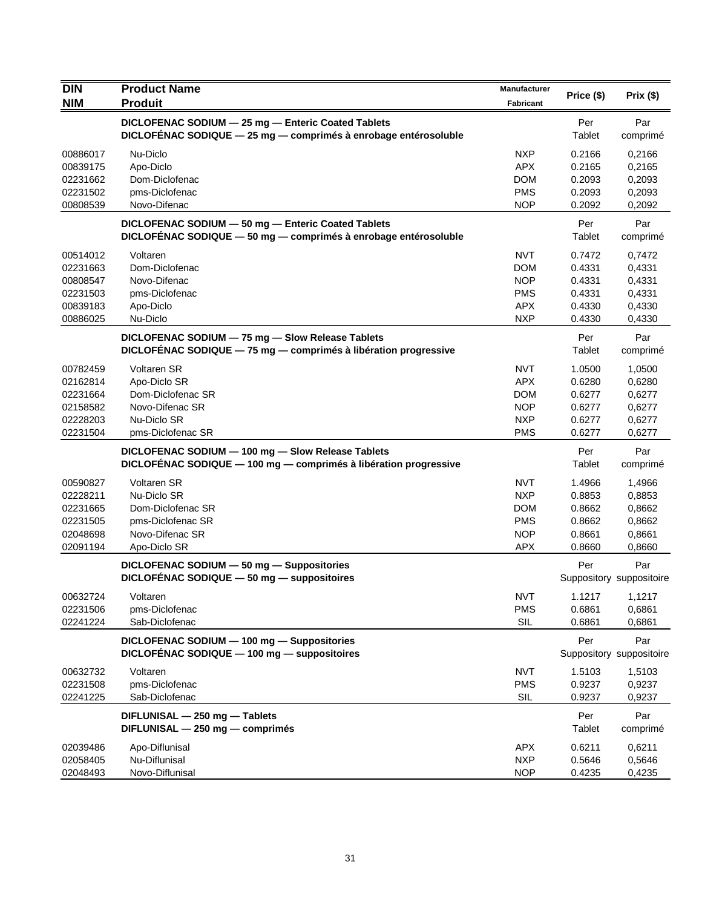| <b>DIN</b>           | <b>Product Name</b>                                                                       | Manufacturer             | Price (\$)       | Prix(\$)                        |
|----------------------|-------------------------------------------------------------------------------------------|--------------------------|------------------|---------------------------------|
| <b>NIM</b>           | <b>Produit</b>                                                                            | Fabricant                |                  |                                 |
|                      | DICLOFENAC SODIUM - 25 mg - Enteric Coated Tablets                                        |                          | Per              | Par                             |
|                      | DICLOFENAC SODIQUE - 25 mg - comprimés à enrobage entérosoluble                           |                          | Tablet           | comprimé                        |
| 00886017             | Nu-Diclo                                                                                  | <b>NXP</b>               | 0.2166           | 0,2166                          |
| 00839175             | Apo-Diclo                                                                                 | <b>APX</b>               | 0.2165           | 0,2165                          |
| 02231662             | Dom-Diclofenac                                                                            | <b>DOM</b>               | 0.2093           | 0,2093                          |
| 02231502             | pms-Diclofenac                                                                            | <b>PMS</b>               | 0.2093           | 0,2093                          |
| 00808539             | Novo-Difenac                                                                              | <b>NOP</b>               | 0.2092           | 0,2092                          |
|                      | DICLOFENAC SODIUM - 50 mg - Enteric Coated Tablets                                        |                          | Per              | Par                             |
|                      | DICLOFÉNAC SODIQUE - 50 mg - comprimés à enrobage entérosoluble                           |                          | Tablet           | comprimé                        |
| 00514012             | Voltaren                                                                                  | <b>NVT</b>               | 0.7472           | 0,7472                          |
| 02231663             | Dom-Diclofenac                                                                            | <b>DOM</b>               | 0.4331           | 0,4331                          |
| 00808547             | Novo-Difenac                                                                              | <b>NOP</b>               | 0.4331           | 0,4331                          |
| 02231503             | pms-Diclofenac                                                                            | <b>PMS</b>               | 0.4331           | 0,4331                          |
| 00839183             | Apo-Diclo                                                                                 | <b>APX</b>               | 0.4330           | 0,4330                          |
| 00886025             | Nu-Diclo                                                                                  | <b>NXP</b>               | 0.4330           | 0,4330                          |
|                      | DICLOFENAC SODIUM - 75 mg - Slow Release Tablets                                          |                          | Per              | Par                             |
|                      | DICLOFÉNAC SODIQUE - 75 mg - comprimés à libération progressive                           |                          | Tablet           | comprimé                        |
| 00782459             | Voltaren SR                                                                               | <b>NVT</b>               | 1.0500           | 1,0500                          |
| 02162814             | Apo-Diclo SR                                                                              | <b>APX</b>               | 0.6280           | 0,6280                          |
| 02231664             | Dom-Diclofenac SR                                                                         | <b>DOM</b>               | 0.6277           | 0,6277                          |
| 02158582             | Novo-Difenac SR                                                                           | <b>NOP</b>               | 0.6277           | 0,6277                          |
| 02228203<br>02231504 | Nu-Diclo SR<br>pms-Diclofenac SR                                                          | <b>NXP</b><br><b>PMS</b> | 0.6277<br>0.6277 | 0,6277<br>0,6277                |
|                      |                                                                                           |                          |                  |                                 |
|                      | DICLOFENAC SODIUM - 100 mg - Slow Release Tablets                                         |                          | Per<br>Tablet    | Par                             |
|                      | DICLOFENAC SODIQUE - 100 mg - comprimés à libération progressive                          |                          |                  | comprimé                        |
| 00590827             | Voltaren SR                                                                               | <b>NVT</b>               | 1.4966           | 1,4966                          |
| 02228211             | Nu-Diclo SR                                                                               | <b>NXP</b>               | 0.8853           | 0,8853                          |
| 02231665             | Dom-Diclofenac SR                                                                         | <b>DOM</b>               | 0.8662           | 0,8662                          |
| 02231505<br>02048698 | pms-Diclofenac SR<br>Novo-Difenac SR                                                      | <b>PMS</b><br><b>NOP</b> | 0.8662<br>0.8661 | 0,8662<br>0,8661                |
| 02091194             | Apo-Diclo SR                                                                              | <b>APX</b>               | 0.8660           | 0,8660                          |
|                      |                                                                                           |                          |                  |                                 |
|                      | DICLOFENAC SODIUM - 50 mg - Suppositories<br>DICLOFÉNAC SODIQUE - 50 mg - suppositoires   |                          | Per              | Par<br>Suppository suppositoire |
|                      |                                                                                           |                          |                  |                                 |
| 00632724<br>02231506 | Voltaren                                                                                  | <b>NVT</b>               | 1.1217           | 1,1217                          |
| 02241224             | pms-Diclofenac<br>Sab-Diclofenac                                                          | <b>PMS</b><br>SIL        | 0.6861<br>0.6861 | 0,6861<br>0,6861                |
|                      |                                                                                           |                          |                  |                                 |
|                      | DICLOFENAC SODIUM - 100 mg - Suppositories<br>DICLOFÉNAC SODIQUE - 100 mg - suppositoires |                          | Per              | Par<br>Suppository suppositoire |
|                      |                                                                                           |                          |                  |                                 |
| 00632732             | Voltaren                                                                                  | <b>NVT</b>               | 1.5103           | 1,5103                          |
| 02231508             | pms-Diclofenac                                                                            | <b>PMS</b>               | 0.9237           | 0,9237                          |
| 02241225             | Sab-Diclofenac                                                                            | SIL                      | 0.9237           | 0,9237                          |
|                      | DIFLUNISAL - 250 mg - Tablets                                                             |                          | Per              | Par                             |
|                      | DIFLUNISAL - 250 mg - comprimés                                                           |                          | Tablet           | comprimé                        |
| 02039486             | Apo-Diflunisal                                                                            | <b>APX</b>               | 0.6211           | 0,6211                          |
| 02058405             | Nu-Diflunisal                                                                             | <b>NXP</b>               | 0.5646           | 0,5646                          |
| 02048493             | Novo-Diflunisal                                                                           | <b>NOP</b>               | 0.4235           | 0,4235                          |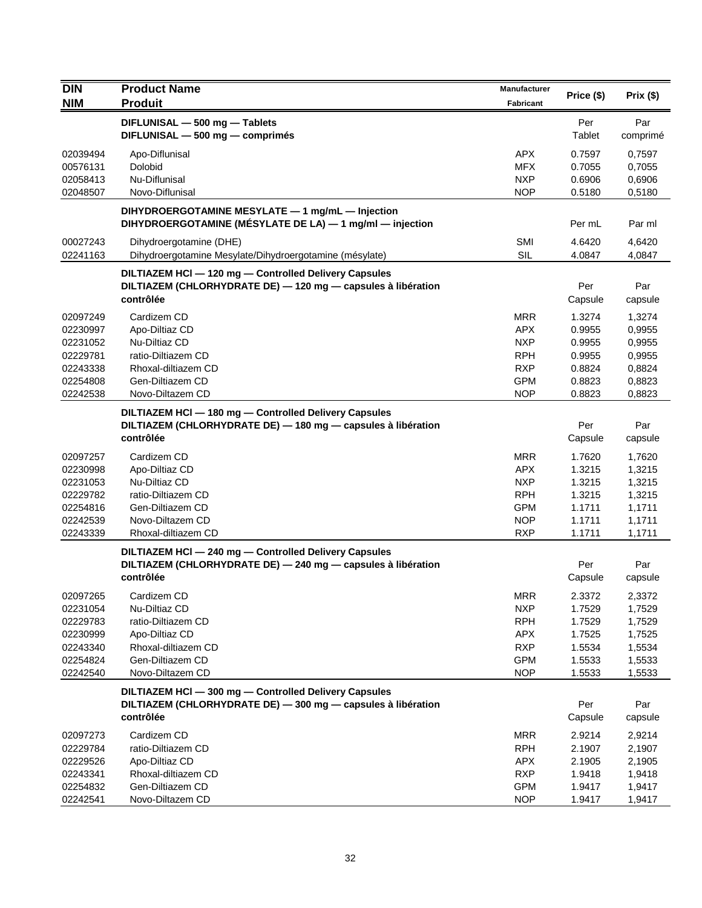| <b>DIN</b>                                                                       | <b>Product Name</b>                                                                                                                 | Manufacturer                                                                                   | Price (\$)                                                         | Prix (\$)                                                          |
|----------------------------------------------------------------------------------|-------------------------------------------------------------------------------------------------------------------------------------|------------------------------------------------------------------------------------------------|--------------------------------------------------------------------|--------------------------------------------------------------------|
| <b>NIM</b>                                                                       | <b>Produit</b>                                                                                                                      | Fabricant                                                                                      |                                                                    |                                                                    |
|                                                                                  | DIFLUNISAL - 500 mg - Tablets<br>DIFLUNISAL - 500 mg - comprimés                                                                    |                                                                                                | Per<br>Tablet                                                      | Par<br>comprimé                                                    |
| 02039494<br>00576131<br>02058413<br>02048507                                     | Apo-Diflunisal<br>Dolobid<br>Nu-Diflunisal<br>Novo-Diflunisal                                                                       | <b>APX</b><br><b>MFX</b><br><b>NXP</b><br><b>NOP</b>                                           | 0.7597<br>0.7055<br>0.6906<br>0.5180                               | 0,7597<br>0,7055<br>0,6906<br>0,5180                               |
|                                                                                  | DIHYDROERGOTAMINE MESYLATE - 1 mg/mL - Injection<br>DIHYDROERGOTAMINE (MÉSYLATE DE LA) - 1 mg/ml - injection                        |                                                                                                | Per mL                                                             | Par ml                                                             |
| 00027243<br>02241163                                                             | Dihydroergotamine (DHE)<br>Dihydroergotamine Mesylate/Dihydroergotamine (mésylate)                                                  | SMI<br><b>SIL</b>                                                                              | 4.6420<br>4.0847                                                   | 4,6420<br>4,0847                                                   |
|                                                                                  | DILTIAZEM HCI - 120 mg - Controlled Delivery Capsules<br>DILTIAZEM (CHLORHYDRATE DE) - 120 mg - capsules à libération<br>contrôlée  |                                                                                                | Per<br>Capsule                                                     | Par<br>capsule                                                     |
| 02097249<br>02230997<br>02231052<br>02229781<br>02243338<br>02254808<br>02242538 | Cardizem CD<br>Apo-Diltiaz CD<br>Nu-Diltiaz CD<br>ratio-Diltiazem CD<br>Rhoxal-diltiazem CD<br>Gen-Diltiazem CD<br>Novo-Diltazem CD | <b>MRR</b><br><b>APX</b><br><b>NXP</b><br><b>RPH</b><br><b>RXP</b><br><b>GPM</b><br><b>NOP</b> | 1.3274<br>0.9955<br>0.9955<br>0.9955<br>0.8824<br>0.8823<br>0.8823 | 1,3274<br>0,9955<br>0,9955<br>0,9955<br>0,8824<br>0,8823<br>0,8823 |
|                                                                                  | DILTIAZEM HCI - 180 mg - Controlled Delivery Capsules<br>DILTIAZEM (CHLORHYDRATE DE) - 180 mg - capsules à libération<br>contrôlée  |                                                                                                | Per<br>Capsule                                                     | Par<br>capsule                                                     |
| 02097257<br>02230998<br>02231053<br>02229782<br>02254816<br>02242539<br>02243339 | Cardizem CD<br>Apo-Diltiaz CD<br>Nu-Diltiaz CD<br>ratio-Diltiazem CD<br>Gen-Diltiazem CD<br>Novo-Diltazem CD<br>Rhoxal-diltiazem CD | <b>MRR</b><br><b>APX</b><br><b>NXP</b><br><b>RPH</b><br><b>GPM</b><br><b>NOP</b><br><b>RXP</b> | 1.7620<br>1.3215<br>1.3215<br>1.3215<br>1.1711<br>1.1711<br>1.1711 | 1,7620<br>1,3215<br>1,3215<br>1,3215<br>1,1711<br>1,1711<br>1,1711 |
|                                                                                  | DILTIAZEM HCI - 240 mg - Controlled Delivery Capsules<br>DILTIAZEM (CHLORHYDRATE DE) - 240 mg - capsules à libération<br>contrôlée  |                                                                                                | Per<br>Capsule                                                     | Par<br>capsule                                                     |
| 02097265<br>02231054<br>02229783<br>02230999<br>02243340<br>02254824<br>02242540 | Cardizem CD<br>Nu-Diltiaz CD<br>ratio-Diltiazem CD<br>Apo-Diltiaz CD<br>Rhoxal-diltiazem CD<br>Gen-Diltiazem CD<br>Novo-Diltazem CD | MRR<br><b>NXP</b><br><b>RPH</b><br><b>APX</b><br><b>RXP</b><br><b>GPM</b><br><b>NOP</b>        | 2.3372<br>1.7529<br>1.7529<br>1.7525<br>1.5534<br>1.5533<br>1.5533 | 2,3372<br>1,7529<br>1,7529<br>1,7525<br>1,5534<br>1,5533<br>1,5533 |
|                                                                                  | DILTIAZEM HCI - 300 mg - Controlled Delivery Capsules<br>DILTIAZEM (CHLORHYDRATE DE) - 300 mg - capsules à libération<br>contrôlée  |                                                                                                | Per<br>Capsule                                                     | Par<br>capsule                                                     |
| 02097273<br>02229784<br>02229526<br>02243341<br>02254832<br>02242541             | Cardizem CD<br>ratio-Diltiazem CD<br>Apo-Diltiaz CD<br>Rhoxal-diltiazem CD<br>Gen-Diltiazem CD<br>Novo-Diltazem CD                  | <b>MRR</b><br><b>RPH</b><br><b>APX</b><br><b>RXP</b><br><b>GPM</b><br><b>NOP</b>               | 2.9214<br>2.1907<br>2.1905<br>1.9418<br>1.9417<br>1.9417           | 2,9214<br>2,1907<br>2,1905<br>1,9418<br>1,9417<br>1,9417           |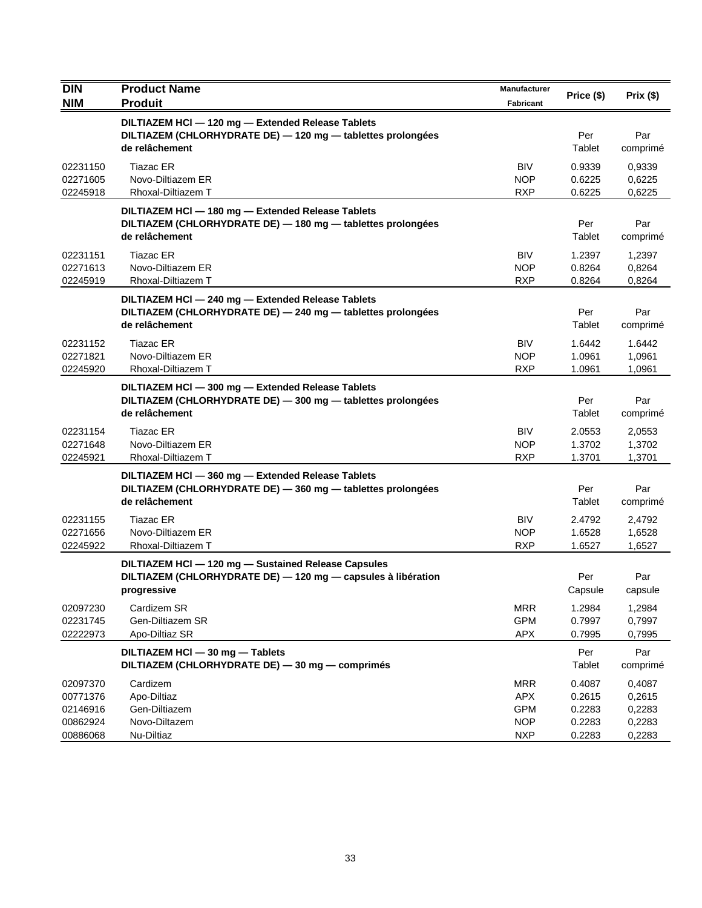| <b>DIN</b><br><b>NIM</b>                                 | <b>Product Name</b><br><b>Produit</b>                                                                                              | Manufacturer<br><b>Fabricant</b>                                   | Price (\$)                                     | Prix(\$)                                       |
|----------------------------------------------------------|------------------------------------------------------------------------------------------------------------------------------------|--------------------------------------------------------------------|------------------------------------------------|------------------------------------------------|
|                                                          | DILTIAZEM HCI - 120 mg - Extended Release Tablets<br>DILTIAZEM (CHLORHYDRATE DE) - 120 mg - tablettes prolongées<br>de relâchement |                                                                    | Per<br>Tablet                                  | Par<br>comprimé                                |
| 02231150<br>02271605<br>02245918                         | Tiazac ER<br>Novo-Diltiazem ER<br>Rhoxal-Diltiazem T                                                                               | <b>BIV</b><br><b>NOP</b><br><b>RXP</b>                             | 0.9339<br>0.6225<br>0.6225                     | 0,9339<br>0,6225<br>0,6225                     |
|                                                          | DILTIAZEM HCI - 180 mg - Extended Release Tablets<br>DILTIAZEM (CHLORHYDRATE DE) - 180 mg - tablettes prolongées<br>de relâchement |                                                                    | Per<br>Tablet                                  | Par<br>comprimé                                |
| 02231151<br>02271613<br>02245919                         | <b>Tiazac ER</b><br>Novo-Diltiazem ER<br>Rhoxal-Diltiazem T                                                                        | <b>BIV</b><br><b>NOP</b><br><b>RXP</b>                             | 1.2397<br>0.8264<br>0.8264                     | 1,2397<br>0,8264<br>0,8264                     |
|                                                          | DILTIAZEM HCI - 240 mg - Extended Release Tablets<br>DILTIAZEM (CHLORHYDRATE DE) - 240 mg - tablettes prolongées<br>de relâchement |                                                                    | Per<br>Tablet                                  | Par<br>comprimé                                |
| 02231152<br>02271821<br>02245920                         | <b>Tiazac ER</b><br>Novo-Diltiazem ER<br>Rhoxal-Diltiazem T                                                                        | <b>BIV</b><br><b>NOP</b><br><b>RXP</b>                             | 1.6442<br>1.0961<br>1.0961                     | 1.6442<br>1,0961<br>1,0961                     |
|                                                          | DILTIAZEM HCI - 300 mg - Extended Release Tablets<br>DILTIAZEM (CHLORHYDRATE DE) - 300 mg - tablettes prolongées<br>de relâchement |                                                                    | Per<br>Tablet                                  | Par<br>comprimé                                |
| 02231154<br>02271648<br>02245921                         | <b>Tiazac ER</b><br>Novo-Diltiazem ER<br>Rhoxal-Diltiazem T                                                                        | <b>BIV</b><br><b>NOP</b><br><b>RXP</b>                             | 2.0553<br>1.3702<br>1.3701                     | 2,0553<br>1,3702<br>1,3701                     |
|                                                          | DILTIAZEM HCI-360 mg - Extended Release Tablets<br>DILTIAZEM (CHLORHYDRATE DE) - 360 mg - tablettes prolongées<br>de relâchement   |                                                                    | Per<br>Tablet                                  | Par<br>comprimé                                |
| 02231155<br>02271656<br>02245922                         | Tiazac ER<br>Novo-Diltiazem ER<br>Rhoxal-Diltiazem T                                                                               | <b>BIV</b><br><b>NOP</b><br><b>RXP</b>                             | 2.4792<br>1.6528<br>1.6527                     | 2,4792<br>1,6528<br>1,6527                     |
|                                                          | DILTIAZEM HCI - 120 mg - Sustained Release Capsules<br>DILTIAZEM (CHLORHYDRATE DE) - 120 mg - capsules à libération<br>progressive |                                                                    | Per<br>Capsule                                 | Par<br>capsule                                 |
| 02097230<br>02231745<br>02222973                         | Cardizem SR<br>Gen-Diltiazem SR<br>Apo-Diltiaz SR                                                                                  | <b>MRR</b><br><b>GPM</b><br><b>APX</b>                             | 1.2984<br>0.7997<br>0.7995                     | 1,2984<br>0,7997<br>0,7995                     |
|                                                          | DILTIAZEM HCI - 30 mg - Tablets<br>DILTIAZEM (CHLORHYDRATE DE) - 30 mg - comprimés                                                 |                                                                    | Per<br>Tablet                                  | Par<br>comprimé                                |
| 02097370<br>00771376<br>02146916<br>00862924<br>00886068 | Cardizem<br>Apo-Diltiaz<br>Gen-Diltiazem<br>Novo-Diltazem<br>Nu-Diltiaz                                                            | <b>MRR</b><br><b>APX</b><br><b>GPM</b><br><b>NOP</b><br><b>NXP</b> | 0.4087<br>0.2615<br>0.2283<br>0.2283<br>0.2283 | 0,4087<br>0,2615<br>0,2283<br>0,2283<br>0,2283 |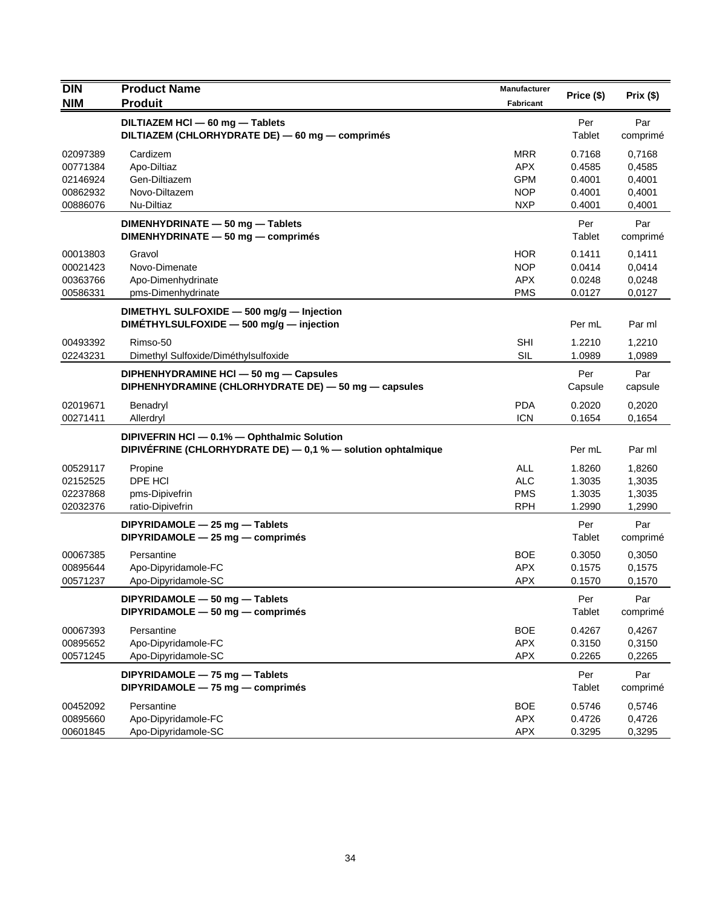| <b>DIN</b>           | <b>Product Name</b>                                                                                         | <b>Manufacturer</b>      | Price (\$)       | Prix(\$)         |
|----------------------|-------------------------------------------------------------------------------------------------------------|--------------------------|------------------|------------------|
| <b>NIM</b>           | <b>Produit</b>                                                                                              | Fabricant                |                  |                  |
|                      | DILTIAZEM HCI - 60 mg - Tablets<br>DILTIAZEM (CHLORHYDRATE DE) - 60 mg - comprimés                          |                          | Per<br>Tablet    | Par<br>comprimé  |
| 02097389             | Cardizem                                                                                                    | <b>MRR</b>               | 0.7168           | 0,7168           |
| 00771384             | Apo-Diltiaz                                                                                                 | <b>APX</b>               | 0.4585           | 0,4585           |
| 02146924<br>00862932 | Gen-Diltiazem<br>Novo-Diltazem                                                                              | <b>GPM</b><br><b>NOP</b> | 0.4001<br>0.4001 | 0,4001<br>0,4001 |
| 00886076             | Nu-Diltiaz                                                                                                  | <b>NXP</b>               | 0.4001           | 0,4001           |
|                      | DIMENHYDRINATE - 50 mg - Tablets<br>DIMENHYDRINATE - 50 mg - comprimés                                      |                          | Per<br>Tablet    | Par<br>comprimé  |
| 00013803             | Gravol                                                                                                      | HOR                      | 0.1411           | 0,1411           |
| 00021423             | Novo-Dimenate                                                                                               | <b>NOP</b>               | 0.0414           | 0,0414           |
| 00363766             | Apo-Dimenhydrinate                                                                                          | <b>APX</b>               | 0.0248           | 0,0248           |
| 00586331             | pms-Dimenhydrinate                                                                                          | <b>PMS</b>               | 0.0127           | 0,0127           |
|                      | DIMETHYL SULFOXIDE - 500 mg/g - Injection                                                                   |                          |                  |                  |
|                      | DIMETHYLSULFOXIDE - 500 mg/g - injection                                                                    |                          | Per mL           | Par ml           |
| 00493392             | Rimso-50                                                                                                    | <b>SHI</b>               | 1.2210           | 1,2210           |
| 02243231             | Dimethyl Sulfoxide/Diméthylsulfoxide                                                                        | SIL                      | 1.0989           | 1,0989           |
|                      | DIPHENHYDRAMINE HCI-50 mg-Capsules<br>DIPHENHYDRAMINE (CHLORHYDRATE DE) - 50 mg - capsules                  |                          | Per<br>Capsule   | Par<br>capsule   |
| 02019671             | Benadryl                                                                                                    | <b>PDA</b>               | 0.2020           | 0,2020           |
| 00271411             | Allerdryl                                                                                                   | <b>ICN</b>               | 0.1654           | 0,1654           |
|                      | DIPIVEFRIN HCI - 0.1% - Ophthalmic Solution<br>DIPIVÉFRINE (CHLORHYDRATE DE) - 0,1 % - solution ophtalmique |                          | Per mL           | Par ml           |
| 00529117             | Propine                                                                                                     | <b>ALL</b>               | 1.8260           | 1,8260           |
| 02152525             | DPE HCI                                                                                                     | <b>ALC</b>               | 1.3035           | 1,3035           |
| 02237868             | pms-Dipivefrin                                                                                              | <b>PMS</b>               | 1.3035           | 1,3035           |
| 02032376             | ratio-Dipivefrin                                                                                            | <b>RPH</b>               | 1.2990           | 1,2990           |
|                      | DIPYRIDAMOLE - 25 mg - Tablets<br>DIPYRIDAMOLE - 25 mg - comprimés                                          |                          | Per<br>Tablet    | Par<br>comprimé  |
| 00067385             | Persantine                                                                                                  | <b>BOE</b>               | 0.3050           | 0,3050           |
| 00895644             | Apo-Dipyridamole-FC                                                                                         | <b>APX</b>               | 0.1575           | 0,1575           |
| 00571237             | Apo-Dipyridamole-SC                                                                                         | <b>APX</b>               | 0.1570           | 0,1570           |
|                      | DIPYRIDAMOLE - 50 mg - Tablets<br>DIPYRIDAMOLE - 50 mg - comprimés                                          |                          | Per<br>Tablet    | Par<br>comprimé  |
| 00067393             | Persantine                                                                                                  | <b>BOE</b>               | 0.4267           | 0,4267           |
| 00895652             | Apo-Dipyridamole-FC                                                                                         | APX                      | 0.3150           | 0,3150           |
| 00571245             | Apo-Dipyridamole-SC                                                                                         | <b>APX</b>               | 0.2265           | 0,2265           |
|                      | DIPYRIDAMOLE - 75 mg - Tablets<br>DIPYRIDAMOLE - 75 mg - comprimés                                          |                          | Per<br>Tablet    | Par<br>comprimé  |
| 00452092             | Persantine                                                                                                  | <b>BOE</b>               | 0.5746           | 0,5746           |
| 00895660             | Apo-Dipyridamole-FC                                                                                         | <b>APX</b>               | 0.4726           | 0,4726           |
| 00601845             | Apo-Dipyridamole-SC                                                                                         | APX                      | 0.3295           | 0,3295           |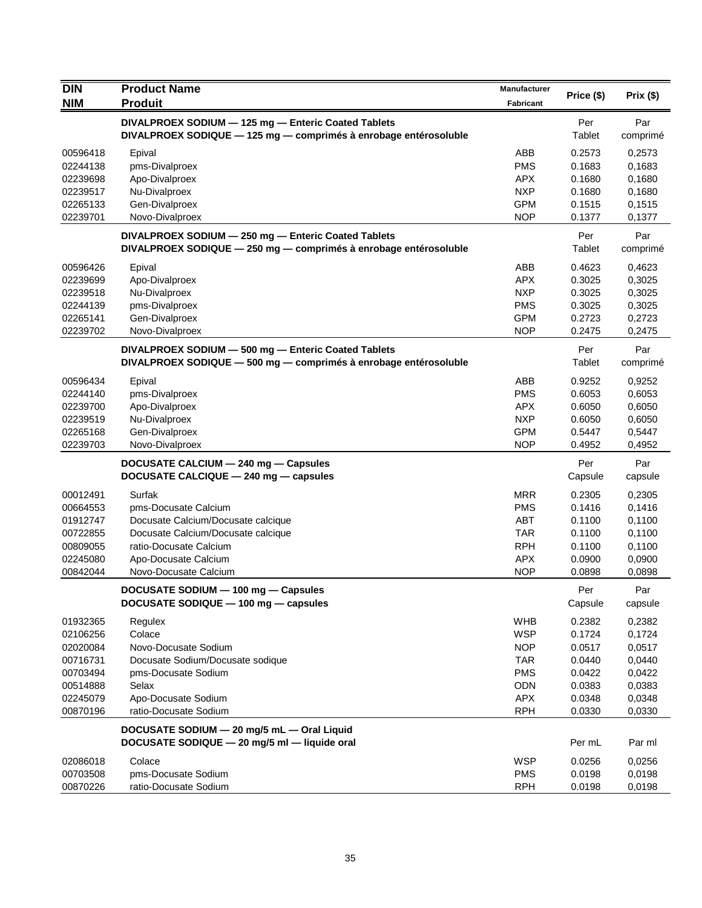| <b>DIN</b>           | <b>Product Name</b>                                                                                                     | Manufacturer             |                  |                  |
|----------------------|-------------------------------------------------------------------------------------------------------------------------|--------------------------|------------------|------------------|
| <b>NIM</b>           | <b>Produit</b>                                                                                                          | <b>Fabricant</b>         | Price (\$)       | Prix(\$)         |
|                      | DIVALPROEX SODIUM - 125 mg - Enteric Coated Tablets                                                                     |                          | Per              | Par              |
|                      | DIVALPROEX SODIQUE - 125 mg - comprimés à enrobage entérosoluble                                                        |                          | Tablet           | comprimé         |
|                      |                                                                                                                         |                          |                  |                  |
| 00596418<br>02244138 | Epival<br>pms-Divalproex                                                                                                | ABB<br><b>PMS</b>        | 0.2573<br>0.1683 | 0,2573<br>0,1683 |
| 02239698             | Apo-Divalproex                                                                                                          | <b>APX</b>               | 0.1680           | 0,1680           |
| 02239517             | Nu-Divalproex                                                                                                           | <b>NXP</b>               | 0.1680           | 0,1680           |
| 02265133             | Gen-Divalproex                                                                                                          | <b>GPM</b>               | 0.1515           | 0.1515           |
| 02239701             | Novo-Divalproex                                                                                                         | <b>NOP</b>               | 0.1377           | 0,1377           |
|                      |                                                                                                                         |                          |                  |                  |
|                      | DIVALPROEX SODIUM - 250 mg - Enteric Coated Tablets<br>DIVALPROEX SODIQUE - 250 mg - comprimés à enrobage entérosoluble |                          | Per<br>Tablet    | Par<br>comprimé  |
|                      |                                                                                                                         |                          |                  |                  |
| 00596426             | Epival                                                                                                                  | ABB                      | 0.4623           | 0,4623           |
| 02239699             | Apo-Divalproex                                                                                                          | <b>APX</b>               | 0.3025           | 0,3025           |
| 02239518             | Nu-Divalproex                                                                                                           | <b>NXP</b>               | 0.3025           | 0,3025           |
| 02244139             | pms-Divalproex                                                                                                          | <b>PMS</b>               | 0.3025           | 0,3025           |
| 02265141<br>02239702 | Gen-Divalproex<br>Novo-Divalproex                                                                                       | <b>GPM</b><br><b>NOP</b> | 0.2723<br>0.2475 | 0,2723<br>0,2475 |
|                      |                                                                                                                         |                          |                  |                  |
|                      | DIVALPROEX SODIUM - 500 mg - Enteric Coated Tablets                                                                     |                          | Per              | Par              |
|                      | DIVALPROEX SODIQUE - 500 mg - comprimés à enrobage entérosoluble                                                        |                          | Tablet           | comprimé         |
| 00596434             | Epival                                                                                                                  | ABB                      | 0.9252           | 0,9252           |
| 02244140             | pms-Divalproex                                                                                                          | <b>PMS</b>               | 0.6053           | 0,6053           |
| 02239700             | Apo-Divalproex                                                                                                          | <b>APX</b>               | 0.6050           | 0,6050           |
| 02239519             | Nu-Divalproex                                                                                                           | <b>NXP</b>               | 0.6050           | 0,6050           |
| 02265168             | Gen-Divalproex                                                                                                          | <b>GPM</b>               | 0.5447           | 0,5447           |
| 02239703             | Novo-Divalproex                                                                                                         | <b>NOP</b>               | 0.4952           | 0,4952           |
|                      | DOCUSATE CALCIUM - 240 mg - Capsules                                                                                    |                          | Per              | Par              |
|                      | DOCUSATE CALCIQUE - 240 mg - capsules                                                                                   |                          | Capsule          | capsule          |
| 00012491             | Surfak                                                                                                                  | <b>MRR</b>               | 0.2305           | 0,2305           |
| 00664553             | pms-Docusate Calcium                                                                                                    | <b>PMS</b>               | 0.1416           | 0,1416           |
| 01912747             | Docusate Calcium/Docusate calcique                                                                                      | <b>ABT</b>               | 0.1100           | 0,1100           |
| 00722855             | Docusate Calcium/Docusate calcique                                                                                      | <b>TAR</b>               | 0.1100           | 0,1100           |
| 00809055             | ratio-Docusate Calcium                                                                                                  | <b>RPH</b>               | 0.1100           | 0,1100           |
| 02245080             | Apo-Docusate Calcium                                                                                                    | <b>APX</b>               | 0.0900           | 0,0900           |
| 00842044             | Novo-Docusate Calcium                                                                                                   | <b>NOP</b>               | 0.0898           | 0,0898           |
|                      | DOCUSATE SODIUM - 100 mg - Capsules                                                                                     |                          | Per              | Par              |
|                      | DOCUSATE SODIQUE - 100 mg - capsules                                                                                    |                          | Capsule          | capsule          |
|                      |                                                                                                                         |                          | 0.2382           |                  |
| 01932365<br>02106256 | Regulex<br>Colace                                                                                                       | <b>WHB</b><br><b>WSP</b> | 0.1724           | 0,2382<br>0,1724 |
| 02020084             | Novo-Docusate Sodium                                                                                                    | <b>NOP</b>               | 0.0517           | 0,0517           |
| 00716731             | Docusate Sodium/Docusate sodique                                                                                        | <b>TAR</b>               | 0.0440           | 0,0440           |
| 00703494             | pms-Docusate Sodium                                                                                                     | <b>PMS</b>               | 0.0422           | 0,0422           |
| 00514888             | Selax                                                                                                                   | ODN                      | 0.0383           | 0,0383           |
| 02245079             | Apo-Docusate Sodium                                                                                                     | APX                      | 0.0348           | 0,0348           |
| 00870196             | ratio-Docusate Sodium                                                                                                   | <b>RPH</b>               | 0.0330           | 0,0330           |
|                      |                                                                                                                         |                          |                  |                  |
|                      | DOCUSATE SODIUM - 20 mg/5 mL - Oral Liquid                                                                              |                          |                  |                  |
|                      | DOCUSATE SODIQUE - 20 mg/5 ml - liquide oral                                                                            |                          | Per mL           | Par ml           |
| 02086018             | Colace                                                                                                                  | <b>WSP</b>               | 0.0256           | 0,0256           |
| 00703508             | pms-Docusate Sodium                                                                                                     | <b>PMS</b>               | 0.0198           | 0,0198           |
| 00870226             | ratio-Docusate Sodium                                                                                                   | <b>RPH</b>               | 0.0198           | 0,0198           |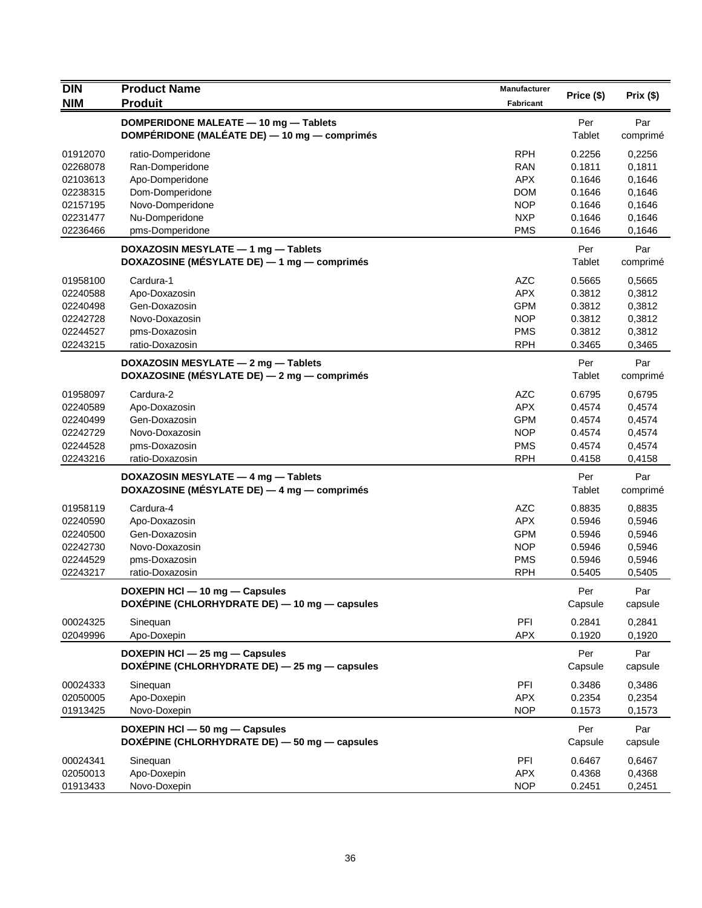| <b>DIN</b> | <b>Product Name</b>                           |                  | Price (\$) | Prix(\$) |
|------------|-----------------------------------------------|------------------|------------|----------|
| <b>NIM</b> | <b>Produit</b>                                | <b>Fabricant</b> |            |          |
|            | DOMPERIDONE MALEATE - 10 mg - Tablets         |                  | Per        | Par      |
|            | DOMPÉRIDONE (MALÉATE DE) — 10 mg — comprimés  |                  | Tablet     | comprimé |
| 01912070   | ratio-Domperidone                             | <b>RPH</b>       | 0.2256     | 0,2256   |
| 02268078   | Ran-Domperidone                               | <b>RAN</b>       | 0.1811     | 0,1811   |
| 02103613   | Apo-Domperidone                               | <b>APX</b>       | 0.1646     | 0,1646   |
| 02238315   | Dom-Domperidone                               | <b>DOM</b>       | 0.1646     | 0,1646   |
| 02157195   | Novo-Domperidone                              | <b>NOP</b>       | 0.1646     | 0,1646   |
| 02231477   | Nu-Domperidone                                | <b>NXP</b>       | 0.1646     | 0,1646   |
| 02236466   | pms-Domperidone                               | <b>PMS</b>       | 0.1646     | 0,1646   |
|            | DOXAZOSIN MESYLATE - 1 mg - Tablets           |                  | Per        | Par      |
|            | DOXAZOSINE (MÉSYLATE DE) — 1 mg — comprimés   |                  | Tablet     | comprimé |
| 01958100   | Cardura-1                                     | <b>AZC</b>       | 0.5665     | 0,5665   |
| 02240588   | Apo-Doxazosin                                 | <b>APX</b>       | 0.3812     | 0,3812   |
| 02240498   | Gen-Doxazosin                                 | <b>GPM</b>       | 0.3812     | 0,3812   |
| 02242728   | Novo-Doxazosin                                | <b>NOP</b>       | 0.3812     | 0,3812   |
| 02244527   | pms-Doxazosin                                 | <b>PMS</b>       | 0.3812     | 0,3812   |
| 02243215   | ratio-Doxazosin                               | <b>RPH</b>       | 0.3465     | 0,3465   |
|            | DOXAZOSIN MESYLATE - 2 mg - Tablets           |                  | Per        | Par      |
|            | DOXAZOSINE (MÉSYLATE DE) - 2 mg - comprimés   |                  | Tablet     | comprimé |
| 01958097   | Cardura-2                                     | <b>AZC</b>       | 0.6795     | 0,6795   |
| 02240589   | Apo-Doxazosin                                 | <b>APX</b>       | 0.4574     | 0,4574   |
| 02240499   | Gen-Doxazosin                                 | <b>GPM</b>       | 0.4574     | 0,4574   |
| 02242729   | Novo-Doxazosin                                | <b>NOP</b>       | 0.4574     | 0,4574   |
| 02244528   | pms-Doxazosin                                 | <b>PMS</b>       | 0.4574     | 0,4574   |
| 02243216   | ratio-Doxazosin                               | <b>RPH</b>       | 0.4158     | 0,4158   |
|            | DOXAZOSIN MESYLATE - 4 mg - Tablets           |                  | Per        | Par      |
|            | DOXAZOSINE (MÉSYLATE DE) - 4 mg - comprimés   |                  | Tablet     | comprimé |
| 01958119   | Cardura-4                                     | <b>AZC</b>       | 0.8835     | 0,8835   |
| 02240590   | Apo-Doxazosin                                 | <b>APX</b>       | 0.5946     | 0,5946   |
| 02240500   | Gen-Doxazosin                                 | <b>GPM</b>       | 0.5946     | 0,5946   |
| 02242730   | Novo-Doxazosin                                | <b>NOP</b>       | 0.5946     | 0,5946   |
| 02244529   | pms-Doxazosin                                 | <b>PMS</b>       | 0.5946     | 0,5946   |
| 02243217   | ratio-Doxazosin                               | <b>RPH</b>       | 0.5405     | 0,5405   |
|            | DOXEPIN HCI - 10 mg - Capsules                |                  | Per        | Par      |
|            | DOXÉPINE (CHLORHYDRATE DE) - 10 mg - capsules |                  | Capsule    | capsule  |
| 00024325   | Sinequan                                      | PFI              | 0.2841     | 0,2841   |
| 02049996   | Apo-Doxepin                                   | <b>APX</b>       | 0.1920     | 0,1920   |
|            | DOXEPIN HCI - 25 mg - Capsules                |                  | Per        | Par      |
|            | DOXÉPINE (CHLORHYDRATE DE) - 25 mg - capsules |                  | Capsule    | capsule  |
| 00024333   | Sinequan                                      | PFI              | 0.3486     | 0,3486   |
| 02050005   | Apo-Doxepin                                   | <b>APX</b>       | 0.2354     | 0,2354   |
| 01913425   | Novo-Doxepin                                  | <b>NOP</b>       | 0.1573     | 0,1573   |
|            | DOXEPIN HCI - 50 mg - Capsules                |                  | Per        | Par      |
|            | DOXÉPINE (CHLORHYDRATE DE) - 50 mg - capsules |                  | Capsule    | capsule  |
| 00024341   | Sinequan                                      | PFI              | 0.6467     | 0,6467   |
| 02050013   | Apo-Doxepin                                   | <b>APX</b>       | 0.4368     | 0,4368   |
| 01913433   | Novo-Doxepin                                  | <b>NOP</b>       | 0.2451     | 0,2451   |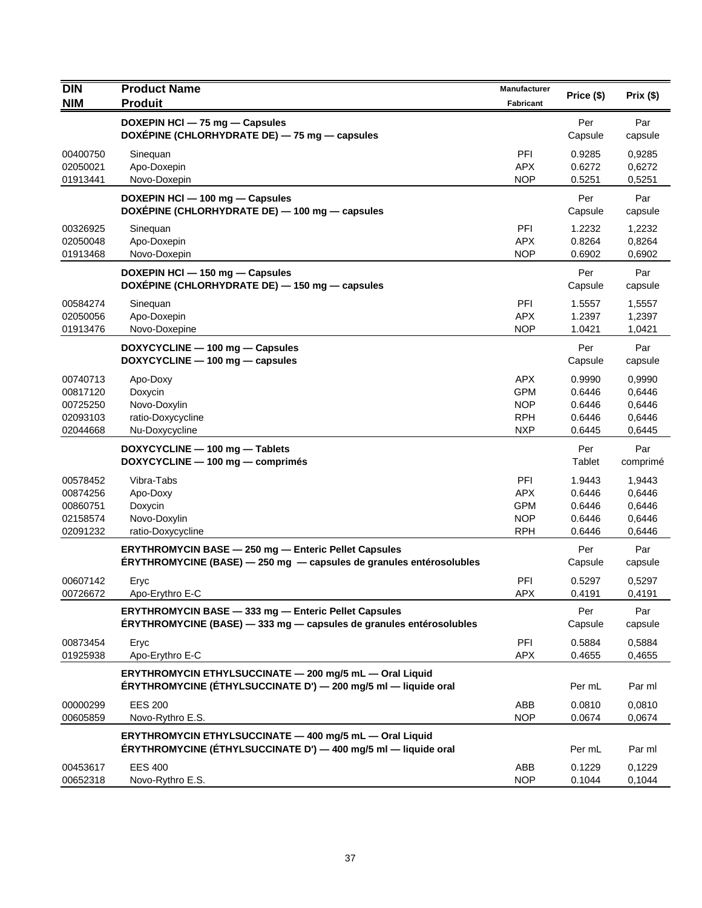| <b>DIN</b>                                               | <b>Product Name</b>                                                                                                                | Manufacturer                                                       | Price (\$)                                     | Prix(\$)                                       |
|----------------------------------------------------------|------------------------------------------------------------------------------------------------------------------------------------|--------------------------------------------------------------------|------------------------------------------------|------------------------------------------------|
| <b>NIM</b>                                               | <b>Produit</b>                                                                                                                     | <b>Fabricant</b>                                                   |                                                |                                                |
|                                                          | DOXEPIN HCI - 75 mg - Capsules<br>DOXEPINE (CHLORHYDRATE DE) - 75 mg - capsules                                                    |                                                                    | Per<br>Capsule                                 | Par<br>capsule                                 |
| 00400750<br>02050021<br>01913441                         | Sinequan<br>Apo-Doxepin<br>Novo-Doxepin                                                                                            | PFI<br><b>APX</b><br><b>NOP</b>                                    | 0.9285<br>0.6272<br>0.5251                     | 0,9285<br>0,6272<br>0,5251                     |
|                                                          | DOXEPIN HCI - 100 mg - Capsules<br>DOXÉPINE (CHLORHYDRATE DE) - 100 mg - capsules                                                  |                                                                    | Per<br>Capsule                                 | Par<br>capsule                                 |
| 00326925<br>02050048<br>01913468                         | Sinequan<br>Apo-Doxepin<br>Novo-Doxepin                                                                                            | PFI<br><b>APX</b><br><b>NOP</b>                                    | 1.2232<br>0.8264<br>0.6902                     | 1,2232<br>0,8264<br>0,6902                     |
|                                                          | DOXEPIN HCI - 150 mg - Capsules<br>DOXEPINE (CHLORHYDRATE DE) - 150 mg - capsules                                                  |                                                                    | Per<br>Capsule                                 | Par<br>capsule                                 |
| 00584274<br>02050056<br>01913476                         | Sinequan<br>Apo-Doxepin<br>Novo-Doxepine                                                                                           | PFI<br><b>APX</b><br><b>NOP</b>                                    | 1.5557<br>1.2397<br>1.0421                     | 1,5557<br>1,2397<br>1,0421                     |
|                                                          | DOXYCYCLINE - 100 mg - Capsules<br>DOXYCYCLINE - 100 mg - capsules                                                                 |                                                                    | Per<br>Capsule                                 | Par<br>capsule                                 |
| 00740713<br>00817120<br>00725250<br>02093103<br>02044668 | Apo-Doxy<br>Doxycin<br>Novo-Doxylin<br>ratio-Doxycycline<br>Nu-Doxycycline                                                         | <b>APX</b><br><b>GPM</b><br><b>NOP</b><br><b>RPH</b><br><b>NXP</b> | 0.9990<br>0.6446<br>0.6446<br>0.6446<br>0.6445 | 0.9990<br>0,6446<br>0.6446<br>0,6446<br>0,6445 |
|                                                          | DOXYCYCLINE - 100 mg - Tablets<br>DOXYCYCLINE - 100 mg - comprimés                                                                 |                                                                    | Per<br>Tablet                                  | Par<br>comprimé                                |
| 00578452<br>00874256<br>00860751<br>02158574<br>02091232 | Vibra-Tabs<br>Apo-Doxy<br>Doxycin<br>Novo-Doxylin<br>ratio-Doxycycline                                                             | PFI<br><b>APX</b><br><b>GPM</b><br><b>NOP</b><br><b>RPH</b>        | 1.9443<br>0.6446<br>0.6446<br>0.6446<br>0.6446 | 1,9443<br>0,6446<br>0,6446<br>0,6446<br>0,6446 |
|                                                          | <b>ERYTHROMYCIN BASE - 250 mg - Enteric Pellet Capsules</b><br>ÉRYTHROMYCINE (BASE) - 250 mg - capsules de granules entérosolubles |                                                                    | Per<br>Capsule                                 | Par<br>capsule                                 |
| 00607142<br>00726672                                     | Eryc<br>Apo-Erythro E-C                                                                                                            | PFI<br><b>APX</b>                                                  | 0.5297<br>0.4191                               | 0,5297<br>0,4191                               |
|                                                          | ERYTHROMYCIN BASE - 333 mg - Enteric Pellet Capsules<br>ERYTHROMYCINE (BASE) - 333 mg - capsules de granules entérosolubles        |                                                                    | Per<br>Capsule                                 | Par<br>capsule                                 |
| 00873454<br>01925938                                     | Eryc<br>Apo-Erythro E-C                                                                                                            | PFI<br><b>APX</b>                                                  | 0.5884<br>0.4655                               | 0,5884<br>0,4655                               |
|                                                          | ERYTHROMYCIN ETHYLSUCCINATE - 200 mg/5 mL - Oral Liquid<br>ÉRYTHROMYCINE (ÉTHYLSUCCINATE D') — 200 mg/5 ml — liquide oral          |                                                                    | Per mL                                         | Par ml                                         |
| 00000299<br>00605859                                     | <b>EES 200</b><br>Novo-Rythro E.S.                                                                                                 | ABB<br><b>NOP</b>                                                  | 0.0810<br>0.0674                               | 0,0810<br>0,0674                               |
|                                                          | ERYTHROMYCIN ETHYLSUCCINATE - 400 mg/5 mL - Oral Liquid<br>ERYTHROMYCINE (ETHYLSUCCINATE D') — 400 mg/5 ml — liquide oral          |                                                                    | Per mL                                         | Par ml                                         |
| 00453617<br>00652318                                     | <b>EES 400</b><br>Novo-Rythro E.S.                                                                                                 | ABB<br><b>NOP</b>                                                  | 0.1229<br>0.1044                               | 0,1229<br>0,1044                               |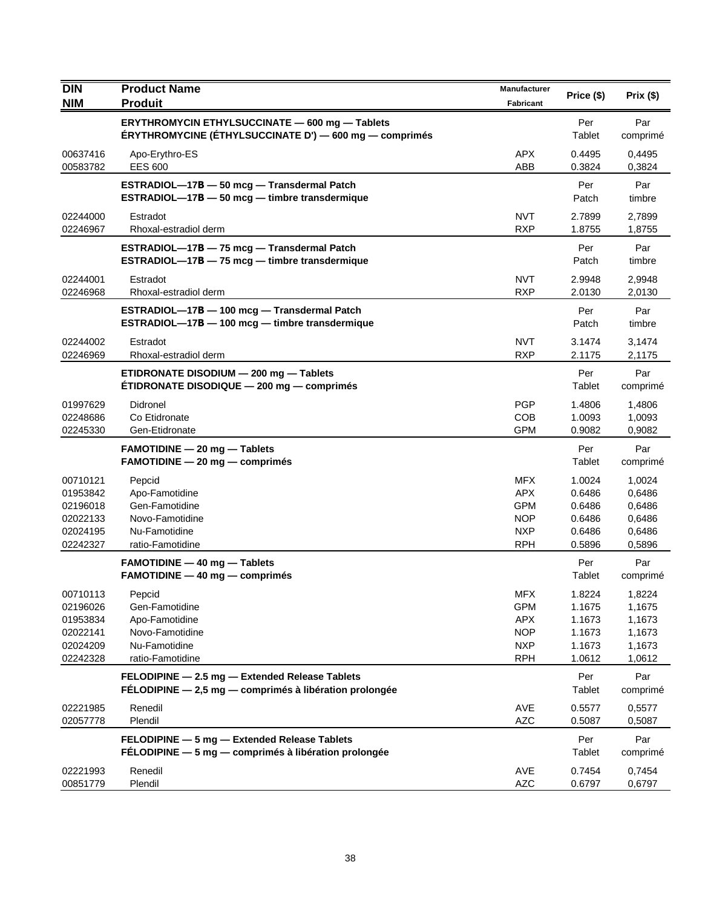| <b>DIN</b>                                                           | <b>Product Name</b>                                                                                         | Manufacturer                                                                     | Price (\$)                                               | Prix(\$)                                                 |
|----------------------------------------------------------------------|-------------------------------------------------------------------------------------------------------------|----------------------------------------------------------------------------------|----------------------------------------------------------|----------------------------------------------------------|
| <b>NIM</b>                                                           | <b>Produit</b>                                                                                              | <b>Fabricant</b>                                                                 |                                                          |                                                          |
|                                                                      | ERYTHROMYCIN ETHYLSUCCINATE - 600 mg - Tablets<br>ÉRYTHROMYCINE (ÉTHYLSUCCINATE D') — 600 mg — comprimés    |                                                                                  | Per<br>Tablet                                            | Par<br>comprimé                                          |
| 00637416<br>00583782                                                 | Apo-Erythro-ES<br><b>EES 600</b>                                                                            | <b>APX</b><br>ABB                                                                | 0.4495<br>0.3824                                         | 0,4495<br>0,3824                                         |
|                                                                      | ESTRADIOL-17B - 50 mcg - Transdermal Patch<br>ESTRADIOL-17B - 50 mcg - timbre transdermique                 |                                                                                  | Per<br>Patch                                             | Par<br>timbre                                            |
| 02244000<br>02246967                                                 | Estradot<br>Rhoxal-estradiol derm                                                                           | <b>NVT</b><br><b>RXP</b>                                                         | 2.7899<br>1.8755                                         | 2,7899<br>1,8755                                         |
|                                                                      | ESTRADIOL-17B - 75 mcg - Transdermal Patch<br>ESTRADIOL-17B - 75 mcg - timbre transdermique                 |                                                                                  | Per<br>Patch                                             | Par<br>timbre                                            |
| 02244001<br>02246968                                                 | Estradot<br>Rhoxal-estradiol derm                                                                           | <b>NVT</b><br><b>RXP</b>                                                         | 2.9948<br>2.0130                                         | 2,9948<br>2,0130                                         |
|                                                                      | ESTRADIOL-17B - 100 mcg - Transdermal Patch<br>ESTRADIOL-17B - 100 mcg - timbre transdermique               |                                                                                  | Per<br>Patch                                             | Par<br>timbre                                            |
| 02244002<br>02246969                                                 | Estradot<br>Rhoxal-estradiol derm                                                                           | <b>NVT</b><br><b>RXP</b>                                                         | 3.1474<br>2.1175                                         | 3,1474<br>2,1175                                         |
|                                                                      | ETIDRONATE DISODIUM - 200 mg - Tablets<br>ÉTIDRONATE DISODIQUE - 200 mg - comprimés                         |                                                                                  | Per<br>Tablet                                            | Par<br>comprimé                                          |
| 01997629<br>02248686<br>02245330                                     | Didronel<br>Co Etidronate<br>Gen-Etidronate                                                                 | <b>PGP</b><br><b>COB</b><br><b>GPM</b>                                           | 1.4806<br>1.0093<br>0.9082                               | 1,4806<br>1,0093<br>0,9082                               |
|                                                                      | <b>FAMOTIDINE - 20 mg - Tablets</b><br>$FAMOTIDINE - 20 mg - comprimés$                                     |                                                                                  | Per<br>Tablet                                            | Par<br>comprimé                                          |
| 00710121<br>01953842<br>02196018<br>02022133<br>02024195<br>02242327 | Pepcid<br>Apo-Famotidine<br>Gen-Famotidine<br>Novo-Famotidine<br>Nu-Famotidine<br>ratio-Famotidine          | <b>MFX</b><br><b>APX</b><br><b>GPM</b><br><b>NOP</b><br><b>NXP</b><br><b>RPH</b> | 1.0024<br>0.6486<br>0.6486<br>0.6486<br>0.6486<br>0.5896 | 1,0024<br>0,6486<br>0,6486<br>0,6486<br>0,6486<br>0,5896 |
|                                                                      | <b>FAMOTIDINE - 40 mg - Tablets</b><br>$FAMOTIDINE - 40 mg - comprimés$                                     |                                                                                  | Per<br>Tablet                                            | Par<br>comprimé                                          |
| 00710113<br>02196026<br>01953834<br>02022141<br>02024209<br>02242328 | Pepcid<br>Gen-Famotidine<br>Apo-Famotidine<br>Novo-Famotidine<br>Nu-Famotidine<br>ratio-Famotidine          | <b>MFX</b><br><b>GPM</b><br><b>APX</b><br><b>NOP</b><br><b>NXP</b><br><b>RPH</b> | 1.8224<br>1.1675<br>1.1673<br>1.1673<br>1.1673<br>1.0612 | 1,8224<br>1,1675<br>1,1673<br>1,1673<br>1,1673<br>1,0612 |
|                                                                      | FELODIPINE - 2.5 mg - Extended Release Tablets<br>FÉLODIPINE $-2.5$ mg $-$ comprimés à libération prolongée |                                                                                  | Per<br>Tablet                                            | Par<br>comprimé                                          |
| 02221985<br>02057778                                                 | Renedil<br>Plendil                                                                                          | AVE<br><b>AZC</b>                                                                | 0.5577<br>0.5087                                         | 0,5577<br>0,5087                                         |
|                                                                      | FELODIPINE - 5 mg - Extended Release Tablets<br>FÉLODIPINE - 5 mg - comprimés à libération prolongée        |                                                                                  | Per<br>Tablet                                            | Par<br>comprimé                                          |
| 02221993<br>00851779                                                 | Renedil<br>Plendil                                                                                          | AVE<br><b>AZC</b>                                                                | 0.7454<br>0.6797                                         | 0,7454<br>0,6797                                         |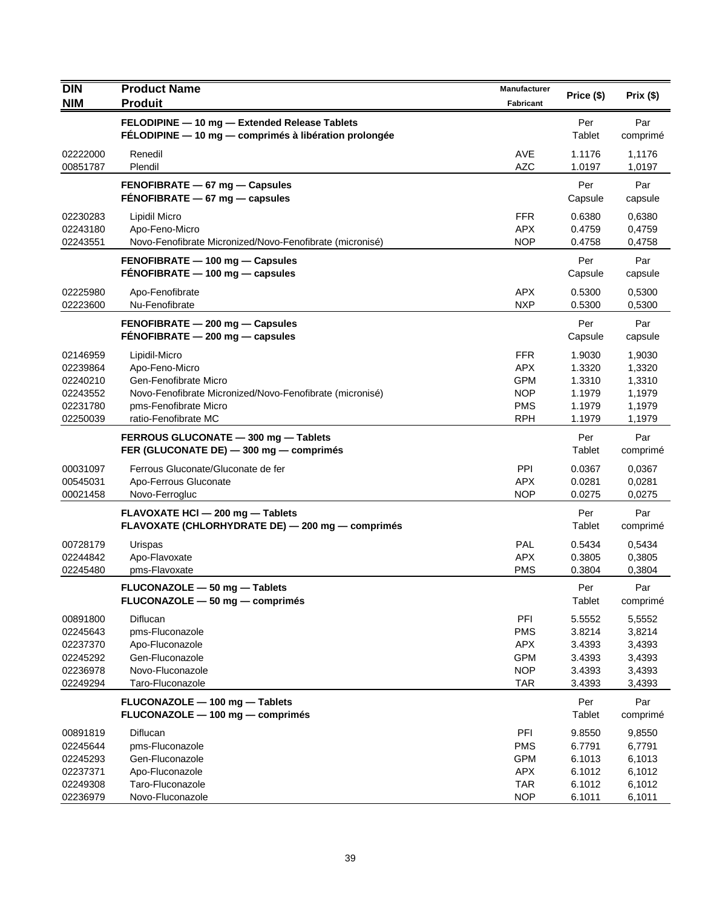| <b>DIN</b> | <b>Product Name</b>                                      | <b>Manufacturer</b> | Price (\$) | Prix (\$) |
|------------|----------------------------------------------------------|---------------------|------------|-----------|
| <b>NIM</b> | <b>Produit</b>                                           | <b>Fabricant</b>    |            |           |
|            | FELODIPINE - 10 mg - Extended Release Tablets            |                     | Per        | Par       |
|            | FÉLODIPINE - 10 mg - comprimés à libération prolongée    |                     | Tablet     | comprimé  |
| 02222000   | Renedil                                                  | AVE                 | 1.1176     | 1,1176    |
| 00851787   | Plendil                                                  | <b>AZC</b>          | 1.0197     | 1,0197    |
|            | FENOFIBRATE - 67 mg - Capsules                           |                     | Per        | Par       |
|            | $FENOFIBRATE - 67 mg - capsules$                         |                     | Capsule    | capsule   |
| 02230283   | Lipidil Micro                                            | <b>FFR</b>          | 0.6380     | 0,6380    |
| 02243180   | Apo-Feno-Micro                                           | <b>APX</b>          | 0.4759     | 0,4759    |
| 02243551   | Novo-Fenofibrate Micronized/Novo-Fenofibrate (micronisé) | <b>NOP</b>          | 0.4758     | 0,4758    |
|            | FENOFIBRATE - 100 mg - Capsules                          |                     | Per        | Par       |
|            | FENOFIBRATE - 100 mg - capsules                          |                     | Capsule    | capsule   |
| 02225980   | Apo-Fenofibrate                                          | <b>APX</b>          | 0.5300     | 0,5300    |
| 02223600   | Nu-Fenofibrate                                           | <b>NXP</b>          | 0.5300     | 0,5300    |
|            | FENOFIBRATE - 200 mg - Capsules                          |                     | Per        | Par       |
|            | FENOFIBRATE - 200 mg - capsules                          |                     | Capsule    | capsule   |
| 02146959   | Lipidil-Micro                                            | <b>FFR</b>          | 1.9030     | 1,9030    |
| 02239864   | Apo-Feno-Micro                                           | <b>APX</b>          | 1.3320     | 1,3320    |
| 02240210   | Gen-Fenofibrate Micro                                    | <b>GPM</b>          | 1.3310     | 1,3310    |
| 02243552   | Novo-Fenofibrate Micronized/Novo-Fenofibrate (micronisé) | <b>NOP</b>          | 1.1979     | 1,1979    |
| 02231780   | pms-Fenofibrate Micro                                    | <b>PMS</b>          | 1.1979     | 1,1979    |
| 02250039   | ratio-Fenofibrate MC                                     | <b>RPH</b>          | 1.1979     | 1,1979    |
|            | FERROUS GLUCONATE - 300 mg - Tablets                     |                     | Per        | Par       |
|            | FER (GLUCONATE DE) - 300 mg - comprimés                  |                     | Tablet     | comprimé  |
| 00031097   | Ferrous Gluconate/Gluconate de fer                       | <b>PPI</b>          | 0.0367     | 0.0367    |
| 00545031   | Apo-Ferrous Gluconate                                    | <b>APX</b>          | 0.0281     | 0,0281    |
| 00021458   | Novo-Ferrogluc                                           | <b>NOP</b>          | 0.0275     | 0,0275    |
|            | FLAVOXATE HCI - 200 mg - Tablets                         |                     | Per        | Par       |
|            | FLAVOXATE (CHLORHYDRATE DE) - 200 mg - comprimés         |                     | Tablet     | comprimé  |
| 00728179   | Urispas                                                  | <b>PAL</b>          | 0.5434     | 0,5434    |
| 02244842   | Apo-Flavoxate                                            | <b>APX</b>          | 0.3805     | 0,3805    |
| 02245480   | pms-Flavoxate                                            | <b>PMS</b>          | 0.3804     | 0,3804    |
|            | FLUCONAZOLE - 50 mg - Tablets                            |                     | Per        | Par       |
|            | $FLUCONAZOLE - 50 mg - comprimés$                        |                     | Tablet     | comprimé  |
| 00891800   | Diflucan                                                 | PFI                 | 5.5552     | 5,5552    |
| 02245643   | pms-Fluconazole                                          | <b>PMS</b>          | 3.8214     | 3,8214    |
| 02237370   | Apo-Fluconazole                                          | <b>APX</b>          | 3.4393     | 3,4393    |
| 02245292   | Gen-Fluconazole                                          | <b>GPM</b>          | 3.4393     | 3,4393    |
| 02236978   | Novo-Fluconazole                                         | <b>NOP</b>          | 3.4393     | 3,4393    |
| 02249294   | Taro-Fluconazole                                         | <b>TAR</b>          | 3.4393     | 3,4393    |
|            | FLUCONAZOLE - 100 mg - Tablets                           |                     | Per        | Par       |
|            | FLUCONAZOLE - 100 mg - comprimés                         |                     | Tablet     | comprimé  |
| 00891819   | Diflucan                                                 | PFI                 | 9.8550     | 9,8550    |
| 02245644   | pms-Fluconazole                                          | <b>PMS</b>          | 6.7791     | 6,7791    |
| 02245293   | Gen-Fluconazole                                          | <b>GPM</b>          | 6.1013     | 6,1013    |
| 02237371   | Apo-Fluconazole                                          | <b>APX</b>          | 6.1012     | 6,1012    |
| 02249308   | Taro-Fluconazole                                         | <b>TAR</b>          | 6.1012     | 6,1012    |
| 02236979   | Novo-Fluconazole                                         | <b>NOP</b>          | 6.1011     | 6,1011    |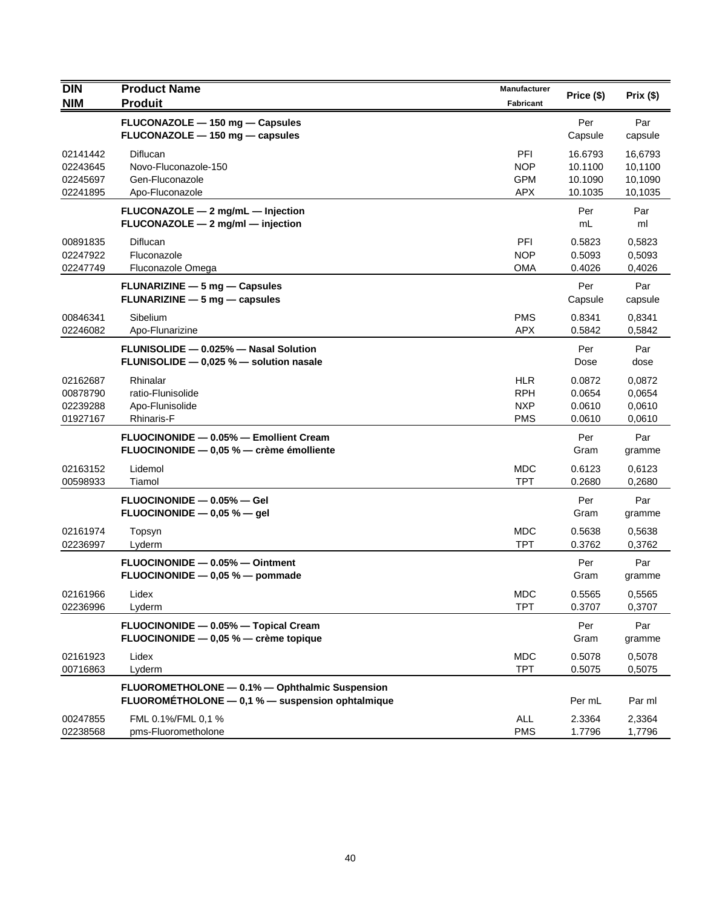| <b>DIN</b><br><b>NIM</b>                     | <b>Product Name</b><br><b>Produit</b>                                                              | <b>Manufacturer</b><br>Fabricant                     | Price (\$)                               | Prix(\$)                                 |
|----------------------------------------------|----------------------------------------------------------------------------------------------------|------------------------------------------------------|------------------------------------------|------------------------------------------|
|                                              | FLUCONAZOLE - 150 mg - Capsules<br>FLUCONAZOLE - 150 mg - capsules                                 |                                                      | Per<br>Capsule                           | Par<br>capsule                           |
| 02141442<br>02243645<br>02245697<br>02241895 | Diflucan<br>Novo-Fluconazole-150<br>Gen-Fluconazole<br>Apo-Fluconazole                             | PFI<br><b>NOP</b><br><b>GPM</b><br><b>APX</b>        | 16.6793<br>10.1100<br>10.1090<br>10.1035 | 16,6793<br>10,1100<br>10,1090<br>10,1035 |
|                                              | FLUCONAZOLE - 2 mg/mL - Injection<br>FLUCONAZOLE - 2 mg/ml - injection                             |                                                      | Per<br>mL                                | Par<br>ml                                |
| 00891835<br>02247922<br>02247749             | Diflucan<br>Fluconazole<br>Fluconazole Omega                                                       | PFI<br><b>NOP</b><br>OMA                             | 0.5823<br>0.5093<br>0.4026               | 0,5823<br>0,5093<br>0,4026               |
|                                              | FLUNARIZINE - 5 mg - Capsules<br><b>FLUNARIZINE</b> $-$ 5 mg $-$ capsules                          |                                                      | Per<br>Capsule                           | Par<br>capsule                           |
| 00846341<br>02246082                         | Sibelium<br>Apo-Flunarizine                                                                        | <b>PMS</b><br><b>APX</b>                             | 0.8341<br>0.5842                         | 0,8341<br>0,5842                         |
|                                              | FLUNISOLIDE - 0.025% - Nasal Solution<br>FLUNISOLIDE - 0,025 % - solution nasale                   |                                                      | Per<br>Dose                              | Par<br>dose                              |
| 02162687<br>00878790<br>02239288<br>01927167 | Rhinalar<br>ratio-Flunisolide<br>Apo-Flunisolide<br><b>Rhinaris-F</b>                              | <b>HLR</b><br><b>RPH</b><br><b>NXP</b><br><b>PMS</b> | 0.0872<br>0.0654<br>0.0610<br>0.0610     | 0,0872<br>0,0654<br>0,0610<br>0,0610     |
|                                              | FLUOCINONIDE - 0.05% - Emollient Cream<br>FLUOCINONIDE - 0,05 % - crème émolliente                 |                                                      | Per<br>Gram                              | Par<br>gramme                            |
| 02163152<br>00598933                         | Lidemol<br>Tiamol                                                                                  | <b>MDC</b><br><b>TPT</b>                             | 0.6123<br>0.2680                         | 0,6123<br>0,2680                         |
|                                              | FLUOCINONIDE - 0.05% - Gel<br>FLUOCINONIDE $-$ 0,05 % $-$ gel                                      |                                                      | Per<br>Gram                              | Par<br>gramme                            |
| 02161974<br>02236997                         | Topsyn<br>Lyderm                                                                                   | MDC<br><b>TPT</b>                                    | 0.5638<br>0.3762                         | 0,5638<br>0,3762                         |
|                                              | FLUOCINONIDE - 0.05% - Ointment<br>FLUOCINONIDE - 0,05 % - pommade                                 |                                                      | Per<br>Gram                              | Par<br>gramme                            |
| 02161966<br>02236996                         | Lidex<br>Lyderm                                                                                    | <b>MDC</b><br><b>TPT</b>                             | 0.5565<br>0.3707                         | 0,5565<br>0,3707                         |
|                                              | FLUOCINONIDE - 0.05% - Topical Cream<br>FLUOCINONIDE - 0,05 % - crème topique                      |                                                      | Per<br>Gram                              | Par<br>gramme                            |
| 02161923<br>00716863                         | Lidex<br>Lyderm                                                                                    | <b>MDC</b><br><b>TPT</b>                             | 0.5078<br>0.5075                         | 0,5078<br>0,5075                         |
|                                              | FLUOROMETHOLONE - 0.1% - Ophthalmic Suspension<br>FLUOROMETHOLONE - 0,1 % - suspension ophtalmique |                                                      | Per mL                                   | Par ml                                   |
| 00247855<br>02238568                         | FML 0.1%/FML 0,1 %<br>pms-Fluorometholone                                                          | ALL<br><b>PMS</b>                                    | 2.3364<br>1.7796                         | 2,3364<br>1,7796                         |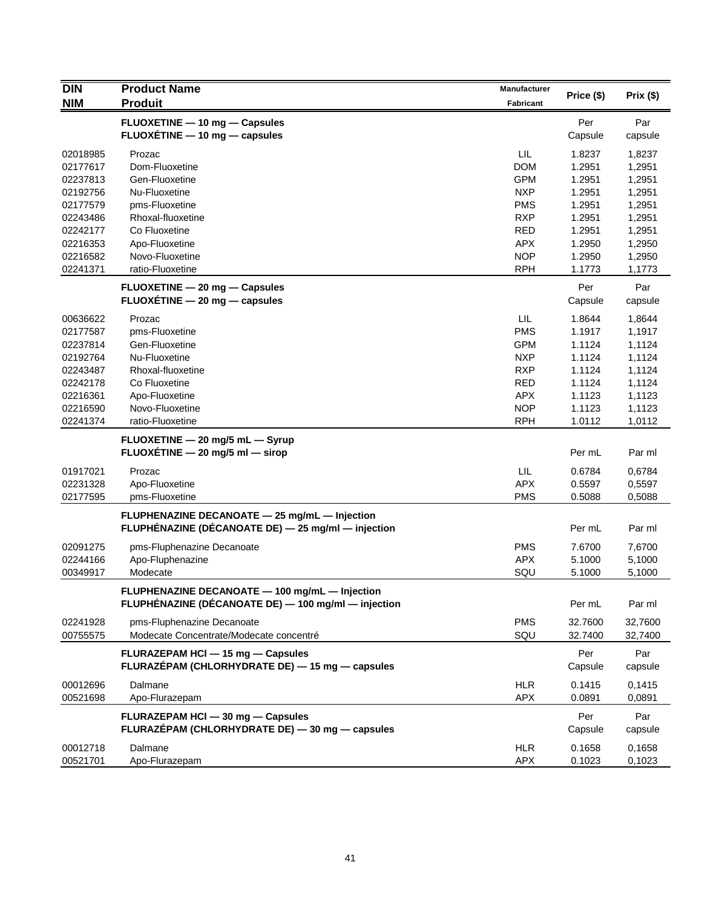| <b>DIN</b> | <b>Product Name</b>                                 | Manufacturer |            |          |
|------------|-----------------------------------------------------|--------------|------------|----------|
| <b>NIM</b> | <b>Produit</b>                                      | Fabricant    | Price (\$) | Prix(\$) |
|            | FLUOXETINE - 10 mg - Capsules                       |              | Per        | Par      |
|            | FLUOXÉTINE - 10 mg - capsules                       |              | Capsule    | capsule  |
| 02018985   | Prozac                                              | <b>LIL</b>   | 1.8237     | 1,8237   |
| 02177617   | Dom-Fluoxetine                                      | <b>DOM</b>   | 1.2951     | 1,2951   |
| 02237813   | Gen-Fluoxetine                                      | <b>GPM</b>   | 1.2951     | 1,2951   |
| 02192756   | Nu-Fluoxetine                                       | <b>NXP</b>   | 1.2951     | 1,2951   |
| 02177579   | pms-Fluoxetine                                      | <b>PMS</b>   | 1.2951     | 1,2951   |
| 02243486   | Rhoxal-fluoxetine                                   | <b>RXP</b>   | 1.2951     | 1,2951   |
| 02242177   | Co Fluoxetine                                       | <b>RED</b>   | 1.2951     | 1,2951   |
| 02216353   | Apo-Fluoxetine                                      | APX.         | 1.2950     | 1,2950   |
| 02216582   | Novo-Fluoxetine                                     | <b>NOP</b>   | 1.2950     | 1,2950   |
| 02241371   | ratio-Fluoxetine                                    | <b>RPH</b>   | 1.1773     | 1,1773   |
|            | FLUOXETINE - 20 mg - Capsules                       |              | Per        | Par      |
|            | $FLUOXETINE - 20 mg - capsules$                     |              | Capsule    | capsule  |
| 00636622   | Prozac                                              | <b>LIL</b>   | 1.8644     | 1,8644   |
| 02177587   | pms-Fluoxetine                                      | <b>PMS</b>   | 1.1917     | 1,1917   |
| 02237814   | Gen-Fluoxetine                                      | <b>GPM</b>   | 1.1124     | 1,1124   |
| 02192764   | Nu-Fluoxetine                                       | <b>NXP</b>   | 1.1124     | 1,1124   |
| 02243487   | Rhoxal-fluoxetine                                   | <b>RXP</b>   | 1.1124     | 1,1124   |
| 02242178   | Co Fluoxetine                                       | <b>RED</b>   | 1.1124     | 1,1124   |
| 02216361   | Apo-Fluoxetine                                      | <b>APX</b>   | 1.1123     | 1,1123   |
| 02216590   | Novo-Fluoxetine                                     | <b>NOP</b>   | 1.1123     | 1,1123   |
| 02241374   | ratio-Fluoxetine                                    | <b>RPH</b>   | 1.0112     | 1,0112   |
|            | FLUOXETINE - 20 mg/5 mL - Syrup                     |              |            |          |
|            | FLUOXÉTINE - 20 mg/5 ml - sirop                     |              | Per mL     | Par ml   |
| 01917021   | Prozac                                              | LIL          | 0.6784     | 0,6784   |
| 02231328   | Apo-Fluoxetine                                      | <b>APX</b>   | 0.5597     | 0,5597   |
| 02177595   | pms-Fluoxetine                                      | <b>PMS</b>   | 0.5088     | 0,5088   |
|            | FLUPHENAZINE DECANOATE - 25 mg/mL - Injection       |              |            |          |
|            | FLUPHÉNAZINE (DÉCANOATE DE) - 25 mg/ml - injection  |              | Per mL     | Par ml   |
| 02091275   | pms-Fluphenazine Decanoate                          | <b>PMS</b>   | 7.6700     | 7,6700   |
| 02244166   | Apo-Fluphenazine                                    | <b>APX</b>   | 5.1000     | 5,1000   |
| 00349917   | Modecate                                            | SQU          | 5.1000     | 5,1000   |
|            | FLUPHENAZINE DECANOATE - 100 mg/mL - Injection      |              |            |          |
|            | FLUPHÉNAZINE (DÉCANOATE DE) - 100 mg/ml - injection |              | Per mL     | Par ml   |
| 02241928   | pms-Fluphenazine Decanoate                          | <b>PMS</b>   | 32.7600    | 32,7600  |
| 00755575   | Modecate Concentrate/Modecate concentré             | SQU          | 32.7400    | 32,7400  |
|            | FLURAZEPAM HCI - 15 mg - Capsules                   |              | Per        | Par      |
|            | FLURAZÉPAM (CHLORHYDRATE DE) — 15 mg — capsules     |              | Capsule    | capsule  |
| 00012696   | Dalmane                                             | <b>HLR</b>   | 0.1415     | 0,1415   |
| 00521698   | Apo-Flurazepam                                      | APX          | 0.0891     | 0,0891   |
|            | FLURAZEPAM HCI - 30 mg - Capsules                   |              | Per        | Par      |
|            | FLURAZÉPAM (CHLORHYDRATE DE) - 30 mg - capsules     |              | Capsule    | capsule  |
| 00012718   | Dalmane                                             | <b>HLR</b>   | 0.1658     | 0,1658   |
| 00521701   | Apo-Flurazepam                                      | <b>APX</b>   | 0.1023     | 0,1023   |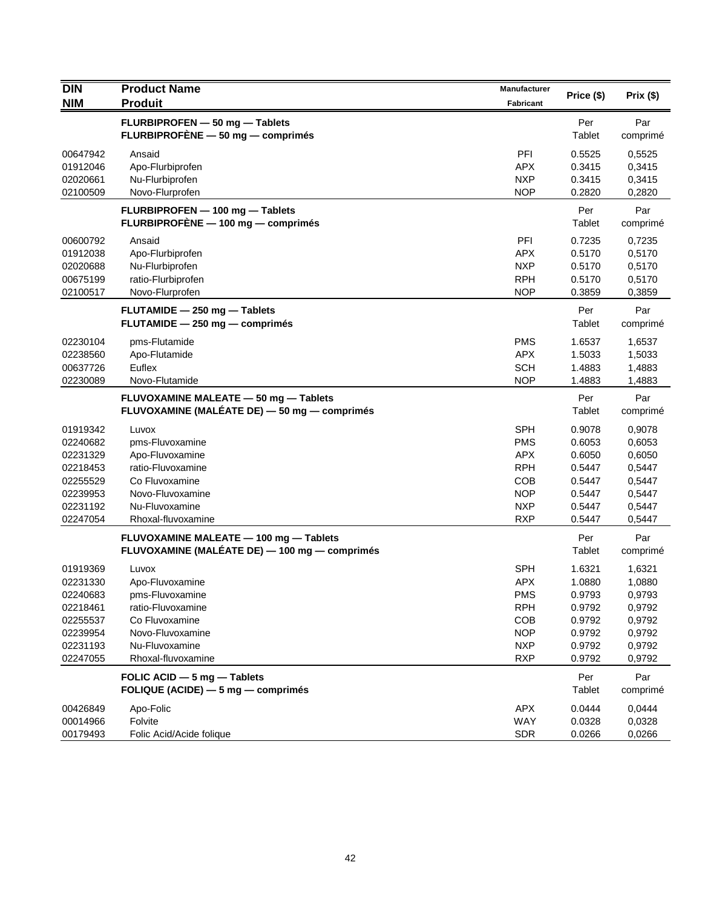| <b>DIN</b> | <b>Product Name</b>                           | <b>Manufacturer</b> | Price (\$) | Prix(\$) |
|------------|-----------------------------------------------|---------------------|------------|----------|
| <b>NIM</b> | <b>Produit</b>                                | <b>Fabricant</b>    |            |          |
|            | FLURBIPROFEN - 50 mg - Tablets                |                     | Per        | Par      |
|            | FLURBIPROFÈNE - 50 mg - comprimés             |                     | Tablet     | comprimé |
| 00647942   | Ansaid                                        | PFI                 | 0.5525     | 0,5525   |
| 01912046   | Apo-Flurbiprofen                              | <b>APX</b>          | 0.3415     | 0,3415   |
| 02020661   | Nu-Flurbiprofen                               | <b>NXP</b>          | 0.3415     | 0,3415   |
| 02100509   | Novo-Flurprofen                               | <b>NOP</b>          | 0.2820     | 0,2820   |
|            | FLURBIPROFEN - 100 mg - Tablets               |                     | Per        | Par      |
|            | FLURBIPROFÈNE - 100 mg - comprimés            |                     | Tablet     | comprimé |
| 00600792   | Ansaid                                        | PFI                 | 0.7235     | 0,7235   |
| 01912038   | Apo-Flurbiprofen                              | <b>APX</b>          | 0.5170     | 0,5170   |
| 02020688   | Nu-Flurbiprofen                               | <b>NXP</b>          | 0.5170     | 0,5170   |
| 00675199   | ratio-Flurbiprofen                            | <b>RPH</b>          | 0.5170     | 0,5170   |
| 02100517   | Novo-Flurprofen                               | <b>NOP</b>          | 0.3859     | 0,3859   |
|            | FLUTAMIDE - 250 mg - Tablets                  |                     | Per        | Par      |
|            | FLUTAMIDE - 250 mg - comprimés                |                     | Tablet     | comprimé |
| 02230104   | pms-Flutamide                                 | <b>PMS</b>          | 1.6537     | 1,6537   |
| 02238560   | Apo-Flutamide                                 | <b>APX</b>          | 1.5033     | 1,5033   |
| 00637726   | Euflex                                        | <b>SCH</b>          | 1.4883     | 1,4883   |
| 02230089   | Novo-Flutamide                                | <b>NOP</b>          | 1.4883     | 1,4883   |
|            | FLUVOXAMINE MALEATE - 50 mg - Tablets         |                     | Per        | Par      |
|            | FLUVOXAMINE (MALÉATE DE) - 50 mg - comprimés  |                     | Tablet     | comprimé |
| 01919342   | Luvox                                         | <b>SPH</b>          | 0.9078     | 0,9078   |
| 02240682   | pms-Fluvoxamine                               | <b>PMS</b>          | 0.6053     | 0,6053   |
| 02231329   | Apo-Fluvoxamine                               | <b>APX</b>          | 0.6050     | 0,6050   |
| 02218453   | ratio-Fluvoxamine                             | <b>RPH</b>          | 0.5447     | 0,5447   |
| 02255529   | Co Fluvoxamine                                | <b>COB</b>          | 0.5447     | 0,5447   |
| 02239953   | Novo-Fluvoxamine                              | <b>NOP</b>          | 0.5447     | 0,5447   |
| 02231192   | Nu-Fluvoxamine                                | <b>NXP</b>          | 0.5447     | 0,5447   |
| 02247054   | Rhoxal-fluvoxamine                            | <b>RXP</b>          | 0.5447     | 0,5447   |
|            | FLUVOXAMINE MALEATE - 100 mg - Tablets        |                     | Per        | Par      |
|            | FLUVOXAMINE (MALÉATE DE) — 100 mg — comprimés |                     | Tablet     | comprimé |
| 01919369   | Luvox                                         | <b>SPH</b>          | 1.6321     | 1,6321   |
| 02231330   | Apo-Fluvoxamine                               | <b>APX</b>          | 1.0880     | 1,0880   |
| 02240683   | pms-Fluvoxamine                               | <b>PMS</b>          | 0.9793     | 0,9793   |
| 02218461   | ratio-Fluvoxamine                             | <b>RPH</b>          | 0.9792     | 0,9792   |
| 02255537   | Co Fluvoxamine                                | <b>COB</b>          | 0.9792     | 0,9792   |
| 02239954   | Novo-Fluvoxamine                              | <b>NOP</b>          | 0.9792     | 0,9792   |
| 02231193   | Nu-Fluvoxamine                                | <b>NXP</b>          | 0.9792     | 0,9792   |
| 02247055   | Rhoxal-fluvoxamine                            | <b>RXP</b>          | 0.9792     | 0,9792   |
|            | FOLIC ACID - 5 mg - Tablets                   |                     | Per        | Par      |
|            | FOLIQUE (ACIDE) $-5$ mg $-$ comprimés         |                     | Tablet     | comprimé |
| 00426849   | Apo-Folic                                     | APX                 | 0.0444     | 0,0444   |
| 00014966   | Folvite                                       | WAY                 | 0.0328     | 0,0328   |
| 00179493   | Folic Acid/Acide folique                      | <b>SDR</b>          | 0.0266     | 0,0266   |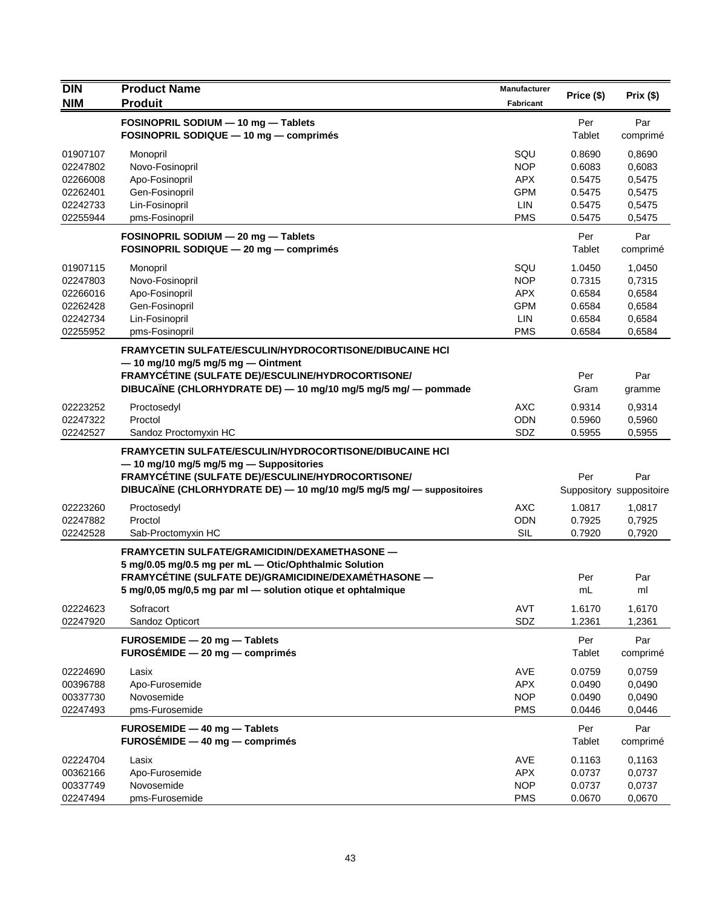| <b>DIN</b>           | <b>Product Name</b>                                                                                                       | Manufacturer             |                  |                                 |
|----------------------|---------------------------------------------------------------------------------------------------------------------------|--------------------------|------------------|---------------------------------|
| <b>NIM</b>           | <b>Produit</b>                                                                                                            | <b>Fabricant</b>         | Price (\$)       | Prix(\$)                        |
|                      | FOSINOPRIL SODIUM - 10 mg - Tablets                                                                                       |                          | Per              | Par                             |
|                      | FOSINOPRIL SODIQUE - 10 mg - comprimés                                                                                    |                          | Tablet           | comprimé                        |
| 01907107             | Monopril                                                                                                                  | SQU                      | 0.8690           | 0,8690                          |
| 02247802             | Novo-Fosinopril                                                                                                           | <b>NOP</b>               | 0.6083           | 0,6083                          |
| 02266008             | Apo-Fosinopril                                                                                                            | <b>APX</b>               | 0.5475           | 0,5475                          |
| 02262401             | Gen-Fosinopril                                                                                                            | <b>GPM</b>               | 0.5475           | 0,5475                          |
| 02242733             | Lin-Fosinopril                                                                                                            | LIN                      | 0.5475           | 0,5475                          |
| 02255944             | pms-Fosinopril                                                                                                            | <b>PMS</b>               | 0.5475           | 0,5475                          |
|                      | FOSINOPRIL SODIUM - 20 mg - Tablets                                                                                       |                          | Per              | Par                             |
|                      | FOSINOPRIL SODIQUE - 20 mg - comprimés                                                                                    |                          | Tablet           | comprimé                        |
| 01907115             | Monopril                                                                                                                  | SQU                      | 1.0450           | 1,0450                          |
| 02247803             | Novo-Fosinopril                                                                                                           | <b>NOP</b>               | 0.7315           | 0,7315                          |
| 02266016             | Apo-Fosinopril                                                                                                            | <b>APX</b>               | 0.6584           | 0,6584                          |
| 02262428             | Gen-Fosinopril                                                                                                            | <b>GPM</b>               | 0.6584           | 0,6584                          |
| 02242734             | Lin-Fosinopril                                                                                                            | LIN                      | 0.6584           | 0,6584                          |
| 02255952             | pms-Fosinopril                                                                                                            | <b>PMS</b>               | 0.6584           | 0,6584                          |
|                      | <b>FRAMYCETIN SULFATE/ESCULIN/HYDROCORTISONE/DIBUCAINE HCI</b>                                                            |                          |                  |                                 |
|                      | $-$ 10 mg/10 mg/5 mg/5 mg $-$ Ointment                                                                                    |                          |                  |                                 |
|                      | FRAMYCÉTINE (SULFATE DE)/ESCULINE/HYDROCORTISONE/                                                                         |                          | Per              | Par                             |
|                      | DIBUCAÏNE (CHLORHYDRATE DE) - 10 mg/10 mg/5 mg/5 mg/ - pommade                                                            |                          | Gram             | gramme                          |
| 02223252             | Proctosedyl                                                                                                               | <b>AXC</b>               | 0.9314           | 0,9314                          |
| 02247322             | Proctol                                                                                                                   | <b>ODN</b>               | 0.5960           | 0,5960                          |
| 02242527             | Sandoz Proctomyxin HC                                                                                                     | SDZ                      | 0.5955           | 0,5955                          |
|                      | <b>FRAMYCETIN SULFATE/ESCULIN/HYDROCORTISONE/DIBUCAINE HCI</b>                                                            |                          |                  |                                 |
|                      | - 10 mg/10 mg/5 mg/5 mg - Suppositories                                                                                   |                          |                  |                                 |
|                      | FRAMYCÉTINE (SULFATE DE)/ESCULINE/HYDROCORTISONE/<br>DIBUCAÏNE (CHLORHYDRATE DE) - 10 mg/10 mg/5 mg/5 mg/ - suppositoires |                          | Per              | Par<br>Suppository suppositoire |
|                      |                                                                                                                           |                          |                  |                                 |
| 02223260             | Proctosedyl                                                                                                               | <b>AXC</b>               | 1.0817           | 1,0817                          |
| 02247882<br>02242528 | Proctol                                                                                                                   | <b>ODN</b><br><b>SIL</b> | 0.7925<br>0.7920 | 0,7925<br>0,7920                |
|                      | Sab-Proctomyxin HC                                                                                                        |                          |                  |                                 |
|                      | <b>FRAMYCETIN SULFATE/GRAMICIDIN/DEXAMETHASONE -</b>                                                                      |                          |                  |                                 |
|                      | 5 mg/0.05 mg/0.5 mg per mL - Otic/Ophthalmic Solution<br>FRAMYCÉTINE (SULFATE DE)/GRAMICIDINE/DEXAMÉTHASONE —             |                          | Per              | Par                             |
|                      | 5 mg/0,05 mg/0,5 mg par ml - solution otique et ophtalmique                                                               |                          | mL               | ml                              |
|                      |                                                                                                                           |                          |                  |                                 |
| 02224623<br>02247920 | Sofracort                                                                                                                 | AVT                      | 1.6170           | 1,6170                          |
|                      | Sandoz Opticort                                                                                                           | SDZ                      | 1.2361           | 1,2361                          |
|                      | FUROSEMIDE - 20 mg - Tablets                                                                                              |                          | Per              | Par                             |
|                      | $FUROSÉMIDE - 20 mg - comprimés$                                                                                          |                          | Tablet           | comprimé                        |
| 02224690             | Lasix                                                                                                                     | AVE                      | 0.0759           | 0,0759                          |
| 00396788             | Apo-Furosemide                                                                                                            | <b>APX</b>               | 0.0490           | 0,0490                          |
| 00337730             | Novosemide                                                                                                                | <b>NOP</b>               | 0.0490           | 0,0490                          |
| 02247493             | pms-Furosemide                                                                                                            | <b>PMS</b>               | 0.0446           | 0,0446                          |
|                      | FUROSEMIDE - 40 mg - Tablets                                                                                              |                          | Per              | Par                             |
|                      | FUROSÉMIDE $-40$ mg $-$ comprimés                                                                                         |                          | Tablet           | comprimé                        |
| 02224704             | Lasix                                                                                                                     | AVE                      | 0.1163           | 0,1163                          |
| 00362166             | Apo-Furosemide                                                                                                            | <b>APX</b>               | 0.0737           | 0,0737                          |
| 00337749             | Novosemide                                                                                                                | <b>NOP</b>               | 0.0737           | 0,0737                          |
| 02247494             | pms-Furosemide                                                                                                            | <b>PMS</b>               | 0.0670           | 0,0670                          |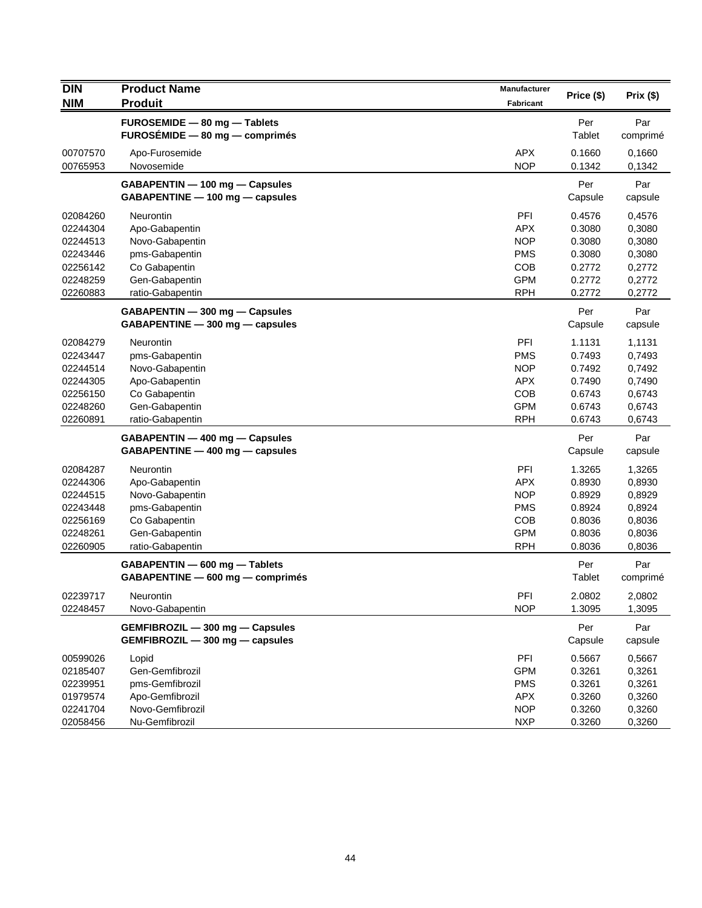| <b>DIN</b> | <b>Product Name</b><br><b>Produit</b> | <b>Manufacturer</b> | Price (\$)    | Prix(\$) |
|------------|---------------------------------------|---------------------|---------------|----------|
| <b>NIM</b> |                                       | <b>Fabricant</b>    |               |          |
|            | FUROSEMIDE - 80 mg - Tablets          |                     | Per           | Par      |
|            | $FUROSÉMIDE - 80 mg - comprimés$      |                     | Tablet        | comprimé |
| 00707570   | Apo-Furosemide                        | <b>APX</b>          | 0.1660        | 0,1660   |
| 00765953   | Novosemide                            | <b>NOP</b>          | 0.1342        | 0,1342   |
|            | GABAPENTIN - 100 mg - Capsules        |                     | Per           | Par      |
|            | GABAPENTINE - 100 mg - capsules       |                     | Capsule       | capsule  |
| 02084260   | Neurontin                             | PFI                 | 0.4576        | 0,4576   |
| 02244304   | Apo-Gabapentin                        | <b>APX</b>          | 0.3080        | 0,3080   |
| 02244513   | Novo-Gabapentin                       | <b>NOP</b>          | 0.3080        | 0,3080   |
| 02243446   | pms-Gabapentin                        | <b>PMS</b>          | 0.3080        | 0,3080   |
| 02256142   | Co Gabapentin                         | <b>COB</b>          | 0.2772        | 0,2772   |
| 02248259   | Gen-Gabapentin                        | <b>GPM</b>          | 0.2772        | 0,2772   |
| 02260883   | ratio-Gabapentin                      | <b>RPH</b>          | 0.2772        | 0,2772   |
|            | GABAPENTIN - 300 mg - Capsules        |                     | Per           | Par      |
|            | GABAPENTINE - 300 mg - capsules       |                     | Capsule       | capsule  |
| 02084279   | <b>Neurontin</b>                      | PFI                 | 1.1131        | 1,1131   |
| 02243447   | pms-Gabapentin                        | <b>PMS</b>          | 0.7493        | 0,7493   |
| 02244514   | Novo-Gabapentin                       | <b>NOP</b>          | 0.7492        | 0,7492   |
| 02244305   | Apo-Gabapentin                        | <b>APX</b>          | 0.7490        | 0,7490   |
| 02256150   | Co Gabapentin                         | <b>COB</b>          | 0.6743        | 0,6743   |
| 02248260   | Gen-Gabapentin                        | <b>GPM</b>          | 0.6743        | 0,6743   |
| 02260891   | ratio-Gabapentin                      | <b>RPH</b>          | 0.6743        | 0,6743   |
|            | GABAPENTIN - 400 mg - Capsules        |                     | Per           | Par      |
|            | GABAPENTINE - 400 mg - capsules       |                     | Capsule       | capsule  |
| 02084287   | Neurontin                             | PFI                 | 1.3265        | 1,3265   |
| 02244306   | Apo-Gabapentin                        | <b>APX</b>          | 0.8930        | 0,8930   |
| 02244515   | Novo-Gabapentin                       | <b>NOP</b>          | 0.8929        | 0,8929   |
| 02243448   | pms-Gabapentin                        | <b>PMS</b>          | 0.8924        | 0,8924   |
| 02256169   | Co Gabapentin                         | <b>COB</b>          | 0.8036        | 0,8036   |
| 02248261   | Gen-Gabapentin                        | <b>GPM</b>          | 0.8036        | 0,8036   |
| 02260905   | ratio-Gabapentin                      | <b>RPH</b>          | 0.8036        | 0,8036   |
|            | GABAPENTIN - 600 mg - Tablets         |                     | Per           | Par      |
|            | GABAPENTINE - 600 mg - comprimés      |                     | <b>Tablet</b> | comprimé |
| 02239717   | Neurontin                             | PFI                 | 2.0802        | 2,0802   |
| 02248457   | Novo-Gabapentin                       | <b>NOP</b>          | 1.3095        | 1,3095   |
|            | GEMFIBROZIL - 300 mg - Capsules       |                     | Per           | Par      |
|            | GEMFIBROZIL - 300 mg - capsules       |                     | Capsule       | capsule  |
| 00599026   | Lopid                                 | PFI                 | 0.5667        | 0,5667   |
| 02185407   | Gen-Gemfibrozil                       | <b>GPM</b>          | 0.3261        | 0,3261   |
| 02239951   | pms-Gemfibrozil                       | <b>PMS</b>          | 0.3261        | 0,3261   |
| 01979574   | Apo-Gemfibrozil                       | <b>APX</b>          | 0.3260        | 0,3260   |
| 02241704   | Novo-Gemfibrozil                      | <b>NOP</b>          | 0.3260        | 0,3260   |
| 02058456   | Nu-Gemfibrozil                        | <b>NXP</b>          | 0.3260        | 0,3260   |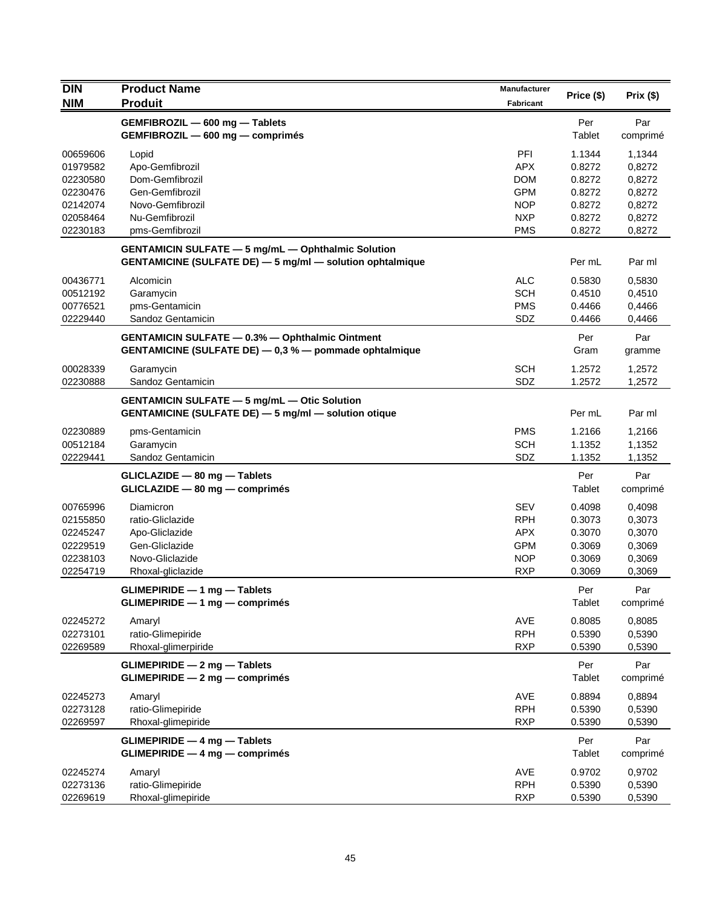| <b>DIN</b>           | <b>Product Name</b>                                         | <b>Manufacturer</b> |                  |                  |
|----------------------|-------------------------------------------------------------|---------------------|------------------|------------------|
| <b>NIM</b>           | <b>Produit</b>                                              | <b>Fabricant</b>    | Price (\$)       | Prix(\$)         |
|                      | GEMFIBROZIL - 600 mg - Tablets                              |                     | Per              | Par              |
|                      | GEMFIBROZIL - 600 mg - comprimés                            |                     | Tablet           | comprimé         |
|                      |                                                             |                     |                  |                  |
| 00659606<br>01979582 | Lopid<br>Apo-Gemfibrozil                                    | PFI<br><b>APX</b>   | 1.1344<br>0.8272 | 1,1344<br>0,8272 |
| 02230580             | Dom-Gemfibrozil                                             | <b>DOM</b>          | 0.8272           | 0,8272           |
| 02230476             | Gen-Gemfibrozil                                             | <b>GPM</b>          | 0.8272           | 0,8272           |
| 02142074             | Novo-Gemfibrozil                                            | <b>NOP</b>          |                  | 0,8272           |
| 02058464             | Nu-Gemfibrozil                                              | <b>NXP</b>          | 0.8272<br>0.8272 |                  |
| 02230183             |                                                             | <b>PMS</b>          | 0.8272           | 0,8272           |
|                      | pms-Gemfibrozil                                             |                     |                  | 0,8272           |
|                      | <b>GENTAMICIN SULFATE - 5 mg/mL - Ophthalmic Solution</b>   |                     |                  |                  |
|                      | GENTAMICINE (SULFATE DE) - 5 mg/ml - solution ophtalmique   |                     | Per mL           | Par ml           |
| 00436771             | Alcomicin                                                   | <b>ALC</b>          | 0.5830           | 0,5830           |
| 00512192             | Garamycin                                                   | <b>SCH</b>          | 0.4510           | 0,4510           |
| 00776521             | pms-Gentamicin                                              | <b>PMS</b>          | 0.4466           | 0,4466           |
| 02229440             | Sandoz Gentamicin                                           | SDZ                 | 0.4466           | 0,4466           |
|                      | <b>GENTAMICIN SULFATE - 0.3% - Ophthalmic Ointment</b>      |                     | Per              | Par              |
|                      | GENTAMICINE (SULFATE DE) - 0,3 % - pommade ophtalmique      |                     | Gram             | gramme           |
|                      |                                                             |                     |                  |                  |
| 00028339             | Garamycin                                                   | <b>SCH</b>          | 1.2572           | 1,2572           |
| 02230888             | Sandoz Gentamicin                                           | SDZ                 | 1.2572           | 1,2572           |
|                      | <b>GENTAMICIN SULFATE - 5 mg/mL - Otic Solution</b>         |                     |                  |                  |
|                      | <b>GENTAMICINE (SULFATE DE) - 5 mg/ml - solution otique</b> |                     | Per mL           | Par ml           |
| 02230889             | pms-Gentamicin                                              | <b>PMS</b>          | 1.2166           | 1,2166           |
| 00512184             | Garamycin                                                   | <b>SCH</b>          | 1.1352           | 1,1352           |
| 02229441             | Sandoz Gentamicin                                           | SDZ                 | 1.1352           | 1,1352           |
|                      |                                                             |                     |                  |                  |
|                      | GLICLAZIDE - 80 mg - Tablets                                |                     | Per              | Par              |
|                      | $GLICLAZIDE - 80 mg - comprimés$                            |                     | Tablet           | comprimé         |
| 00765996             | Diamicron                                                   | <b>SEV</b>          | 0.4098           | 0,4098           |
| 02155850             | ratio-Gliclazide                                            | <b>RPH</b>          | 0.3073           | 0,3073           |
| 02245247             | Apo-Gliclazide                                              | <b>APX</b>          | 0.3070           | 0,3070           |
| 02229519             | Gen-Gliclazide                                              | <b>GPM</b>          | 0.3069           | 0,3069           |
| 02238103             | Novo-Gliclazide                                             | <b>NOP</b>          | 0.3069           | 0,3069           |
| 02254719             | Rhoxal-gliclazide                                           | <b>RXP</b>          | 0.3069           | 0,3069           |
|                      | $GLIMEPIRIDE - 1 mg - Tables$                               |                     | Per              | Par              |
|                      | GLIMEPIRIDE - 1 mg - comprimés                              |                     | Tablet           | comprimé         |
|                      |                                                             |                     |                  |                  |
| 02245272             | Amaryl                                                      | AVE                 | 0.8085           | 0,8085           |
| 02273101             | ratio-Glimepiride                                           | <b>RPH</b>          | 0.5390           | 0,5390           |
| 02269589             | Rhoxal-glimerpiride                                         | <b>RXP</b>          | 0.5390           | 0,5390           |
|                      | <b>GLIMEPIRIDE - 2 mg - Tablets</b>                         |                     | Per              | Par              |
|                      | <b>GLIMEPIRIDE - 2 mg - comprimés</b>                       |                     | Tablet           | comprimé         |
| 02245273             | Amaryl                                                      | AVE                 | 0.8894           | 0,8894           |
| 02273128             | ratio-Glimepiride                                           | <b>RPH</b>          | 0.5390           | 0,5390           |
| 02269597             | Rhoxal-glimepiride                                          | <b>RXP</b>          | 0.5390           | 0,5390           |
|                      |                                                             |                     |                  |                  |
|                      | <b>GLIMEPIRIDE - 4 mg - Tablets</b>                         |                     | Per              | Par              |
|                      | <b>GLIMEPIRIDE - 4 mg - comprimés</b>                       |                     | Tablet           | comprimé         |
| 02245274             | Amaryl                                                      | AVE                 | 0.9702           | 0,9702           |
| 02273136             | ratio-Glimepiride                                           | <b>RPH</b>          | 0.5390           | 0,5390           |
| 02269619             | Rhoxal-glimepiride                                          | <b>RXP</b>          | 0.5390           | 0,5390           |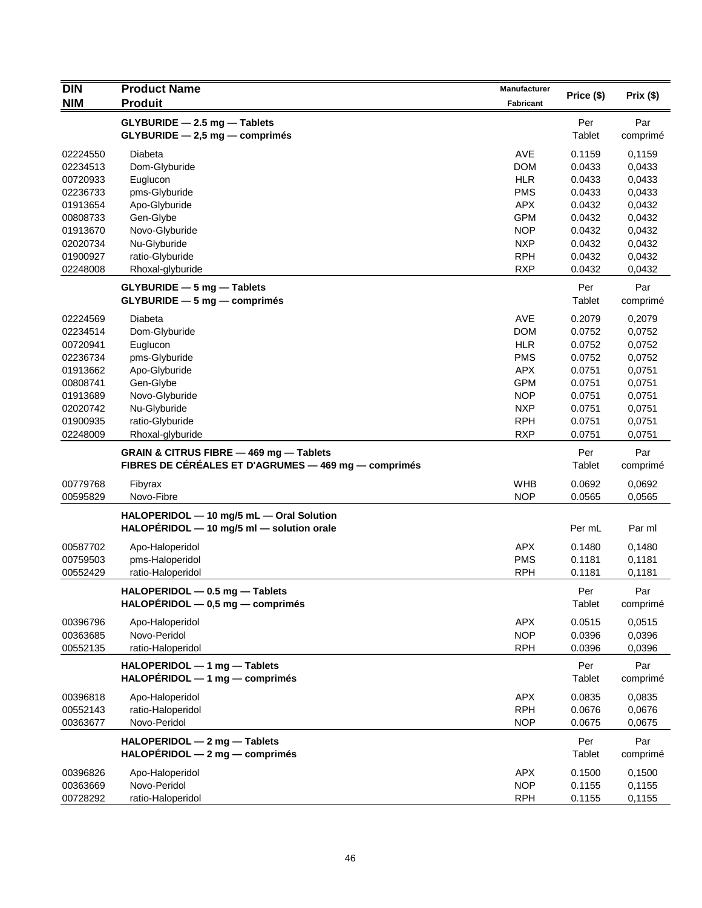| <b>DIN</b>           | <b>Product Name</b>                                                                             | <b>Manufacturer</b>      |                  |                  |
|----------------------|-------------------------------------------------------------------------------------------------|--------------------------|------------------|------------------|
| <b>NIM</b>           | <b>Produit</b>                                                                                  | <b>Fabricant</b>         | Price (\$)       | Prix(\$)         |
|                      | GLYBURIDE - 2.5 mg - Tablets                                                                    |                          | Per              | Par              |
|                      | $GLYBURIDE - 2,5 mg - comprimés$                                                                |                          | Tablet           | comprimé         |
|                      |                                                                                                 |                          |                  |                  |
| 02224550             | Diabeta                                                                                         | AVE                      | 0.1159           | 0,1159           |
| 02234513             | Dom-Glyburide                                                                                   | <b>DOM</b>               | 0.0433           | 0,0433           |
| 00720933             | Euglucon                                                                                        | <b>HLR</b>               | 0.0433           | 0,0433           |
| 02236733<br>01913654 | pms-Glyburide                                                                                   | <b>PMS</b><br><b>APX</b> | 0.0433           | 0,0433           |
| 00808733             | Apo-Glyburide<br>Gen-Glybe                                                                      | <b>GPM</b>               | 0.0432<br>0.0432 | 0,0432<br>0,0432 |
| 01913670             | Novo-Glyburide                                                                                  | <b>NOP</b>               | 0.0432           | 0,0432           |
| 02020734             | Nu-Glyburide                                                                                    | <b>NXP</b>               | 0.0432           | 0,0432           |
| 01900927             | ratio-Glyburide                                                                                 | <b>RPH</b>               | 0.0432           | 0,0432           |
| 02248008             | Rhoxal-glyburide                                                                                | <b>RXP</b>               | 0.0432           | 0,0432           |
|                      |                                                                                                 |                          |                  |                  |
|                      | $GLYBURIDE - 5 mg - Tables$                                                                     |                          | Per              | Par              |
|                      | $GLYBURIDE - 5 mg - comprimés$                                                                  |                          | Tablet           | comprimé         |
| 02224569             | Diabeta                                                                                         | AVE                      | 0.2079           | 0,2079           |
| 02234514             | Dom-Glyburide                                                                                   | <b>DOM</b>               | 0.0752           | 0,0752           |
| 00720941             | Euglucon                                                                                        | <b>HLR</b>               | 0.0752           | 0,0752           |
| 02236734             | pms-Glyburide                                                                                   | <b>PMS</b>               | 0.0752           | 0,0752           |
| 01913662             | Apo-Glyburide                                                                                   | <b>APX</b>               | 0.0751           | 0,0751           |
| 00808741             | Gen-Glybe                                                                                       | <b>GPM</b>               | 0.0751           | 0,0751           |
| 01913689             | Novo-Glyburide                                                                                  | <b>NOP</b>               | 0.0751           | 0,0751           |
| 02020742             | Nu-Glyburide                                                                                    | <b>NXP</b>               | 0.0751           | 0,0751           |
| 01900935             | ratio-Glyburide                                                                                 | <b>RPH</b>               | 0.0751           | 0,0751           |
| 02248009             | Rhoxal-glyburide                                                                                | <b>RXP</b>               | 0.0751           | 0,0751           |
|                      | GRAIN & CITRUS FIBRE - 469 mg - Tablets<br>FIBRES DE CÉRÉALES ET D'AGRUMES — 469 mg — comprimés |                          | Per<br>Tablet    | Par<br>comprimé  |
| 00779768             | Fibyrax                                                                                         | <b>WHB</b>               | 0.0692           | 0,0692           |
| 00595829             | Novo-Fibre                                                                                      | <b>NOP</b>               | 0.0565           | 0,0565           |
|                      | HALOPERIDOL - 10 mg/5 mL - Oral Solution                                                        |                          |                  |                  |
|                      | HALOPERIDOL - 10 mg/5 ml - solution orale                                                       |                          | Per mL           | Par ml           |
|                      |                                                                                                 |                          |                  |                  |
| 00587702             | Apo-Haloperidol                                                                                 | <b>APX</b>               | 0.1480           | 0,1480           |
| 00759503             | pms-Haloperidol                                                                                 | <b>PMS</b>               | 0.1181           | 0,1181           |
| 00552429             | ratio-Haloperidol                                                                               | <b>RPH</b>               | 0.1181           | 0,1181           |
|                      | HALOPERIDOL - 0.5 mg - Tablets                                                                  |                          | Per              | Par              |
|                      | $HALOPÉRIDOL - 0,5 mg - comprimés$                                                              |                          | Tablet           | comprimé         |
| 00396796             | Apo-Haloperidol                                                                                 | <b>APX</b>               | 0.0515           | 0,0515           |
| 00363685             | Novo-Peridol                                                                                    | <b>NOP</b>               | 0.0396           | 0,0396           |
| 00552135             | ratio-Haloperidol                                                                               | <b>RPH</b>               | 0.0396           | 0,0396           |
|                      | HALOPERIDOL - 1 mg - Tablets                                                                    |                          | Per              | Par              |
|                      | $HALOPÉRIDOL - 1 mg - comprimés$                                                                |                          | Tablet           | comprimé         |
| 00396818             | Apo-Haloperidol                                                                                 | <b>APX</b>               | 0.0835           | 0,0835           |
| 00552143             | ratio-Haloperidol                                                                               | <b>RPH</b>               | 0.0676           | 0,0676           |
| 00363677             | Novo-Peridol                                                                                    | <b>NOP</b>               | 0.0675           | 0,0675           |
|                      |                                                                                                 |                          |                  |                  |
|                      | HALOPERIDOL - 2 mg - Tablets                                                                    |                          | Per              | Par              |
|                      | $HALOPÉRIDOL - 2 mg - comprimés$                                                                |                          | Tablet           | comprimé         |
| 00396826             | Apo-Haloperidol                                                                                 | <b>APX</b>               | 0.1500           | 0,1500           |
| 00363669             | Novo-Peridol                                                                                    | <b>NOP</b>               | 0.1155           | 0,1155           |
| 00728292             | ratio-Haloperidol                                                                               | <b>RPH</b>               | 0.1155           | 0,1155           |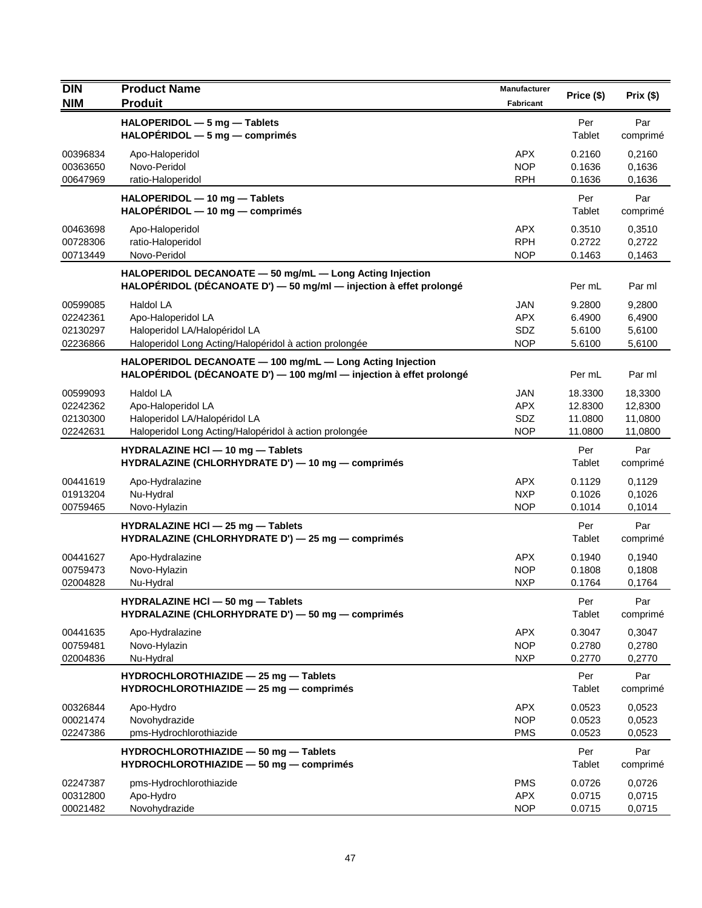| <b>DIN</b><br><b>NIM</b>                     | <b>Product Name</b><br><b>Produit</b>                                                                                            | Manufacturer<br>Fabricant                     | Price (\$)                               | Prix(\$)                                 |
|----------------------------------------------|----------------------------------------------------------------------------------------------------------------------------------|-----------------------------------------------|------------------------------------------|------------------------------------------|
|                                              | HALOPERIDOL - 5 mg - Tablets<br>$HALOPÉRIDOL - 5 mg - comprimés$                                                                 |                                               | Per<br>Tablet                            | Par<br>comprimé                          |
| 00396834<br>00363650<br>00647969             | Apo-Haloperidol<br>Novo-Peridol<br>ratio-Haloperidol                                                                             | <b>APX</b><br><b>NOP</b><br><b>RPH</b>        | 0.2160<br>0.1636<br>0.1636               | 0,2160<br>0,1636<br>0,1636               |
|                                              | HALOPERIDOL - 10 mg - Tablets<br>$HALOPÉRIDOL - 10 mg - comprimés$                                                               |                                               | Per<br>Tablet                            | Par<br>comprimé                          |
| 00463698<br>00728306<br>00713449             | Apo-Haloperidol<br>ratio-Haloperidol<br>Novo-Peridol                                                                             | <b>APX</b><br><b>RPH</b><br><b>NOP</b>        | 0.3510<br>0.2722<br>0.1463               | 0,3510<br>0,2722<br>0,1463               |
|                                              | HALOPERIDOL DECANOATE - 50 mg/mL - Long Acting Injection<br>HALOPÉRIDOL (DÉCANOATE D') - 50 mg/ml - injection à effet prolongé   |                                               | Per mL                                   | Par ml                                   |
| 00599085<br>02242361<br>02130297<br>02236866 | Haldol LA<br>Apo-Haloperidol LA<br>Haloperidol LA/Halopéridol LA<br>Haloperidol Long Acting/Halopéridol à action prolongée       | <b>JAN</b><br><b>APX</b><br>SDZ<br><b>NOP</b> | 9.2800<br>6.4900<br>5.6100<br>5.6100     | 9,2800<br>6,4900<br>5,6100<br>5,6100     |
|                                              | HALOPERIDOL DECANOATE - 100 mg/mL - Long Acting Injection<br>HALOPÉRIDOL (DÉCANOATE D') - 100 mg/ml - injection à effet prolongé |                                               | Per mL                                   | Par ml                                   |
| 00599093<br>02242362<br>02130300<br>02242631 | Haldol LA<br>Apo-Haloperidol LA<br>Haloperidol LA/Halopéridol LA<br>Haloperidol Long Acting/Halopéridol à action prolongée       | <b>JAN</b><br><b>APX</b><br>SDZ<br><b>NOP</b> | 18.3300<br>12.8300<br>11.0800<br>11.0800 | 18,3300<br>12,8300<br>11,0800<br>11,0800 |
|                                              | HYDRALAZINE HCI - 10 mg - Tablets<br>HYDRALAZINE (CHLORHYDRATE D') - 10 mg - comprimés                                           |                                               | Per<br>Tablet                            | Par<br>comprimé                          |
| 00441619<br>01913204<br>00759465             | Apo-Hydralazine<br>Nu-Hydral<br>Novo-Hylazin                                                                                     | <b>APX</b><br><b>NXP</b><br><b>NOP</b>        | 0.1129<br>0.1026<br>0.1014               | 0,1129<br>0,1026<br>0,1014               |
|                                              | HYDRALAZINE HCI - 25 mg - Tablets<br>HYDRALAZINE (CHLORHYDRATE D') - 25 mg - comprimés                                           |                                               | Per<br>Tablet                            | Par<br>comprimé                          |
| 00441627<br>00759473<br>02004828             | Apo-Hydralazine<br>Novo-Hylazin<br>Nu-Hydral                                                                                     | <b>APX</b><br><b>NOP</b><br><b>NXP</b>        | 0.1940<br>0.1808<br>0.1764               | 0,1940<br>0,1808<br>0,1764               |
|                                              | HYDRALAZINE HCI - 50 mg - Tablets<br>HYDRALAZINE (CHLORHYDRATE D') - 50 mg - comprimés                                           |                                               | Per<br>Tablet                            | Par<br>comprimé                          |
| 00441635<br>00759481<br>02004836             | Apo-Hydralazine<br>Novo-Hylazin<br>Nu-Hydral                                                                                     | <b>APX</b><br><b>NOP</b><br><b>NXP</b>        | 0.3047<br>0.2780<br>0.2770               | 0,3047<br>0,2780<br>0,2770               |
|                                              | HYDROCHLOROTHIAZIDE - 25 mg - Tablets<br>HYDROCHLOROTHIAZIDE - 25 mg - comprimés                                                 |                                               | Per<br>Tablet                            | Par<br>comprimé                          |
| 00326844<br>00021474<br>02247386             | Apo-Hydro<br>Novohydrazide<br>pms-Hydrochlorothiazide                                                                            | <b>APX</b><br><b>NOP</b><br><b>PMS</b>        | 0.0523<br>0.0523<br>0.0523               | 0,0523<br>0,0523<br>0,0523               |
|                                              | HYDROCHLOROTHIAZIDE - 50 mg - Tablets<br>HYDROCHLOROTHIAZIDE - 50 mg - comprimés                                                 |                                               | Per<br>Tablet                            | Par<br>comprimé                          |
| 02247387<br>00312800<br>00021482             | pms-Hydrochlorothiazide<br>Apo-Hydro<br>Novohydrazide                                                                            | <b>PMS</b><br><b>APX</b><br><b>NOP</b>        | 0.0726<br>0.0715<br>0.0715               | 0,0726<br>0,0715<br>0,0715               |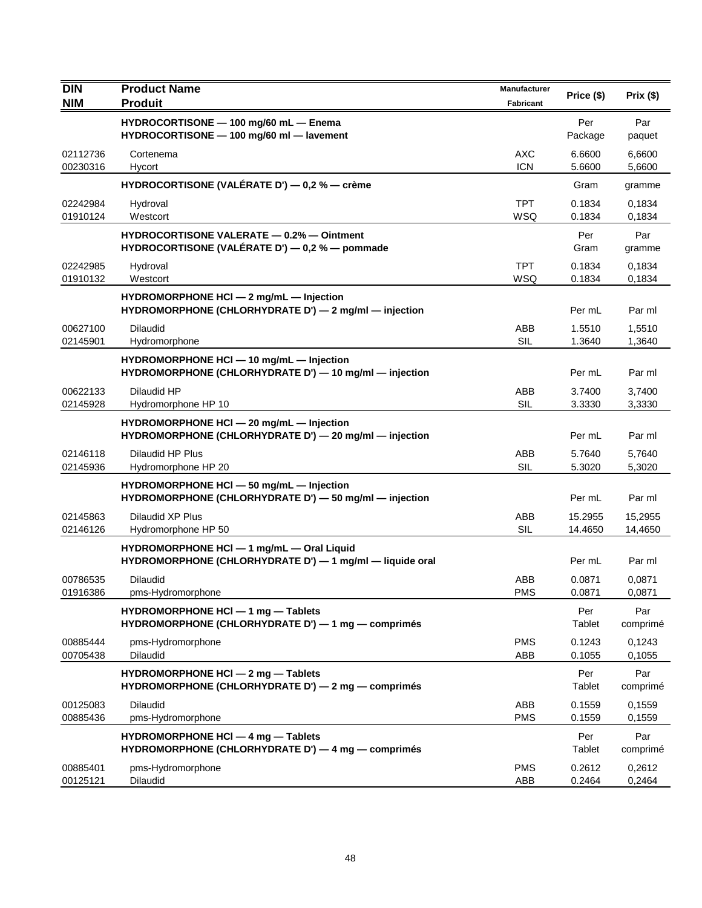| <b>DIN</b><br><b>NIM</b> | <b>Product Name</b><br><b>Produit</b>                                                                 | Manufacturer<br>Fabricant | Price (\$)         | Prix(\$)           |
|--------------------------|-------------------------------------------------------------------------------------------------------|---------------------------|--------------------|--------------------|
|                          | HYDROCORTISONE - 100 mg/60 mL - Enema<br>HYDROCORTISONE - 100 mg/60 ml - lavement                     |                           | Per<br>Package     | Par<br>paquet      |
| 02112736<br>00230316     | Cortenema<br>Hycort                                                                                   | <b>AXC</b><br><b>ICN</b>  | 6.6600<br>5.6600   | 6.6600<br>5,6600   |
|                          | HYDROCORTISONE (VALÉRATE D') — 0,2 % — crème                                                          |                           | Gram               | gramme             |
| 02242984<br>01910124     | Hydroval<br>Westcort                                                                                  | <b>TPT</b><br>WSQ         | 0.1834<br>0.1834   | 0,1834<br>0,1834   |
|                          | <b>HYDROCORTISONE VALERATE - 0.2% - Ointment</b><br>HYDROCORTISONE (VALÉRATE D') — 0,2 % — pommade    |                           | Per<br>Gram        | Par<br>gramme      |
| 02242985<br>01910132     | Hydroval<br>Westcort                                                                                  | <b>TPT</b><br>WSQ         | 0.1834<br>0.1834   | 0,1834<br>0,1834   |
|                          | HYDROMORPHONE HCI - 2 mg/mL - Injection<br>HYDROMORPHONE (CHLORHYDRATE D') - 2 mg/ml - injection      |                           | Per mL             | Par ml             |
| 00627100<br>02145901     | <b>Dilaudid</b><br>Hydromorphone                                                                      | ABB<br><b>SIL</b>         | 1.5510<br>1.3640   | 1,5510<br>1,3640   |
|                          | HYDROMORPHONE HCI - 10 mg/mL - Injection<br>HYDROMORPHONE (CHLORHYDRATE D') - 10 mg/ml - injection    |                           | Per mL             | Par ml             |
| 00622133<br>02145928     | Dilaudid HP<br>Hydromorphone HP 10                                                                    | ABB<br><b>SIL</b>         | 3.7400<br>3.3330   | 3,7400<br>3,3330   |
|                          | HYDROMORPHONE HCI - 20 mg/mL - Injection<br>HYDROMORPHONE (CHLORHYDRATE D') - 20 mg/ml - injection    |                           | Per mL             | Par ml             |
| 02146118<br>02145936     | Dilaudid HP Plus<br>Hydromorphone HP 20                                                               | ABB<br><b>SIL</b>         | 5.7640<br>5.3020   | 5,7640<br>5,3020   |
|                          | HYDROMORPHONE HCI - 50 mg/mL - Injection<br>HYDROMORPHONE (CHLORHYDRATE D') - 50 mg/ml - injection    |                           | Per mL             | Par ml             |
| 02145863<br>02146126     | Dilaudid XP Plus<br>Hydromorphone HP 50                                                               | ABB<br>SIL                | 15.2955<br>14.4650 | 15,2955<br>14,4650 |
|                          | HYDROMORPHONE HCI - 1 mg/mL - Oral Liquid<br>HYDROMORPHONE (CHLORHYDRATE D') - 1 mg/ml - liquide oral |                           | Per mL             | Par ml             |
| 00786535<br>01916386     | Dilaudid<br>pms-Hydromorphone                                                                         | ABB<br><b>PMS</b>         | 0.0871<br>0.0871   | 0,0871<br>0,0871   |
|                          | HYDROMORPHONE HCI $-$ 1 mg $-$ Tablets<br>HYDROMORPHONE (CHLORHYDRATE D') - 1 mg - comprimés          |                           | Per<br>Tablet      | Par<br>comprimé    |
| 00885444<br>00705438     | pms-Hydromorphone<br><b>Dilaudid</b>                                                                  | <b>PMS</b><br>ABB         | 0.1243<br>0.1055   | 0,1243<br>0,1055   |
|                          | HYDROMORPHONE HCI - 2 mg - Tablets<br>HYDROMORPHONE (CHLORHYDRATE D') - 2 mg - comprimés              |                           | Per<br>Tablet      | Par<br>comprimé    |
| 00125083<br>00885436     | Dilaudid<br>pms-Hydromorphone                                                                         | ABB<br><b>PMS</b>         | 0.1559<br>0.1559   | 0,1559<br>0,1559   |
|                          | HYDROMORPHONE HCI - 4 mg - Tablets<br>HYDROMORPHONE (CHLORHYDRATE D') - 4 mg - comprimés              |                           | Per<br>Tablet      | Par<br>comprimé    |
| 00885401<br>00125121     | pms-Hydromorphone<br>Dilaudid                                                                         | <b>PMS</b><br>ABB         | 0.2612<br>0.2464   | 0,2612<br>0,2464   |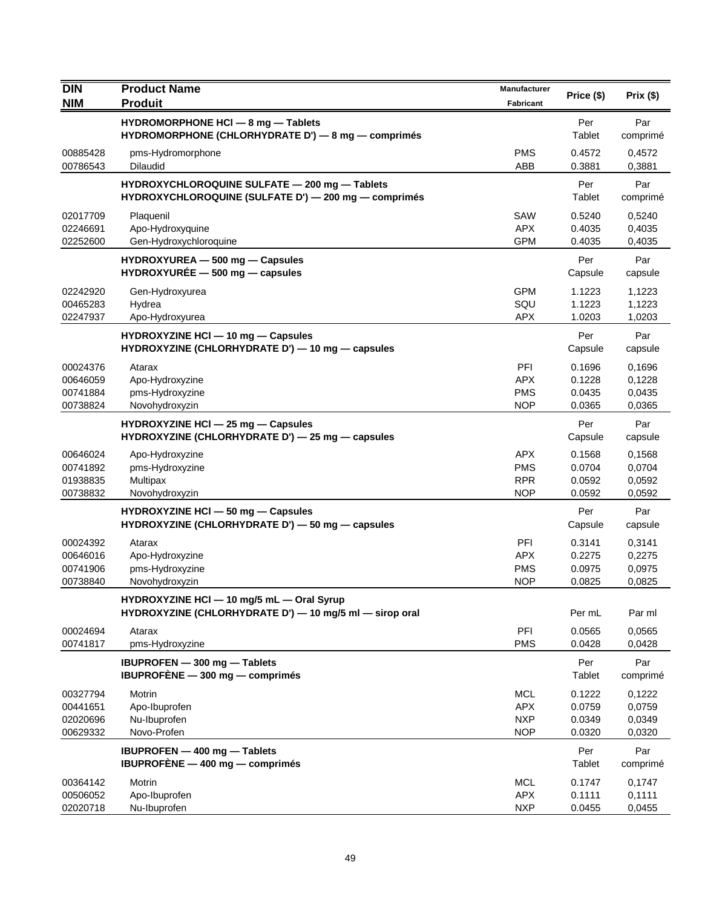| <b>DIN</b><br><b>NIM</b>                     | <b>Product Name</b><br><b>Produit</b>                                                                 | <b>Manufacturer</b><br><b>Fabricant</b>              | Price (\$)                           | Prix(\$)                             |
|----------------------------------------------|-------------------------------------------------------------------------------------------------------|------------------------------------------------------|--------------------------------------|--------------------------------------|
|                                              | HYDROMORPHONE HCI - 8 mg - Tablets<br>HYDROMORPHONE (CHLORHYDRATE D') - 8 mg - comprimés              |                                                      | Per<br>Tablet                        | Par<br>comprimé                      |
| 00885428<br>00786543                         | pms-Hydromorphone<br><b>Dilaudid</b>                                                                  | <b>PMS</b><br>ABB                                    | 0.4572<br>0.3881                     | 0,4572<br>0,3881                     |
|                                              | HYDROXYCHLOROQUINE SULFATE - 200 mg - Tablets<br>HYDROXYCHLOROQUINE (SULFATE D') - 200 mg - comprimés |                                                      | Per<br>Tablet                        | Par<br>comprimé                      |
| 02017709<br>02246691<br>02252600             | Plaquenil<br>Apo-Hydroxyquine<br>Gen-Hydroxychloroquine                                               | SAW<br><b>APX</b><br><b>GPM</b>                      | 0.5240<br>0.4035<br>0.4035           | 0,5240<br>0,4035<br>0,4035           |
|                                              | HYDROXYUREA - 500 mg - Capsules<br>$HYDROXYURÉE - 500 mg - capsules$                                  |                                                      | Per<br>Capsule                       | Par<br>capsule                       |
| 02242920<br>00465283<br>02247937             | Gen-Hydroxyurea<br>Hydrea<br>Apo-Hydroxyurea                                                          | <b>GPM</b><br>SQU<br><b>APX</b>                      | 1.1223<br>1.1223<br>1.0203           | 1,1223<br>1,1223<br>1,0203           |
|                                              | HYDROXYZINE HCI - 10 mg - Capsules<br>HYDROXYZINE (CHLORHYDRATE D') - 10 mg - capsules                |                                                      | Per<br>Capsule                       | Par<br>capsule                       |
| 00024376<br>00646059<br>00741884<br>00738824 | Atarax<br>Apo-Hydroxyzine<br>pms-Hydroxyzine<br>Novohydroxyzin                                        | PFI<br><b>APX</b><br><b>PMS</b><br><b>NOP</b>        | 0.1696<br>0.1228<br>0.0435<br>0.0365 | 0,1696<br>0,1228<br>0,0435<br>0,0365 |
|                                              | HYDROXYZINE HCI - 25 mg - Capsules<br>HYDROXYZINE (CHLORHYDRATE D') - 25 mg - capsules                |                                                      | Per<br>Capsule                       | Par<br>capsule                       |
| 00646024<br>00741892<br>01938835<br>00738832 | Apo-Hydroxyzine<br>pms-Hydroxyzine<br>Multipax<br>Novohydroxyzin                                      | <b>APX</b><br><b>PMS</b><br><b>RPR</b><br><b>NOP</b> | 0.1568<br>0.0704<br>0.0592<br>0.0592 | 0,1568<br>0,0704<br>0,0592<br>0,0592 |
|                                              | HYDROXYZINE HCI - 50 mg - Capsules<br>HYDROXYZINE (CHLORHYDRATE D') - 50 mg - capsules                |                                                      | Per<br>Capsule                       | Par<br>capsule                       |
| 00024392<br>00646016<br>00741906<br>00738840 | Atarax<br>Apo-Hydroxyzine<br>pms-Hydroxyzine<br>Novohydroxyzin                                        | <b>PFI</b><br><b>APX</b><br><b>PMS</b><br><b>NOP</b> | 0.3141<br>0.2275<br>0.0975<br>0.0825 | 0,3141<br>0,2275<br>0,0975<br>0,0825 |
|                                              | HYDROXYZINE HCI - 10 mg/5 mL - Oral Syrup<br>HYDROXYZINE (CHLORHYDRATE D') - 10 mg/5 ml - sirop oral  |                                                      | Per mL                               | Par ml                               |
| 00024694<br>00741817                         | Atarax<br>pms-Hydroxyzine                                                                             | PFI<br><b>PMS</b>                                    | 0.0565<br>0.0428                     | 0,0565<br>0,0428                     |
|                                              | <b>IBUPROFEN</b> - 300 mg - Tablets<br>IBUPROFÈNE $-$ 300 mg $-$ comprimes                            |                                                      | Per<br>Tablet                        | Par<br>comprimé                      |
| 00327794<br>00441651<br>02020696<br>00629332 | Motrin<br>Apo-Ibuprofen<br>Nu-Ibuprofen<br>Novo-Profen                                                | <b>MCL</b><br><b>APX</b><br><b>NXP</b><br><b>NOP</b> | 0.1222<br>0.0759<br>0.0349<br>0.0320 | 0,1222<br>0,0759<br>0,0349<br>0,0320 |
|                                              | <b>IBUPROFEN - 400 mg - Tablets</b><br>IBUPROFÈNE $-$ 400 mg $-$ comprimés                            |                                                      | Per<br>Tablet                        | Par<br>comprimé                      |
| 00364142<br>00506052<br>02020718             | Motrin<br>Apo-Ibuprofen<br>Nu-Ibuprofen                                                               | <b>MCL</b><br><b>APX</b><br><b>NXP</b>               | 0.1747<br>0.1111<br>0.0455           | 0,1747<br>0,1111<br>0,0455           |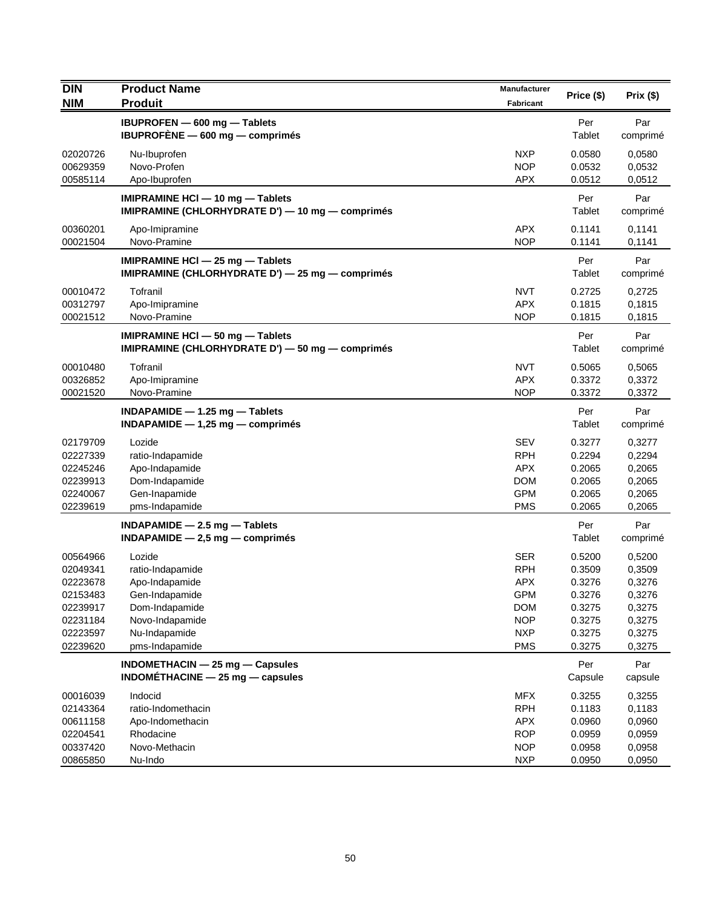| <b>DIN</b>                                                                                   | <b>Product Name</b>                                                                                                                    | Manufacturer                                                                                                 | Price (\$)                                                                   | Prix(\$)                                                                     |
|----------------------------------------------------------------------------------------------|----------------------------------------------------------------------------------------------------------------------------------------|--------------------------------------------------------------------------------------------------------------|------------------------------------------------------------------------------|------------------------------------------------------------------------------|
| <b>NIM</b>                                                                                   | <b>Produit</b>                                                                                                                         | <b>Fabricant</b>                                                                                             |                                                                              |                                                                              |
|                                                                                              | IBUPROFEN - 600 mg - Tablets<br>IBUPROFENE - 600 mg - comprimés                                                                        |                                                                                                              | Per<br>Tablet                                                                | Par<br>comprimé                                                              |
| 02020726<br>00629359<br>00585114                                                             | Nu-Ibuprofen<br>Novo-Profen<br>Apo-Ibuprofen                                                                                           | <b>NXP</b><br><b>NOP</b><br><b>APX</b>                                                                       | 0.0580<br>0.0532<br>0.0512                                                   | 0,0580<br>0,0532<br>0,0512                                                   |
|                                                                                              | IMIPRAMINE HCI - 10 mg - Tablets<br>IMIPRAMINE (CHLORHYDRATE D') - 10 mg - comprimés                                                   |                                                                                                              | Per<br>Tablet                                                                | Par<br>comprimé                                                              |
| 00360201<br>00021504                                                                         | Apo-Imipramine<br>Novo-Pramine                                                                                                         | <b>APX</b><br><b>NOP</b>                                                                                     | 0.1141<br>0.1141                                                             | 0,1141<br>0,1141                                                             |
|                                                                                              | IMIPRAMINE HCI - 25 mg - Tablets<br>IMIPRAMINE (CHLORHYDRATE D') - 25 mg - comprimés                                                   |                                                                                                              | Per<br>Tablet                                                                | Par<br>comprimé                                                              |
| 00010472<br>00312797<br>00021512                                                             | Tofranil<br>Apo-Imipramine<br>Novo-Pramine                                                                                             | <b>NVT</b><br><b>APX</b><br><b>NOP</b>                                                                       | 0.2725<br>0.1815<br>0.1815                                                   | 0,2725<br>0,1815<br>0,1815                                                   |
|                                                                                              | IMIPRAMINE HCI - 50 mg - Tablets<br>IMIPRAMINE (CHLORHYDRATE D') - 50 mg - comprimés                                                   |                                                                                                              | Per<br><b>Tablet</b>                                                         | Par<br>comprimé                                                              |
| 00010480<br>00326852<br>00021520                                                             | Tofranil<br>Apo-Imipramine<br>Novo-Pramine                                                                                             | <b>NVT</b><br><b>APX</b><br><b>NOP</b>                                                                       | 0.5065<br>0.3372<br>0.3372                                                   | 0,5065<br>0,3372<br>0,3372                                                   |
|                                                                                              | INDAPAMIDE $-$ 1.25 mg $-$ Tablets<br>$INDAPAMIDE - 1,25 mg - comprimés$                                                               |                                                                                                              | Per<br>Tablet                                                                | Par<br>comprimé                                                              |
| 02179709<br>02227339<br>02245246<br>02239913<br>02240067<br>02239619                         | Lozide<br>ratio-Indapamide<br>Apo-Indapamide<br>Dom-Indapamide<br>Gen-Inapamide<br>pms-Indapamide                                      | <b>SEV</b><br><b>RPH</b><br><b>APX</b><br><b>DOM</b><br><b>GPM</b><br><b>PMS</b>                             | 0.3277<br>0.2294<br>0.2065<br>0.2065<br>0.2065<br>0.2065                     | 0,3277<br>0,2294<br>0,2065<br>0,2065<br>0,2065<br>0,2065                     |
|                                                                                              | INDAPAMIDE $-2.5$ mg $-$ Tablets<br>$INDAPAMIDE - 2,5 mg - comprimés$                                                                  |                                                                                                              | Per<br>Tablet                                                                | Par<br>comprimé                                                              |
| 00564966<br>02049341<br>02223678<br>02153483<br>02239917<br>02231184<br>02223597<br>02239620 | Lozide<br>ratio-Indapamide<br>Apo-Indapamide<br>Gen-Indapamide<br>Dom-Indapamide<br>Novo-Indapamide<br>Nu-Indapamide<br>pms-Indapamide | <b>SER</b><br><b>RPH</b><br><b>APX</b><br><b>GPM</b><br><b>DOM</b><br><b>NOP</b><br><b>NXP</b><br><b>PMS</b> | 0.5200<br>0.3509<br>0.3276<br>0.3276<br>0.3275<br>0.3275<br>0.3275<br>0.3275 | 0,5200<br>0,3509<br>0,3276<br>0,3276<br>0,3275<br>0,3275<br>0,3275<br>0,3275 |
|                                                                                              | INDOMETHACIN - 25 mg - Capsules<br>$INDOMÉTHACINE - 25 mg - capsules$                                                                  |                                                                                                              | Per<br>Capsule                                                               | Par<br>capsule                                                               |
| 00016039<br>02143364<br>00611158<br>02204541<br>00337420<br>00865850                         | Indocid<br>ratio-Indomethacin<br>Apo-Indomethacin<br>Rhodacine<br>Novo-Methacin<br>Nu-Indo                                             | MFX<br><b>RPH</b><br>APX<br><b>ROP</b><br><b>NOP</b><br><b>NXP</b>                                           | 0.3255<br>0.1183<br>0.0960<br>0.0959<br>0.0958<br>0.0950                     | 0,3255<br>0,1183<br>0,0960<br>0,0959<br>0,0958<br>0,0950                     |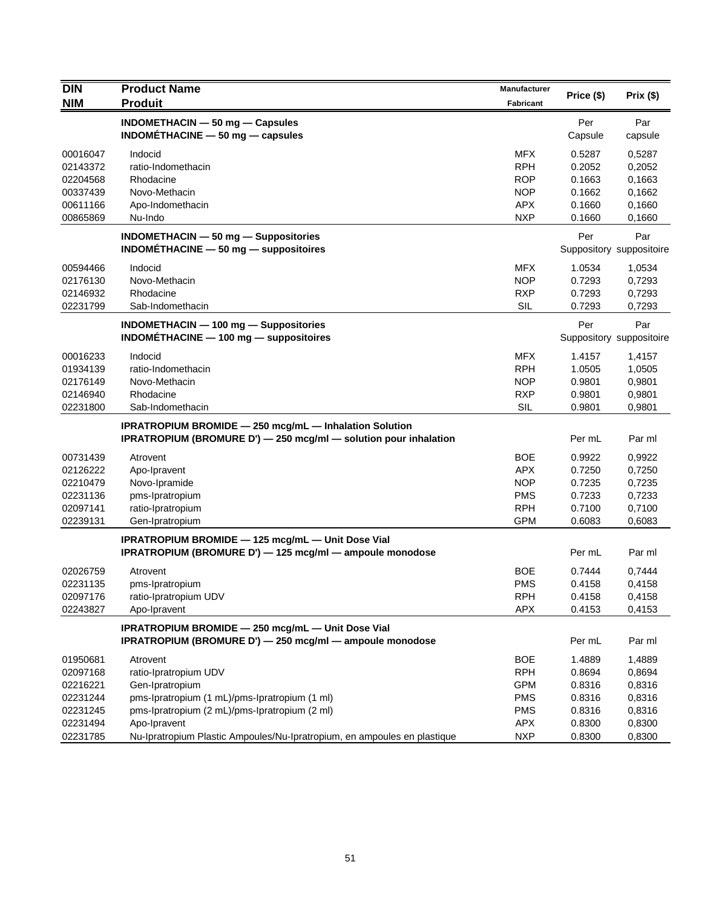| <b>DIN</b>           | <b>Product Name</b>                                                      | Manufacturer             | Price (\$)       | Prix(\$)                 |
|----------------------|--------------------------------------------------------------------------|--------------------------|------------------|--------------------------|
| <b>NIM</b>           | <b>Produit</b>                                                           | Fabricant                |                  |                          |
|                      | INDOMETHACIN - 50 mg - Capsules                                          |                          | Per              | Par                      |
|                      | INDOMETHACINE $-50$ mg $-$ capsules                                      |                          | Capsule          | capsule                  |
| 00016047             | Indocid                                                                  | <b>MFX</b>               | 0.5287           | 0,5287                   |
| 02143372             | ratio-Indomethacin                                                       | <b>RPH</b>               | 0.2052           | 0,2052                   |
| 02204568             | Rhodacine                                                                | <b>ROP</b>               | 0.1663           | 0,1663                   |
| 00337439             | Novo-Methacin                                                            | <b>NOP</b>               | 0.1662           | 0,1662                   |
| 00611166             | Apo-Indomethacin                                                         | <b>APX</b>               | 0.1660           | 0,1660                   |
| 00865869             | Nu-Indo                                                                  | <b>NXP</b>               | 0.1660           | 0,1660                   |
|                      | INDOMETHACIN - 50 mg - Suppositories                                     |                          | Per              | Par                      |
|                      | INDOMÉTHACINE $-50$ mg $-$ suppositoires                                 |                          |                  | Suppository suppositoire |
| 00594466             | Indocid                                                                  | <b>MFX</b>               | 1.0534           | 1,0534                   |
| 02176130             | Novo-Methacin                                                            | <b>NOP</b>               | 0.7293           | 0,7293                   |
| 02146932             | Rhodacine                                                                | <b>RXP</b>               | 0.7293           | 0,7293                   |
| 02231799             | Sab-Indomethacin                                                         | <b>SIL</b>               | 0.7293           | 0,7293                   |
|                      | INDOMETHACIN - 100 mg - Suppositories                                    |                          | Per              | Par                      |
|                      | $INDOMETHACINE - 100 mg - suppositiones$                                 |                          |                  | Suppository suppositoire |
|                      |                                                                          |                          |                  |                          |
| 00016233             | Indocid                                                                  | <b>MFX</b><br><b>RPH</b> | 1.4157           | 1,4157                   |
| 01934139<br>02176149 | ratio-Indomethacin<br>Novo-Methacin                                      | <b>NOP</b>               | 1.0505<br>0.9801 | 1,0505<br>0,9801         |
| 02146940             | Rhodacine                                                                | <b>RXP</b>               | 0.9801           | 0,9801                   |
| 02231800             | Sab-Indomethacin                                                         | SIL                      | 0.9801           | 0,9801                   |
|                      |                                                                          |                          |                  |                          |
|                      | <b>IPRATROPIUM BROMIDE - 250 mcg/mL - Inhalation Solution</b>            |                          | Per mL           |                          |
|                      | IPRATROPIUM (BROMURE D') - 250 mcg/ml - solution pour inhalation         |                          |                  | Par ml                   |
| 00731439             | Atrovent                                                                 | <b>BOE</b>               | 0.9922           | 0,9922                   |
| 02126222             | Apo-Ipravent                                                             | <b>APX</b>               | 0.7250           | 0,7250                   |
| 02210479             | Novo-Ipramide                                                            | <b>NOP</b>               | 0.7235           | 0,7235                   |
| 02231136             | pms-Ipratropium                                                          | <b>PMS</b>               | 0.7233           | 0,7233                   |
| 02097141             | ratio-Ipratropium                                                        | <b>RPH</b>               | 0.7100           | 0,7100                   |
| 02239131             | Gen-Ipratropium                                                          | <b>GPM</b>               | 0.6083           | 0,6083                   |
|                      | IPRATROPIUM BROMIDE - 125 mcg/mL - Unit Dose Vial                        |                          |                  |                          |
|                      | IPRATROPIUM (BROMURE D') - 125 mcg/ml - ampoule monodose                 |                          | Per mL           | Par ml                   |
| 02026759             | Atrovent                                                                 | <b>BOE</b>               | 0.7444           | 0,7444                   |
| 02231135             | pms-Ipratropium                                                          | <b>PMS</b>               | 0.4158           | 0,4158                   |
| 02097176             | ratio-Ipratropium UDV                                                    | <b>RPH</b>               | 0.4158           | 0,4158                   |
| 02243827             | Apo-Ipravent                                                             | <b>APX</b>               | 0.4153           | 0,4153                   |
|                      | IPRATROPIUM BROMIDE - 250 mcg/mL - Unit Dose Vial                        |                          |                  |                          |
|                      | IPRATROPIUM (BROMURE D') - 250 mcg/ml - ampoule monodose                 |                          | Per mL           | Par ml                   |
| 01950681             | Atrovent                                                                 | <b>BOE</b>               | 1.4889           | 1,4889                   |
| 02097168             | ratio-Ipratropium UDV                                                    | <b>RPH</b>               | 0.8694           | 0,8694                   |
| 02216221             | Gen-Ipratropium                                                          | <b>GPM</b>               | 0.8316           | 0,8316                   |
| 02231244             | pms-Ipratropium (1 mL)/pms-Ipratropium (1 ml)                            | <b>PMS</b>               | 0.8316           | 0,8316                   |
| 02231245             | pms-Ipratropium (2 mL)/pms-Ipratropium (2 ml)                            | <b>PMS</b>               | 0.8316           | 0,8316                   |
| 02231494             | Apo-Ipravent                                                             | <b>APX</b>               | 0.8300           | 0,8300                   |
| 02231785             | Nu-Ipratropium Plastic Ampoules/Nu-Ipratropium, en ampoules en plastique | <b>NXP</b>               | 0.8300           | 0,8300                   |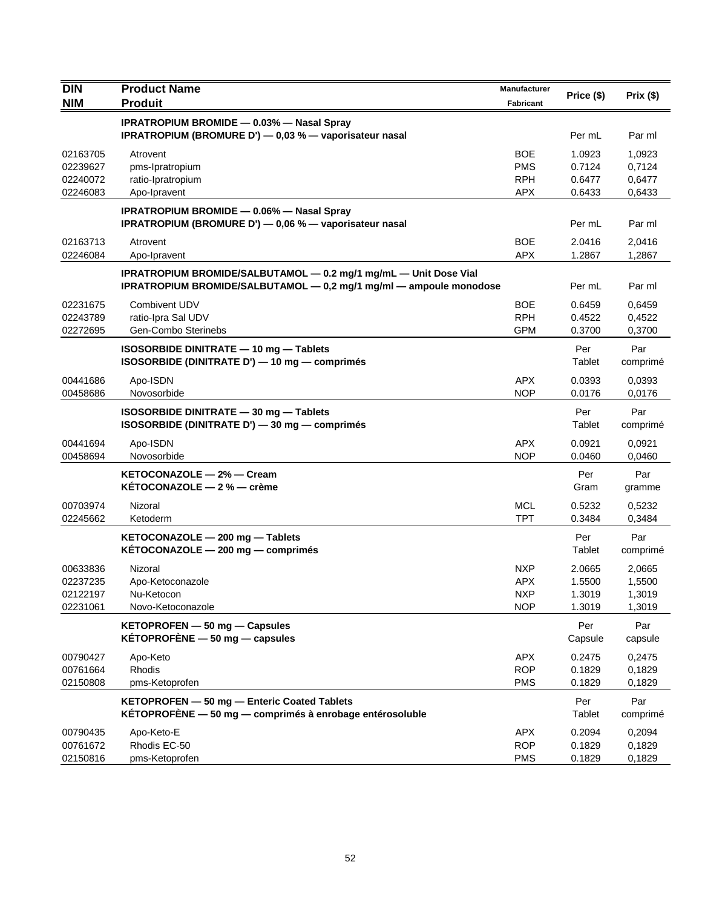| <b>DIN</b>                                   | <b>Product Name</b>                                                                                                                    | Manufacturer                                         | Price (\$)                           | Prix(\$)                             |
|----------------------------------------------|----------------------------------------------------------------------------------------------------------------------------------------|------------------------------------------------------|--------------------------------------|--------------------------------------|
| <b>NIM</b>                                   | <b>Produit</b>                                                                                                                         | <b>Fabricant</b>                                     |                                      |                                      |
|                                              | <b>IPRATROPIUM BROMIDE - 0.03% - Nasal Spray</b><br>IPRATROPIUM (BROMURE D') - 0,03 % - vaporisateur nasal                             |                                                      | Per mL                               | Par ml                               |
| 02163705<br>02239627<br>02240072<br>02246083 | Atrovent<br>pms-Ipratropium<br>ratio-Ipratropium<br>Apo-Ipravent                                                                       | <b>BOE</b><br><b>PMS</b><br><b>RPH</b><br><b>APX</b> | 1.0923<br>0.7124<br>0.6477<br>0.6433 | 1,0923<br>0,7124<br>0,6477<br>0,6433 |
|                                              | <b>IPRATROPIUM BROMIDE - 0.06% - Nasal Spray</b><br>IPRATROPIUM (BROMURE D') — 0,06 % — vaporisateur nasal                             |                                                      | Per mL                               | Par ml                               |
| 02163713<br>02246084                         | Atrovent<br>Apo-Ipravent                                                                                                               | <b>BOE</b><br><b>APX</b>                             | 2.0416<br>1.2867                     | 2,0416<br>1,2867                     |
|                                              | IPRATROPIUM BROMIDE/SALBUTAMOL - 0.2 mg/1 mg/mL - Unit Dose Vial<br>IPRATROPIUM BROMIDE/SALBUTAMOL - 0,2 mg/1 mg/ml - ampoule monodose |                                                      | Per mL                               | Par ml                               |
| 02231675<br>02243789<br>02272695             | Combivent UDV<br>ratio-Ipra Sal UDV<br>Gen-Combo Sterinebs                                                                             | <b>BOE</b><br><b>RPH</b><br><b>GPM</b>               | 0.6459<br>0.4522<br>0.3700           | 0,6459<br>0,4522<br>0,3700           |
|                                              | ISOSORBIDE DINITRATE - 10 mg - Tablets<br>ISOSORBIDE (DINITRATE D') - 10 mg - comprimés                                                |                                                      | Per<br><b>Tablet</b>                 | Par<br>comprimé                      |
| 00441686<br>00458686                         | Apo-ISDN<br>Novosorbide                                                                                                                | <b>APX</b><br><b>NOP</b>                             | 0.0393<br>0.0176                     | 0,0393<br>0,0176                     |
|                                              | ISOSORBIDE DINITRATE - 30 mg - Tablets<br>ISOSORBIDE (DINITRATE D') - 30 mg - comprimés                                                |                                                      | Per<br>Tablet                        | Par<br>comprimé                      |
| 00441694<br>00458694                         | Apo-ISDN<br>Novosorbide                                                                                                                | <b>APX</b><br><b>NOP</b>                             | 0.0921<br>0.0460                     | 0,0921<br>0,0460                     |
|                                              | KETOCONAZOLE - 2% - Cream<br>KETOCONAZOLE $-2$ % $-$ crème                                                                             |                                                      | Per<br>Gram                          | Par<br>gramme                        |
| 00703974<br>02245662                         | Nizoral<br>Ketoderm                                                                                                                    | <b>MCL</b><br><b>TPT</b>                             | 0.5232<br>0.3484                     | 0,5232<br>0,3484                     |
|                                              | KETOCONAZOLE - 200 mg - Tablets<br>KETOCONAZOLE - 200 mg - comprimés                                                                   |                                                      | Per<br>Tablet                        | Par<br>comprimé                      |
| 00633836<br>02237235<br>02122197<br>02231061 | Nizoral<br>Apo-Ketoconazole<br>Nu-Ketocon<br>Novo-Ketoconazole                                                                         | <b>NXP</b><br><b>APX</b><br><b>NXP</b><br><b>NOP</b> | 2.0665<br>1.5500<br>1.3019<br>1.3019 | 2,0665<br>1,5500<br>1,3019<br>1,3019 |
|                                              | KETOPROFEN - 50 mg - Capsules<br>KÉTOPROFÈNE $-50$ mg $-$ capsules                                                                     |                                                      | Per<br>Capsule                       | Par<br>capsule                       |
| 00790427<br>00761664<br>02150808             | Apo-Keto<br>Rhodis<br>pms-Ketoprofen                                                                                                   | <b>APX</b><br><b>ROP</b><br><b>PMS</b>               | 0.2475<br>0.1829<br>0.1829           | 0,2475<br>0,1829<br>0,1829           |
|                                              | KETOPROFEN - 50 mg - Enteric Coated Tablets<br>KÉTOPROFÈNE - 50 mg - comprimés à enrobage entérosoluble                                |                                                      | Per<br>Tablet                        | Par<br>comprimé                      |
| 00790435<br>00761672<br>02150816             | Apo-Keto-E<br>Rhodis EC-50<br>pms-Ketoprofen                                                                                           | <b>APX</b><br><b>ROP</b><br><b>PMS</b>               | 0.2094<br>0.1829<br>0.1829           | 0,2094<br>0,1829<br>0,1829           |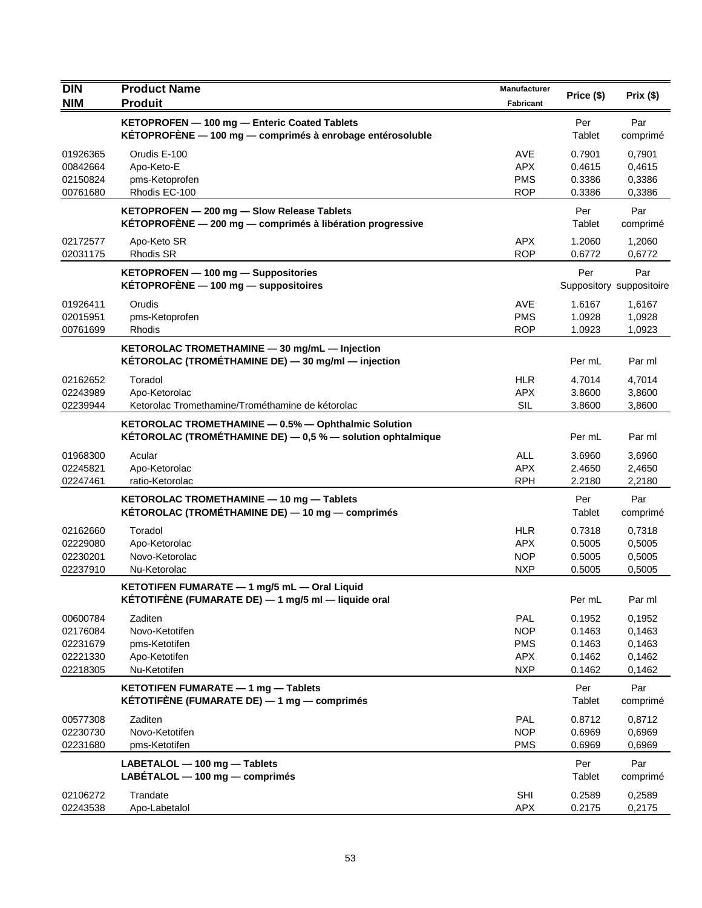| <b>DIN</b>           | <b>Product Name</b>                                                                                                  | Manufacturer             | Price (\$)       |                                 |
|----------------------|----------------------------------------------------------------------------------------------------------------------|--------------------------|------------------|---------------------------------|
| <b>NIM</b>           | <b>Produit</b>                                                                                                       | Fabricant                |                  | Prix(\$)                        |
|                      | KETOPROFEN - 100 mg - Enteric Coated Tablets                                                                         |                          | Per              | Par                             |
|                      | KÉTOPROFÈNE - 100 mg - comprimés à enrobage entérosoluble                                                            |                          | Tablet           | comprimé                        |
| 01926365             | Orudis E-100                                                                                                         | AVE                      | 0.7901           | 0,7901                          |
| 00842664             | Apo-Keto-E                                                                                                           | <b>APX</b>               | 0.4615           | 0,4615                          |
| 02150824<br>00761680 | pms-Ketoprofen<br>Rhodis EC-100                                                                                      | <b>PMS</b><br><b>ROP</b> | 0.3386<br>0.3386 | 0,3386<br>0,3386                |
|                      | KETOPROFEN - 200 mg - Slow Release Tablets<br>KÉTOPROFÈNE $-$ 200 mg $-$ comprimés à libération progressive          |                          | Per<br>Tablet    | Par<br>comprimé                 |
| 02172577<br>02031175 | Apo-Keto SR<br><b>Rhodis SR</b>                                                                                      | <b>APX</b><br><b>ROP</b> | 1.2060<br>0.6772 | 1,2060<br>0,6772                |
|                      | KETOPROFEN - 100 mg - Suppositories<br>$KETOPROFENE - 100 mg - suppositiones$                                        |                          | Per              | Par<br>Suppository suppositoire |
| 01926411             | Orudis                                                                                                               | AVE                      | 1.6167           | 1,6167                          |
| 02015951             | pms-Ketoprofen                                                                                                       | <b>PMS</b>               | 1.0928           | 1,0928                          |
| 00761699             | Rhodis                                                                                                               | <b>ROP</b>               | 1.0923           | 1,0923                          |
|                      | KETOROLAC TROMETHAMINE - 30 mg/mL - Injection<br>KÉTOROLAC (TROMÉTHAMINE DE) - 30 mg/ml - injection                  |                          | Per mL           | Par ml                          |
| 02162652             | Toradol                                                                                                              | <b>HLR</b>               | 4.7014           | 4,7014                          |
| 02243989             | Apo-Ketorolac                                                                                                        | <b>APX</b>               | 3.8600           | 3,8600                          |
| 02239944             | Ketorolac Tromethamine/Trométhamine de kétorolac                                                                     | SIL                      | 3.8600           | 3,8600                          |
|                      | KETOROLAC TROMETHAMINE - 0.5% - Ophthalmic Solution<br>KÉTOROLAC (TROMÉTHAMINE DE) $-0.5$ % $-$ solution ophtalmique |                          | Per mL           | Par ml                          |
| 01968300             | Acular                                                                                                               | <b>ALL</b>               | 3.6960           | 3,6960                          |
| 02245821             | Apo-Ketorolac                                                                                                        | <b>APX</b>               | 2.4650           | 2,4650                          |
| 02247461             | ratio-Ketorolac                                                                                                      | <b>RPH</b>               | 2.2180           | 2,2180                          |
|                      | KETOROLAC TROMETHAMINE - 10 mg - Tablets                                                                             |                          | Per              | Par                             |
|                      | KÉTOROLAC (TROMÉTHAMINE DE) - 10 mg - comprimés                                                                      |                          | Tablet           | comprimé                        |
| 02162660             | Toradol                                                                                                              | <b>HLR</b>               | 0.7318           | 0,7318                          |
| 02229080             | Apo-Ketorolac                                                                                                        | <b>APX</b>               | 0.5005           | 0,5005                          |
| 02230201             | Novo-Ketorolac                                                                                                       | <b>NOP</b>               | 0.5005           | 0,5005                          |
| 02237910             | Nu-Ketorolac                                                                                                         | <b>NXP</b>               | 0.5005           | 0,5005                          |
|                      | KETOTIFEN FUMARATE - 1 mg/5 mL - Oral Liquid<br>KÉTOTIFÈNE (FUMARATE DE) $-$ 1 mg/5 ml $-$ liquide oral              |                          | Per mL           | Par ml                          |
| 00600784             | Zaditen                                                                                                              | <b>PAL</b>               | 0.1952           | 0,1952                          |
| 02176084             | Novo-Ketotifen                                                                                                       | <b>NOP</b>               | 0.1463           | 0,1463                          |
| 02231679             | pms-Ketotifen                                                                                                        | <b>PMS</b>               | 0.1463           | 0,1463                          |
| 02221330             | Apo-Ketotifen                                                                                                        | <b>APX</b>               | 0.1462           | 0,1462                          |
| 02218305             | Nu-Ketotifen                                                                                                         | <b>NXP</b>               | 0.1462           | 0,1462                          |
|                      | KETOTIFEN FUMARATE - 1 mg - Tablets<br>KÉTOTIFÈNE (FUMARATE DE) $-$ 1 mg $-$ comprimés                               |                          | Per<br>Tablet    | Par<br>comprimé                 |
| 00577308             | Zaditen                                                                                                              | <b>PAL</b>               | 0.8712           | 0,8712                          |
| 02230730             | Novo-Ketotifen                                                                                                       | <b>NOP</b>               | 0.6969           | 0,6969                          |
| 02231680             | pms-Ketotifen                                                                                                        | <b>PMS</b>               | 0.6969           | 0,6969                          |
|                      | LABETALOL - 100 mg - Tablets<br>LABÉTALOL - 100 mg - comprimés                                                       |                          | Per<br>Tablet    | Par<br>comprimé                 |
| 02106272<br>02243538 | Trandate<br>Apo-Labetalol                                                                                            | <b>SHI</b><br>APX        | 0.2589<br>0.2175 | 0,2589<br>0,2175                |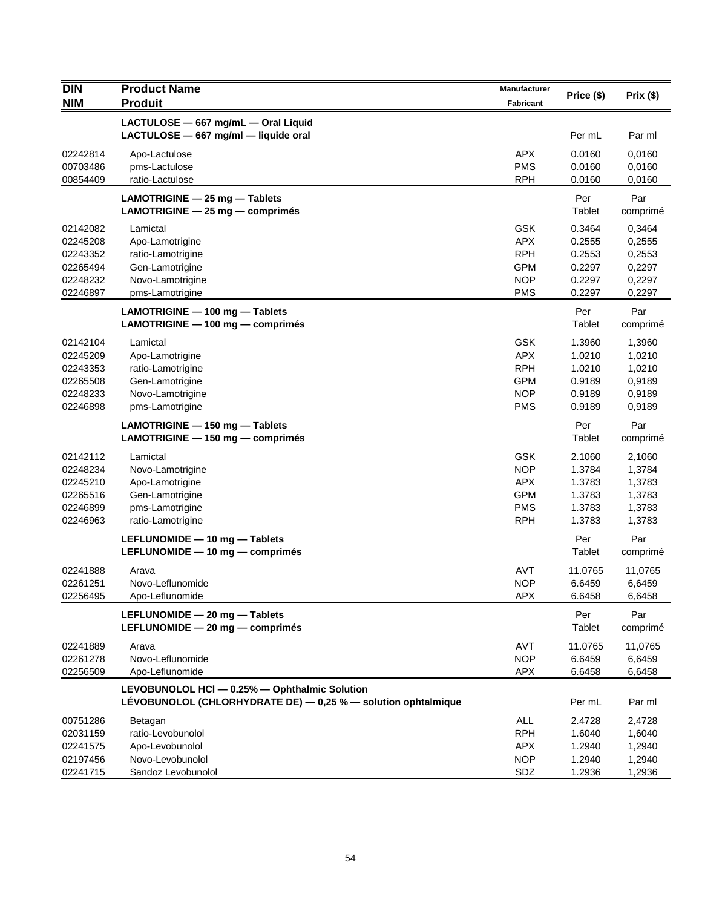| <b>DIN</b><br><b>NIM</b> | <b>Product Name</b><br><b>Produit</b>                         | Manufacturer<br><b>Fabricant</b> | Price (\$) | Prix(\$) |
|--------------------------|---------------------------------------------------------------|----------------------------------|------------|----------|
|                          | LACTULOSE - 667 mg/mL - Oral Liquid                           |                                  |            |          |
|                          | LACTULOSE - 667 mg/ml - liquide oral                          |                                  | Per mL     | Par ml   |
| 02242814                 | Apo-Lactulose                                                 | <b>APX</b>                       | 0.0160     | 0,0160   |
| 00703486                 | pms-Lactulose                                                 | <b>PMS</b>                       | 0.0160     | 0,0160   |
| 00854409                 | ratio-Lactulose                                               | <b>RPH</b>                       | 0.0160     | 0,0160   |
|                          | LAMOTRIGINE - 25 mg - Tablets                                 |                                  | Per        | Par      |
|                          | LAMOTRIGINE - 25 mg - comprimés                               |                                  | Tablet     | comprimé |
| 02142082                 | Lamictal                                                      | <b>GSK</b>                       | 0.3464     | 0,3464   |
| 02245208                 | Apo-Lamotrigine                                               | APX                              | 0.2555     | 0,2555   |
| 02243352                 | ratio-Lamotrigine                                             | <b>RPH</b>                       | 0.2553     | 0,2553   |
| 02265494                 | Gen-Lamotrigine                                               | <b>GPM</b>                       | 0.2297     | 0,2297   |
| 02248232                 | Novo-Lamotrigine                                              | <b>NOP</b>                       | 0.2297     | 0,2297   |
| 02246897                 | pms-Lamotrigine                                               | <b>PMS</b>                       | 0.2297     | 0,2297   |
|                          | LAMOTRIGINE - 100 mg - Tablets                                |                                  | Per        | Par      |
|                          | LAMOTRIGINE - 100 mg - comprimés                              |                                  | Tablet     | comprimé |
| 02142104                 | Lamictal                                                      | <b>GSK</b>                       | 1.3960     | 1,3960   |
| 02245209                 | Apo-Lamotrigine                                               | <b>APX</b>                       | 1.0210     | 1,0210   |
| 02243353                 | ratio-Lamotrigine                                             | <b>RPH</b>                       | 1.0210     | 1,0210   |
| 02265508                 | Gen-Lamotrigine                                               | <b>GPM</b>                       | 0.9189     | 0,9189   |
| 02248233                 | Novo-Lamotrigine                                              | <b>NOP</b>                       | 0.9189     | 0,9189   |
| 02246898                 | pms-Lamotrigine                                               | <b>PMS</b>                       | 0.9189     | 0,9189   |
|                          | LAMOTRIGINE - 150 mg - Tablets                                |                                  | Per        | Par      |
|                          | $LAMOTRIGINE - 150 mg - comprimés$                            |                                  | Tablet     | comprimé |
| 02142112                 | Lamictal                                                      | <b>GSK</b>                       | 2.1060     | 2,1060   |
| 02248234                 | Novo-Lamotrigine                                              | <b>NOP</b>                       | 1.3784     | 1,3784   |
| 02245210                 | Apo-Lamotrigine                                               | <b>APX</b>                       | 1.3783     | 1,3783   |
| 02265516                 | Gen-Lamotrigine                                               | <b>GPM</b>                       | 1.3783     | 1,3783   |
| 02246899                 | pms-Lamotrigine                                               | <b>PMS</b>                       | 1.3783     | 1,3783   |
| 02246963                 | ratio-Lamotrigine                                             | <b>RPH</b>                       | 1.3783     | 1,3783   |
|                          | LEFLUNOMIDE - 10 mg - Tablets                                 |                                  | Per        | Par      |
|                          | LEFLUNOMIDE - 10 mg - comprimés                               |                                  | Tablet     | comprimé |
| 02241888                 | Arava                                                         | <b>AVT</b>                       | 11.0765    | 11,0765  |
| 02261251                 | Novo-Leflunomide                                              | <b>NOP</b>                       | 6.6459     | 6,6459   |
| 02256495                 | Apo-Leflunomide                                               | <b>APX</b>                       | 6.6458     | 6,6458   |
|                          | LEFLUNOMIDE - 20 mg - Tablets                                 |                                  | Per        | Par      |
|                          | LEFLUNOMIDE - 20 mg - comprimés                               |                                  | Tablet     | comprimé |
| 02241889                 | Arava                                                         | AVT                              | 11.0765    | 11,0765  |
| 02261278                 | Novo-Leflunomide                                              | <b>NOP</b>                       | 6.6459     | 6,6459   |
| 02256509                 | Apo-Leflunomide                                               | <b>APX</b>                       | 6.6458     | 6,6458   |
|                          | LEVOBUNOLOL HCI - 0.25% - Ophthalmic Solution                 |                                  |            |          |
|                          | LÉVOBUNOLOL (CHLORHYDRATE DE) - 0,25 % - solution ophtalmique |                                  | Per mL     | Par ml   |
| 00751286                 | Betagan                                                       | ALL                              | 2.4728     | 2,4728   |
| 02031159                 | ratio-Levobunolol                                             | <b>RPH</b>                       | 1.6040     | 1,6040   |
| 02241575                 | Apo-Levobunolol                                               | <b>APX</b>                       | 1.2940     | 1,2940   |
| 02197456                 | Novo-Levobunolol                                              | <b>NOP</b>                       | 1.2940     | 1,2940   |
| 02241715                 | Sandoz Levobunolol                                            | SDZ                              | 1.2936     | 1,2936   |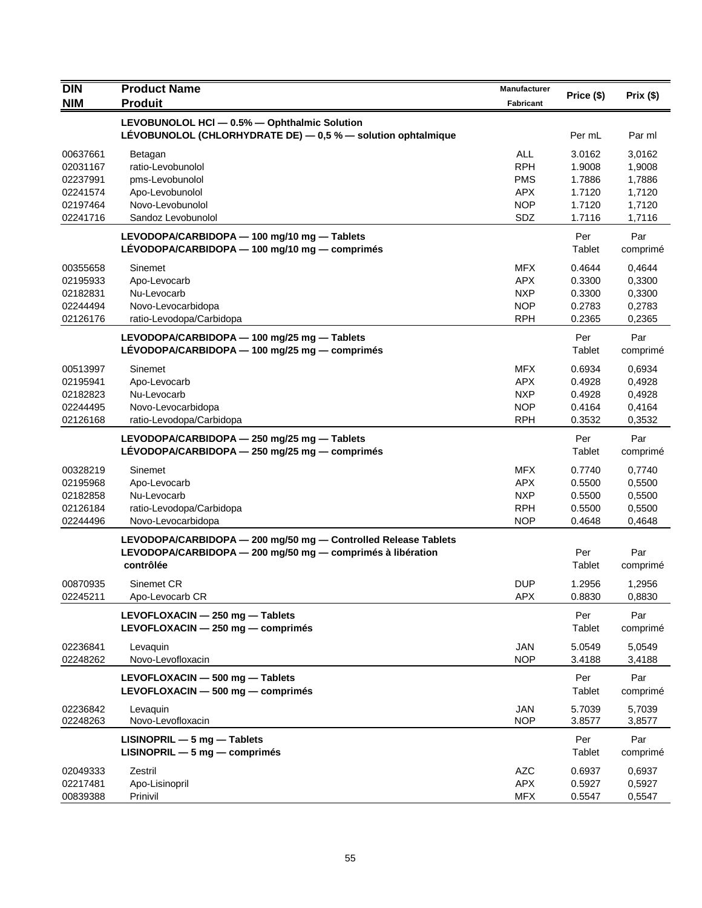| <b>DIN</b> | <b>Product Name</b>                                            | <b>Manufacturer</b> |            |          |
|------------|----------------------------------------------------------------|---------------------|------------|----------|
| <b>NIM</b> | <b>Produit</b>                                                 | <b>Fabricant</b>    | Price (\$) | Prix(\$) |
|            | LEVOBUNOLOL HCI - 0.5% - Ophthalmic Solution                   |                     |            |          |
|            | LEVOBUNOLOL (CHLORHYDRATE DE) - 0,5 % - solution ophtalmique   |                     | Per mL     | Par ml   |
| 00637661   | Betagan                                                        | <b>ALL</b>          | 3.0162     | 3,0162   |
| 02031167   | ratio-Levobunolol                                              | <b>RPH</b>          | 1.9008     | 1,9008   |
| 02237991   | pms-Levobunolol                                                | <b>PMS</b>          | 1.7886     | 1,7886   |
| 02241574   | Apo-Levobunolol                                                | <b>APX</b>          | 1.7120     | 1,7120   |
| 02197464   | Novo-Levobunolol                                               | <b>NOP</b>          | 1.7120     | 1,7120   |
| 02241716   | Sandoz Levobunolol                                             | SDZ                 | 1.7116     | 1,7116   |
|            | LEVODOPA/CARBIDOPA - 100 mg/10 mg - Tablets                    |                     | Per        | Par      |
|            | LÉVODOPA/CARBIDOPA - 100 mg/10 mg - comprimés                  |                     | Tablet     | comprimé |
| 00355658   | Sinemet                                                        | <b>MFX</b>          | 0.4644     | 0,4644   |
| 02195933   | Apo-Levocarb                                                   | <b>APX</b>          | 0.3300     | 0,3300   |
| 02182831   | Nu-Levocarb                                                    | <b>NXP</b>          | 0.3300     | 0,3300   |
| 02244494   | Novo-Levocarbidopa                                             | <b>NOP</b>          | 0.2783     | 0,2783   |
| 02126176   | ratio-Levodopa/Carbidopa                                       | <b>RPH</b>          | 0.2365     | 0,2365   |
|            | LEVODOPA/CARBIDOPA - 100 mg/25 mg - Tablets                    |                     | Per        | Par      |
|            | LÉVODOPA/CARBIDOPA - 100 mg/25 mg - comprimés                  |                     | Tablet     | comprimé |
| 00513997   | Sinemet                                                        | <b>MFX</b>          | 0.6934     | 0,6934   |
| 02195941   | Apo-Levocarb                                                   | <b>APX</b>          | 0.4928     | 0,4928   |
| 02182823   | Nu-Levocarb                                                    | <b>NXP</b>          | 0.4928     | 0,4928   |
| 02244495   | Novo-Levocarbidopa                                             | <b>NOP</b>          | 0.4164     | 0,4164   |
| 02126168   | ratio-Levodopa/Carbidopa                                       | <b>RPH</b>          | 0.3532     | 0,3532   |
|            | LEVODOPA/CARBIDOPA - 250 mg/25 mg - Tablets                    |                     | Per        | Par      |
|            | LÉVODOPA/CARBIDOPA - 250 mg/25 mg - comprimés                  |                     | Tablet     | comprimé |
| 00328219   | Sinemet                                                        | <b>MFX</b>          | 0.7740     | 0,7740   |
| 02195968   | Apo-Levocarb                                                   | <b>APX</b>          | 0.5500     | 0,5500   |
| 02182858   | Nu-Levocarb                                                    | <b>NXP</b>          | 0.5500     | 0,5500   |
| 02126184   | ratio-Levodopa/Carbidopa                                       | <b>RPH</b>          | 0.5500     | 0,5500   |
| 02244496   | Novo-Levocarbidopa                                             | <b>NOP</b>          | 0.4648     | 0,4648   |
|            | LEVODOPA/CARBIDOPA - 200 mg/50 mg - Controlled Release Tablets |                     |            |          |
|            | LEVODOPA/CARBIDOPA - 200 mg/50 mg - comprimés à libération     |                     | Per        | Par      |
|            | contrôlée                                                      |                     | Tablet     | comprimé |
| 00870935   | Sinemet CR                                                     | <b>DUP</b>          | 1.2956     | 1,2956   |
| 02245211   | Apo-Levocarb CR                                                | <b>APX</b>          | 0.8830     | 0,8830   |
|            | LEVOFLOXACIN - 250 mg - Tablets                                |                     | Per        | Par      |
|            | LEVOFLOXACIN - 250 mg - comprimés                              |                     | Tablet     | comprimé |
| 02236841   | Levaquin                                                       | <b>JAN</b>          | 5.0549     | 5,0549   |
| 02248262   | Novo-Levofloxacin                                              | <b>NOP</b>          | 3.4188     | 3,4188   |
|            | LEVOFLOXACIN - 500 mg - Tablets                                |                     | Per        | Par      |
|            | LEVOFLOXACIN $-$ 500 mg $-$ comprimes                          |                     | Tablet     | comprimé |
| 02236842   | Levaquin                                                       | <b>JAN</b>          | 5.7039     | 5,7039   |
| 02248263   | Novo-Levofloxacin                                              | <b>NOP</b>          | 3.8577     | 3,8577   |
|            | $LISINOPRIL - 5 mg - Tables$                                   |                     | Per        | Par      |
|            | $LISINOPRIL - 5 mg - comprimés$                                |                     | Tablet     | comprimé |
| 02049333   | Zestril                                                        | <b>AZC</b>          | 0.6937     | 0,6937   |
| 02217481   | Apo-Lisinopril                                                 | <b>APX</b>          | 0.5927     | 0,5927   |
| 00839388   | Prinivil                                                       | <b>MFX</b>          | 0.5547     | 0,5547   |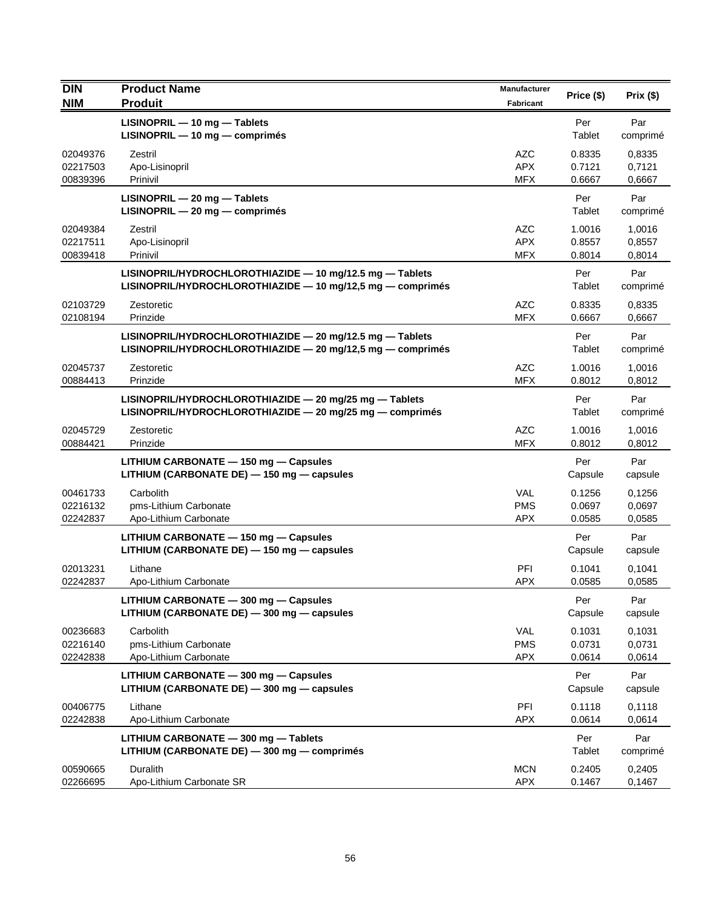| DIN                              | <b>Product Name</b>                                                                                                    | Manufacturer                           | Price (\$)                 | Prix(\$)                   |
|----------------------------------|------------------------------------------------------------------------------------------------------------------------|----------------------------------------|----------------------------|----------------------------|
| <b>NIM</b>                       | <b>Produit</b>                                                                                                         | <b>Fabricant</b>                       |                            |                            |
|                                  | LISINOPRIL - 10 mg - Tablets<br>LISINOPRIL - 10 mg - comprimés                                                         |                                        | Per<br>Tablet              | Par<br>comprimé            |
| 02049376<br>02217503<br>00839396 | Zestril<br>Apo-Lisinopril<br>Prinivil                                                                                  | <b>AZC</b><br><b>APX</b><br><b>MFX</b> | 0.8335<br>0.7121<br>0.6667 | 0,8335<br>0,7121<br>0,6667 |
|                                  | LISINOPRIL - 20 mg - Tablets<br>LISINOPRIL - 20 mg - comprimés                                                         |                                        | Per<br>Tablet              | Par<br>comprimé            |
| 02049384<br>02217511<br>00839418 | Zestril<br>Apo-Lisinopril<br>Prinivil                                                                                  | <b>AZC</b><br><b>APX</b><br><b>MFX</b> | 1.0016<br>0.8557<br>0.8014 | 1,0016<br>0,8557<br>0,8014 |
|                                  | LISINOPRIL/HYDROCHLOROTHIAZIDE - 10 mg/12.5 mg - Tablets<br>LISINOPRIL/HYDROCHLOROTHIAZIDE - 10 mg/12,5 mg - comprimés |                                        | Per<br>Tablet              | Par<br>comprimé            |
| 02103729<br>02108194             | Zestoretic<br>Prinzide                                                                                                 | <b>AZC</b><br><b>MFX</b>               | 0.8335<br>0.6667           | 0,8335<br>0,6667           |
|                                  | LISINOPRIL/HYDROCHLOROTHIAZIDE - 20 mg/12.5 mg - Tablets<br>LISINOPRIL/HYDROCHLOROTHIAZIDE - 20 mg/12,5 mg - comprimés |                                        | Per<br>Tablet              | Par<br>comprimé            |
| 02045737<br>00884413             | Zestoretic<br>Prinzide                                                                                                 | <b>AZC</b><br><b>MFX</b>               | 1.0016<br>0.8012           | 1,0016<br>0,8012           |
|                                  | LISINOPRIL/HYDROCHLOROTHIAZIDE - 20 mg/25 mg - Tablets<br>LISINOPRIL/HYDROCHLOROTHIAZIDE - 20 mg/25 mg - comprimés     |                                        | Per<br>Tablet              | Par<br>comprimé            |
| 02045729<br>00884421             | Zestoretic<br>Prinzide                                                                                                 | <b>AZC</b><br><b>MFX</b>               | 1.0016<br>0.8012           | 1,0016<br>0,8012           |
|                                  | LITHIUM CARBONATE - 150 mg - Capsules<br>LITHIUM (CARBONATE DE) - 150 mg - capsules                                    |                                        | Per<br>Capsule             | Par<br>capsule             |
| 00461733<br>02216132<br>02242837 | Carbolith<br>pms-Lithium Carbonate<br>Apo-Lithium Carbonate                                                            | <b>VAL</b><br><b>PMS</b><br><b>APX</b> | 0.1256<br>0.0697<br>0.0585 | 0,1256<br>0,0697<br>0,0585 |
|                                  | LITHIUM CARBONATE - 150 mg - Capsules<br>LITHIUM (CARBONATE DE) - 150 mg - capsules                                    |                                        | Per<br>Capsule             | Par<br>capsule             |
| 02013231<br>02242837             | Lithane<br>Apo-Lithium Carbonate                                                                                       | PFI<br><b>APX</b>                      | 0.1041<br>0.0585           | 0,1041<br>0,0585           |
|                                  | LITHIUM CARBONATE - 300 mg - Capsules<br>LITHIUM (CARBONATE DE) - 300 mg - capsules                                    |                                        | Per<br>Capsule             | Par<br>capsule             |
| 00236683<br>02216140<br>02242838 | Carbolith<br>pms-Lithium Carbonate<br>Apo-Lithium Carbonate                                                            | VAL<br><b>PMS</b><br><b>APX</b>        | 0.1031<br>0.0731<br>0.0614 | 0,1031<br>0,0731<br>0,0614 |
|                                  | LITHIUM CARBONATE - 300 mg - Capsules<br>LITHIUM (CARBONATE DE) - 300 mg - capsules                                    |                                        | Per<br>Capsule             | Par<br>capsule             |
| 00406775<br>02242838             | Lithane<br>Apo-Lithium Carbonate                                                                                       | PFI<br><b>APX</b>                      | 0.1118<br>0.0614           | 0,1118<br>0,0614           |
|                                  | LITHIUM CARBONATE - 300 mg - Tablets<br>LITHIUM (CARBONATE DE) - 300 mg - comprimés                                    |                                        | Per<br>Tablet              | Par<br>comprimé            |
| 00590665<br>02266695             | Duralith<br>Apo-Lithium Carbonate SR                                                                                   | <b>MCN</b><br><b>APX</b>               | 0.2405<br>0.1467           | 0,2405<br>0,1467           |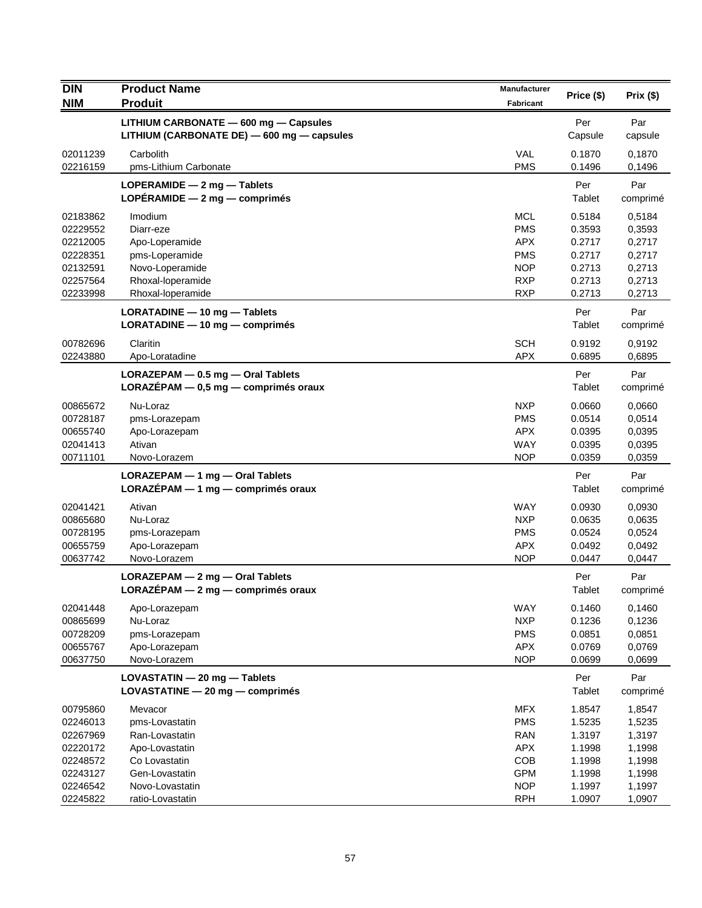| <b>DIN</b> | <b>Product Name</b>                        | Manufacturer | Price (\$) | Prix(\$) |
|------------|--------------------------------------------|--------------|------------|----------|
| <b>NIM</b> | <b>Produit</b>                             | Fabricant    |            |          |
|            | LITHIUM CARBONATE - 600 mg - Capsules      |              | Per        | Par      |
|            | LITHIUM (CARBONATE DE) - 600 mg - capsules |              | Capsule    | capsule  |
| 02011239   | Carbolith                                  | <b>VAL</b>   | 0.1870     | 0,1870   |
| 02216159   | pms-Lithium Carbonate                      | <b>PMS</b>   | 0.1496     | 0,1496   |
|            | LOPERAMIDE $-2$ mg $-$ Tablets             |              | Per        | Par      |
|            | LOPÉRAMIDE $-2$ mg $-$ comprimes           |              | Tablet     | comprimé |
| 02183862   | Imodium                                    | <b>MCL</b>   | 0.5184     | 0,5184   |
| 02229552   | Diarr-eze                                  | <b>PMS</b>   | 0.3593     | 0,3593   |
| 02212005   | Apo-Loperamide                             | <b>APX</b>   | 0.2717     | 0,2717   |
| 02228351   | pms-Loperamide                             | <b>PMS</b>   | 0.2717     | 0,2717   |
| 02132591   | Novo-Loperamide                            | <b>NOP</b>   | 0.2713     | 0,2713   |
| 02257564   | Rhoxal-loperamide                          | <b>RXP</b>   | 0.2713     | 0,2713   |
| 02233998   | Rhoxal-loperamide                          | <b>RXP</b>   | 0.2713     | 0,2713   |
|            | LORATADINE - 10 mg - Tablets               |              | Per        | Par      |
|            | $LORATADINE - 10 mg - comprimés$           |              | Tablet     | comprimé |
| 00782696   | Claritin                                   | <b>SCH</b>   | 0.9192     | 0,9192   |
| 02243880   | Apo-Loratadine                             | <b>APX</b>   | 0.6895     | 0,6895   |
|            | LORAZEPAM - 0.5 mg - Oral Tablets          |              | Per        | Par      |
|            | LORAZÉPAM $-$ 0,5 mg $-$ comprimés oraux   |              | Tablet     | comprimé |
| 00865672   | Nu-Loraz                                   | <b>NXP</b>   | 0.0660     | 0,0660   |
| 00728187   | pms-Lorazepam                              | <b>PMS</b>   | 0.0514     | 0,0514   |
| 00655740   | Apo-Lorazepam                              | <b>APX</b>   | 0.0395     | 0,0395   |
| 02041413   | Ativan                                     | <b>WAY</b>   | 0.0395     | 0,0395   |
| 00711101   | Novo-Lorazem                               | <b>NOP</b>   | 0.0359     | 0,0359   |
|            | LORAZEPAM - 1 mg - Oral Tablets            |              | Per        | Par      |
|            | $LORAZÉPAM - 1 mg - comprimés oraux$       |              | Tablet     | comprimé |
| 02041421   | Ativan                                     | <b>WAY</b>   | 0.0930     | 0,0930   |
| 00865680   | Nu-Loraz                                   | <b>NXP</b>   | 0.0635     | 0,0635   |
| 00728195   | pms-Lorazepam                              | <b>PMS</b>   | 0.0524     | 0,0524   |
| 00655759   | Apo-Lorazepam                              | <b>APX</b>   | 0.0492     | 0,0492   |
| 00637742   | Novo-Lorazem                               | <b>NOP</b>   | 0.0447     | 0,0447   |
|            | $LORAZEPAM - 2 mg - 0ral Tables$           |              | Per        | Par      |
|            | LORAZÉPAM - 2 mg - comprimés oraux         |              | Tablet     | comprimé |
| 02041448   | Apo-Lorazepam                              | WAY          | 0.1460     | 0,1460   |
| 00865699   | Nu-Loraz                                   | <b>NXP</b>   | 0.1236     | 0,1236   |
| 00728209   | pms-Lorazepam                              | <b>PMS</b>   | 0.0851     | 0,0851   |
| 00655767   | Apo-Lorazepam                              | <b>APX</b>   | 0.0769     | 0,0769   |
| 00637750   | Novo-Lorazem                               | <b>NOP</b>   | 0.0699     | 0,0699   |
|            | LOVASTATIN - 20 mg - Tablets               |              | Per        | Par      |
|            | LOVASTATINE $-$ 20 mg $-$ comprimés        |              | Tablet     | comprimé |
| 00795860   | Mevacor                                    | <b>MFX</b>   | 1.8547     | 1,8547   |
| 02246013   | pms-Lovastatin                             | <b>PMS</b>   | 1.5235     | 1,5235   |
| 02267969   | Ran-Lovastatin                             | <b>RAN</b>   | 1.3197     | 1,3197   |
| 02220172   | Apo-Lovastatin                             | <b>APX</b>   | 1.1998     | 1,1998   |
| 02248572   | Co Lovastatin                              | COB          | 1.1998     | 1,1998   |
| 02243127   | Gen-Lovastatin                             | <b>GPM</b>   | 1.1998     | 1,1998   |
| 02246542   | Novo-Lovastatin                            | <b>NOP</b>   | 1.1997     | 1,1997   |
| 02245822   | ratio-Lovastatin                           | <b>RPH</b>   | 1.0907     | 1,0907   |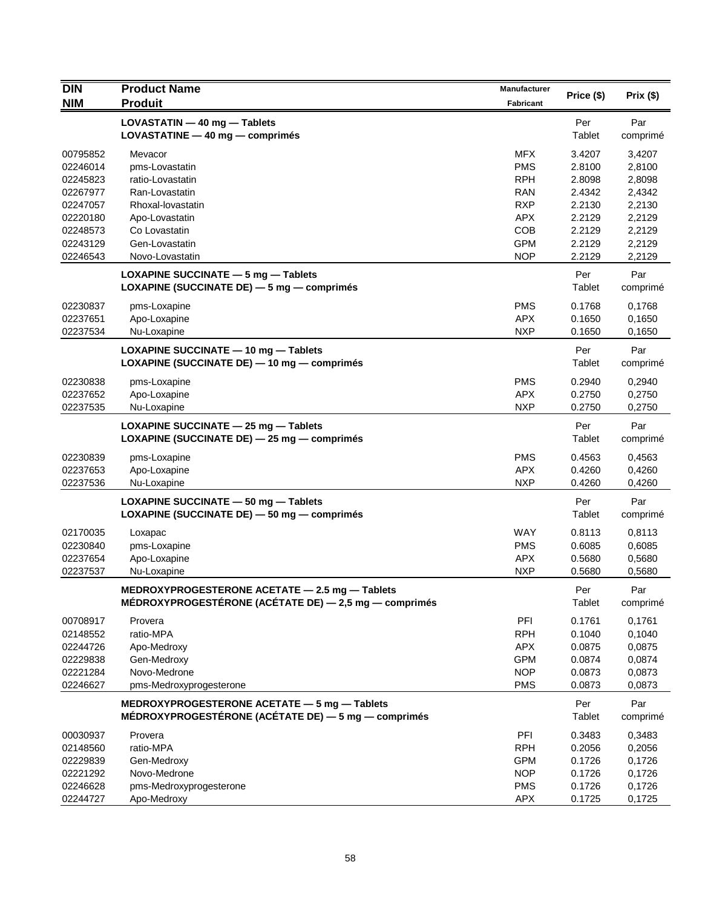| <b>DIN</b> | <b>Product Name</b>                                       | <b>Manufacturer</b> | Price (\$) | Prix(\$) |
|------------|-----------------------------------------------------------|---------------------|------------|----------|
| <b>NIM</b> | <b>Produit</b>                                            | <b>Fabricant</b>    |            |          |
|            | LOVASTATIN - 40 mg - Tablets                              |                     | Per        | Par      |
|            | LOVASTATINE $-$ 40 mg $-$ comprimes                       |                     | Tablet     | comprimé |
| 00795852   | Mevacor                                                   | <b>MFX</b>          | 3.4207     | 3,4207   |
| 02246014   | pms-Lovastatin                                            | <b>PMS</b>          | 2.8100     | 2,8100   |
| 02245823   | ratio-Lovastatin                                          | <b>RPH</b>          | 2.8098     | 2,8098   |
| 02267977   | Ran-Lovastatin                                            | <b>RAN</b>          | 2.4342     | 2,4342   |
| 02247057   | Rhoxal-lovastatin                                         | <b>RXP</b>          | 2.2130     | 2,2130   |
| 02220180   | Apo-Lovastatin                                            | <b>APX</b>          | 2.2129     | 2,2129   |
| 02248573   | Co Lovastatin                                             | COB                 | 2.2129     | 2,2129   |
| 02243129   | Gen-Lovastatin                                            | <b>GPM</b>          | 2.2129     | 2,2129   |
| 02246543   | Novo-Lovastatin                                           | <b>NOP</b>          | 2.2129     | 2,2129   |
|            | LOXAPINE SUCCINATE $-5$ mg $-$ Tablets                    |                     | Per        | Par      |
|            | LOXAPINE (SUCCINATE DE) - 5 mg - comprimés                |                     | Tablet     | comprimé |
| 02230837   | pms-Loxapine                                              | <b>PMS</b>          | 0.1768     | 0,1768   |
| 02237651   | Apo-Loxapine                                              | <b>APX</b>          | 0.1650     | 0,1650   |
| 02237534   | Nu-Loxapine                                               | <b>NXP</b>          | 0.1650     | 0,1650   |
|            | LOXAPINE SUCCINATE - 10 mg - Tablets                      |                     | Per        | Par      |
|            | LOXAPINE (SUCCINATE DE) - 10 mg - comprimés               |                     | Tablet     | comprimé |
| 02230838   | pms-Loxapine                                              | <b>PMS</b>          | 0.2940     | 0,2940   |
| 02237652   | Apo-Loxapine                                              | <b>APX</b>          | 0.2750     | 0,2750   |
| 02237535   | Nu-Loxapine                                               | <b>NXP</b>          | 0.2750     | 0,2750   |
|            | LOXAPINE SUCCINATE $-$ 25 mg $-$ Tablets                  |                     | Per        | Par      |
|            | LOXAPINE (SUCCINATE DE) - 25 mg - comprimés               |                     | Tablet     | comprimé |
| 02230839   | pms-Loxapine                                              | <b>PMS</b>          | 0.4563     | 0,4563   |
| 02237653   | Apo-Loxapine                                              | <b>APX</b>          | 0.4260     | 0,4260   |
| 02237536   | Nu-Loxapine                                               | <b>NXP</b>          | 0.4260     | 0,4260   |
|            | LOXAPINE SUCCINATE - 50 mg - Tablets                      |                     | Per        | Par      |
|            | LOXAPINE (SUCCINATE DE) - 50 mg - comprimés               |                     | Tablet     | comprimé |
| 02170035   | Loxapac                                                   | <b>WAY</b>          | 0.8113     | 0,8113   |
| 02230840   | pms-Loxapine                                              | <b>PMS</b>          | 0.6085     | 0,6085   |
| 02237654   | Apo-Loxapine                                              | <b>APX</b>          | 0.5680     | 0,5680   |
| 02237537   | Nu-Loxapine                                               | <b>NXP</b>          | 0.5680     | 0,5680   |
|            | MEDROXYPROGESTERONE ACETATE - 2.5 mg - Tablets            |                     | Per        | Par      |
|            | MÉDROXYPROGESTÉRONE (ACÉTATE DE) $-$ 2,5 mg $-$ comprimés |                     | Tablet     | comprimé |
| 00708917   | Provera                                                   | PFI                 | 0.1761     | 0,1761   |
| 02148552   | ratio-MPA                                                 | <b>RPH</b>          | 0.1040     | 0,1040   |
| 02244726   | Apo-Medroxy                                               | <b>APX</b>          | 0.0875     | 0,0875   |
| 02229838   | Gen-Medroxy                                               | <b>GPM</b>          | 0.0874     | 0,0874   |
| 02221284   | Novo-Medrone                                              | <b>NOP</b>          | 0.0873     | 0,0873   |
| 02246627   | pms-Medroxyprogesterone                                   | <b>PMS</b>          | 0.0873     | 0,0873   |
|            | MEDROXYPROGESTERONE ACETATE - 5 mg - Tablets              |                     | Per        | Par      |
|            | MÉDROXYPROGESTÉRONE (ACÉTATE DE) - 5 mg - comprimés       |                     | Tablet     | comprimé |
| 00030937   | Provera                                                   | PFI                 | 0.3483     | 0,3483   |
| 02148560   | ratio-MPA                                                 | <b>RPH</b>          | 0.2056     | 0,2056   |
| 02229839   | Gen-Medroxy                                               | <b>GPM</b>          | 0.1726     | 0,1726   |
| 02221292   | Novo-Medrone                                              | <b>NOP</b>          | 0.1726     | 0,1726   |
| 02246628   | pms-Medroxyprogesterone                                   | <b>PMS</b>          | 0.1726     | 0,1726   |
| 02244727   | Apo-Medroxy                                               | <b>APX</b>          | 0.1725     | 0,1725   |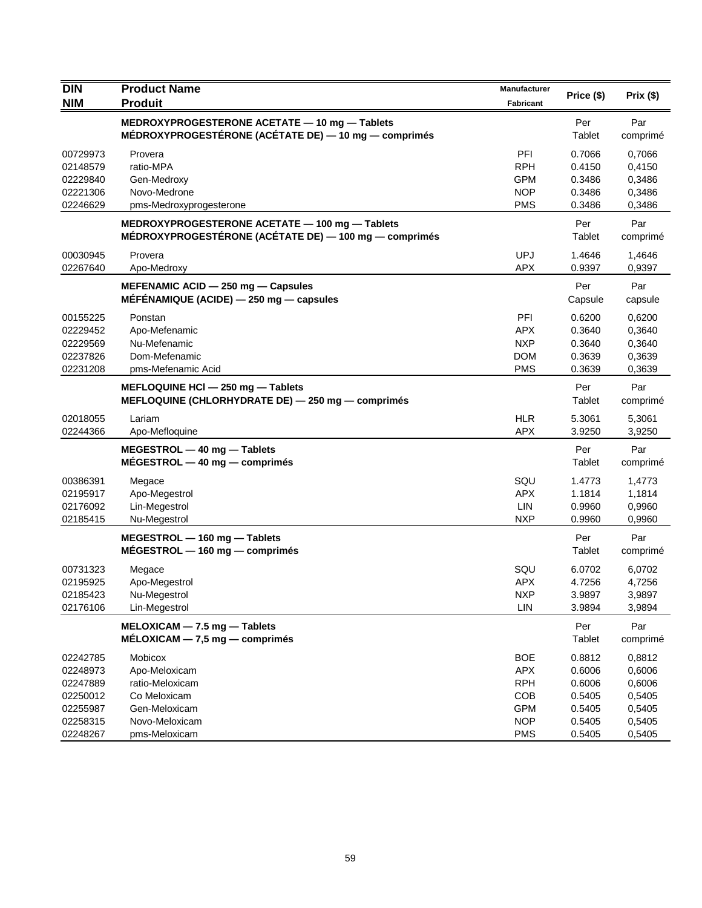| <b>DIN</b> | <b>Product Name</b>                                                                                     | <b>Manufacturer</b> | Price (\$)    | Prix(\$)        |
|------------|---------------------------------------------------------------------------------------------------------|---------------------|---------------|-----------------|
| <b>NIM</b> | <b>Produit</b>                                                                                          | <b>Fabricant</b>    |               |                 |
|            | MEDROXYPROGESTERONE ACETATE - 10 mg - Tablets                                                           |                     | Per           | Par             |
|            | MÉDROXYPROGESTÉRONE (ACÉTATE DE) - 10 mg - comprimés                                                    |                     | Tablet        | comprimé        |
| 00729973   | Provera                                                                                                 | PFI                 | 0.7066        | 0,7066          |
| 02148579   | ratio-MPA                                                                                               | <b>RPH</b>          | 0.4150        | 0,4150          |
| 02229840   | Gen-Medroxy                                                                                             | <b>GPM</b>          | 0.3486        | 0,3486          |
| 02221306   | Novo-Medrone                                                                                            | <b>NOP</b>          | 0.3486        | 0,3486          |
| 02246629   | pms-Medroxyprogesterone                                                                                 | <b>PMS</b>          | 0.3486        | 0,3486          |
|            | MEDROXYPROGESTERONE ACETATE - 100 mg - Tablets<br>MÉDROXYPROGESTÉRONE (ACÉTATE DE) - 100 mg - comprimés |                     | Per<br>Tablet | Par<br>comprimé |
| 00030945   | Provera                                                                                                 | <b>UPJ</b>          | 1.4646        | 1,4646          |
| 02267640   | Apo-Medroxy                                                                                             | <b>APX</b>          | 0.9397        | 0,9397          |
|            | MEFENAMIC ACID - 250 mg - Capsules                                                                      |                     | Per           | Par             |
|            | $MEFENAMIQUE$ (ACIDE) $-$ 250 mg $-$ capsules                                                           |                     | Capsule       | capsule         |
| 00155225   | Ponstan                                                                                                 | PFI                 | 0.6200        | 0,6200          |
| 02229452   | Apo-Mefenamic                                                                                           | <b>APX</b>          | 0.3640        | 0,3640          |
| 02229569   | Nu-Mefenamic                                                                                            | <b>NXP</b>          | 0.3640        | 0,3640          |
| 02237826   | Dom-Mefenamic                                                                                           | <b>DOM</b>          | 0.3639        | 0,3639          |
| 02231208   | pms-Mefenamic Acid                                                                                      | <b>PMS</b>          | 0.3639        | 0,3639          |
|            | MEFLOQUINE HCI - 250 mg - Tablets                                                                       |                     | Per           | Par             |
|            | MEFLOQUINE (CHLORHYDRATE DE) - 250 mg - comprimés                                                       |                     | Tablet        | comprimé        |
| 02018055   | Lariam                                                                                                  | <b>HLR</b>          | 5.3061        | 5,3061          |
| 02244366   | Apo-Mefloquine                                                                                          | <b>APX</b>          | 3.9250        | 3,9250          |
|            | MEGESTROL - 40 mg - Tablets                                                                             |                     | Per           | Par             |
|            | $MÉGESTROL - 40 mg - comprimés$                                                                         |                     | Tablet        | comprimé        |
| 00386391   | Megace                                                                                                  | SQU                 | 1.4773        | 1,4773          |
| 02195917   | Apo-Megestrol                                                                                           | <b>APX</b>          | 1.1814        | 1,1814          |
| 02176092   | Lin-Megestrol                                                                                           | LIN                 | 0.9960        | 0,9960          |
| 02185415   | Nu-Megestrol                                                                                            | <b>NXP</b>          | 0.9960        | 0,9960          |
|            | MEGESTROL - 160 mg - Tablets                                                                            |                     | Per           | Par             |
|            | $MÉGESTROL - 160 mg - comprimés$                                                                        |                     | Tablet        | comprimé        |
| 00731323   | Megace                                                                                                  | SQU                 | 6.0702        | 6,0702          |
| 02195925   | Apo-Megestrol                                                                                           | <b>APX</b>          | 4.7256        | 4,7256          |
| 02185423   | Nu-Megestrol                                                                                            | <b>NXP</b>          | 3.9897        | 3,9897          |
| 02176106   | Lin-Megestrol                                                                                           | LIN                 | 3.9894        | 3,9894          |
|            | MELOXICAM - 7.5 mg - Tablets                                                                            |                     | Per           | Par             |
|            | $MÉLOXICAM - 7.5 mg - comprimés$                                                                        |                     | Tablet        | comprimé        |
| 02242785   | Mobicox                                                                                                 | <b>BOE</b>          | 0.8812        | 0,8812          |
| 02248973   | Apo-Meloxicam                                                                                           | <b>APX</b>          | 0.6006        | 0,6006          |
| 02247889   | ratio-Meloxicam                                                                                         | <b>RPH</b>          | 0.6006        | 0,6006          |
| 02250012   | Co Meloxicam                                                                                            | COB                 | 0.5405        | 0,5405          |
| 02255987   | Gen-Meloxicam                                                                                           | <b>GPM</b>          | 0.5405        | 0,5405          |
| 02258315   | Novo-Meloxicam                                                                                          | <b>NOP</b>          | 0.5405        | 0,5405          |
| 02248267   | pms-Meloxicam                                                                                           | <b>PMS</b>          | 0.5405        | 0,5405          |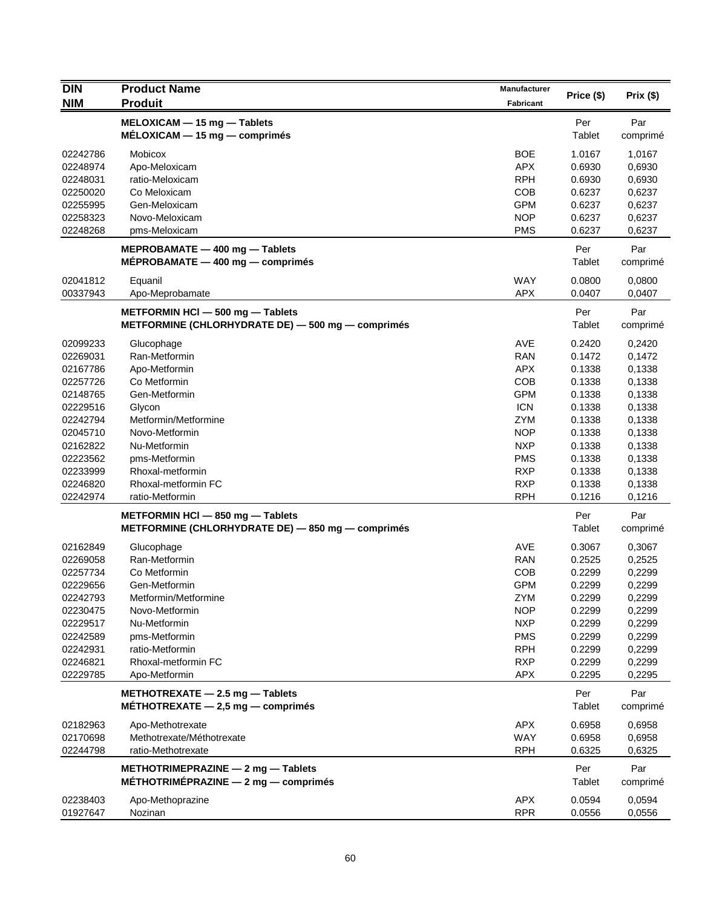| <b>DIN</b> | <b>Product Name</b>                                                           | Manufacturer     | Price (\$)    | Prix (\$)       |
|------------|-------------------------------------------------------------------------------|------------------|---------------|-----------------|
| <b>NIM</b> | <b>Produit</b>                                                                | <b>Fabricant</b> |               |                 |
|            | MELOXICAM - 15 mg - Tablets                                                   |                  | Per           | Par             |
|            | $MÉLOXICAM - 15 mg - comprimés$                                               |                  | Tablet        | comprimé        |
| 02242786   | <b>Mobicox</b>                                                                | <b>BOE</b>       | 1.0167        | 1,0167          |
| 02248974   | Apo-Meloxicam                                                                 | <b>APX</b>       | 0.6930        | 0,6930          |
| 02248031   | ratio-Meloxicam                                                               | <b>RPH</b>       | 0.6930        | 0,6930          |
| 02250020   | Co Meloxicam                                                                  | COB              | 0.6237        | 0,6237          |
| 02255995   | Gen-Meloxicam                                                                 | <b>GPM</b>       | 0.6237        | 0,6237          |
| 02258323   | Novo-Meloxicam                                                                | <b>NOP</b>       | 0.6237        | 0,6237          |
| 02248268   | pms-Meloxicam                                                                 | <b>PMS</b>       | 0.6237        | 0,6237          |
|            | MEPROBAMATE $-$ 400 mg $-$ Tablets<br>$MÉPROBAMATE - 400 mg - comprising$     |                  | Per<br>Tablet | Par<br>comprimé |
|            |                                                                               |                  |               |                 |
| 02041812   | Equanil                                                                       | <b>WAY</b>       | 0.0800        | 0,0800          |
| 00337943   | Apo-Meprobamate                                                               | APX              | 0.0407        | 0,0407          |
|            | METFORMIN HCI - 500 mg - Tablets                                              |                  | Per           | Par             |
|            | METFORMINE (CHLORHYDRATE DE) - 500 mg - comprimés                             |                  | <b>Tablet</b> | comprimé        |
| 02099233   | Glucophage                                                                    | <b>AVE</b>       | 0.2420        | 0,2420          |
| 02269031   | Ran-Metformin                                                                 | <b>RAN</b>       | 0.1472        | 0,1472          |
| 02167786   | Apo-Metformin                                                                 | <b>APX</b>       | 0.1338        | 0,1338          |
| 02257726   | Co Metformin                                                                  | COB              | 0.1338        | 0,1338          |
| 02148765   | Gen-Metformin                                                                 | <b>GPM</b>       | 0.1338        | 0.1338          |
| 02229516   | Glycon                                                                        | <b>ICN</b>       | 0.1338        | 0,1338          |
| 02242794   | Metformin/Metformine                                                          | <b>ZYM</b>       | 0.1338        | 0,1338          |
| 02045710   | Novo-Metformin                                                                | <b>NOP</b>       | 0.1338        | 0,1338          |
| 02162822   | Nu-Metformin                                                                  | <b>NXP</b>       | 0.1338        | 0,1338          |
| 02223562   | pms-Metformin                                                                 | <b>PMS</b>       | 0.1338        | 0,1338          |
| 02233999   | Rhoxal-metformin                                                              | <b>RXP</b>       | 0.1338        | 0,1338          |
| 02246820   | Rhoxal-metformin FC                                                           | <b>RXP</b>       | 0.1338        | 0,1338          |
| 02242974   | ratio-Metformin                                                               | <b>RPH</b>       | 0.1216        | 0,1216          |
|            | METFORMIN HCI - 850 mg - Tablets                                              |                  | Per           | Par             |
|            | METFORMINE (CHLORHYDRATE DE) - 850 mg - comprimés                             |                  | Tablet        | comprimé        |
| 02162849   | Glucophage                                                                    | <b>AVE</b>       | 0.3067        | 0,3067          |
| 02269058   | Ran-Metformin                                                                 | <b>RAN</b>       | 0.2525        | 0,2525          |
| 02257734   | Co Metformin                                                                  | COB              | 0.2299        | 0,2299          |
| 02229656   | Gen-Metformin                                                                 | <b>GPM</b>       | 0.2299        | 0,2299          |
| 02242793   | Metformin/Metformine                                                          | ZYM              | 0.2299        | 0,2299          |
| 02230475   | Novo-Metformin                                                                | <b>NOP</b>       | 0.2299        | 0,2299          |
| 02229517   | Nu-Metformin                                                                  | <b>NXP</b>       | 0.2299        | 0,2299          |
| 02242589   | pms-Metformin                                                                 | <b>PMS</b>       | 0.2299        | 0,2299          |
| 02242931   | ratio-Metformin                                                               | <b>RPH</b>       | 0.2299        | 0,2299          |
| 02246821   | Rhoxal-metformin FC                                                           | <b>RXP</b>       | 0.2299        | 0,2299          |
| 02229785   | Apo-Metformin                                                                 | <b>APX</b>       | 0.2295        | 0,2295          |
|            | METHOTREXATE $-$ 2.5 mg $-$ Tablets                                           |                  | Per           | Par             |
|            | MÉTHOTREXATE $-$ 2,5 mg $-$ comprimés                                         |                  | Tablet        | comprimé        |
| 02182963   | Apo-Methotrexate                                                              | <b>APX</b>       | 0.6958        | 0.6958          |
| 02170698   | Methotrexate/Méthotrexate                                                     | <b>WAY</b>       | 0.6958        | 0,6958          |
| 02244798   | ratio-Methotrexate                                                            | <b>RPH</b>       | 0.6325        | 0,6325          |
|            | METHOTRIMEPRAZINE - 2 mg - Tablets<br>MÉTHOTRIMÉPRAZINE $-2$ mg $-$ comprimés |                  | Per<br>Tablet | Par<br>comprimé |
| 02238403   | Apo-Methoprazine                                                              | <b>APX</b>       | 0.0594        | 0,0594          |
| 01927647   | Nozinan                                                                       | <b>RPR</b>       | 0.0556        | 0,0556          |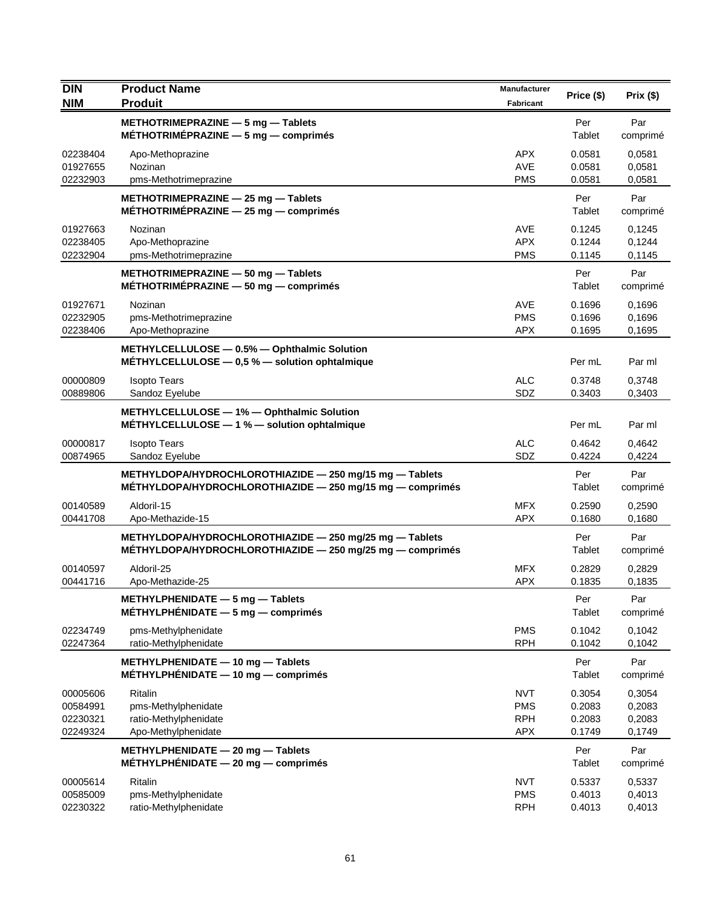| <b>DIN</b>                                   | <b>Product Name</b>                                                                                                         | <b>Manufacturer</b>                                  | Price (\$)                           | Prix(\$)                             |
|----------------------------------------------|-----------------------------------------------------------------------------------------------------------------------------|------------------------------------------------------|--------------------------------------|--------------------------------------|
| <b>NIM</b>                                   | <b>Produit</b>                                                                                                              | <b>Fabricant</b>                                     |                                      |                                      |
|                                              | METHOTRIMEPRAZINE $-5$ mg $-$ Tablets<br>MÉTHOTRIMÉPRAZINE $-5$ mg $-$ comprimés                                            |                                                      | Per<br>Tablet                        | Par<br>comprimé                      |
| 02238404<br>01927655<br>02232903             | Apo-Methoprazine<br>Nozinan<br>pms-Methotrimeprazine                                                                        | APX.<br><b>AVE</b><br><b>PMS</b>                     | 0.0581<br>0.0581<br>0.0581           | 0.0581<br>0,0581<br>0,0581           |
|                                              | METHOTRIMEPRAZINE - 25 mg - Tablets<br>MÉTHOTRIMÉPRAZINE $-$ 25 mg $-$ comprimes                                            |                                                      | Per<br>Tablet                        | Par<br>comprimé                      |
| 01927663<br>02238405<br>02232904             | Nozinan<br>Apo-Methoprazine<br>pms-Methotrimeprazine                                                                        | AVE<br><b>APX</b><br><b>PMS</b>                      | 0.1245<br>0.1244<br>0.1145           | 0,1245<br>0,1244<br>0,1145           |
|                                              | METHOTRIMEPRAZINE - 50 mg - Tablets<br>MÉTHOTRIMÉPRAZINE $-50$ mg $-$ comprimés                                             |                                                      | Per<br>Tablet                        | Par<br>comprimé                      |
| 01927671<br>02232905<br>02238406             | Nozinan<br>pms-Methotrimeprazine<br>Apo-Methoprazine                                                                        | AVE<br><b>PMS</b><br><b>APX</b>                      | 0.1696<br>0.1696<br>0.1695           | 0,1696<br>0,1696<br>0,1695           |
|                                              | METHYLCELLULOSE - 0.5% - Ophthalmic Solution<br>METHYLCELLULOSE $-$ 0,5 % $-$ solution ophtalmique                          |                                                      | Per mL                               | Par ml                               |
| 00000809<br>00889806                         | <b>Isopto Tears</b><br>Sandoz Eyelube                                                                                       | <b>ALC</b><br>SDZ                                    | 0.3748<br>0.3403                     | 0.3748<br>0,3403                     |
|                                              | METHYLCELLULOSE - 1% - Ophthalmic Solution<br>MÉTHYLCELLULOSE - 1 % - solution ophtalmique                                  |                                                      | Per mL                               | Par ml                               |
| 00000817<br>00874965                         | <b>Isopto Tears</b><br>Sandoz Eyelube                                                                                       | <b>ALC</b><br>SDZ                                    | 0.4642<br>0.4224                     | 0,4642<br>0,4224                     |
|                                              | METHYLDOPA/HYDROCHLOROTHIAZIDE - 250 mg/15 mg - Tablets<br>$M$ ETHYLDOPA/HYDROCHLOROTHIAZIDE $-$ 250 mg/15 mg $-$ comprimes |                                                      | Per<br>Tablet                        | Par<br>comprimé                      |
| 00140589<br>00441708                         | Aldoril-15<br>Apo-Methazide-15                                                                                              | <b>MFX</b><br><b>APX</b>                             | 0.2590<br>0.1680                     | 0,2590<br>0,1680                     |
|                                              | METHYLDOPA/HYDROCHLOROTHIAZIDE - 250 mg/25 mg - Tablets<br>$METHYLDOPA/HYPROCHLOROTHIAZIDE - 250 mg/25 mg - comprimés$      |                                                      | Per<br>Tablet                        | Par<br>comprimé                      |
| 00140597<br>00441716                         | Aldoril-25<br>Apo-Methazide-25                                                                                              | <b>MFX</b><br><b>APX</b>                             | 0.2829<br>0.1835                     | 0,2829<br>0,1835                     |
|                                              | METHYLPHENIDATE - 5 mg - Tablets<br>$MÉTHYLPHÉNIDATE - 5 mg - comprimés$                                                    |                                                      | Per<br>Tablet                        | Par<br>comprimé                      |
| 02234749<br>02247364                         | pms-Methylphenidate<br>ratio-Methylphenidate                                                                                | <b>PMS</b><br><b>RPH</b>                             | 0.1042<br>0.1042                     | 0,1042<br>0,1042                     |
|                                              | METHYLPHENIDATE - 10 mg - Tablets<br>$MÉTHYLPHÉNIDATE - 10 mg - comprimés$                                                  |                                                      | Per<br>Tablet                        | Par<br>comprimé                      |
| 00005606<br>00584991<br>02230321<br>02249324 | Ritalin<br>pms-Methylphenidate<br>ratio-Methylphenidate<br>Apo-Methylphenidate                                              | <b>NVT</b><br><b>PMS</b><br><b>RPH</b><br><b>APX</b> | 0.3054<br>0.2083<br>0.2083<br>0.1749 | 0,3054<br>0,2083<br>0,2083<br>0,1749 |
|                                              | METHYLPHENIDATE - 20 mg - Tablets<br>MÉTHYLPHÉNIDATE - 20 mg - comprimés                                                    |                                                      | Per<br>Tablet                        | Par<br>comprimé                      |
| 00005614<br>00585009<br>02230322             | <b>Ritalin</b><br>pms-Methylphenidate<br>ratio-Methylphenidate                                                              | <b>NVT</b><br><b>PMS</b><br><b>RPH</b>               | 0.5337<br>0.4013<br>0.4013           | 0,5337<br>0,4013<br>0,4013           |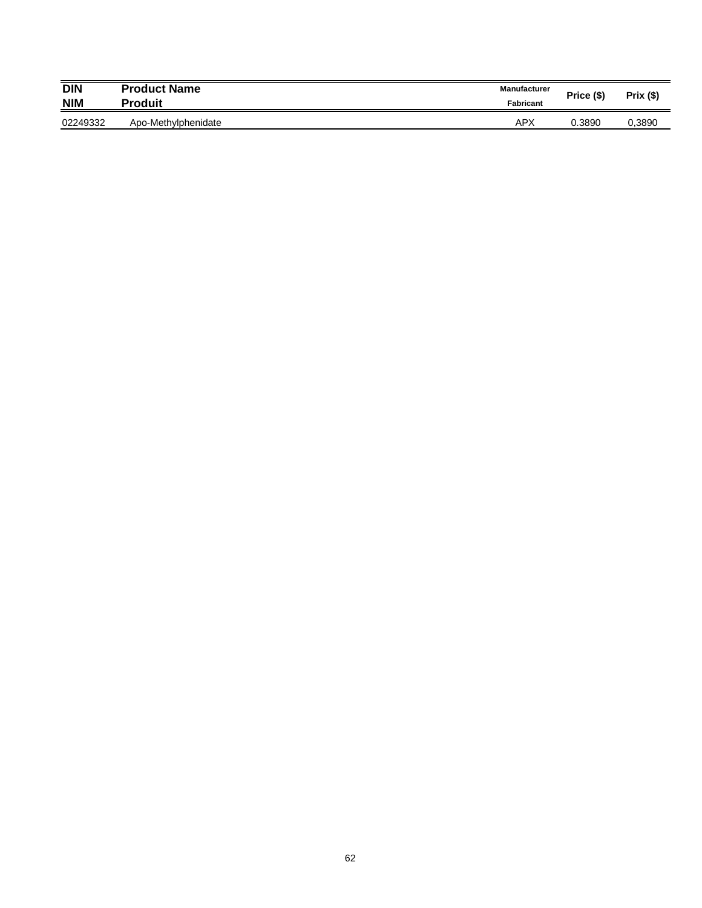| <b>DIN</b><br><b>NIM</b> | <b>Product Name</b><br><b>Produit</b> | <b>Manufacturer</b><br><b>Fabricant</b> | Price (\$) | $Prix($ \$) |
|--------------------------|---------------------------------------|-----------------------------------------|------------|-------------|
| 02249332                 | Apo-Methylphenidate                   | <b>APX</b>                              | 0.3890     | 0,3890      |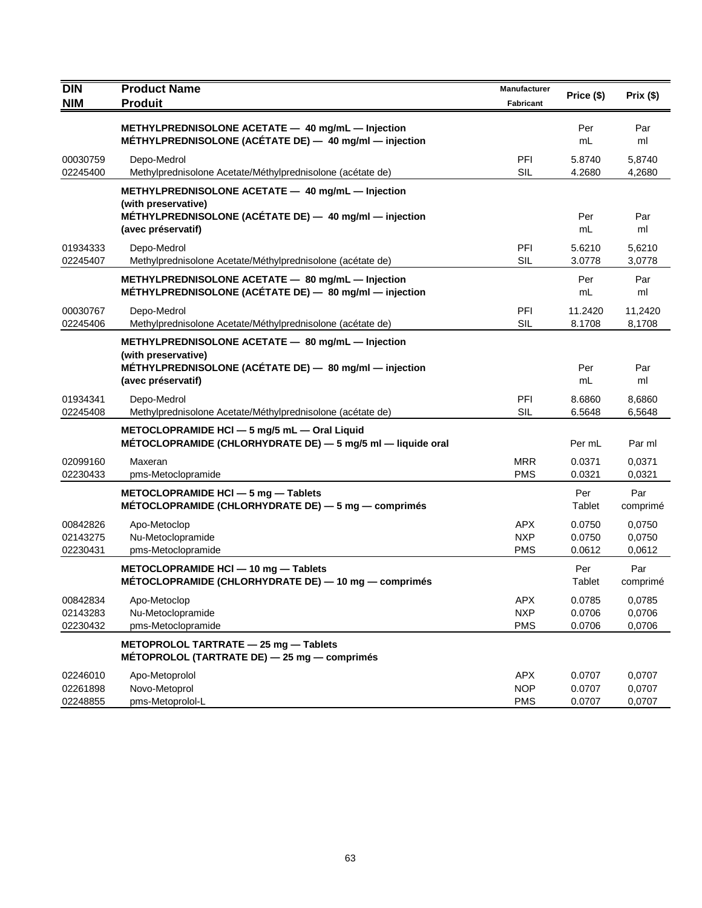| <b>DIN</b><br><b>NIM</b>         | <b>Product Name</b><br><b>Produit</b>                                                                                                                    | Manufacturer<br><b>Fabricant</b>       | Price (\$)                 | Prix(\$)                   |
|----------------------------------|----------------------------------------------------------------------------------------------------------------------------------------------------------|----------------------------------------|----------------------------|----------------------------|
|                                  | METHYLPREDNISOLONE ACETATE - 40 mg/mL - Injection<br>MÉTHYLPREDNISOLONE (ACÉTATE DE) - 40 mg/ml - injection                                              |                                        | Per<br>mL                  | Par<br>ml                  |
| 00030759<br>02245400             | Depo-Medrol<br>Methylprednisolone Acetate/Méthylprednisolone (acétate de)                                                                                | PFI<br><b>SIL</b>                      | 5.8740<br>4.2680           | 5,8740<br>4,2680           |
|                                  | METHYLPREDNISOLONE ACETATE - 40 mg/mL - Injection<br>(with preservative)<br>METHYLPREDNISOLONE (ACETATE DE) - 40 mg/ml - injection<br>(avec préservatif) |                                        | Per<br>mL                  | Par<br>ml                  |
| 01934333<br>02245407             | Depo-Medrol<br>Methylprednisolone Acetate/Méthylprednisolone (acétate de)                                                                                | PFI<br><b>SIL</b>                      | 5.6210<br>3.0778           | 5,6210<br>3,0778           |
|                                  | METHYLPREDNISOLONE ACETATE - 80 mg/mL - Injection<br>MÉTHYLPREDNISOLONE (ACÉTATE DE) - 80 mg/ml - injection                                              |                                        | Per<br>mL                  | Par<br>ml                  |
| 00030767<br>02245406             | Depo-Medrol<br>Methylprednisolone Acetate/Méthylprednisolone (acétate de)                                                                                | PFI<br>SIL                             | 11.2420<br>8.1708          | 11,2420<br>8,1708          |
|                                  | METHYLPREDNISOLONE ACETATE - 80 mg/mL - Injection<br>(with preservative)<br>MÉTHYLPREDNISOLONE (ACÉTATE DE) - 80 mg/ml - injection<br>(avec préservatif) |                                        | Per<br>mL                  | Par<br>ml                  |
| 01934341<br>02245408             | Depo-Medrol<br>Methylprednisolone Acetate/Méthylprednisolone (acétate de)                                                                                | PFI<br><b>SIL</b>                      | 8.6860<br>6.5648           | 8.6860<br>6,5648           |
|                                  | METOCLOPRAMIDE HCI $-5$ mg/5 mL $-$ Oral Liquid<br>MÉTOCLOPRAMIDE (CHLORHYDRATE DE) - 5 mg/5 ml - liquide oral                                           |                                        | Per mL                     | Par ml                     |
| 02099160<br>02230433             | Maxeran<br>pms-Metoclopramide                                                                                                                            | <b>MRR</b><br><b>PMS</b>               | 0.0371<br>0.0321           | 0,0371<br>0,0321           |
|                                  | METOCLOPRAMIDE HCI $-5$ mg $-$ Tablets<br>MÉTOCLOPRAMIDE (CHLORHYDRATE DE) $-5$ mg $-$ comprimés                                                         |                                        | Per<br>Tablet              | Par<br>comprimé            |
| 00842826<br>02143275<br>02230431 | Apo-Metoclop<br>Nu-Metoclopramide<br>pms-Metoclopramide                                                                                                  | <b>APX</b><br><b>NXP</b><br><b>PMS</b> | 0.0750<br>0.0750<br>0.0612 | 0,0750<br>0,0750<br>0,0612 |
|                                  | METOCLOPRAMIDE HCI - 10 mg - Tablets<br>MÉTOCLOPRAMIDE (CHLORHYDRATE DE) - 10 mg - comprimés                                                             |                                        | Per<br>Tablet              | Par<br>comprimé            |
| 00842834<br>02143283<br>02230432 | Apo-Metoclop<br>Nu-Metoclopramide<br>pms-Metoclopramide                                                                                                  | APX<br><b>NXP</b><br><b>PMS</b>        | 0.0785<br>0.0706<br>0.0706 | 0,0785<br>0,0706<br>0,0706 |
|                                  | METOPROLOL TARTRATE - 25 mg - Tablets<br>MÉTOPROLOL (TARTRATE DE) - 25 mg - comprimés                                                                    |                                        |                            |                            |
| 02246010<br>02261898<br>02248855 | Apo-Metoprolol<br>Novo-Metoprol<br>pms-Metoprolol-L                                                                                                      | <b>APX</b><br><b>NOP</b><br><b>PMS</b> | 0.0707<br>0.0707<br>0.0707 | 0,0707<br>0,0707<br>0,0707 |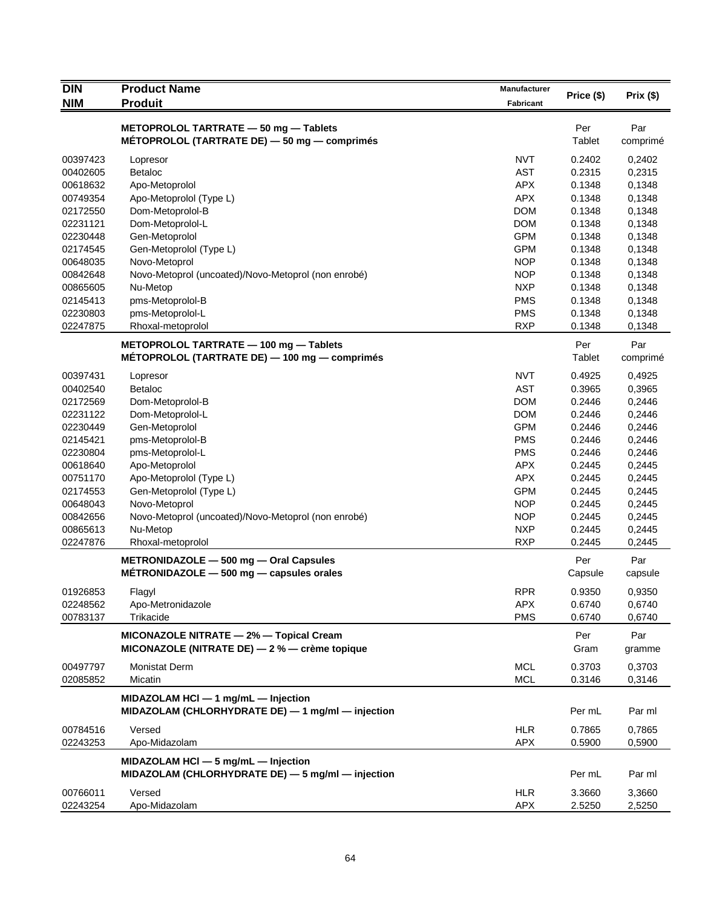| <b>DIN</b>           | <b>Product Name</b>                                 | Manufacturer             | Price (\$)       | Prix(\$)         |
|----------------------|-----------------------------------------------------|--------------------------|------------------|------------------|
| <b>NIM</b>           | <b>Produit</b>                                      | Fabricant                |                  |                  |
|                      | METOPROLOL TARTRATE - 50 mg - Tablets               |                          | Per              | Par              |
|                      | MÉTOPROLOL (TARTRATE DE) - 50 mg - comprimés        |                          | Tablet           | comprimé         |
| 00397423             | Lopresor                                            | <b>NVT</b>               | 0.2402           | 0,2402           |
| 00402605             | <b>Betaloc</b>                                      | <b>AST</b>               | 0.2315           | 0,2315           |
| 00618632             | Apo-Metoprolol                                      | <b>APX</b>               | 0.1348           | 0,1348           |
| 00749354             | Apo-Metoprolol (Type L)                             | <b>APX</b>               | 0.1348           | 0,1348           |
| 02172550             | Dom-Metoprolol-B                                    | <b>DOM</b>               | 0.1348           | 0,1348           |
| 02231121             | Dom-Metoprolol-L                                    | <b>DOM</b>               | 0.1348           | 0,1348           |
| 02230448             | Gen-Metoprolol                                      | <b>GPM</b>               | 0.1348           | 0,1348           |
| 02174545             | Gen-Metoprolol (Type L)                             | <b>GPM</b>               | 0.1348           | 0,1348           |
| 00648035             | Novo-Metoprol                                       | <b>NOP</b>               | 0.1348           | 0,1348           |
| 00842648             | Novo-Metoprol (uncoated)/Novo-Metoprol (non enrobé) | <b>NOP</b>               | 0.1348           | 0,1348           |
| 00865605             | Nu-Metop                                            | <b>NXP</b>               | 0.1348           | 0,1348           |
| 02145413             | pms-Metoprolol-B                                    | <b>PMS</b>               | 0.1348           | 0,1348           |
| 02230803             | pms-Metoprolol-L                                    | <b>PMS</b>               | 0.1348           | 0,1348           |
| 02247875             | Rhoxal-metoprolol                                   | <b>RXP</b>               | 0.1348           | 0,1348           |
|                      | METOPROLOL TARTRATE - 100 mg - Tablets              |                          | Per              | Par              |
|                      | METOPROLOL (TARTRATE DE) - 100 mg - comprimés       |                          | Tablet           | comprimé         |
| 00397431             | Lopresor                                            | <b>NVT</b>               | 0.4925           | 0,4925           |
| 00402540             | <b>Betaloc</b>                                      | <b>AST</b>               | 0.3965           | 0,3965           |
| 02172569             | Dom-Metoprolol-B                                    | <b>DOM</b>               | 0.2446           | 0,2446           |
| 02231122             | Dom-Metoprolol-L                                    | <b>DOM</b>               | 0.2446           | 0,2446           |
| 02230449             | Gen-Metoprolol                                      | <b>GPM</b>               | 0.2446           | 0,2446           |
| 02145421             | pms-Metoprolol-B                                    | <b>PMS</b>               | 0.2446           | 0,2446           |
| 02230804             | pms-Metoprolol-L                                    | <b>PMS</b>               | 0.2446           | 0,2446           |
| 00618640             | Apo-Metoprolol                                      | <b>APX</b>               | 0.2445           | 0,2445           |
| 00751170             | Apo-Metoprolol (Type L)                             | <b>APX</b>               | 0.2445           | 0,2445           |
| 02174553             | Gen-Metoprolol (Type L)                             | <b>GPM</b>               | 0.2445           | 0,2445           |
| 00648043             | Novo-Metoprol                                       | <b>NOP</b>               | 0.2445           | 0,2445           |
| 00842656             | Novo-Metoprol (uncoated)/Novo-Metoprol (non enrobé) | <b>NOP</b>               | 0.2445           | 0,2445           |
| 00865613             | Nu-Metop                                            | <b>NXP</b>               | 0.2445           | 0,2445           |
| 02247876             | Rhoxal-metoprolol                                   | <b>RXP</b>               | 0.2445           | 0,2445           |
|                      | METRONIDAZOLE - 500 mg - Oral Capsules              |                          | Per              | Par              |
|                      | $METRONIDAZOLE - 500 mg - capsules orales$          |                          | Capsule          | capsule          |
| 01926853             | Flagyl                                              | <b>RPR</b>               | 0.9350           | 0,9350           |
| 02248562             | Apo-Metronidazole                                   | <b>APX</b>               | 0.6740           | 0,6740           |
| 00783137             | Trikacide                                           | <b>PMS</b>               | 0.6740           | 0,6740           |
|                      | MICONAZOLE NITRATE - 2% - Topical Cream             |                          | Per              | Par              |
|                      | MICONAZOLE (NITRATE DE) $-2$ % $-$ crème topique    |                          | Gram             | gramme           |
| 00497797             | <b>Monistat Derm</b>                                | <b>MCL</b>               | 0.3703           | 0,3703           |
| 02085852             | Micatin                                             | <b>MCL</b>               | 0.3146           | 0,3146           |
|                      | MIDAZOLAM HCI - 1 mg/mL - Injection                 |                          |                  |                  |
|                      | MIDAZOLAM (CHLORHYDRATE DE) - 1 mg/ml - injection   |                          | Per mL           | Par ml           |
|                      |                                                     |                          |                  |                  |
| 00784516<br>02243253 | Versed<br>Apo-Midazolam                             | <b>HLR</b><br><b>APX</b> | 0.7865<br>0.5900 | 0,7865<br>0,5900 |
|                      |                                                     |                          |                  |                  |
|                      | MIDAZOLAM HCI - 5 mg/mL - Injection                 |                          |                  |                  |
|                      | MIDAZOLAM (CHLORHYDRATE DE) - 5 mg/ml - injection   |                          | Per mL           | Par ml           |
| 00766011             | Versed                                              | <b>HLR</b>               | 3.3660           | 3,3660           |
| 02243254             | Apo-Midazolam                                       | <b>APX</b>               | 2.5250           | 2,5250           |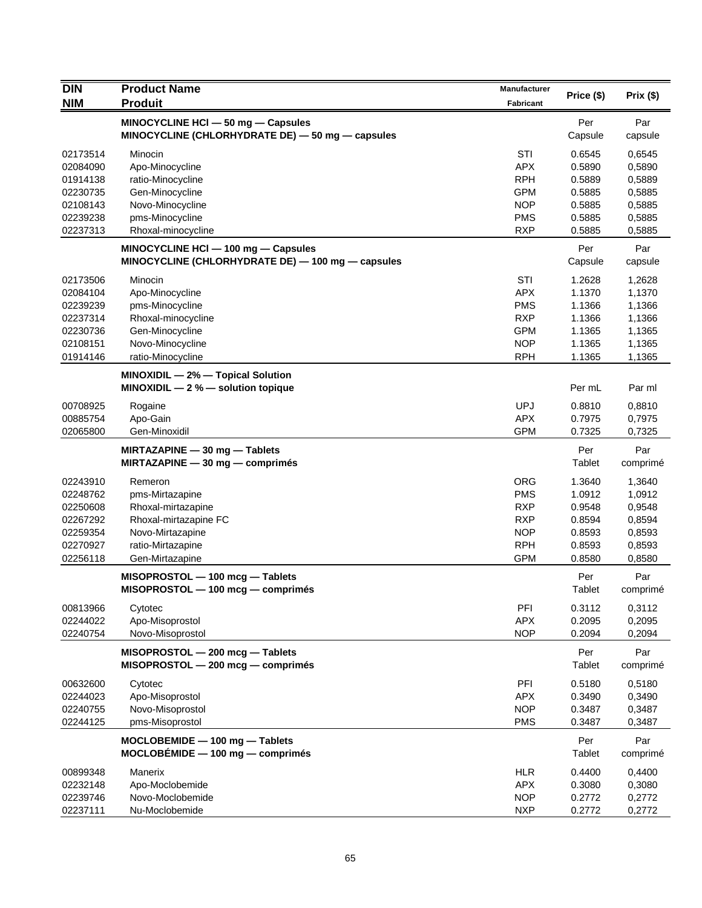| <b>DIN</b> | <b>Product Name</b>                                                  | <b>Manufacturer</b> |            |          |
|------------|----------------------------------------------------------------------|---------------------|------------|----------|
| <b>NIM</b> | <b>Produit</b>                                                       | <b>Fabricant</b>    | Price (\$) | Prix(\$) |
|            | MINOCYCLINE HCI - 50 mg - Capsules                                   |                     | Per        | Par      |
|            | MINOCYCLINE (CHLORHYDRATE DE) $-$ 50 mg $-$ capsules                 |                     | Capsule    | capsule  |
| 02173514   | Minocin                                                              | STI                 | 0.6545     | 0,6545   |
| 02084090   | Apo-Minocycline                                                      | <b>APX</b>          | 0.5890     | 0,5890   |
| 01914138   | ratio-Minocycline                                                    | <b>RPH</b>          | 0.5889     | 0,5889   |
| 02230735   | Gen-Minocycline                                                      | <b>GPM</b>          | 0.5885     | 0,5885   |
| 02108143   | Novo-Minocycline                                                     | <b>NOP</b>          | 0.5885     | 0,5885   |
| 02239238   | pms-Minocycline                                                      | <b>PMS</b>          | 0.5885     | 0,5885   |
| 02237313   | Rhoxal-minocycline                                                   | <b>RXP</b>          | 0.5885     | 0,5885   |
|            | MINOCYCLINE HCI - 100 mg - Capsules                                  |                     | Per        | Par      |
|            | MINOCYCLINE (CHLORHYDRATE DE) — 100 mg — capsules                    |                     | Capsule    | capsule  |
| 02173506   | Minocin                                                              | STI                 | 1.2628     | 1,2628   |
| 02084104   | Apo-Minocycline                                                      | <b>APX</b>          | 1.1370     | 1,1370   |
| 02239239   | pms-Minocycline                                                      | <b>PMS</b>          | 1.1366     | 1,1366   |
| 02237314   | Rhoxal-minocycline                                                   | <b>RXP</b>          | 1.1366     | 1,1366   |
| 02230736   | Gen-Minocycline                                                      | <b>GPM</b>          | 1.1365     | 1,1365   |
| 02108151   | Novo-Minocycline                                                     | <b>NOP</b>          | 1.1365     | 1,1365   |
| 01914146   | ratio-Minocycline                                                    | <b>RPH</b>          | 1.1365     | 1,1365   |
|            | MINOXIDIL - 2% - Topical Solution                                    |                     |            |          |
|            | MINOXIDIL $-2$ % $-$ solution topique                                |                     | Per mL     | Par ml   |
| 00708925   | Rogaine                                                              | <b>UPJ</b>          | 0.8810     | 0,8810   |
| 00885754   | Apo-Gain                                                             | <b>APX</b>          | 0.7975     | 0,7975   |
| 02065800   | Gen-Minoxidil                                                        | <b>GPM</b>          | 0.7325     | 0,7325   |
|            | MIRTAZAPINE - 30 mg - Tablets                                        |                     | Per        | Par      |
|            | $MIRTAZAPINE - 30 mg - comprimés$                                    |                     | Tablet     | comprimé |
| 02243910   | Remeron                                                              | <b>ORG</b>          | 1.3640     | 1,3640   |
| 02248762   | pms-Mirtazapine                                                      | <b>PMS</b>          | 1.0912     | 1,0912   |
| 02250608   | Rhoxal-mirtazapine                                                   | <b>RXP</b>          | 0.9548     | 0,9548   |
| 02267292   | Rhoxal-mirtazapine FC                                                | <b>RXP</b>          | 0.8594     | 0,8594   |
| 02259354   | Novo-Mirtazapine                                                     | <b>NOP</b>          | 0.8593     | 0,8593   |
| 02270927   | ratio-Mirtazapine                                                    | <b>RPH</b>          | 0.8593     | 0,8593   |
| 02256118   | Gen-Mirtazapine                                                      | <b>GPM</b>          | 0.8580     | 0,8580   |
|            |                                                                      |                     | Per        | Par      |
|            | MISOPROSTOL - 100 mcg - Tablets<br>MISOPROSTOL - 100 mcg - comprimés |                     | Tablet     | comprimé |
|            |                                                                      |                     |            |          |
| 00813966   | Cytotec                                                              | PFI                 | 0.3112     | 0,3112   |
| 02244022   | Apo-Misoprostol                                                      | <b>APX</b>          | 0.2095     | 0,2095   |
| 02240754   | Novo-Misoprostol                                                     | <b>NOP</b>          | 0.2094     | 0,2094   |
|            | MISOPROSTOL - 200 mcg - Tablets                                      |                     | Per        | Par      |
|            | MISOPROSTOL - 200 mcg - comprimés                                    |                     | Tablet     | comprimé |
| 00632600   | Cytotec                                                              | PFI                 | 0.5180     | 0,5180   |
| 02244023   | Apo-Misoprostol                                                      | <b>APX</b>          | 0.3490     | 0,3490   |
| 02240755   | Novo-Misoprostol                                                     | <b>NOP</b>          | 0.3487     | 0,3487   |
| 02244125   | pms-Misoprostol                                                      | <b>PMS</b>          | 0.3487     | 0,3487   |
|            | MOCLOBEMIDE - 100 mg - Tablets                                       |                     | Per        | Par      |
|            | $MOCLOBÉMIDE - 100 mg - comprimés$                                   |                     | Tablet     | comprimé |
| 00899348   | Manerix                                                              | <b>HLR</b>          | 0.4400     | 0,4400   |
| 02232148   | Apo-Moclobemide                                                      | <b>APX</b>          | 0.3080     | 0,3080   |
| 02239746   | Novo-Moclobemide                                                     | <b>NOP</b>          | 0.2772     | 0,2772   |
| 02237111   | Nu-Moclobemide                                                       | <b>NXP</b>          | 0.2772     | 0,2772   |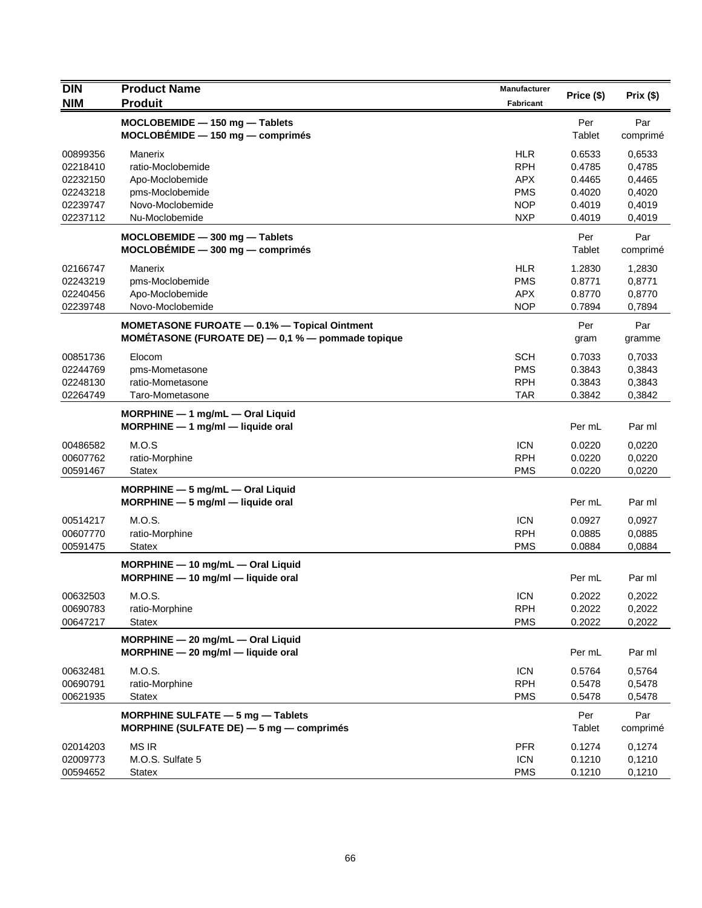| <b>DIN</b>                                                           | <b>Product Name</b>                                                                                          | Manufacturer                                                                     | Price (\$)                                               | Prix (\$)                                                |
|----------------------------------------------------------------------|--------------------------------------------------------------------------------------------------------------|----------------------------------------------------------------------------------|----------------------------------------------------------|----------------------------------------------------------|
| <b>NIM</b>                                                           | <b>Produit</b>                                                                                               | <b>Fabricant</b>                                                                 |                                                          |                                                          |
|                                                                      | MOCLOBEMIDE - 150 mg - Tablets<br>$MOCLOBÉMIDE - 150 mg - comprimés$                                         |                                                                                  | Per<br>Tablet                                            | Par<br>comprimé                                          |
| 00899356<br>02218410<br>02232150<br>02243218<br>02239747<br>02237112 | Manerix<br>ratio-Moclobemide<br>Apo-Moclobemide<br>pms-Moclobemide<br>Novo-Moclobemide<br>Nu-Moclobemide     | <b>HLR</b><br><b>RPH</b><br><b>APX</b><br><b>PMS</b><br><b>NOP</b><br><b>NXP</b> | 0.6533<br>0.4785<br>0.4465<br>0.4020<br>0.4019<br>0.4019 | 0,6533<br>0,4785<br>0,4465<br>0,4020<br>0,4019<br>0,4019 |
|                                                                      | $MOCLOBEMIDE - 300 mg - Tables$<br>$MOCLOBÉMIDE - 300 mg - comprimés$                                        |                                                                                  | Per<br>Tablet                                            | Par<br>comprimé                                          |
| 02166747<br>02243219<br>02240456<br>02239748                         | Manerix<br>pms-Moclobemide<br>Apo-Moclobemide<br>Novo-Moclobemide                                            | <b>HLR</b><br><b>PMS</b><br><b>APX</b><br><b>NOP</b>                             | 1.2830<br>0.8771<br>0.8770<br>0.7894                     | 1,2830<br>0,8771<br>0,8770<br>0,7894                     |
|                                                                      | <b>MOMETASONE FUROATE - 0.1% - Topical Ointment</b><br>MOMÉTASONE (FUROATE DE) $-$ 0,1 % $-$ pommade topique |                                                                                  | Per<br>gram                                              | Par<br>gramme                                            |
| 00851736<br>02244769<br>02248130<br>02264749                         | Elocom<br>pms-Mometasone<br>ratio-Mometasone<br>Taro-Mometasone                                              | <b>SCH</b><br><b>PMS</b><br><b>RPH</b><br><b>TAR</b>                             | 0.7033<br>0.3843<br>0.3843<br>0.3842                     | 0,7033<br>0,3843<br>0,3843<br>0,3842                     |
|                                                                      | $MORPHINE - 1$ mg/mL $-$ Oral Liquid<br>MORPHINE - 1 mg/ml - liquide oral                                    |                                                                                  | Per mL                                                   | Par ml                                                   |
| 00486582<br>00607762<br>00591467                                     | M.O.S<br>ratio-Morphine<br>Statex                                                                            | <b>ICN</b><br><b>RPH</b><br><b>PMS</b>                                           | 0.0220<br>0.0220<br>0.0220                               | 0,0220<br>0,0220<br>0,0220                               |
|                                                                      | MORPHINE - 5 mg/mL - Oral Liquid<br>$MORPHINE - 5 mg/ml - liquide$ oral                                      |                                                                                  | Per mL                                                   | Par ml                                                   |
| 00514217<br>00607770<br>00591475                                     | M.O.S.<br>ratio-Morphine<br><b>Statex</b>                                                                    | <b>ICN</b><br><b>RPH</b><br><b>PMS</b>                                           | 0.0927<br>0.0885<br>0.0884                               | 0,0927<br>0,0885<br>0,0884                               |
|                                                                      | MORPHINE - 10 mg/mL - Oral Liquid<br>MORPHINE - 10 mg/ml - liquide oral                                      |                                                                                  | Per mL                                                   | Par ml                                                   |
| 00632503<br>00690783<br>00647217                                     | M.O.S.<br>ratio-Morphine<br><b>Statex</b>                                                                    | <b>ICN</b><br><b>RPH</b><br><b>PMS</b>                                           | 0.2022<br>0.2022<br>0.2022                               | 0,2022<br>0,2022<br>0,2022                               |
|                                                                      | MORPHINE - 20 mg/mL - Oral Liquid<br>$MORPHINE - 20$ mg/ml - liquide oral                                    |                                                                                  | Per mL                                                   | Par ml                                                   |
| 00632481<br>00690791<br>00621935                                     | M.O.S.<br>ratio-Morphine<br><b>Statex</b>                                                                    | <b>ICN</b><br><b>RPH</b><br><b>PMS</b>                                           | 0.5764<br>0.5478<br>0.5478                               | 0,5764<br>0,5478<br>0,5478                               |
|                                                                      | MORPHINE SULFATE - 5 mg - Tablets<br>MORPHINE (SULFATE DE) $-5$ mg $-$ comprimes                             |                                                                                  | Per<br>Tablet                                            | Par<br>comprimé                                          |
| 02014203<br>02009773<br>00594652                                     | <b>MS IR</b><br>M.O.S. Sulfate 5<br><b>Statex</b>                                                            | <b>PFR</b><br><b>ICN</b><br><b>PMS</b>                                           | 0.1274<br>0.1210<br>0.1210                               | 0,1274<br>0,1210<br>0,1210                               |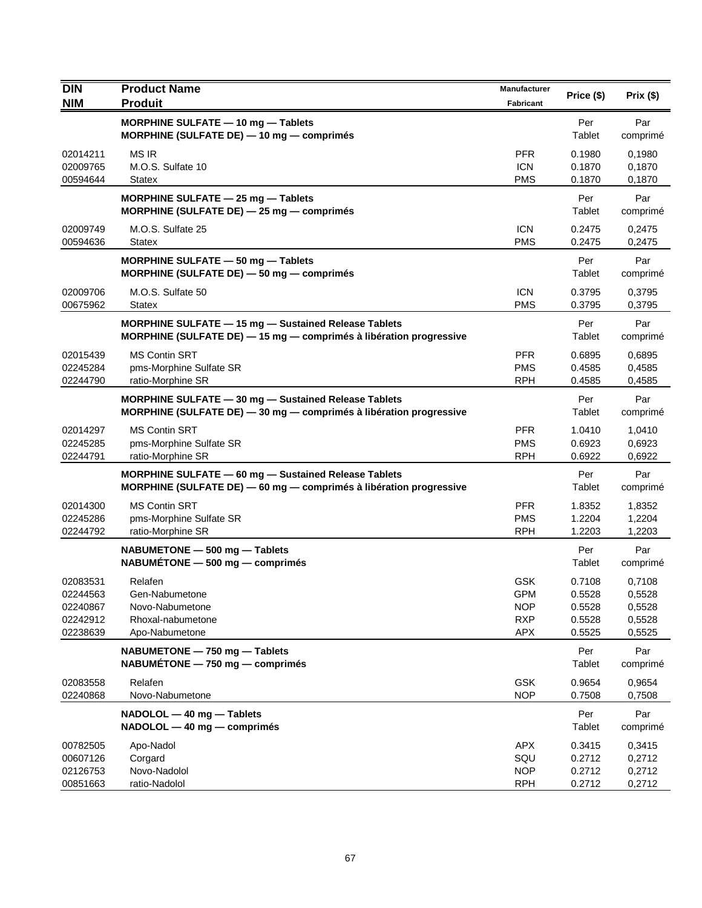| DIN                                                      | <b>Product Name</b>                                                                                                        | Manufacturer                                                       | Price (\$)                                     | Prix(\$)                                       |
|----------------------------------------------------------|----------------------------------------------------------------------------------------------------------------------------|--------------------------------------------------------------------|------------------------------------------------|------------------------------------------------|
| <b>NIM</b>                                               | <b>Produit</b>                                                                                                             | <b>Fabricant</b>                                                   |                                                |                                                |
|                                                          | MORPHINE SULFATE - 10 mg - Tablets<br>MORPHINE (SULFATE DE) $-$ 10 mg $-$ comprimés                                        |                                                                    | Per<br>Tablet                                  | Par<br>comprimé                                |
| 02014211<br>02009765<br>00594644                         | <b>MS IR</b><br>M.O.S. Sulfate 10<br><b>Statex</b>                                                                         | <b>PFR</b><br><b>ICN</b><br><b>PMS</b>                             | 0.1980<br>0.1870<br>0.1870                     | 0,1980<br>0,1870<br>0,1870                     |
|                                                          | MORPHINE SULFATE $-$ 25 mg $-$ Tablets<br>MORPHINE (SULFATE DE) - 25 mg - comprimés                                        |                                                                    | Per<br>Tablet                                  | Par<br>comprimé                                |
| 02009749<br>00594636                                     | M.O.S. Sulfate 25<br><b>Statex</b>                                                                                         | <b>ICN</b><br><b>PMS</b>                                           | 0.2475<br>0.2475                               | 0,2475<br>0,2475                               |
|                                                          | MORPHINE SULFATE - 50 mg - Tablets<br>MORPHINE (SULFATE DE) $-$ 50 mg $-$ comprimés                                        |                                                                    | Per<br>Tablet                                  | Par<br>comprimé                                |
| 02009706<br>00675962                                     | M.O.S. Sulfate 50<br><b>Statex</b>                                                                                         | <b>ICN</b><br><b>PMS</b>                                           | 0.3795<br>0.3795                               | 0,3795<br>0,3795                               |
|                                                          | MORPHINE SULFATE - 15 mg - Sustained Release Tablets<br>MORPHINE (SULFATE DE) - 15 mg - comprimés à libération progressive |                                                                    | Per<br>Tablet                                  | Par<br>comprimé                                |
| 02015439<br>02245284<br>02244790                         | <b>MS Contin SRT</b><br>pms-Morphine Sulfate SR<br>ratio-Morphine SR                                                       | <b>PFR</b><br><b>PMS</b><br><b>RPH</b>                             | 0.6895<br>0.4585<br>0.4585                     | 0.6895<br>0,4585<br>0,4585                     |
|                                                          | MORPHINE SULFATE - 30 mg - Sustained Release Tablets<br>MORPHINE (SULFATE DE) - 30 mg - comprimés à libération progressive |                                                                    | Per<br>Tablet                                  | Par<br>comprimé                                |
| 02014297<br>02245285<br>02244791                         | <b>MS Contin SRT</b><br>pms-Morphine Sulfate SR<br>ratio-Morphine SR                                                       | <b>PFR</b><br><b>PMS</b><br><b>RPH</b>                             | 1.0410<br>0.6923<br>0.6922                     | 1,0410<br>0,6923<br>0,6922                     |
|                                                          | MORPHINE SULFATE - 60 mg - Sustained Release Tablets<br>MORPHINE (SULFATE DE) - 60 mg - comprimés à libération progressive |                                                                    | Per<br>Tablet                                  | Par<br>comprimé                                |
| 02014300<br>02245286<br>02244792                         | <b>MS Contin SRT</b><br>pms-Morphine Sulfate SR<br>ratio-Morphine SR                                                       | <b>PFR</b><br><b>PMS</b><br><b>RPH</b>                             | 1.8352<br>1.2204<br>1.2203                     | 1,8352<br>1,2204<br>1,2203                     |
|                                                          | NABUMETONE - 500 mg - Tablets<br>$NABUMÉTONE - 500 mg - comprimés$                                                         |                                                                    | Per<br>Tablet                                  | Par<br>comprimé                                |
| 02083531<br>02244563<br>02240867<br>02242912<br>02238639 | Relafen<br>Gen-Nabumetone<br>Novo-Nabumetone<br>Rhoxal-nabumetone<br>Apo-Nabumetone                                        | <b>GSK</b><br><b>GPM</b><br><b>NOP</b><br><b>RXP</b><br><b>APX</b> | 0.7108<br>0.5528<br>0.5528<br>0.5528<br>0.5525 | 0,7108<br>0,5528<br>0,5528<br>0,5528<br>0,5525 |
|                                                          | NABUMETONE - 750 mg - Tablets<br>NABUMÉTONE - 750 mg - comprimés                                                           |                                                                    | Per<br>Tablet                                  | Par<br>comprimé                                |
| 02083558<br>02240868                                     | Relafen<br>Novo-Nabumetone                                                                                                 | <b>GSK</b><br><b>NOP</b>                                           | 0.9654<br>0.7508                               | 0,9654<br>0,7508                               |
|                                                          | NADOLOL - 40 mg - Tablets<br>NADOLOL - 40 mg - comprimés                                                                   |                                                                    | Per<br>Tablet                                  | Par<br>comprimé                                |
| 00782505<br>00607126<br>02126753<br>00851663             | Apo-Nadol<br>Corgard<br>Novo-Nadolol<br>ratio-Nadolol                                                                      | <b>APX</b><br>SQU<br><b>NOP</b><br><b>RPH</b>                      | 0.3415<br>0.2712<br>0.2712<br>0.2712           | 0,3415<br>0,2712<br>0,2712<br>0,2712           |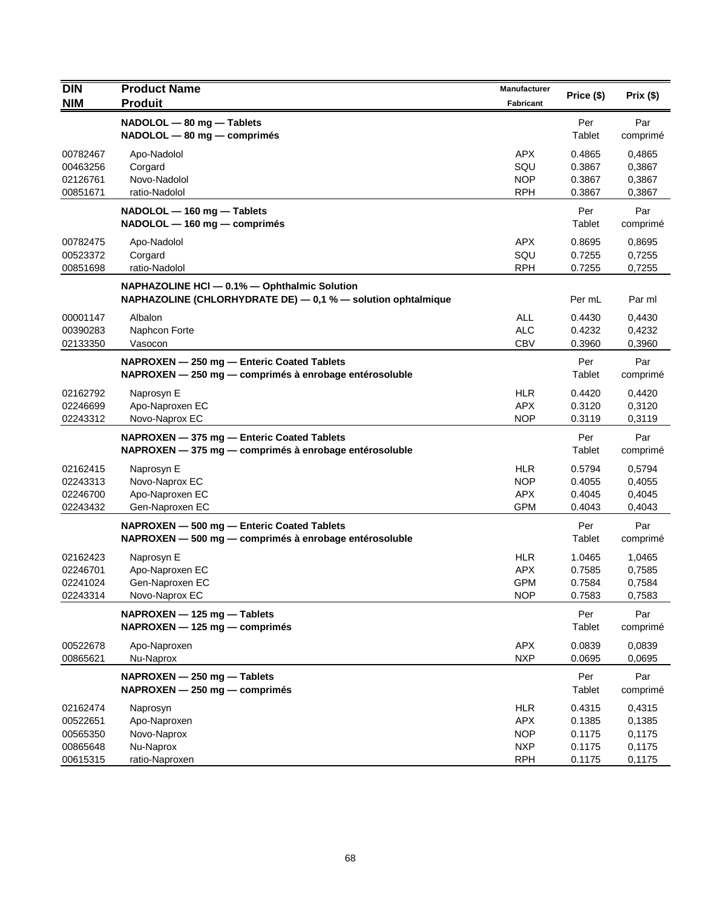| <b>DIN</b>                                               | <b>Product Name</b>                                                                                          | Manufacturer                                                       | Price (\$)                                     | Prix(\$)                                       |
|----------------------------------------------------------|--------------------------------------------------------------------------------------------------------------|--------------------------------------------------------------------|------------------------------------------------|------------------------------------------------|
| <b>NIM</b>                                               | <b>Produit</b>                                                                                               | Fabricant                                                          |                                                |                                                |
|                                                          | NADOLOL - 80 mg - Tablets<br>NADOLOL - 80 mg - comprimés                                                     |                                                                    | Per<br>Tablet                                  | Par<br>comprimé                                |
| 00782467<br>00463256<br>02126761<br>00851671             | Apo-Nadolol<br>Corgard<br>Novo-Nadolol<br>ratio-Nadolol                                                      | <b>APX</b><br>SQU<br><b>NOP</b><br><b>RPH</b>                      | 0.4865<br>0.3867<br>0.3867<br>0.3867           | 0,4865<br>0,3867<br>0,3867<br>0,3867           |
|                                                          | NADOLOL - 160 mg - Tablets<br>NADOLOL - 160 mg - comprimés                                                   |                                                                    | Per<br>Tablet                                  | Par<br>comprimé                                |
| 00782475<br>00523372<br>00851698                         | Apo-Nadolol<br>Corgard<br>ratio-Nadolol                                                                      | <b>APX</b><br>SQU<br><b>RPH</b>                                    | 0.8695<br>0.7255<br>0.7255                     | 0,8695<br>0,7255<br>0,7255                     |
|                                                          | NAPHAZOLINE HCI - 0.1% - Ophthalmic Solution<br>NAPHAZOLINE (CHLORHYDRATE DE) - 0,1 % - solution ophtalmique |                                                                    | Per mL                                         | Par ml                                         |
| 00001147<br>00390283<br>02133350                         | Albalon<br>Naphcon Forte<br>Vasocon                                                                          | ALL<br><b>ALC</b><br><b>CBV</b>                                    | 0.4430<br>0.4232<br>0.3960                     | 0,4430<br>0,4232<br>0,3960                     |
|                                                          | NAPROXEN - 250 mg - Enteric Coated Tablets<br>NAPROXEN - 250 mg - comprimés à enrobage entérosoluble         |                                                                    | Per<br>Tablet                                  | Par<br>comprimé                                |
| 02162792<br>02246699<br>02243312                         | Naprosyn E<br>Apo-Naproxen EC<br>Novo-Naprox EC                                                              | <b>HLR</b><br><b>APX</b><br><b>NOP</b>                             | 0.4420<br>0.3120<br>0.3119                     | 0,4420<br>0,3120<br>0,3119                     |
|                                                          | NAPROXEN - 375 mg - Enteric Coated Tablets<br>NAPROXEN - 375 mg - comprimés à enrobage entérosoluble         |                                                                    | Per<br>Tablet                                  | Par<br>comprimé                                |
| 02162415<br>02243313<br>02246700<br>02243432             | Naprosyn E<br>Novo-Naprox EC<br>Apo-Naproxen EC<br>Gen-Naproxen EC                                           | <b>HLR</b><br><b>NOP</b><br><b>APX</b><br><b>GPM</b>               | 0.5794<br>0.4055<br>0.4045<br>0.4043           | 0,5794<br>0,4055<br>0,4045<br>0,4043           |
|                                                          | NAPROXEN - 500 mg - Enteric Coated Tablets<br>NAPROXEN - 500 mg - comprimés à enrobage entérosoluble         |                                                                    | Per<br>Tablet                                  | Par<br>comprimé                                |
| 02162423<br>02246701<br>02241024<br>02243314             | Naprosyn E<br>Apo-Naproxen EC<br>Gen-Naproxen EC<br>Novo-Naprox EC                                           | <b>HLR</b><br><b>APX</b><br><b>GPM</b><br><b>NOP</b>               | 1.0465<br>0.7585<br>0.7584<br>0.7583           | 1,0465<br>0,7585<br>0,7584<br>0,7583           |
|                                                          | NAPROXEN - 125 mg - Tablets<br>NAPROXEN - 125 mg - comprimés                                                 |                                                                    | Per<br>Tablet                                  | Par<br>comprimé                                |
| 00522678<br>00865621                                     | Apo-Naproxen<br>Nu-Naprox                                                                                    | APX<br><b>NXP</b>                                                  | 0.0839<br>0.0695                               | 0,0839<br>0,0695                               |
|                                                          | NAPROXEN - 250 mg - Tablets<br>NAPROXEN - 250 mg - comprimés                                                 |                                                                    | Per<br>Tablet                                  | Par<br>comprimé                                |
| 02162474<br>00522651<br>00565350<br>00865648<br>00615315 | Naprosyn<br>Apo-Naproxen<br>Novo-Naprox<br>Nu-Naprox<br>ratio-Naproxen                                       | <b>HLR</b><br><b>APX</b><br><b>NOP</b><br><b>NXP</b><br><b>RPH</b> | 0.4315<br>0.1385<br>0.1175<br>0.1175<br>0.1175 | 0,4315<br>0,1385<br>0,1175<br>0,1175<br>0,1175 |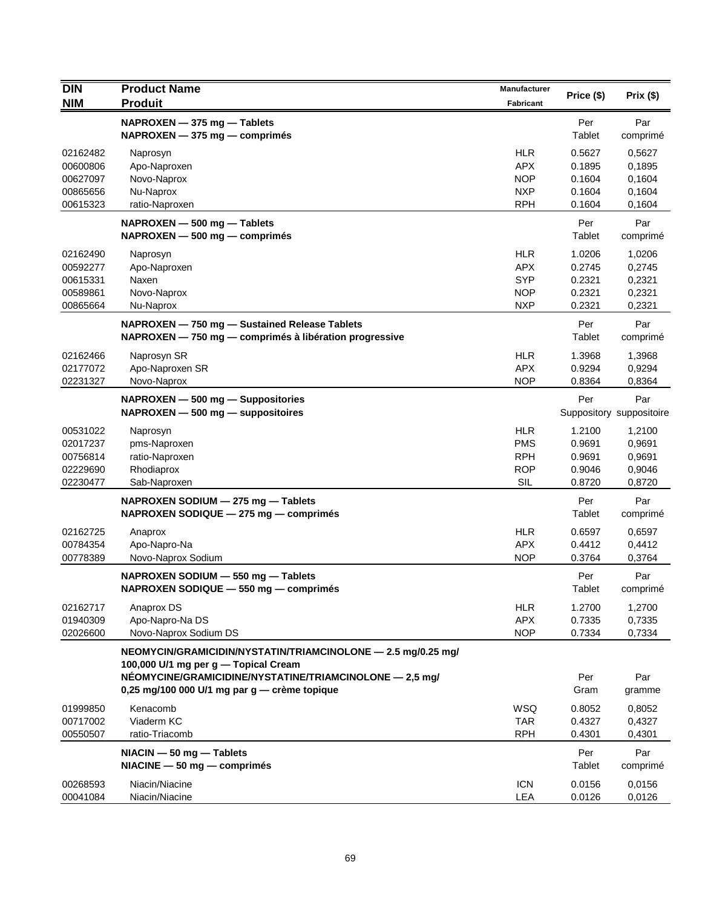| <b>DIN</b> | <b>Product Name</b>                                          | Manufacturer | Price (\$) | Prix(\$)                 |
|------------|--------------------------------------------------------------|--------------|------------|--------------------------|
| <b>NIM</b> | <b>Produit</b>                                               | Fabricant    |            |                          |
|            | NAPROXEN - 375 mg - Tablets                                  |              | Per        | Par                      |
|            | NAPROXEN - 375 mg - comprimés                                |              | Tablet     | comprimé                 |
| 02162482   | Naprosyn                                                     | <b>HLR</b>   | 0.5627     | 0,5627                   |
| 00600806   | Apo-Naproxen                                                 | <b>APX</b>   | 0.1895     | 0,1895                   |
| 00627097   | Novo-Naprox                                                  | <b>NOP</b>   | 0.1604     | 0,1604                   |
| 00865656   | Nu-Naprox                                                    | <b>NXP</b>   | 0.1604     | 0,1604                   |
| 00615323   | ratio-Naproxen                                               | <b>RPH</b>   | 0.1604     | 0,1604                   |
|            | NAPROXEN - 500 mg - Tablets                                  |              | Per        | Par                      |
|            | NAPROXEN - 500 mg - comprimés                                |              | Tablet     | comprimé                 |
| 02162490   | Naprosyn                                                     | <b>HLR</b>   | 1.0206     | 1,0206                   |
| 00592277   | Apo-Naproxen                                                 | <b>APX</b>   | 0.2745     | 0,2745                   |
| 00615331   | Naxen                                                        | <b>SYP</b>   | 0.2321     | 0,2321                   |
| 00589861   | Novo-Naprox                                                  | <b>NOP</b>   | 0.2321     | 0,2321                   |
| 00865664   | Nu-Naprox                                                    | <b>NXP</b>   | 0.2321     | 0,2321                   |
|            | NAPROXEN - 750 mg - Sustained Release Tablets                |              | Per        | Par                      |
|            | NAPROXEN - 750 mg - comprimés à libération progressive       |              | Tablet     | comprimé                 |
| 02162466   | Naprosyn SR                                                  | <b>HLR</b>   | 1.3968     | 1,3968                   |
| 02177072   | Apo-Naproxen SR                                              | <b>APX</b>   | 0.9294     | 0,9294                   |
| 02231327   | Novo-Naprox                                                  | <b>NOP</b>   | 0.8364     | 0,8364                   |
|            | NAPROXEN - 500 mg - Suppositories                            |              | Per        | Par                      |
|            | $NAPROXEN - 500 mg - $ suppositoires                         |              |            | Suppository suppositoire |
| 00531022   | Naprosyn                                                     | <b>HLR</b>   | 1.2100     | 1,2100                   |
| 02017237   | pms-Naproxen                                                 | <b>PMS</b>   | 0.9691     | 0,9691                   |
| 00756814   | ratio-Naproxen                                               | <b>RPH</b>   | 0.9691     | 0,9691                   |
| 02229690   | Rhodiaprox                                                   | <b>ROP</b>   | 0.9046     | 0,9046                   |
| 02230477   | Sab-Naproxen                                                 | SIL          | 0.8720     | 0,8720                   |
|            | NAPROXEN SODIUM - 275 mg - Tablets                           |              | Per        | Par                      |
|            | NAPROXEN SODIQUE - 275 mg - comprimés                        |              | Tablet     | comprimé                 |
| 02162725   | Anaprox                                                      | <b>HLR</b>   | 0.6597     | 0,6597                   |
| 00784354   | Apo-Napro-Na                                                 | <b>APX</b>   | 0.4412     | 0,4412                   |
| 00778389   | Novo-Naprox Sodium                                           | <b>NOP</b>   | 0.3764     | 0,3764                   |
|            | NAPROXEN SODIUM - 550 mg - Tablets                           |              | Per        | Par                      |
|            | NAPROXEN SODIQUE - 550 mg - comprimés                        |              | Tablet     | comprimé                 |
| 02162717   | Anaprox DS                                                   | <b>HLR</b>   | 1.2700     | 1,2700                   |
| 01940309   | Apo-Napro-Na DS                                              | <b>APX</b>   | 0.7335     | 0,7335                   |
| 02026600   | Novo-Naprox Sodium DS                                        | <b>NOP</b>   | 0.7334     | 0,7334                   |
|            | NEOMYCIN/GRAMICIDIN/NYSTATIN/TRIAMCINOLONE - 2.5 mg/0.25 mg/ |              |            |                          |
|            | 100,000 U/1 mg per g — Topical Cream                         |              |            |                          |
|            | NÉOMYCINE/GRAMICIDINE/NYSTATINE/TRIAMCINOLONE - 2,5 mg/      |              | Per        | Par                      |
|            | 0,25 mg/100 000 U/1 mg par g - crème topique                 |              | Gram       | gramme                   |
| 01999850   | Kenacomb                                                     | <b>WSQ</b>   | 0.8052     | 0,8052                   |
| 00717002   | Viaderm KC                                                   | <b>TAR</b>   | 0.4327     | 0,4327                   |
| 00550507   | ratio-Triacomb                                               | <b>RPH</b>   | 0.4301     | 0,4301                   |
|            | $NIACIN - 50 mg - Tables$                                    |              | Per        | Par                      |
|            | $NIACINE - 50 mg - comprimés$                                |              | Tablet     | comprimé                 |
| 00268593   | Niacin/Niacine                                               | <b>ICN</b>   | 0.0156     | 0,0156                   |
| 00041084   | Niacin/Niacine                                               | <b>LEA</b>   | 0.0126     | 0,0126                   |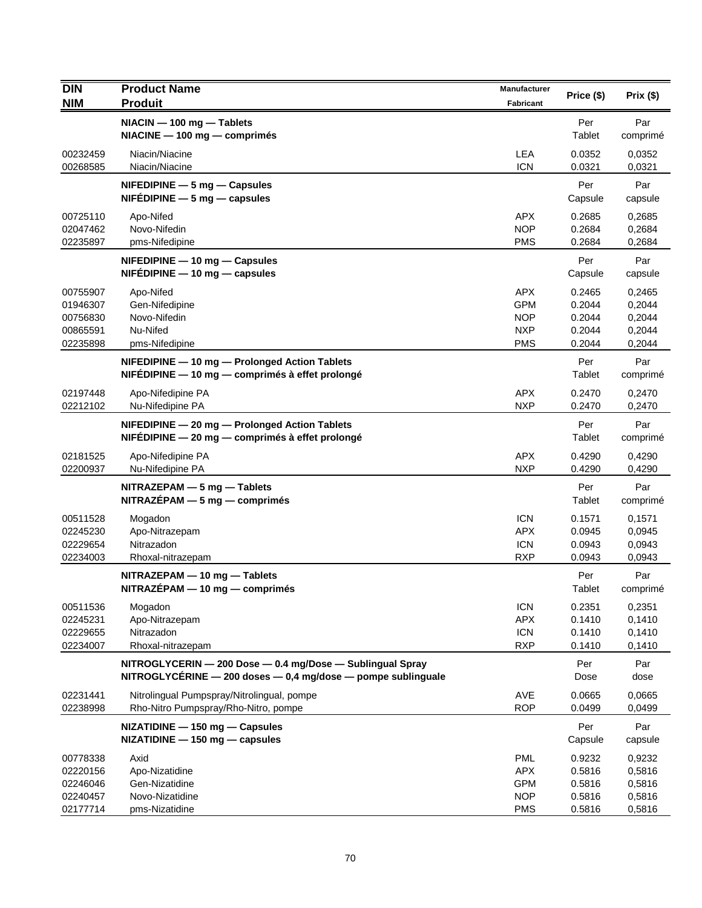| <b>DIN</b><br><b>NIM</b>                                 | <b>Product Name</b><br><b>Produit</b>                                                                                           | <b>Manufacturer</b><br><b>Fabricant</b>                            | Price (\$)                                     | Prix(\$)                                       |
|----------------------------------------------------------|---------------------------------------------------------------------------------------------------------------------------------|--------------------------------------------------------------------|------------------------------------------------|------------------------------------------------|
|                                                          | NIACIN - 100 mg - Tablets<br>NIACINE - 100 mg - comprimés                                                                       |                                                                    | Per<br>Tablet                                  | Par<br>comprimé                                |
| 00232459<br>00268585                                     | Niacin/Niacine<br>Niacin/Niacine                                                                                                | LEA<br><b>ICN</b>                                                  | 0.0352<br>0.0321                               | 0.0352<br>0,0321                               |
|                                                          | $N$ FEDIPINE $-5$ mg $-$ Capsules<br>$NIFÉDIPINE - 5 mg - capsules$                                                             |                                                                    | Per<br>Capsule                                 | Par<br>capsule                                 |
| 00725110<br>02047462<br>02235897                         | Apo-Nifed<br>Novo-Nifedin<br>pms-Nifedipine                                                                                     | APX.<br><b>NOP</b><br><b>PMS</b>                                   | 0.2685<br>0.2684<br>0.2684                     | 0,2685<br>0,2684<br>0,2684                     |
|                                                          | NIFEDIPINE - 10 mg - Capsules<br>$NIFÉDIPINE - 10 mg - capsules$                                                                |                                                                    | Per<br>Capsule                                 | Par<br>capsule                                 |
| 00755907<br>01946307<br>00756830<br>00865591<br>02235898 | Apo-Nifed<br>Gen-Nifedipine<br>Novo-Nifedin<br>Nu-Nifed<br>pms-Nifedipine                                                       | <b>APX</b><br><b>GPM</b><br><b>NOP</b><br><b>NXP</b><br><b>PMS</b> | 0.2465<br>0.2044<br>0.2044<br>0.2044<br>0.2044 | 0,2465<br>0,2044<br>0,2044<br>0,2044<br>0,2044 |
|                                                          | NIFEDIPINE - 10 mg - Prolonged Action Tablets<br>NIFÉDIPINE - 10 mg - comprimés à effet prolongé                                |                                                                    | Per<br>Tablet                                  | Par<br>comprimé                                |
| 02197448<br>02212102                                     | Apo-Nifedipine PA<br>Nu-Nifedipine PA                                                                                           | APX<br><b>NXP</b>                                                  | 0.2470<br>0.2470                               | 0,2470<br>0,2470                               |
|                                                          | NIFEDIPINE - 20 mg - Prolonged Action Tablets<br>NIFEDIPINE - 20 mg - comprimés à effet prolongé                                |                                                                    | Per<br>Tablet                                  | Par<br>comprimé                                |
| 02181525<br>02200937                                     | Apo-Nifedipine PA<br>Nu-Nifedipine PA                                                                                           | <b>APX</b><br><b>NXP</b>                                           | 0.4290<br>0.4290                               | 0,4290<br>0,4290                               |
|                                                          | $NITRAZEPAM - 5 mg - Tables$<br>$NITRAZÉPAM - 5 mg - comprimés$                                                                 |                                                                    | Per<br>Tablet                                  | Par<br>comprimé                                |
| 00511528<br>02245230<br>02229654<br>02234003             | Mogadon<br>Apo-Nitrazepam<br>Nitrazadon<br>Rhoxal-nitrazepam                                                                    | <b>ICN</b><br><b>APX</b><br><b>ICN</b><br><b>RXP</b>               | 0.1571<br>0.0945<br>0.0943<br>0.0943           | 0,1571<br>0,0945<br>0,0943<br>0,0943           |
|                                                          | NITRAZEPAM - 10 mg - Tablets<br>NITRAZÉPAM - 10 mg - comprimés                                                                  |                                                                    | Per<br>Tablet                                  | Par<br>comprimé                                |
| 00511536<br>02245231<br>02229655<br>02234007             | Mogadon<br>Apo-Nitrazepam<br>Nitrazadon<br>Rhoxal-nitrazepam                                                                    | <b>ICN</b><br><b>APX</b><br><b>ICN</b><br><b>RXP</b>               | 0.2351<br>0.1410<br>0.1410<br>0.1410           | 0,2351<br>0,1410<br>0,1410<br>0,1410           |
|                                                          | NITROGLYCERIN - 200 Dose - 0.4 mg/Dose - Sublingual Spray<br>NITROGLYCÉRINE $-$ 200 doses $-$ 0,4 mg/dose $-$ pompe sublinguale |                                                                    | Per<br>Dose                                    | Par<br>dose                                    |
| 02231441<br>02238998                                     | Nitrolingual Pumpspray/Nitrolingual, pompe<br>Rho-Nitro Pumpspray/Rho-Nitro, pompe                                              | <b>AVE</b><br><b>ROP</b>                                           | 0.0665<br>0.0499                               | 0.0665<br>0,0499                               |
|                                                          | NIZATIDINE - 150 mg - Capsules<br>NIZATIDINE - 150 mg - capsules                                                                |                                                                    | Per<br>Capsule                                 | Par<br>capsule                                 |
| 00778338<br>02220156<br>02246046<br>02240457<br>02177714 | Axid<br>Apo-Nizatidine<br>Gen-Nizatidine<br>Novo-Nizatidine<br>pms-Nizatidine                                                   | <b>PML</b><br><b>APX</b><br><b>GPM</b><br><b>NOP</b><br><b>PMS</b> | 0.9232<br>0.5816<br>0.5816<br>0.5816<br>0.5816 | 0,9232<br>0,5816<br>0,5816<br>0,5816<br>0,5816 |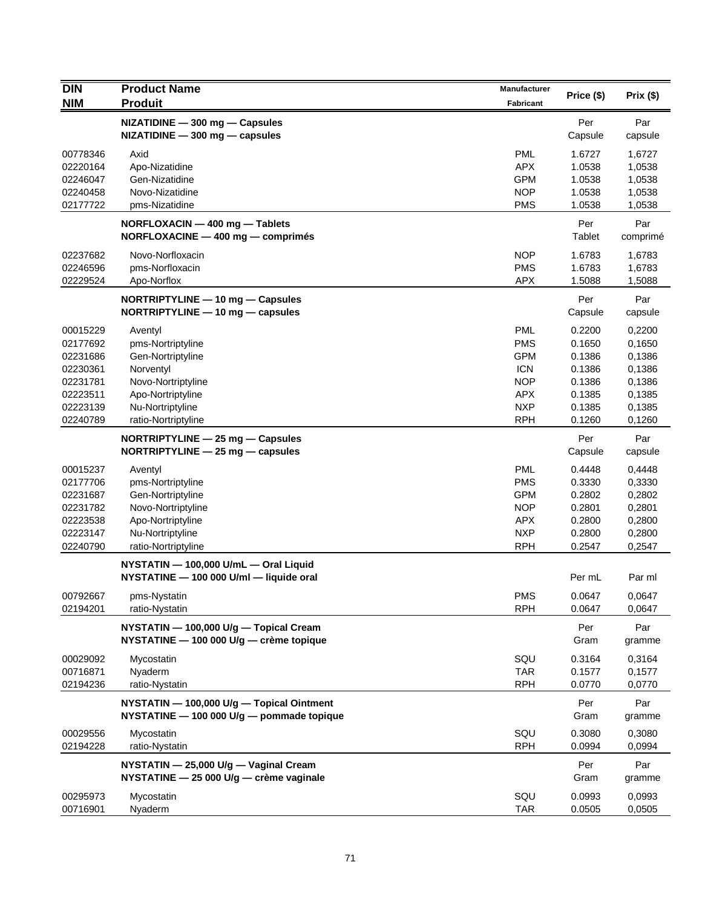| <b>DIN</b> | <b>Product Name</b>                       | <b>Manufacturer</b> |            |          |
|------------|-------------------------------------------|---------------------|------------|----------|
| <b>NIM</b> | <b>Produit</b>                            | Fabricant           | Price (\$) | Prix(\$) |
|            | NIZATIDINE - 300 mg - Capsules            |                     | Per        | Par      |
|            | $NIZATIDINE - 300 mg - capsules$          |                     | Capsule    | capsule  |
| 00778346   | Axid                                      | <b>PML</b>          | 1.6727     | 1,6727   |
| 02220164   | Apo-Nizatidine                            | <b>APX</b>          | 1.0538     | 1,0538   |
| 02246047   | Gen-Nizatidine                            | <b>GPM</b>          | 1.0538     | 1,0538   |
| 02240458   | Novo-Nizatidine                           | <b>NOP</b>          | 1.0538     | 1,0538   |
| 02177722   | pms-Nizatidine                            | <b>PMS</b>          | 1.0538     | 1,0538   |
|            | NORFLOXACIN - 400 mg - Tablets            |                     | Per        | Par      |
|            | NORFLOXACINE - 400 mg - comprimés         |                     | Tablet     | comprimé |
| 02237682   | Novo-Norfloxacin                          | <b>NOP</b>          | 1.6783     | 1,6783   |
| 02246596   | pms-Norfloxacin                           | <b>PMS</b>          | 1.6783     | 1,6783   |
| 02229524   | Apo-Norflox                               | <b>APX</b>          | 1.5088     | 1,5088   |
|            | NORTRIPTYLINE - 10 mg - Capsules          |                     | Per        | Par      |
|            | NORTRIPTYLINE - 10 mg - capsules          |                     | Capsule    | capsule  |
| 00015229   | Aventyl                                   | <b>PML</b>          | 0.2200     | 0,2200   |
| 02177692   | pms-Nortriptyline                         | <b>PMS</b>          | 0.1650     | 0,1650   |
| 02231686   | Gen-Nortriptyline                         | <b>GPM</b>          | 0.1386     | 0,1386   |
| 02230361   | Norventyl                                 | <b>ICN</b>          | 0.1386     | 0,1386   |
| 02231781   | Novo-Nortriptyline                        | <b>NOP</b>          | 0.1386     | 0,1386   |
| 02223511   | Apo-Nortriptyline                         | <b>APX</b>          | 0.1385     | 0,1385   |
| 02223139   | Nu-Nortriptyline                          | <b>NXP</b>          | 0.1385     | 0,1385   |
| 02240789   | ratio-Nortriptyline                       | <b>RPH</b>          | 0.1260     | 0,1260   |
|            | NORTRIPTYLINE - 25 mg - Capsules          |                     | Per        | Par      |
|            | NORTRIPTYLINE $-$ 25 mg $-$ capsules      |                     | Capsule    | capsule  |
| 00015237   | Aventyl                                   | <b>PML</b>          | 0.4448     | 0,4448   |
| 02177706   | pms-Nortriptyline                         | <b>PMS</b>          | 0.3330     | 0,3330   |
| 02231687   | Gen-Nortriptyline                         | <b>GPM</b>          | 0.2802     | 0,2802   |
| 02231782   | Novo-Nortriptyline                        | <b>NOP</b>          | 0.2801     | 0,2801   |
| 02223538   | Apo-Nortriptyline                         | <b>APX</b>          | 0.2800     | 0,2800   |
| 02223147   | Nu-Nortriptyline                          | <b>NXP</b>          | 0.2800     | 0,2800   |
| 02240790   | ratio-Nortriptyline                       | <b>RPH</b>          | 0.2547     | 0,2547   |
|            | NYSTATIN - 100,000 U/mL - Oral Liquid     |                     |            |          |
|            | NYSTATINE - 100 000 U/ml - liquide oral   |                     | Per mL     | Par ml   |
| 00792667   | pms-Nystatin                              | <b>PMS</b>          | 0.0647     | 0,0647   |
| 02194201   | ratio-Nystatin                            | <b>RPH</b>          | 0.0647     | 0,0647   |
|            | NYSTATIN - 100,000 U/g - Topical Cream    |                     | Per        | Par      |
|            | NYSTATINE - 100 000 U/g - crème topique   |                     | Gram       | gramme   |
| 00029092   | Mycostatin                                | SQU                 | 0.3164     | 0,3164   |
| 00716871   | Nyaderm                                   | <b>TAR</b>          | 0.1577     | 0,1577   |
| 02194236   | ratio-Nystatin                            | <b>RPH</b>          | 0.0770     | 0,0770   |
|            | NYSTATIN - 100,000 U/g - Topical Ointment |                     | Per        | Par      |
|            | NYSTATINE - 100 000 U/g - pommade topique |                     | Gram       | gramme   |
| 00029556   | Mycostatin                                | SQU                 | 0.3080     | 0,3080   |
| 02194228   | ratio-Nystatin                            | <b>RPH</b>          | 0.0994     | 0,0994   |
|            | NYSTATIN - 25,000 U/g - Vaginal Cream     |                     | Per        | Par      |
|            | NYSTATINE - 25 000 U/g - crème vaginale   |                     | Gram       | gramme   |
| 00295973   | Mycostatin                                | SQU                 | 0.0993     | 0,0993   |
| 00716901   | Nyaderm                                   | <b>TAR</b>          | 0.0505     | 0,0505   |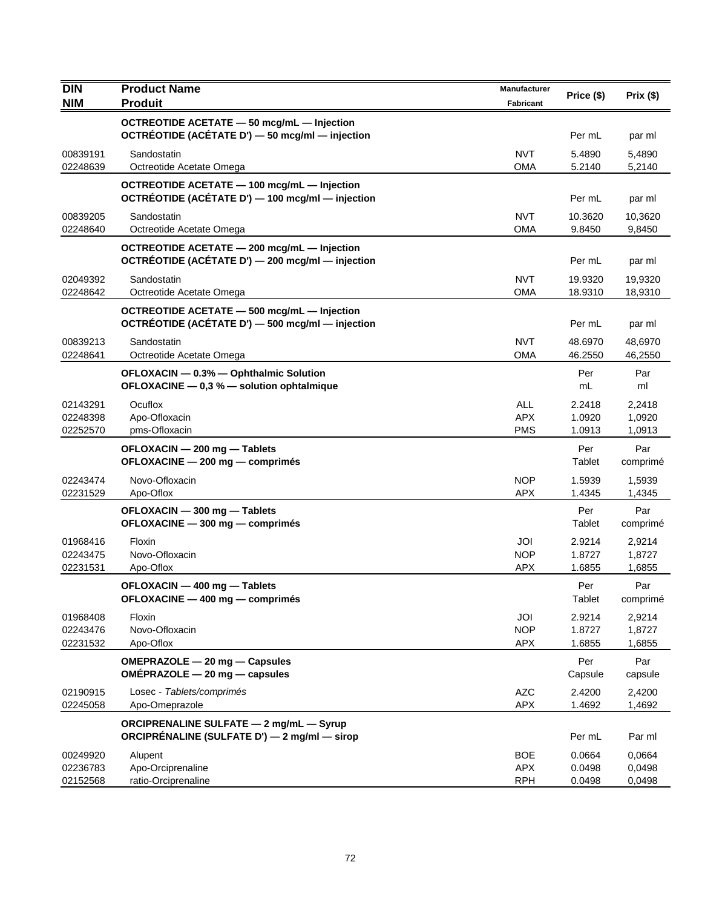| <b>DIN</b>           | <b>Product Name</b>                                                                             | <b>Manufacturer</b>      |                    |                    |
|----------------------|-------------------------------------------------------------------------------------------------|--------------------------|--------------------|--------------------|
| <b>NIM</b>           | <b>Produit</b>                                                                                  | Fabricant                | Price (\$)         | Prix(\$)           |
|                      | OCTREOTIDE ACETATE - 50 mcg/mL - Injection                                                      |                          |                    |                    |
|                      | OCTRÉOTIDE (ACÉTATE D') - 50 mcg/ml - injection                                                 |                          | Per mL             | par ml             |
| 00839191             | Sandostatin                                                                                     | <b>NVT</b>               | 5.4890             | 5,4890             |
| 02248639             | Octreotide Acetate Omega                                                                        | <b>OMA</b>               | 5.2140             | 5,2140             |
|                      | OCTREOTIDE ACETATE - 100 mcg/mL - Injection                                                     |                          |                    |                    |
|                      | OCTRÉOTIDE (ACÉTATE D') - 100 mcg/ml - injection                                                |                          | Per mL             | par ml             |
| 00839205             | Sandostatin                                                                                     | <b>NVT</b>               | 10.3620            | 10,3620            |
| 02248640             | Octreotide Acetate Omega                                                                        | <b>OMA</b>               | 9.8450             | 9,8450             |
|                      | OCTREOTIDE ACETATE - 200 mcg/mL - Injection<br>OCTRÉOTIDE (ACÉTATE D') - 200 mcg/ml - injection |                          | Per mL             |                    |
|                      |                                                                                                 |                          |                    | par ml             |
| 02049392<br>02248642 | Sandostatin<br>Octreotide Acetate Omega                                                         | <b>NVT</b><br><b>OMA</b> | 19.9320<br>18.9310 | 19,9320<br>18,9310 |
|                      | OCTREOTIDE ACETATE - 500 mcg/mL - Injection                                                     |                          |                    |                    |
|                      | OCTRÉOTIDE (ACÉTATE D') - 500 mcg/ml - injection                                                |                          | Per mL             | par ml             |
| 00839213             | Sandostatin                                                                                     | <b>NVT</b>               | 48.6970            | 48,6970            |
| 02248641             | Octreotide Acetate Omega                                                                        | <b>OMA</b>               | 46.2550            | 46,2550            |
|                      | OFLOXACIN - 0.3% - Ophthalmic Solution                                                          |                          | Per                | Par                |
|                      | OFLOXACINE - 0,3 % - solution ophtalmique                                                       |                          | mL                 | ml                 |
| 02143291             | Ocuflox                                                                                         | <b>ALL</b>               | 2.2418             | 2,2418             |
| 02248398             | Apo-Ofloxacin                                                                                   | <b>APX</b>               | 1.0920             | 1,0920             |
| 02252570             | pms-Ofloxacin                                                                                   | <b>PMS</b>               | 1.0913             | 1,0913             |
|                      | OFLOXACIN - 200 mg - Tablets                                                                    |                          | Per                | Par                |
|                      | OFLOXACINE - 200 mg - comprimés                                                                 |                          | Tablet             | comprimé           |
| 02243474<br>02231529 | Novo-Ofloxacin<br>Apo-Oflox                                                                     | <b>NOP</b><br><b>APX</b> | 1.5939<br>1.4345   | 1,5939<br>1,4345   |
|                      | OFLOXACIN - 300 mg - Tablets                                                                    |                          | Per                | Par                |
|                      | OFLOXACINE - 300 mg - comprimés                                                                 |                          | Tablet             | comprimé           |
| 01968416             | Floxin                                                                                          | JOI                      | 2.9214             | 2,9214             |
| 02243475             | Novo-Ofloxacin                                                                                  | <b>NOP</b>               | 1.8727             | 1,8727             |
| 02231531             | Apo-Oflox                                                                                       | <b>APX</b>               | 1.6855             | 1,6855             |
|                      | OFLOXACIN - 400 mg - Tablets                                                                    |                          | Per                | Par                |
|                      | OFLOXACINE - 400 mg - comprimés                                                                 |                          | Tablet             | comprimé           |
| 01968408             | Floxin                                                                                          | JOI                      | 2.9214             | 2,9214             |
| 02243476             | Novo-Ofloxacin                                                                                  | <b>NOP</b>               | 1.8727             | 1,8727             |
| 02231532             | Apo-Oflox                                                                                       | <b>APX</b>               | 1.6855             | 1,6855             |
|                      | OMEPRAZOLE - 20 mg - Capsules                                                                   |                          | Per                | Par                |
|                      | OMÉPRAZOLE - 20 mg - capsules                                                                   |                          | Capsule            | capsule            |
| 02190915             | Losec - Tablets/comprimés                                                                       | <b>AZC</b>               | 2.4200             | 2,4200             |
| 02245058             | Apo-Omeprazole                                                                                  | <b>APX</b>               | 1.4692             | 1,4692             |
|                      | <b>ORCIPRENALINE SULFATE - 2 mg/mL - Syrup</b><br>ORCIPRÉNALINE (SULFATE D') - 2 mg/ml - sirop  |                          | Per mL             | Par ml             |
|                      |                                                                                                 |                          |                    |                    |
| 00249920<br>02236783 | Alupent<br>Apo-Orciprenaline                                                                    | <b>BOE</b><br><b>APX</b> | 0.0664<br>0.0498   | 0,0664<br>0,0498   |
| 02152568             | ratio-Orciprenaline                                                                             | <b>RPH</b>               | 0.0498             | 0,0498             |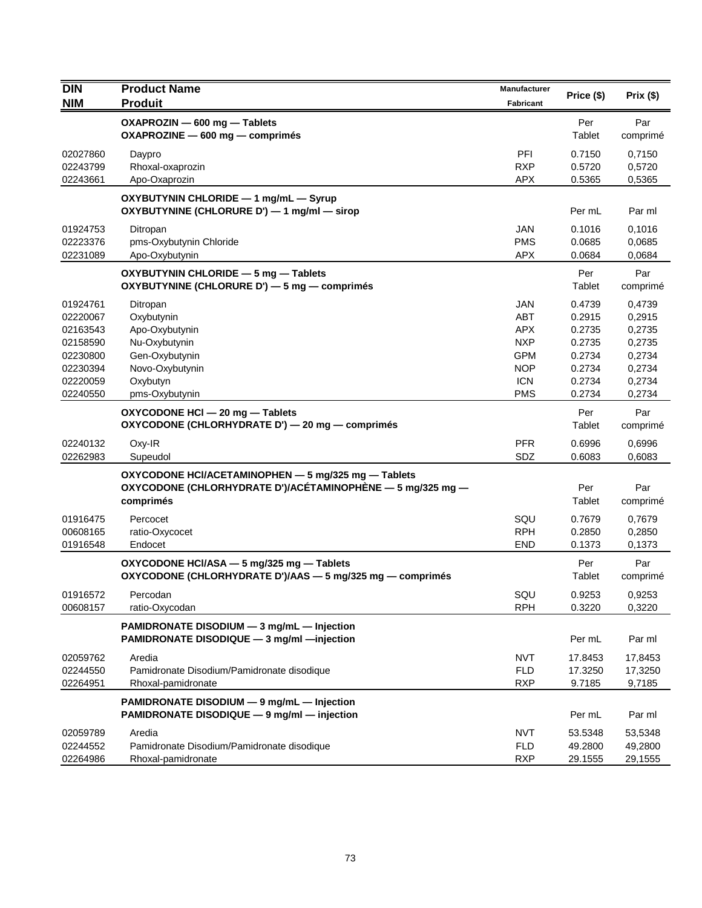| <b>DIN</b> | <b>Product Name</b>                                                                       | <b>Manufacturer</b> | Price (\$) | Prix(\$) |
|------------|-------------------------------------------------------------------------------------------|---------------------|------------|----------|
| <b>NIM</b> | <b>Produit</b>                                                                            | <b>Fabricant</b>    |            |          |
|            | OXAPROZIN - 600 mg - Tablets                                                              |                     | Per        | Par      |
|            | OXAPROZINE - 600 mg - comprimés                                                           |                     | Tablet     | comprimé |
| 02027860   | Daypro                                                                                    | PFI                 | 0.7150     | 0,7150   |
| 02243799   | Rhoxal-oxaprozin                                                                          | <b>RXP</b>          | 0.5720     | 0,5720   |
| 02243661   | Apo-Oxaprozin                                                                             | <b>APX</b>          | 0.5365     | 0,5365   |
|            | OXYBUTYNIN CHLORIDE - 1 mg/mL - Syrup                                                     |                     |            |          |
|            | OXYBUTYNINE (CHLORURE D') - 1 mg/ml - sirop                                               |                     | Per mL     | Par ml   |
| 01924753   | Ditropan                                                                                  | <b>JAN</b>          | 0.1016     | 0,1016   |
| 02223376   | pms-Oxybutynin Chloride                                                                   | <b>PMS</b>          | 0.0685     | 0,0685   |
| 02231089   | Apo-Oxybutynin                                                                            | <b>APX</b>          | 0.0684     | 0,0684   |
|            | OXYBUTYNIN CHLORIDE - 5 mg - Tablets                                                      |                     | Per        | Par      |
|            | OXYBUTYNINE (CHLORURE D') - 5 mg - comprimés                                              |                     | Tablet     | comprimé |
| 01924761   | Ditropan                                                                                  | <b>JAN</b>          | 0.4739     | 0,4739   |
| 02220067   | Oxybutynin                                                                                | <b>ABT</b>          | 0.2915     | 0,2915   |
| 02163543   | Apo-Oxybutynin                                                                            | <b>APX</b>          | 0.2735     | 0,2735   |
| 02158590   | Nu-Oxybutynin                                                                             | <b>NXP</b>          | 0.2735     | 0,2735   |
| 02230800   | Gen-Oxybutynin                                                                            | <b>GPM</b>          | 0.2734     | 0,2734   |
| 02230394   | Novo-Oxybutynin                                                                           | <b>NOP</b>          | 0.2734     | 0,2734   |
| 02220059   | Oxybutyn                                                                                  | <b>ICN</b>          | 0.2734     | 0,2734   |
| 02240550   | pms-Oxybutynin                                                                            | <b>PMS</b>          | 0.2734     | 0,2734   |
|            | OXYCODONE HCI - 20 mg - Tablets                                                           |                     | Per        | Par      |
|            | OXYCODONE (CHLORHYDRATE D') - 20 mg - comprimés                                           |                     | Tablet     | comprimé |
| 02240132   | Oxy-IR                                                                                    | <b>PFR</b>          | 0.6996     | 0,6996   |
| 02262983   | Supeudol                                                                                  | SDZ                 | 0.6083     | 0,6083   |
|            | OXYCODONE HCI/ACETAMINOPHEN - 5 mg/325 mg - Tablets                                       |                     |            |          |
|            | OXYCODONE (CHLORHYDRATE D')/ACÉTAMINOPHÈNE — 5 mg/325 mg —                                |                     | Per        | Par      |
|            | comprimés                                                                                 |                     | Tablet     | comprimé |
| 01916475   | Percocet                                                                                  | SQU                 | 0.7679     | 0,7679   |
| 00608165   | ratio-Oxycocet                                                                            | <b>RPH</b>          | 0.2850     | 0,2850   |
| 01916548   | Endocet                                                                                   | <b>END</b>          | 0.1373     | 0,1373   |
|            | OXYCODONE HCI/ASA - 5 mg/325 mg - Tablets                                                 |                     | Per        | Par      |
|            | OXYCODONE (CHLORHYDRATE D')/AAS - 5 mg/325 mg - comprimés                                 |                     | Tablet     | comprimé |
| 01916572   | Percodan                                                                                  | SQU                 | 0.9253     | 0,9253   |
| 00608157   | ratio-Oxycodan                                                                            | <b>RPH</b>          | 0.3220     | 0,3220   |
|            |                                                                                           |                     |            |          |
|            | PAMIDRONATE DISODIUM - 3 mg/mL - Injection<br>PAMIDRONATE DISODIQUE - 3 mg/ml - injection |                     | Per mL     | Par ml   |
|            |                                                                                           |                     |            |          |
| 02059762   | Aredia                                                                                    | <b>NVT</b>          | 17.8453    | 17,8453  |
| 02244550   | Pamidronate Disodium/Pamidronate disodique                                                | <b>FLD</b>          | 17.3250    | 17,3250  |
| 02264951   | Rhoxal-pamidronate                                                                        | <b>RXP</b>          | 9.7185     | 9,7185   |
|            | PAMIDRONATE DISODIUM - 9 mg/mL - Injection                                                |                     |            |          |
|            | PAMIDRONATE DISODIQUE - 9 mg/ml - injection                                               |                     | Per mL     | Par ml   |
| 02059789   | Aredia                                                                                    | <b>NVT</b>          | 53.5348    | 53,5348  |
| 02244552   | Pamidronate Disodium/Pamidronate disodique                                                | <b>FLD</b>          | 49.2800    | 49,2800  |
| 02264986   | Rhoxal-pamidronate                                                                        | <b>RXP</b>          | 29.1555    | 29,1555  |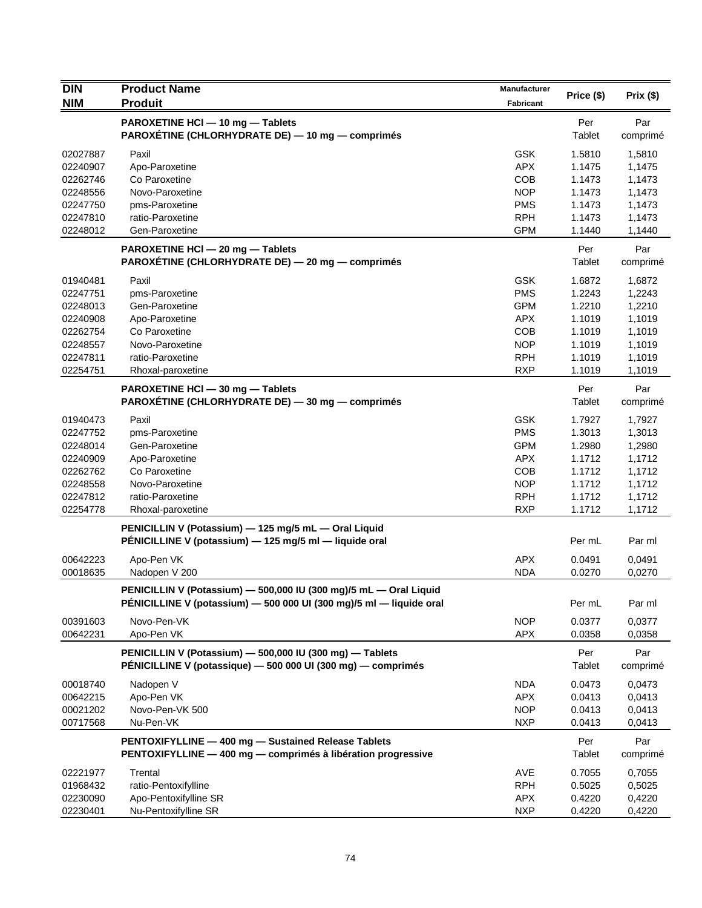| <b>DIN</b>           | <b>Product Name</b>                                                                                                                      | Manufacturer             | Price (\$)       | Prix(\$)         |
|----------------------|------------------------------------------------------------------------------------------------------------------------------------------|--------------------------|------------------|------------------|
| <b>NIM</b>           | <b>Produit</b>                                                                                                                           | Fabricant                |                  |                  |
|                      | PAROXETINE HCI - 10 mg - Tablets<br>PAROXETINE (CHLORHYDRATE DE) — 10 mg — comprimés                                                     |                          | Per<br>Tablet    | Par<br>comprimé  |
| 02027887             | Paxil                                                                                                                                    | <b>GSK</b>               | 1.5810           | 1,5810           |
| 02240907             | Apo-Paroxetine                                                                                                                           | <b>APX</b>               | 1.1475           | 1,1475           |
| 02262746             | Co Paroxetine                                                                                                                            | COB                      | 1.1473           | 1,1473           |
| 02248556             | Novo-Paroxetine                                                                                                                          | <b>NOP</b>               | 1.1473           | 1,1473           |
| 02247750             | pms-Paroxetine                                                                                                                           | <b>PMS</b>               | 1.1473           | 1,1473           |
| 02247810             | ratio-Paroxetine                                                                                                                         | <b>RPH</b>               | 1.1473           | 1,1473           |
| 02248012             | Gen-Paroxetine                                                                                                                           | <b>GPM</b>               | 1.1440           | 1,1440           |
|                      | PAROXETINE HCl - 20 mg - Tablets<br>PAROXÉTINE (CHLORHYDRATE DE) - 20 mg - comprimés                                                     |                          | Per<br>Tablet    | Par<br>comprimé  |
| 01940481             | Paxil                                                                                                                                    | <b>GSK</b>               | 1.6872           | 1,6872           |
| 02247751             | pms-Paroxetine                                                                                                                           | <b>PMS</b>               | 1.2243           | 1,2243           |
| 02248013             | Gen-Paroxetine                                                                                                                           | <b>GPM</b>               | 1.2210           | 1,2210           |
| 02240908             | Apo-Paroxetine                                                                                                                           | <b>APX</b>               | 1.1019           | 1,1019           |
| 02262754             | Co Paroxetine                                                                                                                            | <b>COB</b>               | 1.1019           | 1,1019           |
| 02248557             | Novo-Paroxetine                                                                                                                          | <b>NOP</b>               | 1.1019           | 1,1019           |
| 02247811             | ratio-Paroxetine                                                                                                                         | <b>RPH</b>               | 1.1019           | 1,1019           |
| 02254751             | Rhoxal-paroxetine                                                                                                                        | <b>RXP</b>               | 1.1019           | 1,1019           |
|                      | PAROXETINE HCI - 30 mg - Tablets<br>PAROXÉTINE (CHLORHYDRATE DE) - 30 mg - comprimés                                                     |                          | Per<br>Tablet    | Par<br>comprimé  |
| 01940473             | Paxil                                                                                                                                    | <b>GSK</b>               | 1.7927           | 1,7927           |
| 02247752             | pms-Paroxetine                                                                                                                           | <b>PMS</b>               | 1.3013           | 1,3013           |
| 02248014             | Gen-Paroxetine                                                                                                                           | <b>GPM</b>               | 1.2980           | 1,2980           |
| 02240909             | Apo-Paroxetine                                                                                                                           | <b>APX</b>               | 1.1712           | 1,1712           |
| 02262762             | Co Paroxetine                                                                                                                            | <b>COB</b>               | 1.1712           | 1,1712           |
| 02248558             | Novo-Paroxetine                                                                                                                          | <b>NOP</b>               | 1.1712           | 1,1712           |
| 02247812             | ratio-Paroxetine                                                                                                                         | <b>RPH</b>               | 1.1712           | 1,1712           |
| 02254778             | Rhoxal-paroxetine                                                                                                                        | <b>RXP</b>               | 1.1712           | 1,1712           |
|                      | PENICILLIN V (Potassium) - 125 mg/5 mL - Oral Liquid<br>PÉNICILLINE V (potassium) - 125 mg/5 ml - liquide oral                           |                          | Per mL           | Par ml           |
|                      |                                                                                                                                          |                          |                  |                  |
| 00642223<br>00018635 | Apo-Pen VK<br>Nadopen V 200                                                                                                              | <b>APX</b><br><b>NDA</b> | 0.0491<br>0.0270 | 0,0491<br>0,0270 |
|                      |                                                                                                                                          |                          |                  |                  |
|                      | PENICILLIN V (Potassium) - 500,000 IU (300 mg)/5 mL - Oral Liquid<br>PÉNICILLINE V (potassium) - 500 000 UI (300 mg)/5 ml - liquide oral |                          | Per mL           | Par ml           |
| 00391603<br>00642231 | Novo-Pen-VK<br>Apo-Pen VK                                                                                                                | <b>NOP</b><br>APX        | 0.0377<br>0.0358 | 0,0377<br>0,0358 |
|                      | PENICILLIN V (Potassium) - 500,000 IU (300 mg) - Tablets<br>PÉNICILLINE V (potassique) - 500 000 UI (300 mg) - comprimés                 |                          | Per<br>Tablet    | Par<br>comprimé  |
| 00018740             | Nadopen V                                                                                                                                | <b>NDA</b>               | 0.0473           | 0,0473           |
| 00642215             | Apo-Pen VK                                                                                                                               | <b>APX</b>               | 0.0413           | 0,0413           |
| 00021202             | Novo-Pen-VK 500                                                                                                                          | <b>NOP</b>               | 0.0413           | 0,0413           |
| 00717568             | Nu-Pen-VK                                                                                                                                | <b>NXP</b>               | 0.0413           | 0,0413           |
|                      | PENTOXIFYLLINE - 400 mg - Sustained Release Tablets<br>PENTOXIFYLLINE - 400 mg - comprimés à libération progressive                      |                          | Per<br>Tablet    | Par<br>comprimé  |
| 02221977             | Trental                                                                                                                                  | AVE                      | 0.7055           | 0,7055           |
| 01968432             | ratio-Pentoxifylline                                                                                                                     | <b>RPH</b>               | 0.5025           | 0,5025           |
| 02230090             | Apo-Pentoxifylline SR                                                                                                                    | <b>APX</b>               | 0.4220           | 0,4220           |
| 02230401             | Nu-Pentoxifylline SR                                                                                                                     | <b>NXP</b>               | 0.4220           | 0,4220           |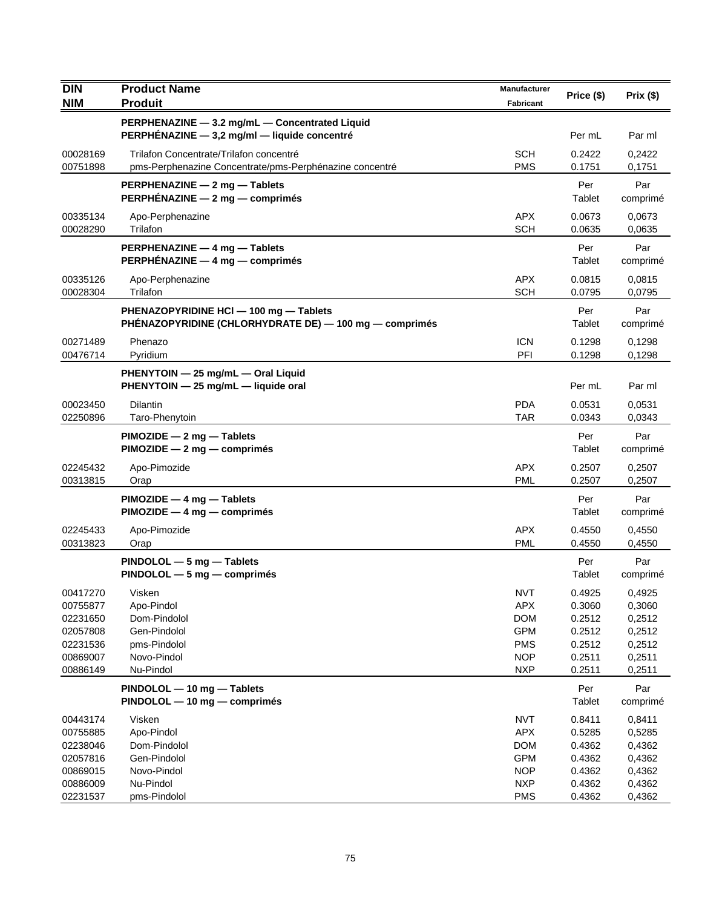| <b>DIN</b>           | <b>Product Name</b>                                                       | Manufacturer             | Price (\$)       | Prix(\$)         |
|----------------------|---------------------------------------------------------------------------|--------------------------|------------------|------------------|
| <b>NIM</b>           | <b>Produit</b>                                                            | <b>Fabricant</b>         |                  |                  |
|                      | PERPHENAZINE - 3.2 mg/mL - Concentrated Liquid                            |                          |                  |                  |
|                      | PERPHÉNAZINE - 3,2 mg/ml - liquide concentré                              |                          | Per mL           | Par ml           |
| 00028169             | Trilafon Concentrate/Trilafon concentré                                   | <b>SCH</b>               | 0.2422           | 0,2422           |
| 00751898             | pms-Perphenazine Concentrate/pms-Perphénazine concentré                   | <b>PMS</b>               | 0.1751           | 0,1751           |
|                      | PERPHENAZINE - 2 mg - Tablets                                             |                          | Per              | Par              |
|                      | <b>PERPHÉNAZINE — 2 mg — comprimés</b>                                    |                          | Tablet           | comprimé         |
| 00335134             | Apo-Perphenazine                                                          | <b>APX</b>               | 0.0673           | 0,0673           |
| 00028290             | Trilafon                                                                  | <b>SCH</b>               | 0.0635           | 0,0635           |
|                      | PERPHENAZINE - 4 mg - Tablets                                             |                          | Per              | Par              |
|                      | PERPHÉNAZINE - 4 mg - comprimés                                           |                          | Tablet           | comprimé         |
| 00335126             | Apo-Perphenazine                                                          | <b>APX</b>               | 0.0815           | 0,0815           |
| 00028304             | Trilafon                                                                  | <b>SCH</b>               | 0.0795           | 0,0795           |
|                      | PHENAZOPYRIDINE HCI - 100 mg - Tablets                                    |                          | Per              | Par              |
|                      | PHÉNAZOPYRIDINE (CHLORHYDRATE DE) — 100 mg — comprimés                    |                          | Tablet           | comprimé         |
| 00271489             | Phenazo                                                                   | <b>ICN</b>               | 0.1298           |                  |
| 00476714             | Pyridium                                                                  | PFI                      | 0.1298           | 0,1298<br>0,1298 |
|                      |                                                                           |                          |                  |                  |
|                      | PHENYTOIN - 25 mg/mL - Oral Liquid<br>PHENYTOIN - 25 mg/mL - liquide oral |                          | Per mL           | Par ml           |
|                      |                                                                           |                          |                  |                  |
| 00023450<br>02250896 | <b>Dilantin</b><br>Taro-Phenytoin                                         | <b>PDA</b><br><b>TAR</b> | 0.0531<br>0.0343 | 0.0531<br>0,0343 |
|                      |                                                                           |                          |                  |                  |
|                      | $PIMOZIDE - 2 mg - Tables$                                                |                          | Per              | Par              |
|                      | $PIMOZIDE - 2 mg - comprimés$                                             |                          | Tablet           | comprimé         |
| 02245432             | Apo-Pimozide                                                              | <b>APX</b>               | 0.2507           | 0,2507           |
| 00313815             | Orap                                                                      | <b>PML</b>               | 0.2507           | 0,2507           |
|                      | $PIMOZIDE - 4 mg - Tables$                                                |                          | Per              | Par              |
|                      | PIMOZIDE - 4 mg - comprimés                                               |                          | Tablet           | comprimé         |
| 02245433             | Apo-Pimozide                                                              | <b>APX</b>               | 0.4550           | 0,4550           |
| 00313823             | Orap                                                                      | <b>PML</b>               | 0.4550           | 0,4550           |
|                      | $PINDOLOL - 5 mg - Tables$                                                |                          | Per              | Par              |
|                      | $PINDOLOL - 5 mg - comprimés$                                             |                          | Tablet           | comprimé         |
| 00417270             | Visken                                                                    | <b>NVT</b>               | 0.4925           | 0,4925           |
| 00755877             | Apo-Pindol                                                                | <b>APX</b>               | 0.3060           | 0,3060           |
| 02231650             | Dom-Pindolol<br>Gen-Pindolol                                              | <b>DOM</b>               | 0.2512           | 0,2512           |
| 02057808<br>02231536 | pms-Pindolol                                                              | <b>GPM</b><br><b>PMS</b> | 0.2512<br>0.2512 | 0,2512           |
| 00869007             | Novo-Pindol                                                               | <b>NOP</b>               | 0.2511           | 0,2512<br>0,2511 |
| 00886149             | Nu-Pindol                                                                 | <b>NXP</b>               | 0.2511           | 0,2511           |
|                      | PINDOLOL - 10 mg - Tablets                                                |                          | Per              | Par              |
|                      | PINDOLOL - 10 mg - comprimés                                              |                          | Tablet           | comprimé         |
|                      |                                                                           |                          |                  |                  |
| 00443174<br>00755885 | Visken<br>Apo-Pindol                                                      | <b>NVT</b><br><b>APX</b> | 0.8411<br>0.5285 | 0,8411<br>0,5285 |
| 02238046             | Dom-Pindolol                                                              | <b>DOM</b>               | 0.4362           | 0,4362           |
| 02057816             | Gen-Pindolol                                                              | <b>GPM</b>               | 0.4362           | 0,4362           |
| 00869015             | Novo-Pindol                                                               | <b>NOP</b>               | 0.4362           | 0,4362           |
| 00886009             | Nu-Pindol                                                                 | <b>NXP</b>               | 0.4362           | 0,4362           |
| 02231537             | pms-Pindolol                                                              | <b>PMS</b>               | 0.4362           | 0,4362           |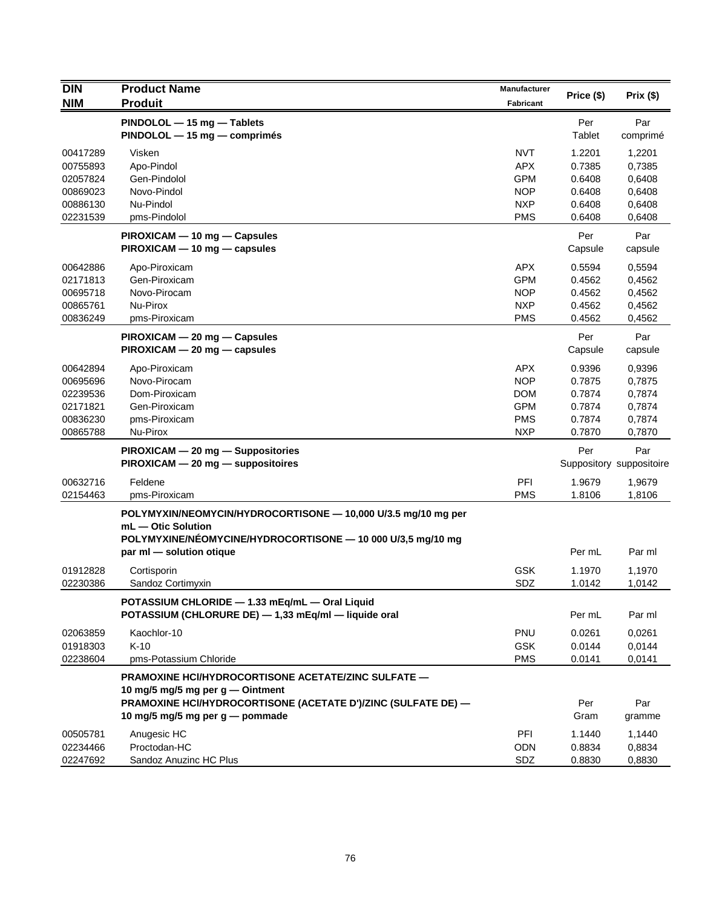| <b>DIN</b>                       | <b>Product Name</b>                                                                                                                                | Manufacturer                           |                            |                                 |  |
|----------------------------------|----------------------------------------------------------------------------------------------------------------------------------------------------|----------------------------------------|----------------------------|---------------------------------|--|
| <b>NIM</b>                       | <b>Produit</b>                                                                                                                                     |                                        | Price (\$)                 | Prix(\$)                        |  |
|                                  | PINDOLOL - 15 mg - Tablets<br>PINDOLOL - 15 mg - comprimés                                                                                         |                                        | Per<br>Tablet              | Par<br>comprimé                 |  |
| 00417289<br>00755893<br>02057824 | Visken<br>Apo-Pindol<br>Gen-Pindolol                                                                                                               | <b>NVT</b><br><b>APX</b><br><b>GPM</b> | 1.2201<br>0.7385<br>0.6408 | 1,2201<br>0,7385<br>0,6408      |  |
| 00869023                         | Novo-Pindol                                                                                                                                        | <b>NOP</b>                             | 0.6408                     | 0,6408                          |  |
| 00886130<br>02231539             | Nu-Pindol<br>pms-Pindolol                                                                                                                          | <b>NXP</b><br><b>PMS</b>               | 0.6408<br>0.6408           | 0,6408<br>0,6408                |  |
|                                  | PIROXICAM - 10 mg - Capsules<br>PIROXICAM - 10 mg - capsules                                                                                       |                                        | Per<br>Capsule             | Par<br>capsule                  |  |
| 00642886<br>02171813             | Apo-Piroxicam<br>Gen-Piroxicam                                                                                                                     | <b>APX</b><br><b>GPM</b>               | 0.5594<br>0.4562           | 0,5594<br>0,4562                |  |
| 00695718                         | Novo-Pirocam                                                                                                                                       | <b>NOP</b>                             | 0.4562                     | 0,4562                          |  |
| 00865761                         | Nu-Pirox                                                                                                                                           | <b>NXP</b>                             | 0.4562                     | 0,4562                          |  |
| 00836249                         | pms-Piroxicam                                                                                                                                      | <b>PMS</b>                             | 0.4562                     | 0,4562                          |  |
|                                  | PIROXICAM - 20 mg - Capsules<br>$PIROXICAM - 20 mg - capsules$                                                                                     |                                        | Per<br>Capsule             | Par<br>capsule                  |  |
| 00642894                         | Apo-Piroxicam                                                                                                                                      | <b>APX</b>                             | 0.9396                     | 0,9396                          |  |
| 00695696                         | Novo-Pirocam                                                                                                                                       | <b>NOP</b>                             | 0.7875                     | 0,7875                          |  |
| 02239536                         | Dom-Piroxicam                                                                                                                                      | <b>DOM</b>                             | 0.7874                     | 0,7874                          |  |
| 02171821                         | Gen-Piroxicam                                                                                                                                      | <b>GPM</b>                             | 0.7874                     | 0,7874                          |  |
| 00836230                         | pms-Piroxicam                                                                                                                                      | <b>PMS</b>                             | 0.7874                     | 0,7874                          |  |
| 00865788                         | Nu-Pirox                                                                                                                                           | <b>NXP</b>                             | 0.7870                     | 0,7870                          |  |
|                                  | PIROXICAM - 20 mg - Suppositories<br>PIROXICAM - 20 mg - suppositoires                                                                             |                                        | Per                        | Par<br>Suppository suppositoire |  |
| 00632716<br>02154463             | Feldene<br>pms-Piroxicam                                                                                                                           | PFI<br><b>PMS</b>                      | 1.9679<br>1.8106           | 1,9679<br>1,8106                |  |
|                                  | POLYMYXIN/NEOMYCIN/HYDROCORTISONE - 10,000 U/3.5 mg/10 mg per<br>mL - Otic Solution<br>POLYMYXINE/NÉOMYCINE/HYDROCORTISONE - 10 000 U/3,5 mg/10 mg |                                        |                            |                                 |  |
|                                  | par ml - solution otique                                                                                                                           |                                        | Per mL                     | Par ml                          |  |
| 01912828<br>02230386             | Cortisporin<br>Sandoz Cortimyxin                                                                                                                   | <b>GSK</b><br>SDZ                      | 1.1970<br>1.0142           | 1,1970<br>1,0142                |  |
|                                  | POTASSIUM CHLORIDE - 1.33 mEq/mL - Oral Liquid<br>POTASSIUM (CHLORURE DE) - 1,33 mEq/ml - liquide oral                                             |                                        | Per mL                     | Par ml                          |  |
| 02063859<br>01918303             | Kaochlor-10<br>$K-10$                                                                                                                              | PNU<br><b>GSK</b>                      | 0.0261<br>0.0144           | 0,0261<br>0,0144                |  |
| 02238604                         | pms-Potassium Chloride                                                                                                                             | <b>PMS</b>                             | 0.0141                     | 0,0141                          |  |
|                                  | PRAMOXINE HCI/HYDROCORTISONE ACETATE/ZINC SULFATE -                                                                                                |                                        |                            |                                 |  |
|                                  | 10 mg/5 mg/5 mg per g — Ointment<br>PRAMOXINE HCI/HYDROCORTISONE (ACETATE D')/ZINC (SULFATE DE) -                                                  |                                        | Per                        | Par                             |  |
|                                  | 10 mg/5 mg/5 mg per g — pommade                                                                                                                    |                                        | Gram                       | gramme                          |  |
| 00505781                         | Anugesic HC                                                                                                                                        | PFI                                    | 1.1440                     | 1,1440                          |  |
| 02234466                         | Proctodan-HC                                                                                                                                       | <b>ODN</b>                             | 0.8834                     | 0,8834                          |  |
| 02247692                         | Sandoz Anuzinc HC Plus                                                                                                                             | SDZ                                    | 0.8830                     | 0,8830                          |  |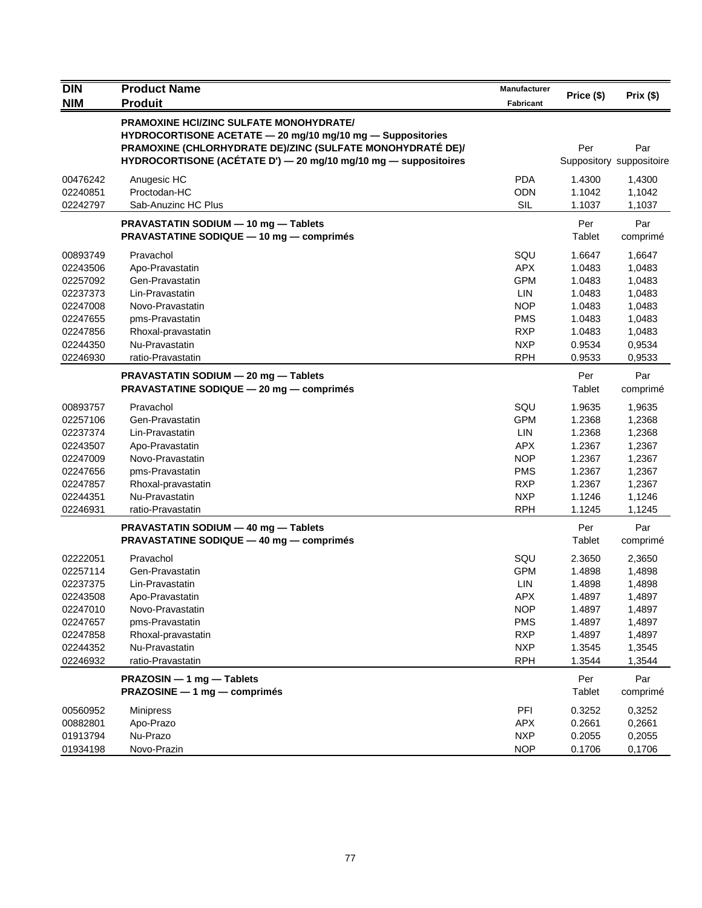| <b>DIN</b><br><b>NIM</b>                                                                                 | <b>Product Name</b><br><b>Produit</b>                                                                                                                                                                                                         | Manufacturer<br><b>Fabricant</b>                                                                                    | Price (\$)                                                                             | Prix (\$)                                                                              |
|----------------------------------------------------------------------------------------------------------|-----------------------------------------------------------------------------------------------------------------------------------------------------------------------------------------------------------------------------------------------|---------------------------------------------------------------------------------------------------------------------|----------------------------------------------------------------------------------------|----------------------------------------------------------------------------------------|
|                                                                                                          | <b>PRAMOXINE HCI/ZINC SULFATE MONOHYDRATE/</b><br>HYDROCORTISONE ACETATE - 20 mg/10 mg/10 mg - Suppositories<br>PRAMOXINE (CHLORHYDRATE DE)/ZINC (SULFATE MONOHYDRATÉ DE)/<br>HYDROCORTISONE (ACÉTATE D') - 20 mg/10 mg/10 mg - suppositoires |                                                                                                                     | Per                                                                                    | Par<br>Suppository suppositoire                                                        |
| 00476242<br>02240851<br>02242797                                                                         | Anugesic HC<br>Proctodan-HC<br>Sab-Anuzinc HC Plus                                                                                                                                                                                            | <b>PDA</b><br><b>ODN</b><br><b>SIL</b>                                                                              | 1.4300<br>1.1042<br>1.1037                                                             | 1,4300<br>1,1042<br>1,1037                                                             |
|                                                                                                          | PRAVASTATIN SODIUM - 10 mg - Tablets<br><b>PRAVASTATINE SODIQUE - 10 mg - comprimés</b>                                                                                                                                                       |                                                                                                                     | Per<br><b>Tablet</b>                                                                   | Par<br>comprimé                                                                        |
| 00893749<br>02243506<br>02257092<br>02237373<br>02247008<br>02247655<br>02247856<br>02244350<br>02246930 | Pravachol<br>Apo-Pravastatin<br>Gen-Pravastatin<br>Lin-Pravastatin<br>Novo-Pravastatin<br>pms-Pravastatin<br>Rhoxal-pravastatin<br>Nu-Pravastatin<br>ratio-Pravastatin                                                                        | SQU<br><b>APX</b><br><b>GPM</b><br><b>LIN</b><br><b>NOP</b><br><b>PMS</b><br><b>RXP</b><br><b>NXP</b><br><b>RPH</b> | 1.6647<br>1.0483<br>1.0483<br>1.0483<br>1.0483<br>1.0483<br>1.0483<br>0.9534<br>0.9533 | 1,6647<br>1,0483<br>1,0483<br>1,0483<br>1,0483<br>1,0483<br>1,0483<br>0,9534<br>0,9533 |
|                                                                                                          | PRAVASTATIN SODIUM - 20 mg - Tablets<br>PRAVASTATINE SODIQUE - 20 mg - comprimés                                                                                                                                                              |                                                                                                                     | Per<br>Tablet                                                                          | Par<br>comprimé                                                                        |
| 00893757<br>02257106<br>02237374<br>02243507<br>02247009<br>02247656<br>02247857<br>02244351<br>02246931 | Pravachol<br>Gen-Pravastatin<br>Lin-Pravastatin<br>Apo-Pravastatin<br>Novo-Pravastatin<br>pms-Pravastatin<br>Rhoxal-pravastatin<br>Nu-Pravastatin<br>ratio-Pravastatin                                                                        | SQU<br><b>GPM</b><br>LIN<br><b>APX</b><br><b>NOP</b><br><b>PMS</b><br><b>RXP</b><br><b>NXP</b><br><b>RPH</b>        | 1.9635<br>1.2368<br>1.2368<br>1.2367<br>1.2367<br>1.2367<br>1.2367<br>1.1246<br>1.1245 | 1,9635<br>1,2368<br>1,2368<br>1,2367<br>1,2367<br>1,2367<br>1,2367<br>1,1246<br>1,1245 |
|                                                                                                          | PRAVASTATIN SODIUM - 40 mg - Tablets<br>PRAVASTATINE SODIQUE - 40 mg - comprimés                                                                                                                                                              |                                                                                                                     | Per<br>Tablet                                                                          | Par<br>comprimé                                                                        |
| 02222051<br>02257114<br>02237375<br>02243508<br>02247010<br>02247657<br>02247858<br>02244352<br>02246932 | Pravachol<br>Gen-Pravastatin<br>Lin-Pravastatin<br>Apo-Pravastatin<br>Novo-Pravastatin<br>pms-Pravastatin<br>Rhoxal-pravastatin<br>Nu-Pravastatin<br>ratio-Pravastatin                                                                        | SQU<br><b>GPM</b><br>LIN<br>APX<br><b>NOP</b><br><b>PMS</b><br><b>RXP</b><br><b>NXP</b><br><b>RPH</b>               | 2.3650<br>1.4898<br>1.4898<br>1.4897<br>1.4897<br>1.4897<br>1.4897<br>1.3545<br>1.3544 | 2,3650<br>1,4898<br>1,4898<br>1,4897<br>1,4897<br>1,4897<br>1,4897<br>1,3545<br>1,3544 |
|                                                                                                          | PRAZOSIN - 1 mg - Tablets<br>PRAZOSINE - 1 mg - comprimés                                                                                                                                                                                     |                                                                                                                     | Per<br>Tablet                                                                          | Par<br>comprimé                                                                        |
| 00560952<br>00882801<br>01913794<br>01934198                                                             | <b>Minipress</b><br>Apo-Prazo<br>Nu-Prazo<br>Novo-Prazin                                                                                                                                                                                      | PFI<br>APX<br><b>NXP</b><br><b>NOP</b>                                                                              | 0.3252<br>0.2661<br>0.2055<br>0.1706                                                   | 0,3252<br>0,2661<br>0,2055<br>0,1706                                                   |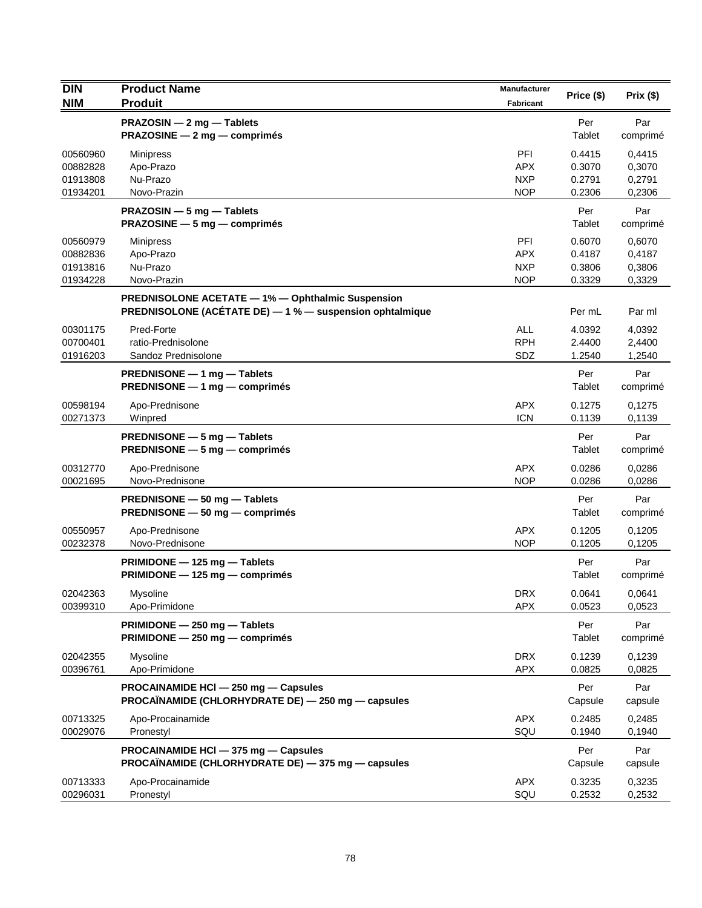| DIN                                          | <b>Product Name</b>                                                                                           | <b>Manufacturer</b>                                  | Price (\$)                           | Prix(\$)                             |
|----------------------------------------------|---------------------------------------------------------------------------------------------------------------|------------------------------------------------------|--------------------------------------|--------------------------------------|
| <b>NIM</b>                                   | <b>Produit</b>                                                                                                | <b>Fabricant</b>                                     |                                      |                                      |
|                                              | PRAZOSIN - 2 mg - Tablets<br>PRAZOSINE - 2 mg - comprimés                                                     |                                                      | Per<br>Tablet                        | Par<br>comprimé                      |
| 00560960<br>00882828<br>01913808<br>01934201 | Minipress<br>Apo-Prazo<br>Nu-Prazo<br>Novo-Prazin                                                             | PFI<br><b>APX</b><br><b>NXP</b><br><b>NOP</b>        | 0.4415<br>0.3070<br>0.2791<br>0.2306 | 0,4415<br>0,3070<br>0,2791<br>0,2306 |
|                                              | <b>PRAZOSIN</b> $-$ 5 mg $-$ Tablets<br>PRAZOSINE - 5 mg - comprimés                                          |                                                      | Per<br>Tablet                        | Par<br>comprimé                      |
| 00560979<br>00882836<br>01913816<br>01934228 | Minipress<br>Apo-Prazo<br>Nu-Prazo<br>Novo-Prazin                                                             | <b>PFI</b><br><b>APX</b><br><b>NXP</b><br><b>NOP</b> | 0.6070<br>0.4187<br>0.3806<br>0.3329 | 0,6070<br>0,4187<br>0,3806<br>0,3329 |
|                                              | PREDNISOLONE ACETATE - 1% - Ophthalmic Suspension<br>PREDNISOLONE (ACETATE DE) - 1 % - suspension ophtalmique |                                                      | Per mL                               | Par ml                               |
| 00301175<br>00700401<br>01916203             | Pred-Forte<br>ratio-Prednisolone<br>Sandoz Prednisolone                                                       | <b>ALL</b><br><b>RPH</b><br>SDZ                      | 4.0392<br>2.4400<br>1.2540           | 4,0392<br>2,4400<br>1,2540           |
|                                              | PREDNISONE - 1 mg - Tablets<br><b>PREDNISONE</b> $-$ 1 mg $-$ comprimes                                       |                                                      | Per<br>Tablet                        | Par<br>comprimé                      |
| 00598194<br>00271373                         | Apo-Prednisone<br>Winpred                                                                                     | <b>APX</b><br><b>ICN</b>                             | 0.1275<br>0.1139                     | 0,1275<br>0,1139                     |
|                                              | PREDNISONE - 5 mg - Tablets<br>PREDNISONE - 5 mg - comprimés                                                  |                                                      | Per<br>Tablet                        | Par<br>comprimé                      |
| 00312770<br>00021695                         | Apo-Prednisone<br>Novo-Prednisone                                                                             | <b>APX</b><br><b>NOP</b>                             | 0.0286<br>0.0286                     | 0,0286<br>0,0286                     |
|                                              | PREDNISONE - 50 mg - Tablets<br><b>PREDNISONE <math>-50</math> mg <math>-</math> comprimes</b>                |                                                      | Per<br>Tablet                        | Par<br>comprimé                      |
| 00550957<br>00232378                         | Apo-Prednisone<br>Novo-Prednisone                                                                             | <b>APX</b><br><b>NOP</b>                             | 0.1205<br>0.1205                     | 0,1205<br>0,1205                     |
|                                              | $PRIMIDONE - 125 mg - Tables$<br>PRIMIDONE - 125 mg - comprimés                                               |                                                      | Per<br>Tablet                        | Par<br>comprimé                      |
| 02042363<br>00399310                         | Mysoline<br>Apo-Primidone                                                                                     | <b>DRX</b><br><b>APX</b>                             | 0.0641<br>0.0523                     | 0,0641<br>0.0523                     |
|                                              | PRIMIDONE - 250 mg - Tablets<br>PRIMIDONE - 250 mg - comprimés                                                |                                                      | Per<br>Tablet                        | Par<br>comprimé                      |
| 02042355<br>00396761                         | Mysoline<br>Apo-Primidone                                                                                     | <b>DRX</b><br><b>APX</b>                             | 0.1239<br>0.0825                     | 0,1239<br>0,0825                     |
|                                              | PROCAINAMIDE HCI - 250 mg - Capsules<br>PROCAÏNAMIDE (CHLORHYDRATE DE) — 250 mg — capsules                    |                                                      | Per<br>Capsule                       | Par<br>capsule                       |
| 00713325<br>00029076                         | Apo-Procainamide<br>Pronestyl                                                                                 | <b>APX</b><br>SQU                                    | 0.2485<br>0.1940                     | 0,2485<br>0,1940                     |
|                                              | PROCAINAMIDE HCI - 375 mg - Capsules<br>PROCAÏNAMIDE (CHLORHYDRATE DE) - 375 mg - capsules                    |                                                      | Per<br>Capsule                       | Par<br>capsule                       |
| 00713333<br>00296031                         | Apo-Procainamide<br>Pronestyl                                                                                 | APX<br>SQU                                           | 0.3235<br>0.2532                     | 0,3235<br>0,2532                     |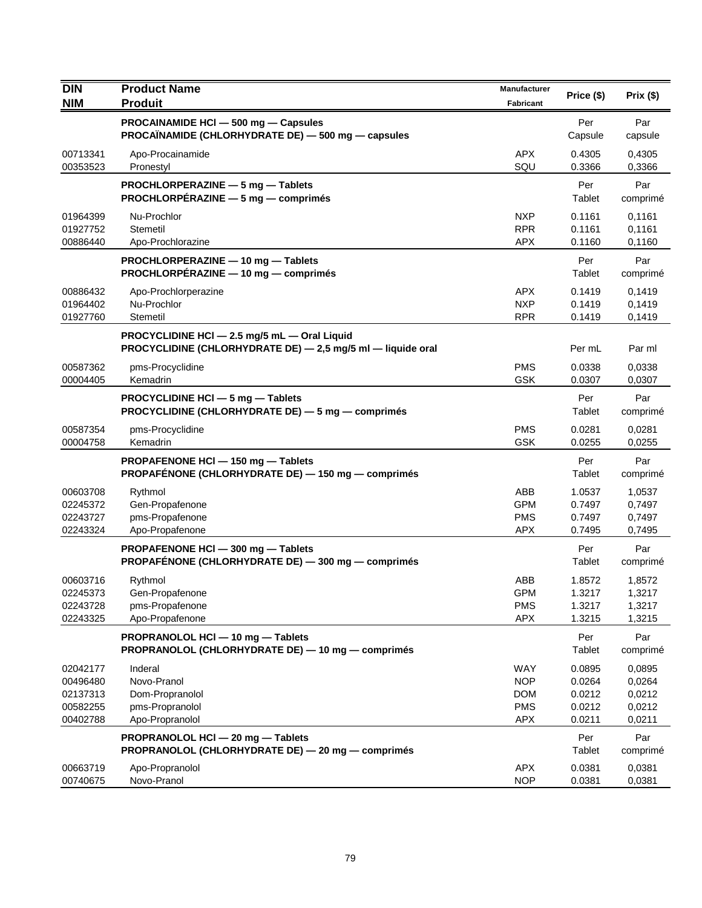| <b>DIN</b>                                               | <b>Product Name</b>                                                                                         | Manufacturer                                                       | Price (\$)                                     | Prix(\$)                                       |
|----------------------------------------------------------|-------------------------------------------------------------------------------------------------------------|--------------------------------------------------------------------|------------------------------------------------|------------------------------------------------|
| <b>NIM</b>                                               | <b>Produit</b>                                                                                              | Fabricant                                                          |                                                |                                                |
|                                                          | PROCAINAMIDE HCI - 500 mg - Capsules<br>PROCAÏNAMIDE (CHLORHYDRATE DE) — 500 mg — capsules                  |                                                                    | Per<br>Capsule                                 | Par<br>capsule                                 |
| 00713341<br>00353523                                     | Apo-Procainamide<br>Pronestyl                                                                               | <b>APX</b><br>SQU                                                  | 0.4305<br>0.3366                               | 0,4305<br>0,3366                               |
|                                                          | PROCHLORPERAZINE - 5 mg - Tablets<br>PROCHLORPÉRAZINE - 5 mg - comprimés                                    |                                                                    | Per<br>Tablet                                  | Par<br>comprimé                                |
| 01964399<br>01927752<br>00886440                         | Nu-Prochlor<br>Stemetil<br>Apo-Prochlorazine                                                                | <b>NXP</b><br><b>RPR</b><br><b>APX</b>                             | 0.1161<br>0.1161<br>0.1160                     | 0,1161<br>0,1161<br>0,1160                     |
|                                                          | PROCHLORPERAZINE - 10 mg - Tablets<br>PROCHLORPÉRAZINE - 10 mg - comprimés                                  |                                                                    | Per<br>Tablet                                  | Par<br>comprimé                                |
| 00886432<br>01964402<br>01927760                         | Apo-Prochlorperazine<br>Nu-Prochlor<br>Stemetil                                                             | <b>APX</b><br><b>NXP</b><br><b>RPR</b>                             | 0.1419<br>0.1419<br>0.1419                     | 0,1419<br>0.1419<br>0,1419                     |
|                                                          | PROCYCLIDINE HCI - 2.5 mg/5 mL - Oral Liquid<br>PROCYCLIDINE (CHLORHYDRATE DE) - 2,5 mg/5 ml - liquide oral |                                                                    | Per mL                                         | Par ml                                         |
| 00587362<br>00004405                                     | pms-Procyclidine<br>Kemadrin                                                                                | <b>PMS</b><br><b>GSK</b>                                           | 0.0338<br>0.0307                               | 0,0338<br>0,0307                               |
|                                                          | PROCYCLIDINE HCI - 5 mg - Tablets<br>PROCYCLIDINE (CHLORHYDRATE DE) - 5 mg - comprimés                      |                                                                    | Per<br>Tablet                                  | Par<br>comprimé                                |
| 00587354<br>00004758                                     | pms-Procyclidine<br>Kemadrin                                                                                | <b>PMS</b><br><b>GSK</b>                                           | 0.0281<br>0.0255                               | 0,0281<br>0,0255                               |
|                                                          | PROPAFENONE HCI-150 mg-Tablets<br>PROPAFÉNONE (CHLORHYDRATE DE) - 150 mg - comprimés                        |                                                                    | Per<br>Tablet                                  | Par<br>comprimé                                |
| 00603708<br>02245372                                     | Rythmol<br>Gen-Propafenone                                                                                  | ABB<br><b>GPM</b>                                                  | 1.0537<br>0.7497                               | 1,0537<br>0,7497                               |
| 02243727<br>02243324                                     | pms-Propafenone<br>Apo-Propafenone                                                                          | <b>PMS</b><br><b>APX</b>                                           | 0.7497<br>0.7495                               | 0,7497<br>0,7495                               |
|                                                          | PROPAFENONE HCI - 300 mg - Tablets<br>PROPAFÉNONE (CHLORHYDRATE DE) - 300 mg - comprimés                    |                                                                    | Per<br>Tablet                                  | Par<br>comprimé                                |
| 00603716<br>02245373<br>02243728<br>02243325             | Rythmol<br>Gen-Propafenone<br>pms-Propafenone<br>Apo-Propafenone                                            | ABB<br><b>GPM</b><br><b>PMS</b><br><b>APX</b>                      | 1.8572<br>1.3217<br>1.3217<br>1.3215           | 1,8572<br>1,3217<br>1,3217<br>1,3215           |
|                                                          | PROPRANOLOL HCI - 10 mg - Tablets<br>PROPRANOLOL (CHLORHYDRATE DE) - 10 mg - comprimés                      |                                                                    | Per<br><b>Tablet</b>                           | Par<br>comprimé                                |
| 02042177<br>00496480<br>02137313<br>00582255<br>00402788 | Inderal<br>Novo-Pranol<br>Dom-Propranolol<br>pms-Propranolol<br>Apo-Propranolol                             | <b>WAY</b><br><b>NOP</b><br><b>DOM</b><br><b>PMS</b><br><b>APX</b> | 0.0895<br>0.0264<br>0.0212<br>0.0212<br>0.0211 | 0,0895<br>0,0264<br>0,0212<br>0,0212<br>0,0211 |
|                                                          | PROPRANOLOL HCI - 20 mg - Tablets<br>PROPRANOLOL (CHLORHYDRATE DE) - 20 mg - comprimés                      |                                                                    | Per<br>Tablet                                  | Par<br>comprimé                                |
| 00663719<br>00740675                                     | Apo-Propranolol<br>Novo-Pranol                                                                              | <b>APX</b><br><b>NOP</b>                                           | 0.0381<br>0.0381                               | 0,0381<br>0,0381                               |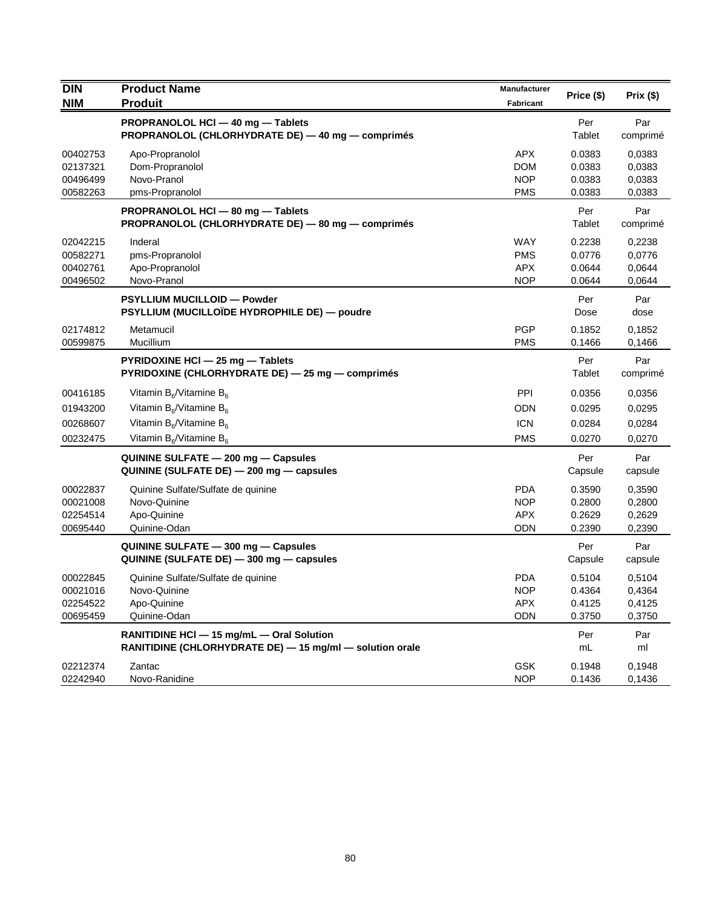| <b>DIN</b> | <b>Product Name</b>                                      | <b>Manufacturer</b> | Price (\$) | Prix(\$) |
|------------|----------------------------------------------------------|---------------------|------------|----------|
| <b>NIM</b> | <b>Produit</b>                                           | Fabricant           |            |          |
|            | PROPRANOLOL HCI - 40 mg - Tablets                        |                     | Per        | Par      |
|            | PROPRANOLOL (CHLORHYDRATE DE) - 40 mg - comprimés        |                     | Tablet     | comprimé |
| 00402753   | Apo-Propranolol                                          | <b>APX</b>          | 0.0383     | 0,0383   |
| 02137321   | Dom-Propranolol                                          | <b>DOM</b>          | 0.0383     | 0,0383   |
| 00496499   | Novo-Pranol                                              | <b>NOP</b>          | 0.0383     | 0,0383   |
| 00582263   | pms-Propranolol                                          | <b>PMS</b>          | 0.0383     | 0,0383   |
|            | PROPRANOLOL HCI - 80 mg - Tablets                        |                     | Per        | Par      |
|            | PROPRANOLOL (CHLORHYDRATE DE) - 80 mg - comprimés        |                     | Tablet     | comprimé |
| 02042215   | Inderal                                                  | <b>WAY</b>          | 0.2238     | 0,2238   |
| 00582271   | pms-Propranolol                                          | <b>PMS</b>          | 0.0776     | 0,0776   |
| 00402761   | Apo-Propranolol                                          | <b>APX</b>          | 0.0644     | 0,0644   |
| 00496502   | Novo-Pranol                                              | <b>NOP</b>          | 0.0644     | 0,0644   |
|            | PSYLLIUM MUCILLOID - Powder                              |                     | Per        | Par      |
|            | PSYLLIUM (MUCILLOÏDE HYDROPHILE DE) — poudre             |                     | Dose       | dose     |
| 02174812   | Metamucil                                                | <b>PGP</b>          | 0.1852     | 0,1852   |
| 00599875   | Mucillium                                                | <b>PMS</b>          | 0.1466     | 0,1466   |
|            | PYRIDOXINE HCI - 25 mg - Tablets                         |                     | Per        | Par      |
|            | PYRIDOXINE (CHLORHYDRATE DE) - 25 mg - comprimés         |                     | Tablet     | comprimé |
| 00416185   | Vitamin $B_6$ /Vitamine $B_6$                            | PPI                 | 0.0356     | 0,0356   |
| 01943200   | Vitamin $B_6$ /Vitamine $B_6$                            | ODN                 | 0.0295     | 0,0295   |
| 00268607   | Vitamin $B_6$ /Vitamine $B_6$                            | <b>ICN</b>          | 0.0284     | 0,0284   |
| 00232475   | Vitamin $B_6/V$ itamine $B_6$                            | <b>PMS</b>          | 0.0270     | 0,0270   |
|            | QUININE SULFATE - 200 mg - Capsules                      |                     | Per        | Par      |
|            | QUININE (SULFATE DE) - 200 mg - capsules                 |                     | Capsule    | capsule  |
| 00022837   | Quinine Sulfate/Sulfate de quinine                       | <b>PDA</b>          | 0.3590     | 0,3590   |
| 00021008   | Novo-Quinine                                             | <b>NOP</b>          | 0.2800     | 0,2800   |
| 02254514   | Apo-Quinine                                              | <b>APX</b>          | 0.2629     | 0,2629   |
| 00695440   | Quinine-Odan                                             | ODN                 | 0.2390     | 0,2390   |
|            | QUININE SULFATE - 300 mg - Capsules                      |                     | Per        | Par      |
|            | QUININE (SULFATE DE) - 300 mg - capsules                 |                     | Capsule    | capsule  |
| 00022845   | Quinine Sulfate/Sulfate de quinine                       | <b>PDA</b>          | 0.5104     | 0,5104   |
| 00021016   | Novo-Quinine                                             | <b>NOP</b>          | 0.4364     | 0,4364   |
| 02254522   | Apo-Quinine                                              | APX                 | 0.4125     | 0,4125   |
| 00695459   | Quinine-Odan                                             | <b>ODN</b>          | 0.3750     | 0,3750   |
|            | RANITIDINE HCI - 15 mg/mL - Oral Solution                |                     | Per        | Par      |
|            | RANITIDINE (CHLORHYDRATE DE) - 15 mg/ml - solution orale |                     | mL         | ml       |
| 02212374   | Zantac                                                   | <b>GSK</b>          | 0.1948     | 0,1948   |
| 02242940   | Novo-Ranidine                                            | <b>NOP</b>          | 0.1436     | 0,1436   |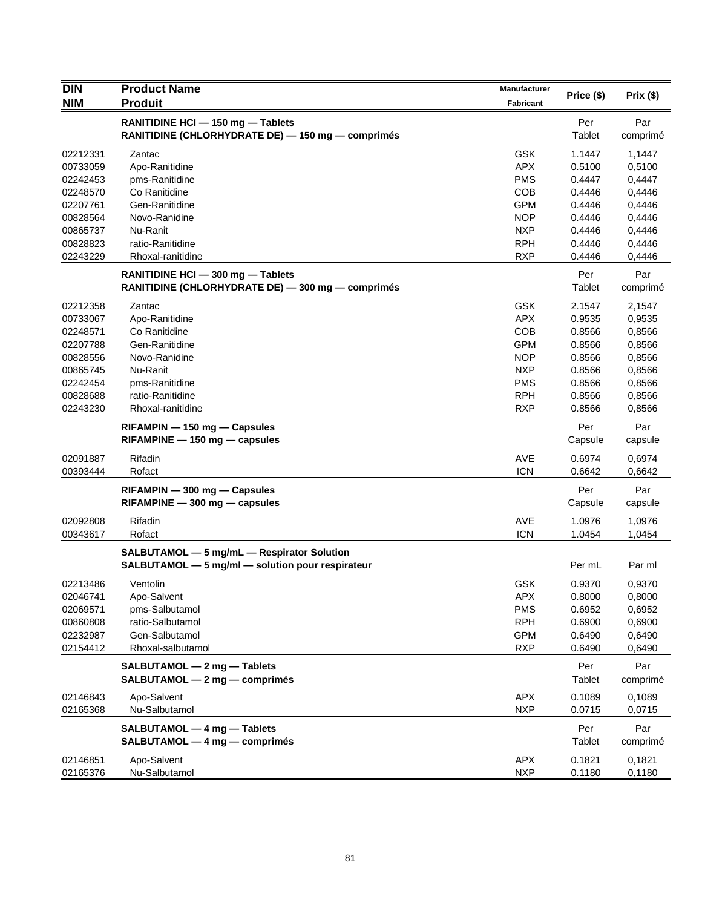| <b>NIM</b><br><b>Produit</b><br>Fabricant<br>RANITIDINE HCI - 150 mg - Tablets<br>Per<br>Par<br>RANITIDINE (CHLORHYDRATE DE) — 150 mg — comprimés<br>Tablet<br>comprimé<br><b>GSK</b><br>1.1447<br>Zantac<br>1,1447<br>00733059<br>Apo-Ranitidine<br><b>APX</b><br>0.5100<br>0,5100<br><b>PMS</b><br>0,4447<br>02242453<br>pms-Ranitidine<br>0.4447<br>COB<br>Co Ranitidine<br>0.4446<br>0,4446<br>02207761<br>Gen-Ranitidine<br><b>GPM</b><br>0.4446<br>0,4446<br>00828564<br>Novo-Ranidine<br><b>NOP</b><br>0.4446<br>0,4446<br>00865737<br>Nu-Ranit<br><b>NXP</b><br>0.4446<br>0,4446<br>00828823<br>ratio-Ranitidine<br><b>RPH</b><br>0.4446<br>0,4446<br>02243229<br>Rhoxal-ranitidine<br><b>RXP</b><br>0.4446<br>0,4446<br>Per<br>Par<br>RANITIDINE HCI - 300 mg - Tablets<br>Tablet<br>RANITIDINE (CHLORHYDRATE DE) - 300 mg - comprimés<br>comprimé<br><b>GSK</b><br>Zantac<br>02212358<br>2.1547<br>2,1547<br>00733067<br><b>APX</b><br>0.9535<br>0,9535<br>Apo-Ranitidine<br>Co Ranitidine<br><b>COB</b><br>0.8566<br>0,8566<br>02248571<br>02207788<br>Gen-Ranitidine<br><b>GPM</b><br>0.8566<br>0,8566<br><b>NOP</b><br>00828556<br>Novo-Ranidine<br>0.8566<br>0,8566<br>Nu-Ranit<br><b>NXP</b><br>00865745<br>0.8566<br>0,8566<br><b>PMS</b><br>02242454<br>pms-Ranitidine<br>0.8566<br>0,8566<br>00828688<br>ratio-Ranitidine<br><b>RPH</b><br>0.8566<br>0,8566<br><b>RXP</b><br>02243230<br>Rhoxal-ranitidine<br>0.8566<br>0,8566<br>Per<br>Par<br>$RIFAMPIN - 150 mg - Capsules$<br>$RIFAMPINE - 150 mg - capsules$<br>Capsule<br>capsule<br>Rifadin<br><b>AVE</b><br>02091887<br>0.6974<br>0,6974<br><b>ICN</b><br>Rofact<br>00393444<br>0.6642<br>0,6642<br>Per<br>Par<br>RIFAMPIN - 300 mg - Capsules<br>$RIFAMPINE - 300 mg - capsules$<br>Capsule<br>capsule<br>02092808<br>Rifadin<br><b>AVE</b><br>1.0976<br>1,0976<br><b>ICN</b><br>00343617<br>Rofact<br>1.0454<br>1,0454<br>SALBUTAMOL - 5 mg/mL - Respirator Solution<br>SALBUTAMOL - 5 mg/ml - solution pour respirateur<br>Per mL<br>Par ml<br>GSK<br>0.9370<br>0,9370<br>02213486<br>Ventolin<br>Apo-Salvent<br>APX<br>02046741<br>0.8000<br>0,8000<br>02069571<br>pms-Salbutamol<br><b>PMS</b><br>0.6952<br>0,6952<br>ratio-Salbutamol<br><b>RPH</b><br>00860808<br>0.6900<br>0,6900<br><b>GPM</b><br>02232987<br>Gen-Salbutamol<br>0.6490<br>0,6490<br><b>RXP</b><br>02154412<br>Rhoxal-salbutamol<br>0.6490<br>0,6490<br>SALBUTAMOL - 2 mg - Tablets<br>Per<br>Par<br>$SALBUTAMOL - 2 mg - comprimés$<br>Tablet<br>comprimé<br><b>APX</b><br>02146843<br>Apo-Salvent<br>0.1089<br>0,1089<br>02165368<br>Nu-Salbutamol<br><b>NXP</b><br>0.0715<br>0,0715<br>SALBUTAMOL - 4 mg - Tablets<br>Per<br>Par<br>SALBUTAMOL - 4 mg - comprimés<br>Tablet<br>comprimé<br>Apo-Salvent<br>APX<br>0.1821<br>02146851<br>0,1821 | <b>DIN</b> | <b>Product Name</b> | Manufacturer |            |          |
|----------------------------------------------------------------------------------------------------------------------------------------------------------------------------------------------------------------------------------------------------------------------------------------------------------------------------------------------------------------------------------------------------------------------------------------------------------------------------------------------------------------------------------------------------------------------------------------------------------------------------------------------------------------------------------------------------------------------------------------------------------------------------------------------------------------------------------------------------------------------------------------------------------------------------------------------------------------------------------------------------------------------------------------------------------------------------------------------------------------------------------------------------------------------------------------------------------------------------------------------------------------------------------------------------------------------------------------------------------------------------------------------------------------------------------------------------------------------------------------------------------------------------------------------------------------------------------------------------------------------------------------------------------------------------------------------------------------------------------------------------------------------------------------------------------------------------------------------------------------------------------------------------------------------------------------------------------------------------------------------------------------------------------------------------------------------------------------------------------------------------------------------------------------------------------------------------------------------------------------------------------------------------------------------------------------------------------------------------------------------------------------------------------------------------------------------------------------------------------------------------------------------------------------------------------------------------------------------------------------------------------------------------------------------------------------------------------------------------------------------------------------------------------------------------|------------|---------------------|--------------|------------|----------|
|                                                                                                                                                                                                                                                                                                                                                                                                                                                                                                                                                                                                                                                                                                                                                                                                                                                                                                                                                                                                                                                                                                                                                                                                                                                                                                                                                                                                                                                                                                                                                                                                                                                                                                                                                                                                                                                                                                                                                                                                                                                                                                                                                                                                                                                                                                                                                                                                                                                                                                                                                                                                                                                                                                                                                                                                    |            |                     |              | Price (\$) | Prix(\$) |
|                                                                                                                                                                                                                                                                                                                                                                                                                                                                                                                                                                                                                                                                                                                                                                                                                                                                                                                                                                                                                                                                                                                                                                                                                                                                                                                                                                                                                                                                                                                                                                                                                                                                                                                                                                                                                                                                                                                                                                                                                                                                                                                                                                                                                                                                                                                                                                                                                                                                                                                                                                                                                                                                                                                                                                                                    |            |                     |              |            |          |
|                                                                                                                                                                                                                                                                                                                                                                                                                                                                                                                                                                                                                                                                                                                                                                                                                                                                                                                                                                                                                                                                                                                                                                                                                                                                                                                                                                                                                                                                                                                                                                                                                                                                                                                                                                                                                                                                                                                                                                                                                                                                                                                                                                                                                                                                                                                                                                                                                                                                                                                                                                                                                                                                                                                                                                                                    |            |                     |              |            |          |
|                                                                                                                                                                                                                                                                                                                                                                                                                                                                                                                                                                                                                                                                                                                                                                                                                                                                                                                                                                                                                                                                                                                                                                                                                                                                                                                                                                                                                                                                                                                                                                                                                                                                                                                                                                                                                                                                                                                                                                                                                                                                                                                                                                                                                                                                                                                                                                                                                                                                                                                                                                                                                                                                                                                                                                                                    | 02212331   |                     |              |            |          |
|                                                                                                                                                                                                                                                                                                                                                                                                                                                                                                                                                                                                                                                                                                                                                                                                                                                                                                                                                                                                                                                                                                                                                                                                                                                                                                                                                                                                                                                                                                                                                                                                                                                                                                                                                                                                                                                                                                                                                                                                                                                                                                                                                                                                                                                                                                                                                                                                                                                                                                                                                                                                                                                                                                                                                                                                    |            |                     |              |            |          |
|                                                                                                                                                                                                                                                                                                                                                                                                                                                                                                                                                                                                                                                                                                                                                                                                                                                                                                                                                                                                                                                                                                                                                                                                                                                                                                                                                                                                                                                                                                                                                                                                                                                                                                                                                                                                                                                                                                                                                                                                                                                                                                                                                                                                                                                                                                                                                                                                                                                                                                                                                                                                                                                                                                                                                                                                    |            |                     |              |            |          |
|                                                                                                                                                                                                                                                                                                                                                                                                                                                                                                                                                                                                                                                                                                                                                                                                                                                                                                                                                                                                                                                                                                                                                                                                                                                                                                                                                                                                                                                                                                                                                                                                                                                                                                                                                                                                                                                                                                                                                                                                                                                                                                                                                                                                                                                                                                                                                                                                                                                                                                                                                                                                                                                                                                                                                                                                    | 02248570   |                     |              |            |          |
|                                                                                                                                                                                                                                                                                                                                                                                                                                                                                                                                                                                                                                                                                                                                                                                                                                                                                                                                                                                                                                                                                                                                                                                                                                                                                                                                                                                                                                                                                                                                                                                                                                                                                                                                                                                                                                                                                                                                                                                                                                                                                                                                                                                                                                                                                                                                                                                                                                                                                                                                                                                                                                                                                                                                                                                                    |            |                     |              |            |          |
|                                                                                                                                                                                                                                                                                                                                                                                                                                                                                                                                                                                                                                                                                                                                                                                                                                                                                                                                                                                                                                                                                                                                                                                                                                                                                                                                                                                                                                                                                                                                                                                                                                                                                                                                                                                                                                                                                                                                                                                                                                                                                                                                                                                                                                                                                                                                                                                                                                                                                                                                                                                                                                                                                                                                                                                                    |            |                     |              |            |          |
|                                                                                                                                                                                                                                                                                                                                                                                                                                                                                                                                                                                                                                                                                                                                                                                                                                                                                                                                                                                                                                                                                                                                                                                                                                                                                                                                                                                                                                                                                                                                                                                                                                                                                                                                                                                                                                                                                                                                                                                                                                                                                                                                                                                                                                                                                                                                                                                                                                                                                                                                                                                                                                                                                                                                                                                                    |            |                     |              |            |          |
|                                                                                                                                                                                                                                                                                                                                                                                                                                                                                                                                                                                                                                                                                                                                                                                                                                                                                                                                                                                                                                                                                                                                                                                                                                                                                                                                                                                                                                                                                                                                                                                                                                                                                                                                                                                                                                                                                                                                                                                                                                                                                                                                                                                                                                                                                                                                                                                                                                                                                                                                                                                                                                                                                                                                                                                                    |            |                     |              |            |          |
|                                                                                                                                                                                                                                                                                                                                                                                                                                                                                                                                                                                                                                                                                                                                                                                                                                                                                                                                                                                                                                                                                                                                                                                                                                                                                                                                                                                                                                                                                                                                                                                                                                                                                                                                                                                                                                                                                                                                                                                                                                                                                                                                                                                                                                                                                                                                                                                                                                                                                                                                                                                                                                                                                                                                                                                                    |            |                     |              |            |          |
|                                                                                                                                                                                                                                                                                                                                                                                                                                                                                                                                                                                                                                                                                                                                                                                                                                                                                                                                                                                                                                                                                                                                                                                                                                                                                                                                                                                                                                                                                                                                                                                                                                                                                                                                                                                                                                                                                                                                                                                                                                                                                                                                                                                                                                                                                                                                                                                                                                                                                                                                                                                                                                                                                                                                                                                                    |            |                     |              |            |          |
|                                                                                                                                                                                                                                                                                                                                                                                                                                                                                                                                                                                                                                                                                                                                                                                                                                                                                                                                                                                                                                                                                                                                                                                                                                                                                                                                                                                                                                                                                                                                                                                                                                                                                                                                                                                                                                                                                                                                                                                                                                                                                                                                                                                                                                                                                                                                                                                                                                                                                                                                                                                                                                                                                                                                                                                                    |            |                     |              |            |          |
|                                                                                                                                                                                                                                                                                                                                                                                                                                                                                                                                                                                                                                                                                                                                                                                                                                                                                                                                                                                                                                                                                                                                                                                                                                                                                                                                                                                                                                                                                                                                                                                                                                                                                                                                                                                                                                                                                                                                                                                                                                                                                                                                                                                                                                                                                                                                                                                                                                                                                                                                                                                                                                                                                                                                                                                                    |            |                     |              |            |          |
|                                                                                                                                                                                                                                                                                                                                                                                                                                                                                                                                                                                                                                                                                                                                                                                                                                                                                                                                                                                                                                                                                                                                                                                                                                                                                                                                                                                                                                                                                                                                                                                                                                                                                                                                                                                                                                                                                                                                                                                                                                                                                                                                                                                                                                                                                                                                                                                                                                                                                                                                                                                                                                                                                                                                                                                                    |            |                     |              |            |          |
|                                                                                                                                                                                                                                                                                                                                                                                                                                                                                                                                                                                                                                                                                                                                                                                                                                                                                                                                                                                                                                                                                                                                                                                                                                                                                                                                                                                                                                                                                                                                                                                                                                                                                                                                                                                                                                                                                                                                                                                                                                                                                                                                                                                                                                                                                                                                                                                                                                                                                                                                                                                                                                                                                                                                                                                                    |            |                     |              |            |          |
|                                                                                                                                                                                                                                                                                                                                                                                                                                                                                                                                                                                                                                                                                                                                                                                                                                                                                                                                                                                                                                                                                                                                                                                                                                                                                                                                                                                                                                                                                                                                                                                                                                                                                                                                                                                                                                                                                                                                                                                                                                                                                                                                                                                                                                                                                                                                                                                                                                                                                                                                                                                                                                                                                                                                                                                                    |            |                     |              |            |          |
|                                                                                                                                                                                                                                                                                                                                                                                                                                                                                                                                                                                                                                                                                                                                                                                                                                                                                                                                                                                                                                                                                                                                                                                                                                                                                                                                                                                                                                                                                                                                                                                                                                                                                                                                                                                                                                                                                                                                                                                                                                                                                                                                                                                                                                                                                                                                                                                                                                                                                                                                                                                                                                                                                                                                                                                                    |            |                     |              |            |          |
|                                                                                                                                                                                                                                                                                                                                                                                                                                                                                                                                                                                                                                                                                                                                                                                                                                                                                                                                                                                                                                                                                                                                                                                                                                                                                                                                                                                                                                                                                                                                                                                                                                                                                                                                                                                                                                                                                                                                                                                                                                                                                                                                                                                                                                                                                                                                                                                                                                                                                                                                                                                                                                                                                                                                                                                                    |            |                     |              |            |          |
|                                                                                                                                                                                                                                                                                                                                                                                                                                                                                                                                                                                                                                                                                                                                                                                                                                                                                                                                                                                                                                                                                                                                                                                                                                                                                                                                                                                                                                                                                                                                                                                                                                                                                                                                                                                                                                                                                                                                                                                                                                                                                                                                                                                                                                                                                                                                                                                                                                                                                                                                                                                                                                                                                                                                                                                                    |            |                     |              |            |          |
|                                                                                                                                                                                                                                                                                                                                                                                                                                                                                                                                                                                                                                                                                                                                                                                                                                                                                                                                                                                                                                                                                                                                                                                                                                                                                                                                                                                                                                                                                                                                                                                                                                                                                                                                                                                                                                                                                                                                                                                                                                                                                                                                                                                                                                                                                                                                                                                                                                                                                                                                                                                                                                                                                                                                                                                                    |            |                     |              |            |          |
|                                                                                                                                                                                                                                                                                                                                                                                                                                                                                                                                                                                                                                                                                                                                                                                                                                                                                                                                                                                                                                                                                                                                                                                                                                                                                                                                                                                                                                                                                                                                                                                                                                                                                                                                                                                                                                                                                                                                                                                                                                                                                                                                                                                                                                                                                                                                                                                                                                                                                                                                                                                                                                                                                                                                                                                                    |            |                     |              |            |          |
|                                                                                                                                                                                                                                                                                                                                                                                                                                                                                                                                                                                                                                                                                                                                                                                                                                                                                                                                                                                                                                                                                                                                                                                                                                                                                                                                                                                                                                                                                                                                                                                                                                                                                                                                                                                                                                                                                                                                                                                                                                                                                                                                                                                                                                                                                                                                                                                                                                                                                                                                                                                                                                                                                                                                                                                                    |            |                     |              |            |          |
|                                                                                                                                                                                                                                                                                                                                                                                                                                                                                                                                                                                                                                                                                                                                                                                                                                                                                                                                                                                                                                                                                                                                                                                                                                                                                                                                                                                                                                                                                                                                                                                                                                                                                                                                                                                                                                                                                                                                                                                                                                                                                                                                                                                                                                                                                                                                                                                                                                                                                                                                                                                                                                                                                                                                                                                                    |            |                     |              |            |          |
|                                                                                                                                                                                                                                                                                                                                                                                                                                                                                                                                                                                                                                                                                                                                                                                                                                                                                                                                                                                                                                                                                                                                                                                                                                                                                                                                                                                                                                                                                                                                                                                                                                                                                                                                                                                                                                                                                                                                                                                                                                                                                                                                                                                                                                                                                                                                                                                                                                                                                                                                                                                                                                                                                                                                                                                                    |            |                     |              |            |          |
|                                                                                                                                                                                                                                                                                                                                                                                                                                                                                                                                                                                                                                                                                                                                                                                                                                                                                                                                                                                                                                                                                                                                                                                                                                                                                                                                                                                                                                                                                                                                                                                                                                                                                                                                                                                                                                                                                                                                                                                                                                                                                                                                                                                                                                                                                                                                                                                                                                                                                                                                                                                                                                                                                                                                                                                                    |            |                     |              |            |          |
|                                                                                                                                                                                                                                                                                                                                                                                                                                                                                                                                                                                                                                                                                                                                                                                                                                                                                                                                                                                                                                                                                                                                                                                                                                                                                                                                                                                                                                                                                                                                                                                                                                                                                                                                                                                                                                                                                                                                                                                                                                                                                                                                                                                                                                                                                                                                                                                                                                                                                                                                                                                                                                                                                                                                                                                                    |            |                     |              |            |          |
|                                                                                                                                                                                                                                                                                                                                                                                                                                                                                                                                                                                                                                                                                                                                                                                                                                                                                                                                                                                                                                                                                                                                                                                                                                                                                                                                                                                                                                                                                                                                                                                                                                                                                                                                                                                                                                                                                                                                                                                                                                                                                                                                                                                                                                                                                                                                                                                                                                                                                                                                                                                                                                                                                                                                                                                                    |            |                     |              |            |          |
|                                                                                                                                                                                                                                                                                                                                                                                                                                                                                                                                                                                                                                                                                                                                                                                                                                                                                                                                                                                                                                                                                                                                                                                                                                                                                                                                                                                                                                                                                                                                                                                                                                                                                                                                                                                                                                                                                                                                                                                                                                                                                                                                                                                                                                                                                                                                                                                                                                                                                                                                                                                                                                                                                                                                                                                                    |            |                     |              |            |          |
|                                                                                                                                                                                                                                                                                                                                                                                                                                                                                                                                                                                                                                                                                                                                                                                                                                                                                                                                                                                                                                                                                                                                                                                                                                                                                                                                                                                                                                                                                                                                                                                                                                                                                                                                                                                                                                                                                                                                                                                                                                                                                                                                                                                                                                                                                                                                                                                                                                                                                                                                                                                                                                                                                                                                                                                                    |            |                     |              |            |          |
|                                                                                                                                                                                                                                                                                                                                                                                                                                                                                                                                                                                                                                                                                                                                                                                                                                                                                                                                                                                                                                                                                                                                                                                                                                                                                                                                                                                                                                                                                                                                                                                                                                                                                                                                                                                                                                                                                                                                                                                                                                                                                                                                                                                                                                                                                                                                                                                                                                                                                                                                                                                                                                                                                                                                                                                                    |            |                     |              |            |          |
|                                                                                                                                                                                                                                                                                                                                                                                                                                                                                                                                                                                                                                                                                                                                                                                                                                                                                                                                                                                                                                                                                                                                                                                                                                                                                                                                                                                                                                                                                                                                                                                                                                                                                                                                                                                                                                                                                                                                                                                                                                                                                                                                                                                                                                                                                                                                                                                                                                                                                                                                                                                                                                                                                                                                                                                                    |            |                     |              |            |          |
|                                                                                                                                                                                                                                                                                                                                                                                                                                                                                                                                                                                                                                                                                                                                                                                                                                                                                                                                                                                                                                                                                                                                                                                                                                                                                                                                                                                                                                                                                                                                                                                                                                                                                                                                                                                                                                                                                                                                                                                                                                                                                                                                                                                                                                                                                                                                                                                                                                                                                                                                                                                                                                                                                                                                                                                                    |            |                     |              |            |          |
|                                                                                                                                                                                                                                                                                                                                                                                                                                                                                                                                                                                                                                                                                                                                                                                                                                                                                                                                                                                                                                                                                                                                                                                                                                                                                                                                                                                                                                                                                                                                                                                                                                                                                                                                                                                                                                                                                                                                                                                                                                                                                                                                                                                                                                                                                                                                                                                                                                                                                                                                                                                                                                                                                                                                                                                                    |            |                     |              |            |          |
|                                                                                                                                                                                                                                                                                                                                                                                                                                                                                                                                                                                                                                                                                                                                                                                                                                                                                                                                                                                                                                                                                                                                                                                                                                                                                                                                                                                                                                                                                                                                                                                                                                                                                                                                                                                                                                                                                                                                                                                                                                                                                                                                                                                                                                                                                                                                                                                                                                                                                                                                                                                                                                                                                                                                                                                                    |            |                     |              |            |          |
|                                                                                                                                                                                                                                                                                                                                                                                                                                                                                                                                                                                                                                                                                                                                                                                                                                                                                                                                                                                                                                                                                                                                                                                                                                                                                                                                                                                                                                                                                                                                                                                                                                                                                                                                                                                                                                                                                                                                                                                                                                                                                                                                                                                                                                                                                                                                                                                                                                                                                                                                                                                                                                                                                                                                                                                                    |            |                     |              |            |          |
|                                                                                                                                                                                                                                                                                                                                                                                                                                                                                                                                                                                                                                                                                                                                                                                                                                                                                                                                                                                                                                                                                                                                                                                                                                                                                                                                                                                                                                                                                                                                                                                                                                                                                                                                                                                                                                                                                                                                                                                                                                                                                                                                                                                                                                                                                                                                                                                                                                                                                                                                                                                                                                                                                                                                                                                                    |            |                     |              |            |          |
|                                                                                                                                                                                                                                                                                                                                                                                                                                                                                                                                                                                                                                                                                                                                                                                                                                                                                                                                                                                                                                                                                                                                                                                                                                                                                                                                                                                                                                                                                                                                                                                                                                                                                                                                                                                                                                                                                                                                                                                                                                                                                                                                                                                                                                                                                                                                                                                                                                                                                                                                                                                                                                                                                                                                                                                                    |            |                     |              |            |          |
|                                                                                                                                                                                                                                                                                                                                                                                                                                                                                                                                                                                                                                                                                                                                                                                                                                                                                                                                                                                                                                                                                                                                                                                                                                                                                                                                                                                                                                                                                                                                                                                                                                                                                                                                                                                                                                                                                                                                                                                                                                                                                                                                                                                                                                                                                                                                                                                                                                                                                                                                                                                                                                                                                                                                                                                                    |            |                     |              |            |          |
|                                                                                                                                                                                                                                                                                                                                                                                                                                                                                                                                                                                                                                                                                                                                                                                                                                                                                                                                                                                                                                                                                                                                                                                                                                                                                                                                                                                                                                                                                                                                                                                                                                                                                                                                                                                                                                                                                                                                                                                                                                                                                                                                                                                                                                                                                                                                                                                                                                                                                                                                                                                                                                                                                                                                                                                                    |            |                     |              |            |          |
|                                                                                                                                                                                                                                                                                                                                                                                                                                                                                                                                                                                                                                                                                                                                                                                                                                                                                                                                                                                                                                                                                                                                                                                                                                                                                                                                                                                                                                                                                                                                                                                                                                                                                                                                                                                                                                                                                                                                                                                                                                                                                                                                                                                                                                                                                                                                                                                                                                                                                                                                                                                                                                                                                                                                                                                                    |            |                     |              |            |          |
|                                                                                                                                                                                                                                                                                                                                                                                                                                                                                                                                                                                                                                                                                                                                                                                                                                                                                                                                                                                                                                                                                                                                                                                                                                                                                                                                                                                                                                                                                                                                                                                                                                                                                                                                                                                                                                                                                                                                                                                                                                                                                                                                                                                                                                                                                                                                                                                                                                                                                                                                                                                                                                                                                                                                                                                                    |            |                     |              |            |          |
|                                                                                                                                                                                                                                                                                                                                                                                                                                                                                                                                                                                                                                                                                                                                                                                                                                                                                                                                                                                                                                                                                                                                                                                                                                                                                                                                                                                                                                                                                                                                                                                                                                                                                                                                                                                                                                                                                                                                                                                                                                                                                                                                                                                                                                                                                                                                                                                                                                                                                                                                                                                                                                                                                                                                                                                                    |            |                     |              |            |          |
|                                                                                                                                                                                                                                                                                                                                                                                                                                                                                                                                                                                                                                                                                                                                                                                                                                                                                                                                                                                                                                                                                                                                                                                                                                                                                                                                                                                                                                                                                                                                                                                                                                                                                                                                                                                                                                                                                                                                                                                                                                                                                                                                                                                                                                                                                                                                                                                                                                                                                                                                                                                                                                                                                                                                                                                                    |            |                     |              |            |          |
|                                                                                                                                                                                                                                                                                                                                                                                                                                                                                                                                                                                                                                                                                                                                                                                                                                                                                                                                                                                                                                                                                                                                                                                                                                                                                                                                                                                                                                                                                                                                                                                                                                                                                                                                                                                                                                                                                                                                                                                                                                                                                                                                                                                                                                                                                                                                                                                                                                                                                                                                                                                                                                                                                                                                                                                                    |            |                     |              |            |          |
|                                                                                                                                                                                                                                                                                                                                                                                                                                                                                                                                                                                                                                                                                                                                                                                                                                                                                                                                                                                                                                                                                                                                                                                                                                                                                                                                                                                                                                                                                                                                                                                                                                                                                                                                                                                                                                                                                                                                                                                                                                                                                                                                                                                                                                                                                                                                                                                                                                                                                                                                                                                                                                                                                                                                                                                                    |            |                     |              |            |          |
|                                                                                                                                                                                                                                                                                                                                                                                                                                                                                                                                                                                                                                                                                                                                                                                                                                                                                                                                                                                                                                                                                                                                                                                                                                                                                                                                                                                                                                                                                                                                                                                                                                                                                                                                                                                                                                                                                                                                                                                                                                                                                                                                                                                                                                                                                                                                                                                                                                                                                                                                                                                                                                                                                                                                                                                                    | 02165376   | Nu-Salbutamol       | <b>NXP</b>   | 0.1180     | 0,1180   |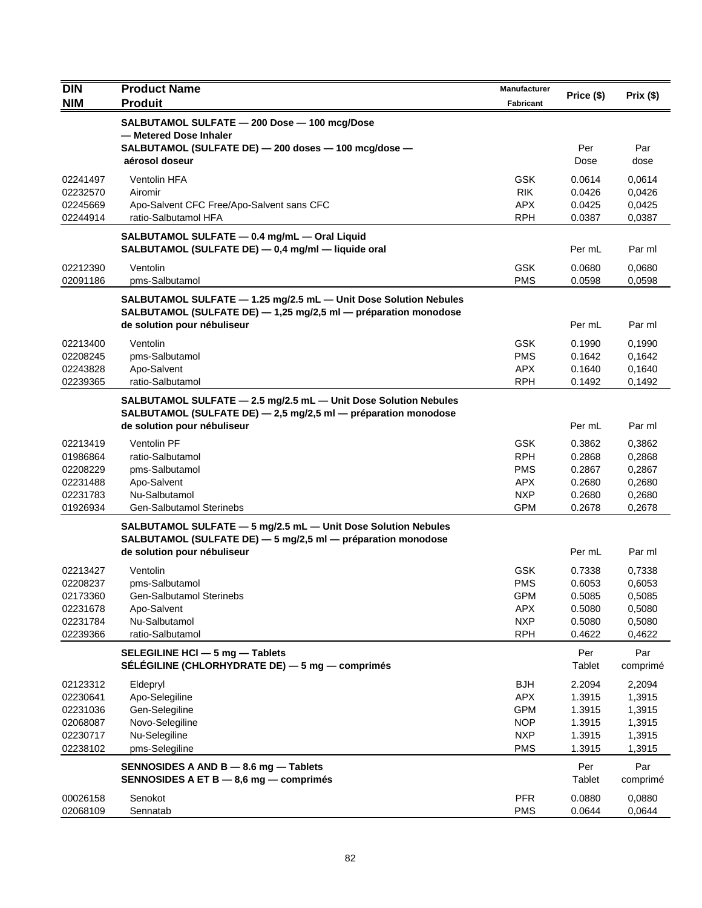| <b>DIN</b>           | <b>Product Name</b>                                                                                                                 | <b>Manufacturer</b>      | Price (\$)       | Prix(\$)         |
|----------------------|-------------------------------------------------------------------------------------------------------------------------------------|--------------------------|------------------|------------------|
| <b>NIM</b>           | <b>Produit</b>                                                                                                                      | <b>Fabricant</b>         |                  |                  |
|                      | SALBUTAMOL SULFATE - 200 Dose - 100 mcg/Dose<br>- Metered Dose Inhaler                                                              |                          |                  |                  |
|                      | SALBUTAMOL (SULFATE DE) - 200 doses - 100 mcg/dose -                                                                                |                          | Per              | Par              |
|                      | aérosol doseur                                                                                                                      |                          | Dose             | dose             |
| 02241497             | Ventolin HFA                                                                                                                        | <b>GSK</b>               | 0.0614           | 0.0614           |
| 02232570             | Airomir                                                                                                                             | <b>RIK</b>               | 0.0426           | 0,0426           |
| 02245669             | Apo-Salvent CFC Free/Apo-Salvent sans CFC                                                                                           | <b>APX</b>               | 0.0425           | 0,0425           |
| 02244914             | ratio-Salbutamol HFA                                                                                                                | <b>RPH</b>               | 0.0387           | 0,0387           |
|                      | SALBUTAMOL SULFATE - 0.4 mg/mL - Oral Liquid                                                                                        |                          |                  |                  |
|                      | SALBUTAMOL (SULFATE DE) - 0,4 mg/ml - liquide oral                                                                                  |                          | Per mL           | Par ml           |
| 02212390             | Ventolin                                                                                                                            | <b>GSK</b>               | 0.0680           | 0,0680           |
| 02091186             | pms-Salbutamol                                                                                                                      | <b>PMS</b>               | 0.0598           | 0,0598           |
|                      | SALBUTAMOL SULFATE - 1.25 mg/2.5 mL - Unit Dose Solution Nebules<br>SALBUTAMOL (SULFATE DE) - 1,25 mg/2,5 ml - préparation monodose |                          |                  |                  |
|                      | de solution pour nébuliseur                                                                                                         |                          | Per mL           | Par ml           |
| 02213400             | Ventolin                                                                                                                            | <b>GSK</b>               | 0.1990           | 0,1990           |
| 02208245             | pms-Salbutamol                                                                                                                      | <b>PMS</b>               | 0.1642           | 0,1642           |
| 02243828             | Apo-Salvent                                                                                                                         | <b>APX</b>               | 0.1640           | 0.1640           |
| 02239365             | ratio-Salbutamol                                                                                                                    | <b>RPH</b>               | 0.1492           | 0,1492           |
|                      | SALBUTAMOL SULFATE - 2.5 mg/2.5 mL - Unit Dose Solution Nebules                                                                     |                          |                  |                  |
|                      | SALBUTAMOL (SULFATE DE) - 2,5 mg/2,5 ml - préparation monodose                                                                      |                          |                  |                  |
|                      | de solution pour nébuliseur                                                                                                         |                          | Per mL           | Par ml           |
| 02213419             | Ventolin PF                                                                                                                         | <b>GSK</b>               | 0.3862           | 0,3862           |
| 01986864<br>02208229 | ratio-Salbutamol<br>pms-Salbutamol                                                                                                  | <b>RPH</b><br><b>PMS</b> | 0.2868<br>0.2867 | 0,2868<br>0,2867 |
| 02231488             | Apo-Salvent                                                                                                                         | APX.                     | 0.2680           | 0,2680           |
| 02231783             | Nu-Salbutamol                                                                                                                       | <b>NXP</b>               | 0.2680           | 0,2680           |
| 01926934             | Gen-Salbutamol Sterinebs                                                                                                            | <b>GPM</b>               | 0.2678           | 0,2678           |
|                      | SALBUTAMOL SULFATE - 5 mg/2.5 mL - Unit Dose Solution Nebules                                                                       |                          |                  |                  |
|                      | SALBUTAMOL (SULFATE DE) - 5 mg/2,5 ml - préparation monodose                                                                        |                          |                  |                  |
|                      | de solution pour nébuliseur                                                                                                         |                          | Per mL           | Par ml           |
| 02213427             | Ventolin                                                                                                                            | <b>GSK</b>               | 0.7338           | 0,7338           |
| 02208237             | pms-Salbutamol<br>Gen-Salbutamol Sterinebs                                                                                          | <b>PMS</b>               | 0.6053           | 0,6053           |
| 02173360<br>02231678 | Apo-Salvent                                                                                                                         | <b>GPM</b><br><b>APX</b> | 0.5085<br>0.5080 | 0,5085<br>0,5080 |
| 02231784             | Nu-Salbutamol                                                                                                                       | <b>NXP</b>               | 0.5080           | 0,5080           |
| 02239366             | ratio-Salbutamol                                                                                                                    | <b>RPH</b>               | 0.4622           | 0,4622           |
|                      | SELEGILINE HCI - 5 mg - Tablets                                                                                                     |                          | Per              | Par              |
|                      | SELEGILINE (CHLORHYDRATE DE) - 5 mg - comprimés                                                                                     |                          | Tablet           | comprimé         |
| 02123312             | Eldepryl                                                                                                                            | <b>BJH</b>               | 2.2094           | 2,2094           |
| 02230641             | Apo-Selegiline                                                                                                                      | <b>APX</b>               | 1.3915           | 1,3915           |
| 02231036             | Gen-Selegiline                                                                                                                      | <b>GPM</b>               | 1.3915           | 1,3915           |
| 02068087<br>02230717 | Novo-Selegiline<br>Nu-Selegiline                                                                                                    | <b>NOP</b><br><b>NXP</b> | 1.3915<br>1.3915 | 1,3915<br>1,3915 |
| 02238102             | pms-Selegiline                                                                                                                      | <b>PMS</b>               | 1.3915           | 1,3915           |
|                      | SENNOSIDES A AND B - 8.6 mg - Tablets                                                                                               |                          | Per              | Par              |
|                      | SENNOSIDES A ET B - 8,6 mg - comprimés                                                                                              |                          | Tablet           | comprimé         |
| 00026158             | Senokot                                                                                                                             | <b>PFR</b>               | 0.0880           | 0,0880           |
| 02068109             | Sennatab                                                                                                                            | <b>PMS</b>               | 0.0644           | 0,0644           |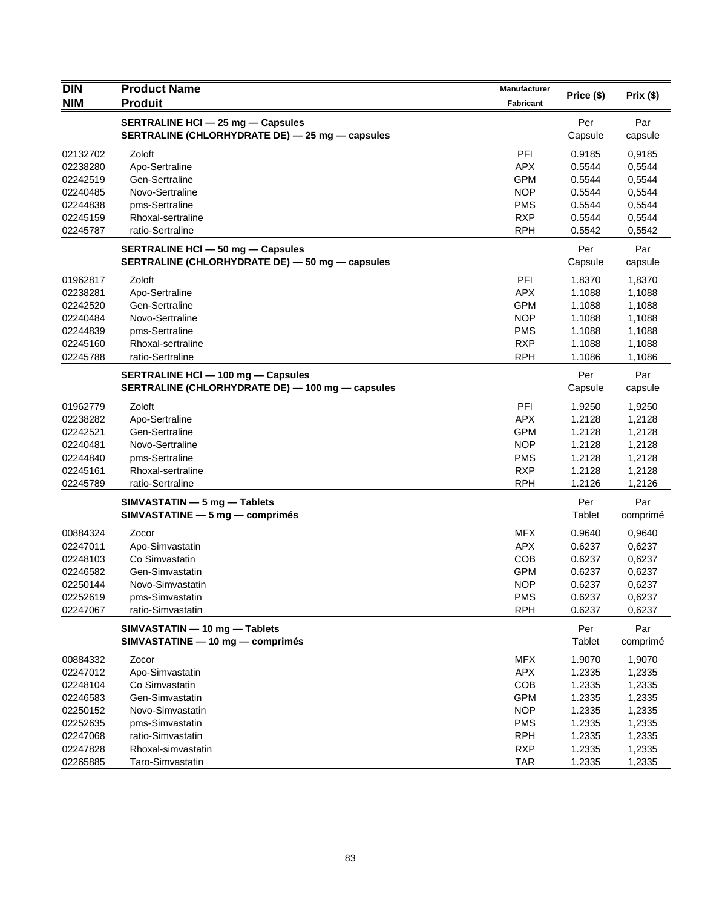| <b>DIN</b> | <b>Product Name</b>                              | <b>Manufacturer</b> |            |           |
|------------|--------------------------------------------------|---------------------|------------|-----------|
| <b>NIM</b> | <b>Produit</b>                                   | <b>Fabricant</b>    | Price (\$) | Prix (\$) |
|            | SERTRALINE HCI - 25 mg - Capsules                |                     | Per        | Par       |
|            | SERTRALINE (CHLORHYDRATE DE) - 25 mg - capsules  |                     | Capsule    | capsule   |
| 02132702   | Zoloft                                           | PFI                 | 0.9185     | 0,9185    |
| 02238280   | Apo-Sertraline                                   | <b>APX</b>          | 0.5544     | 0,5544    |
| 02242519   | Gen-Sertraline                                   | <b>GPM</b>          | 0.5544     | 0,5544    |
| 02240485   | Novo-Sertraline                                  | <b>NOP</b>          | 0.5544     | 0,5544    |
| 02244838   | pms-Sertraline                                   | <b>PMS</b>          | 0.5544     | 0,5544    |
| 02245159   | Rhoxal-sertraline                                | <b>RXP</b>          | 0.5544     | 0,5544    |
| 02245787   | ratio-Sertraline                                 | <b>RPH</b>          | 0.5542     | 0,5542    |
|            | SERTRALINE HCI - 50 mg - Capsules                |                     | Per        | Par       |
|            | SERTRALINE (CHLORHYDRATE DE) - 50 mg - capsules  |                     | Capsule    | capsule   |
| 01962817   | Zoloft                                           | PFI                 | 1.8370     | 1,8370    |
| 02238281   | Apo-Sertraline                                   | <b>APX</b>          | 1.1088     | 1,1088    |
| 02242520   | Gen-Sertraline                                   | <b>GPM</b>          | 1.1088     | 1,1088    |
| 02240484   | Novo-Sertraline                                  | <b>NOP</b>          | 1.1088     | 1,1088    |
| 02244839   | pms-Sertraline                                   | <b>PMS</b>          | 1.1088     | 1,1088    |
| 02245160   | Rhoxal-sertraline                                | <b>RXP</b>          | 1.1088     | 1,1088    |
| 02245788   | ratio-Sertraline                                 | <b>RPH</b>          | 1.1086     | 1,1086    |
|            | SERTRALINE HCI - 100 mg - Capsules               |                     | Per        | Par       |
|            | SERTRALINE (CHLORHYDRATE DE) - 100 mg - capsules |                     | Capsule    | capsule   |
| 01962779   | Zoloft                                           | PFI                 | 1.9250     | 1,9250    |
| 02238282   | Apo-Sertraline                                   | <b>APX</b>          | 1.2128     | 1,2128    |
| 02242521   | Gen-Sertraline                                   | <b>GPM</b>          | 1.2128     | 1,2128    |
| 02240481   | Novo-Sertraline                                  | <b>NOP</b>          | 1.2128     | 1,2128    |
| 02244840   | pms-Sertraline                                   | <b>PMS</b>          | 1.2128     | 1,2128    |
| 02245161   | Rhoxal-sertraline                                | <b>RXP</b>          | 1.2128     | 1,2128    |
| 02245789   | ratio-Sertraline                                 | <b>RPH</b>          | 1.2126     | 1,2126    |
|            | SIMVASTATIN - 5 mg - Tablets                     |                     | Per        | Par       |
|            | $SIMVASTATING - 5 mg - comprimés$                |                     | Tablet     | comprimé  |
| 00884324   | Zocor                                            | <b>MFX</b>          | 0.9640     | 0,9640    |
| 02247011   | Apo-Simvastatin                                  | <b>APX</b>          | 0.6237     | 0,6237    |
| 02248103   | Co Simvastatin                                   | COB                 | 0.6237     | 0,6237    |
| 02246582   | Gen-Simvastatin                                  | <b>GPM</b>          | 0.6237     | 0,6237    |
| 02250144   | Novo-Simvastatin                                 | <b>NOP</b>          | 0.6237     | 0,6237    |
| 02252619   | pms-Simvastatin                                  | <b>PMS</b>          | 0.6237     | 0,6237    |
| 02247067   | ratio-Simvastatin                                | <b>RPH</b>          | 0.6237     | 0,6237    |
|            | SIMVASTATIN - 10 mg - Tablets                    |                     | Per        | Par       |
|            | SIMVASTATINE - 10 mg - comprimés                 |                     | Tablet     | comprimé  |
| 00884332   | Zocor                                            | <b>MFX</b>          | 1.9070     | 1,9070    |
| 02247012   | Apo-Simvastatin                                  | APX                 | 1.2335     | 1,2335    |
| 02248104   | Co Simvastatin                                   | <b>COB</b>          | 1.2335     | 1,2335    |
| 02246583   | Gen-Simvastatin                                  | <b>GPM</b>          | 1.2335     | 1,2335    |
| 02250152   | Novo-Simvastatin                                 | <b>NOP</b>          | 1.2335     | 1,2335    |
| 02252635   | pms-Simvastatin                                  | <b>PMS</b>          | 1.2335     | 1,2335    |
| 02247068   | ratio-Simvastatin                                | <b>RPH</b>          | 1.2335     | 1,2335    |
| 02247828   | Rhoxal-simvastatin                               | <b>RXP</b>          | 1.2335     | 1,2335    |
| 02265885   | Taro-Simvastatin                                 | <b>TAR</b>          | 1.2335     | 1,2335    |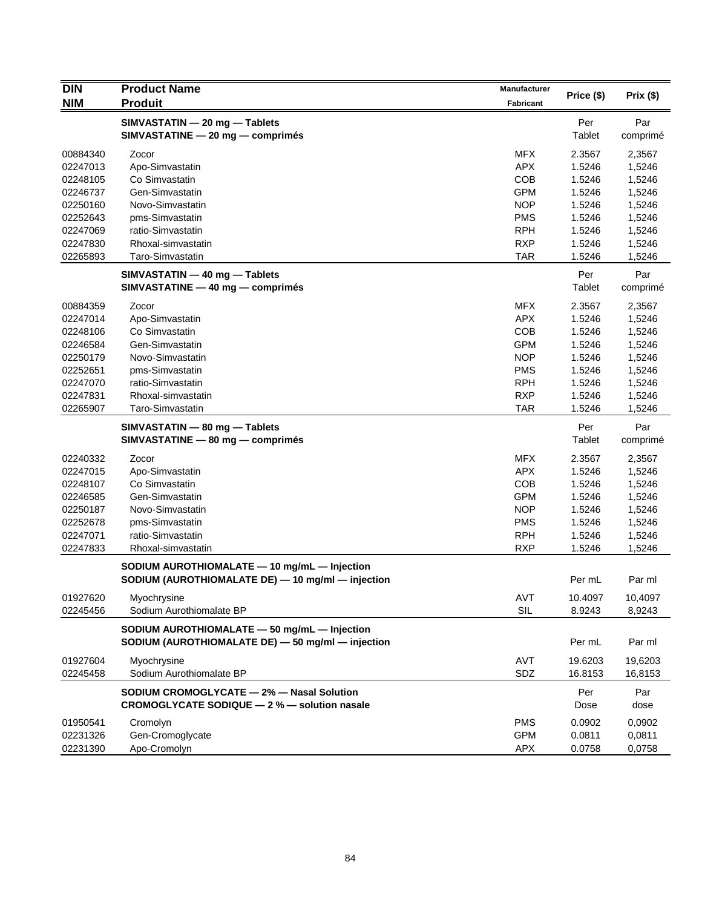| <b>DIN</b> | <b>Product Name</b><br><b>Produit</b>                                                             | <b>Manufacturer</b> | Price (\$) | Prix (\$) |
|------------|---------------------------------------------------------------------------------------------------|---------------------|------------|-----------|
| <b>NIM</b> |                                                                                                   | <b>Fabricant</b>    |            |           |
|            | SIMVASTATIN - 20 mg - Tablets                                                                     |                     | Per        | Par       |
|            | SIMVASTATINE - 20 mg - comprimés                                                                  |                     | Tablet     | comprimé  |
| 00884340   | Zocor                                                                                             | <b>MFX</b>          | 2.3567     | 2,3567    |
| 02247013   | Apo-Simvastatin                                                                                   | APX.                | 1.5246     | 1,5246    |
| 02248105   | Co Simvastatin                                                                                    | <b>COB</b>          | 1.5246     | 1,5246    |
| 02246737   | Gen-Simvastatin                                                                                   | <b>GPM</b>          | 1.5246     | 1,5246    |
| 02250160   | Novo-Simvastatin                                                                                  | <b>NOP</b>          | 1.5246     | 1,5246    |
| 02252643   | pms-Simvastatin                                                                                   | <b>PMS</b>          | 1.5246     | 1,5246    |
| 02247069   | ratio-Simvastatin                                                                                 | <b>RPH</b>          | 1.5246     | 1,5246    |
| 02247830   | Rhoxal-simvastatin                                                                                | <b>RXP</b>          | 1.5246     | 1,5246    |
| 02265893   | Taro-Simvastatin                                                                                  | TAR                 | 1.5246     | 1,5246    |
|            |                                                                                                   |                     |            |           |
|            | SIMVASTATIN - 40 mg - Tablets                                                                     |                     | Per        | Par       |
|            | SIMVASTATINE - 40 mg - comprimés                                                                  |                     | Tablet     | comprimé  |
| 00884359   | Zocor                                                                                             | <b>MFX</b>          | 2.3567     | 2,3567    |
| 02247014   | Apo-Simvastatin                                                                                   | <b>APX</b>          | 1.5246     | 1,5246    |
| 02248106   | Co Simvastatin                                                                                    | <b>COB</b>          | 1.5246     | 1,5246    |
| 02246584   | Gen-Simvastatin                                                                                   | <b>GPM</b>          | 1.5246     | 1,5246    |
| 02250179   | Novo-Simvastatin                                                                                  | <b>NOP</b>          | 1.5246     | 1,5246    |
| 02252651   | pms-Simvastatin                                                                                   | <b>PMS</b>          | 1.5246     | 1,5246    |
| 02247070   | ratio-Simvastatin                                                                                 | <b>RPH</b>          | 1.5246     | 1,5246    |
| 02247831   | Rhoxal-simvastatin                                                                                | <b>RXP</b>          | 1.5246     | 1,5246    |
| 02265907   | Taro-Simvastatin                                                                                  | <b>TAR</b>          | 1.5246     | 1,5246    |
|            | SIMVASTATIN - 80 mg - Tablets                                                                     |                     | Per        | Par       |
|            | SIMVASTATINE - 80 mg - comprimés                                                                  |                     | Tablet     | comprimé  |
| 02240332   | Zocor                                                                                             | <b>MFX</b>          | 2.3567     | 2,3567    |
| 02247015   | Apo-Simvastatin                                                                                   | <b>APX</b>          | 1.5246     | 1,5246    |
| 02248107   | Co Simvastatin                                                                                    | COB                 | 1.5246     | 1,5246    |
| 02246585   | Gen-Simvastatin                                                                                   | <b>GPM</b>          | 1.5246     | 1,5246    |
| 02250187   | Novo-Simvastatin                                                                                  | <b>NOP</b>          | 1.5246     | 1,5246    |
| 02252678   | pms-Simvastatin                                                                                   | <b>PMS</b>          | 1.5246     | 1,5246    |
| 02247071   | ratio-Simvastatin                                                                                 | <b>RPH</b>          | 1.5246     | 1,5246    |
| 02247833   | Rhoxal-simvastatin                                                                                | <b>RXP</b>          | 1.5246     | 1,5246    |
|            | SODIUM AUROTHIOMALATE - 10 mg/mL - Injection                                                      |                     |            |           |
|            | SODIUM (AUROTHIOMALATE DE) - 10 mg/ml - injection                                                 |                     | Per mL     | Par ml    |
| 01927620   | Myochrysine                                                                                       | AVT                 | 10.4097    | 10,4097   |
| 02245456   | Sodium Aurothiomalate BP                                                                          | SIL                 | 8.9243     | 8,9243    |
|            |                                                                                                   |                     |            |           |
|            | SODIUM AUROTHIOMALATE - 50 mg/mL - Injection<br>SODIUM (AUROTHIOMALATE DE) - 50 mg/ml - injection |                     | Per mL     | Par ml    |
|            |                                                                                                   |                     |            |           |
| 01927604   | Myochrysine                                                                                       | <b>AVT</b>          | 19.6203    | 19,6203   |
| 02245458   | Sodium Aurothiomalate BP                                                                          | SDZ                 | 16.8153    | 16,8153   |
|            | SODIUM CROMOGLYCATE - 2% - Nasal Solution                                                         |                     | Per        | Par       |
|            | CROMOGLYCATE SODIQUE - 2 % - solution nasale                                                      |                     | Dose       | dose      |
| 01950541   | Cromolyn                                                                                          | <b>PMS</b>          | 0.0902     | 0,0902    |
| 02231326   | Gen-Cromoglycate                                                                                  | <b>GPM</b>          | 0.0811     | 0,0811    |
| 02231390   | Apo-Cromolyn                                                                                      | APX                 | 0.0758     | 0,0758    |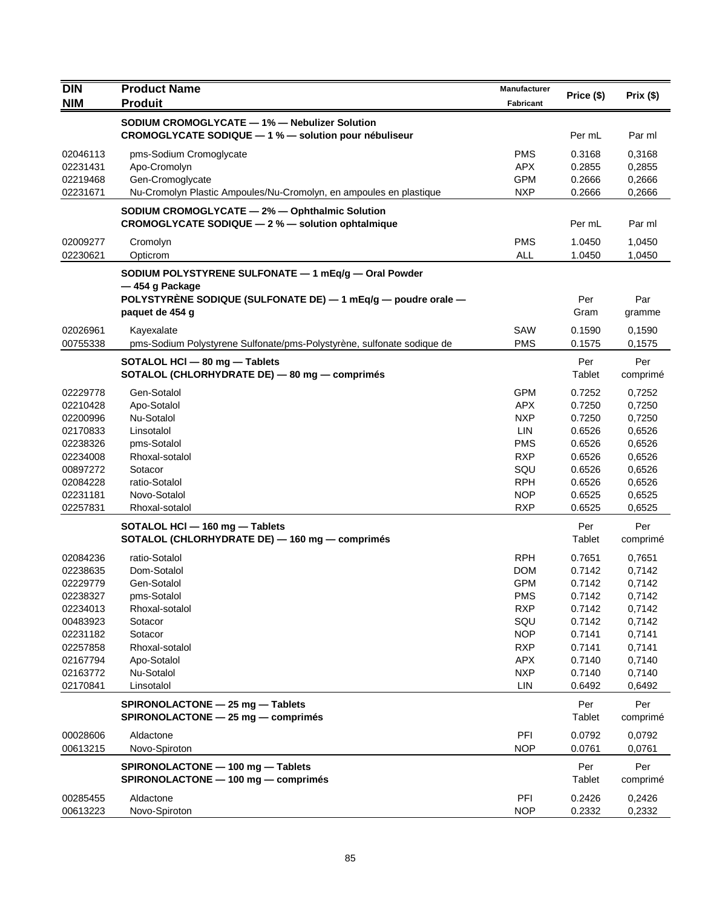| <b>DIN</b>           | <b>Product Name</b>                                                                                                                                        | Manufacturer      |                  |                  |
|----------------------|------------------------------------------------------------------------------------------------------------------------------------------------------------|-------------------|------------------|------------------|
| <b>NIM</b>           | <b>Produit</b>                                                                                                                                             | <b>Fabricant</b>  | Price (\$)       | Prix(\$)         |
|                      | SODIUM CROMOGLYCATE - 1% - Nebulizer Solution                                                                                                              |                   |                  |                  |
|                      | CROMOGLYCATE SODIQUE - 1 % - solution pour nébuliseur                                                                                                      |                   | Per mL           | Par ml           |
|                      |                                                                                                                                                            |                   |                  |                  |
| 02046113             | pms-Sodium Cromoglycate                                                                                                                                    | <b>PMS</b>        | 0.3168           | 0,3168           |
| 02231431             | Apo-Cromolyn                                                                                                                                               | APX.              | 0.2855           | 0,2855           |
| 02219468             | Gen-Cromoglycate                                                                                                                                           | <b>GPM</b>        | 0.2666           | 0,2666           |
| 02231671             | Nu-Cromolyn Plastic Ampoules/Nu-Cromolyn, en ampoules en plastique                                                                                         | <b>NXP</b>        | 0.2666           | 0,2666           |
|                      | SODIUM CROMOGLYCATE - 2% - Ophthalmic Solution<br>CROMOGLYCATE SODIQUE - 2 % - solution ophtalmique                                                        |                   | Per mL           | Par ml           |
| 02009277             | Cromolyn                                                                                                                                                   | <b>PMS</b>        | 1.0450           | 1,0450           |
| 02230621             | Opticrom                                                                                                                                                   | <b>ALL</b>        | 1.0450           | 1,0450           |
|                      | SODIUM POLYSTYRENE SULFONATE - 1 mEq/g - Oral Powder<br>-454 g Package<br>POLYSTYRENE SODIQUE (SULFONATE DE) - 1 mEq/g - poudre orale -<br>paquet de 454 g |                   | Per<br>Gram      | Par<br>gramme    |
|                      |                                                                                                                                                            |                   |                  |                  |
| 02026961             | Kayexalate                                                                                                                                                 | SAW               | 0.1590           | 0,1590           |
| 00755338             | pms-Sodium Polystyrene Sulfonate/pms-Polystyrène, sulfonate sodique de                                                                                     | <b>PMS</b>        | 0.1575           | 0,1575           |
|                      | SOTALOL HCI - 80 mg - Tablets<br>SOTALOL (CHLORHYDRATE DE) - 80 mg - comprimés                                                                             |                   | Per<br>Tablet    | Per<br>comprimé  |
| 02229778             | Gen-Sotalol                                                                                                                                                | <b>GPM</b>        | 0.7252           | 0,7252           |
| 02210428             | Apo-Sotalol                                                                                                                                                | <b>APX</b>        | 0.7250           | 0,7250           |
| 02200996             | Nu-Sotalol                                                                                                                                                 | <b>NXP</b>        | 0.7250           | 0,7250           |
| 02170833             | Linsotalol                                                                                                                                                 | LIN               | 0.6526           | 0,6526           |
| 02238326             | pms-Sotalol                                                                                                                                                | <b>PMS</b>        | 0.6526           | 0,6526           |
| 02234008             | Rhoxal-sotalol                                                                                                                                             | <b>RXP</b>        | 0.6526           | 0,6526           |
| 00897272             | Sotacor                                                                                                                                                    | SQU               | 0.6526           | 0,6526           |
| 02084228             | ratio-Sotalol                                                                                                                                              | <b>RPH</b>        | 0.6526           | 0,6526           |
| 02231181             | Novo-Sotalol                                                                                                                                               | <b>NOP</b>        | 0.6525           | 0,6525           |
| 02257831             | Rhoxal-sotalol                                                                                                                                             | <b>RXP</b>        | 0.6525           | 0,6525           |
|                      | SOTALOL HCI - 160 mg - Tablets<br>SOTALOL (CHLORHYDRATE DE) - 160 mg - comprimés                                                                           |                   | Per<br>Tablet    | Per<br>comprimé  |
| 02084236             | ratio-Sotalol                                                                                                                                              | <b>RPH</b>        | 0.7651           | 0,7651           |
| 02238635             | Dom-Sotalol                                                                                                                                                | <b>DOM</b>        | 0.7142           | 0,7142           |
| 02229779             | Gen-Sotalol                                                                                                                                                | <b>GPM</b>        | 0.7142           | 0,7142           |
| 02238327             | pms-Sotalol                                                                                                                                                | PMS               | 0.7142           | 0,7142           |
| 02234013             | Rhoxal-sotalol                                                                                                                                             | <b>RXP</b>        | 0.7142           | 0,7142           |
| 00483923             | Sotacor                                                                                                                                                    | SQU               | 0.7142           | 0,7142           |
| 02231182             | Sotacor                                                                                                                                                    | <b>NOP</b>        | 0.7141           | 0,7141           |
| 02257858             | Rhoxal-sotalol                                                                                                                                             | <b>RXP</b>        | 0.7141           | 0,7141           |
| 02167794             | Apo-Sotalol                                                                                                                                                | <b>APX</b>        | 0.7140           | 0,7140           |
| 02163772             | Nu-Sotalol                                                                                                                                                 | <b>NXP</b>        | 0.7140           | 0,7140           |
| 02170841             | Linsotalol                                                                                                                                                 | <b>LIN</b>        | 0.6492           | 0,6492           |
|                      | SPIRONOLACTONE - 25 mg - Tablets<br>SPIRONOLACTONE - 25 mg - comprimés                                                                                     |                   | Per<br>Tablet    | Per<br>comprimé  |
|                      |                                                                                                                                                            |                   |                  |                  |
| 00028606<br>00613215 | Aldactone<br>Novo-Spiroton                                                                                                                                 | PFI<br><b>NOP</b> | 0.0792<br>0.0761 | 0,0792<br>0,0761 |
|                      | SPIRONOLACTONE - 100 mg - Tablets<br>SPIRONOLACTONE - 100 mg - comprimés                                                                                   |                   | Per<br>Tablet    | Per<br>comprimé  |
| 00285455<br>00613223 | Aldactone<br>Novo-Spiroton                                                                                                                                 | PFI<br><b>NOP</b> | 0.2426<br>0.2332 | 0,2426<br>0,2332 |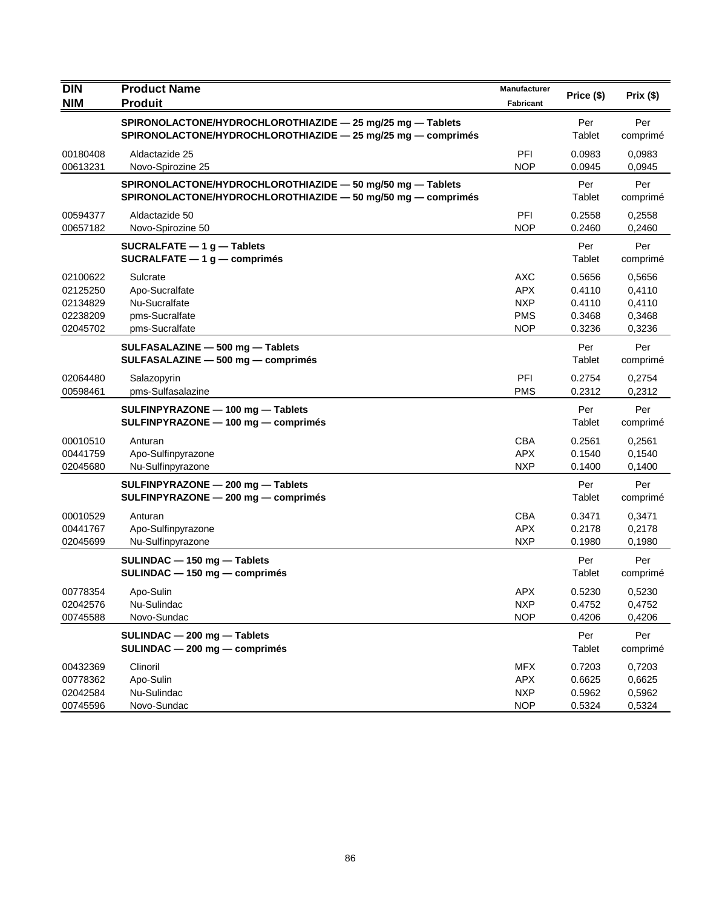| <b>DIN</b><br><b>NIM</b>                                 | <b>Product Name</b><br><b>Produit</b>                                                                                      | Manufacturer<br>Fabricant                                          | Price (\$)                                     | Prix(\$)                                       |
|----------------------------------------------------------|----------------------------------------------------------------------------------------------------------------------------|--------------------------------------------------------------------|------------------------------------------------|------------------------------------------------|
|                                                          | SPIRONOLACTONE/HYDROCHLOROTHIAZIDE - 25 mg/25 mg - Tablets<br>SPIRONOLACTONE/HYDROCHLOROTHIAZIDE - 25 mg/25 mg - comprimés |                                                                    | Per<br>Tablet                                  | Per<br>comprimé                                |
| 00180408<br>00613231                                     | Aldactazide 25<br>Novo-Spirozine 25                                                                                        | PFI<br><b>NOP</b>                                                  | 0.0983<br>0.0945                               | 0.0983<br>0,0945                               |
|                                                          | SPIRONOLACTONE/HYDROCHLOROTHIAZIDE - 50 mg/50 mg - Tablets<br>SPIRONOLACTONE/HYDROCHLOROTHIAZIDE - 50 mg/50 mg - comprimés |                                                                    | Per<br>Tablet                                  | Per<br>comprimé                                |
| 00594377<br>00657182                                     | Aldactazide 50<br>Novo-Spirozine 50                                                                                        | PFI<br><b>NOP</b>                                                  | 0.2558<br>0.2460                               | 0,2558<br>0,2460                               |
|                                                          | SUCRALFATE $-1$ g $-$ Tablets<br>SUCRALFATE $-1$ g $-$ comprimés                                                           |                                                                    | Per<br>Tablet                                  | Per<br>comprimé                                |
| 02100622<br>02125250<br>02134829<br>02238209<br>02045702 | Sulcrate<br>Apo-Sucralfate<br>Nu-Sucralfate<br>pms-Sucralfate<br>pms-Sucralfate                                            | <b>AXC</b><br><b>APX</b><br><b>NXP</b><br><b>PMS</b><br><b>NOP</b> | 0.5656<br>0.4110<br>0.4110<br>0.3468<br>0.3236 | 0,5656<br>0,4110<br>0,4110<br>0,3468<br>0,3236 |
|                                                          | SULFASALAZINE - 500 mg - Tablets<br>SULFASALAZINE - 500 mg - comprimés                                                     |                                                                    | Per<br>Tablet                                  | Per<br>comprimé                                |
| 02064480<br>00598461                                     | Salazopyrin<br>pms-Sulfasalazine                                                                                           | PFI<br><b>PMS</b>                                                  | 0.2754<br>0.2312                               | 0,2754<br>0,2312                               |
|                                                          | SULFINPYRAZONE - 100 mg - Tablets<br>SULFINPYRAZONE - 100 mg - comprimés                                                   |                                                                    | Per<br>Tablet                                  | Per<br>comprimé                                |
| 00010510<br>00441759<br>02045680                         | Anturan<br>Apo-Sulfinpyrazone<br>Nu-Sulfinpyrazone                                                                         | <b>CBA</b><br><b>APX</b><br><b>NXP</b>                             | 0.2561<br>0.1540<br>0.1400                     | 0,2561<br>0,1540<br>0,1400                     |
|                                                          | SULFINPYRAZONE - 200 mg - Tablets<br>SULFINPYRAZONE - 200 mg - comprimés                                                   |                                                                    | Per<br>Tablet                                  | Per<br>comprimé                                |
| 00010529<br>00441767<br>02045699                         | Anturan<br>Apo-Sulfinpyrazone<br>Nu-Sulfinpyrazone                                                                         | <b>CBA</b><br><b>APX</b><br><b>NXP</b>                             | 0.3471<br>0.2178<br>0.1980                     | 0,3471<br>0,2178<br>0,1980                     |
|                                                          | SULINDAC - 150 mg - Tablets<br>SULINDAC - 150 mg - comprimés                                                               |                                                                    | Per<br>Tablet                                  | Per<br>comprimé                                |
| 00778354<br>02042576<br>00745588                         | Apo-Sulin<br>Nu-Sulindac<br>Novo-Sundac                                                                                    | <b>APX</b><br><b>NXP</b><br><b>NOP</b>                             | 0.5230<br>0.4752<br>0.4206                     | 0,5230<br>0,4752<br>0,4206                     |
|                                                          | SULINDAC - 200 mg - Tablets<br>SULINDAC - 200 mg - comprimés                                                               |                                                                    | Per<br>Tablet                                  | Per<br>comprimé                                |
| 00432369<br>00778362<br>02042584<br>00745596             | Clinoril<br>Apo-Sulin<br>Nu-Sulindac<br>Novo-Sundac                                                                        | <b>MFX</b><br>APX<br><b>NXP</b><br><b>NOP</b>                      | 0.7203<br>0.6625<br>0.5962<br>0.5324           | 0,7203<br>0,6625<br>0,5962<br>0,5324           |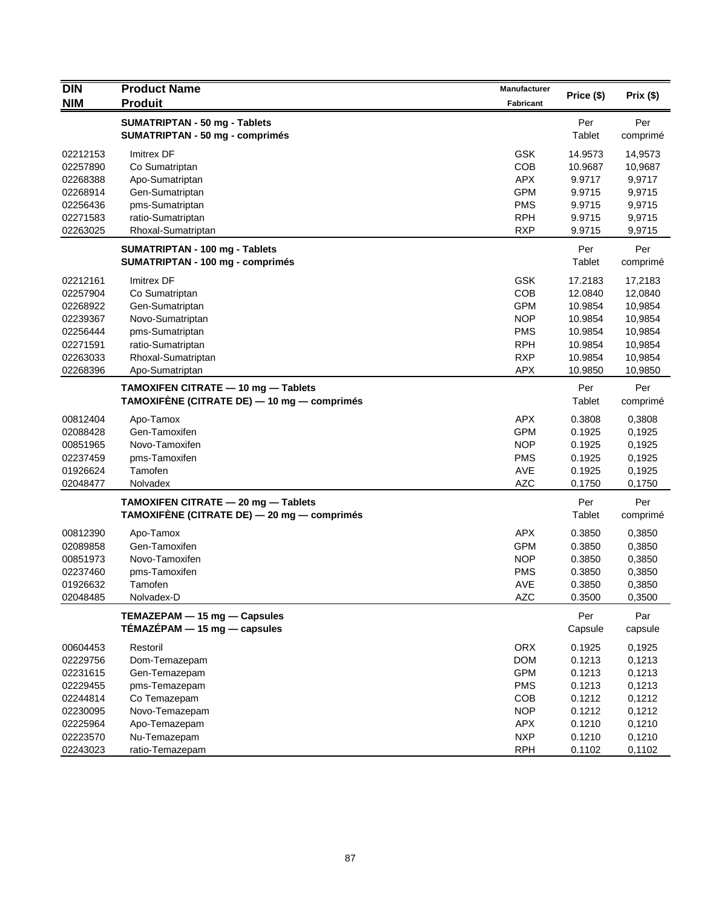| <b>DIN</b> | <b>Product Name</b>                         | <b>Manufacturer</b> |            | Prix (\$) |
|------------|---------------------------------------------|---------------------|------------|-----------|
| <b>NIM</b> | <b>Produit</b>                              | <b>Fabricant</b>    | Price (\$) |           |
|            | SUMATRIPTAN - 50 mg - Tablets               |                     | Per        | Per       |
|            | <b>SUMATRIPTAN - 50 mg - comprimés</b>      |                     | Tablet     | comprimé  |
| 02212153   | Imitrex DF                                  | <b>GSK</b>          | 14.9573    | 14,9573   |
| 02257890   | Co Sumatriptan                              | COB                 | 10.9687    | 10,9687   |
| 02268388   | Apo-Sumatriptan                             | <b>APX</b>          | 9.9717     | 9,9717    |
| 02268914   | Gen-Sumatriptan                             | <b>GPM</b>          | 9.9715     | 9,9715    |
| 02256436   | pms-Sumatriptan                             | <b>PMS</b>          | 9.9715     | 9,9715    |
| 02271583   | ratio-Sumatriptan                           | <b>RPH</b>          | 9.9715     | 9,9715    |
| 02263025   | Rhoxal-Sumatriptan                          | <b>RXP</b>          | 9.9715     | 9,9715    |
|            | SUMATRIPTAN - 100 mg - Tablets              |                     | Per        | Per       |
|            | SUMATRIPTAN - 100 mg - comprimés            |                     | Tablet     | comprimé  |
| 02212161   | Imitrex DF                                  | <b>GSK</b>          | 17.2183    | 17,2183   |
| 02257904   | Co Sumatriptan                              | COB                 | 12.0840    | 12,0840   |
| 02268922   | Gen-Sumatriptan                             | <b>GPM</b>          | 10.9854    | 10,9854   |
| 02239367   | Novo-Sumatriptan                            | <b>NOP</b>          | 10.9854    | 10,9854   |
| 02256444   | pms-Sumatriptan                             | <b>PMS</b>          | 10.9854    | 10,9854   |
| 02271591   | ratio-Sumatriptan                           | <b>RPH</b>          | 10.9854    | 10,9854   |
| 02263033   | Rhoxal-Sumatriptan                          | <b>RXP</b>          | 10.9854    | 10,9854   |
| 02268396   | Apo-Sumatriptan                             | <b>APX</b>          | 10.9850    | 10,9850   |
|            | TAMOXIFEN CITRATE - 10 mg - Tablets         |                     | Per        | Per       |
|            | TAMOXIFÈNE (CITRATE DE) — 10 mg — comprimés |                     | Tablet     | comprimé  |
| 00812404   | Apo-Tamox                                   | <b>APX</b>          | 0.3808     | 0,3808    |
| 02088428   | Gen-Tamoxifen                               | <b>GPM</b>          | 0.1925     | 0,1925    |
| 00851965   | Novo-Tamoxifen                              | <b>NOP</b>          | 0.1925     | 0,1925    |
| 02237459   | pms-Tamoxifen                               | <b>PMS</b>          | 0.1925     | 0,1925    |
| 01926624   | Tamofen                                     | AVE                 | 0.1925     | 0,1925    |
| 02048477   | Nolvadex                                    | <b>AZC</b>          | 0.1750     | 0,1750    |
|            | TAMOXIFEN CITRATE - 20 mg - Tablets         |                     | Per        | Per       |
|            | TAMOXIFÈNE (CITRATE DE) — 20 mg — comprimés |                     | Tablet     | comprimé  |
| 00812390   | Apo-Tamox                                   | <b>APX</b>          | 0.3850     | 0,3850    |
| 02089858   | Gen-Tamoxifen                               | <b>GPM</b>          | 0.3850     | 0,3850    |
| 00851973   | Novo-Tamoxifen                              | <b>NOP</b>          | 0.3850     | 0,3850    |
| 02237460   | pms-Tamoxifen                               | <b>PMS</b>          | 0.3850     | 0,3850    |
| 01926632   | Tamofen                                     | <b>AVE</b>          | 0.3850     | 0,3850    |
| 02048485   | Nolvadex-D                                  | <b>AZC</b>          | 0.3500     | 0,3500    |
|            | TEMAZEPAM - 15 mg - Capsules                |                     | Per        | Par       |
|            | $TÉMAZÉPAM - 15 mg - capsules$              |                     | Capsule    | capsule   |
| 00604453   | Restoril                                    | <b>ORX</b>          | 0.1925     | 0,1925    |
| 02229756   | Dom-Temazepam                               | <b>DOM</b>          | 0.1213     | 0,1213    |
| 02231615   | Gen-Temazepam                               | <b>GPM</b>          | 0.1213     | 0,1213    |
| 02229455   | pms-Temazepam                               | <b>PMS</b>          | 0.1213     | 0,1213    |
| 02244814   | Co Temazepam                                | COB                 | 0.1212     | 0,1212    |
| 02230095   | Novo-Temazepam                              | <b>NOP</b>          | 0.1212     | 0,1212    |
| 02225964   | Apo-Temazepam                               | <b>APX</b>          | 0.1210     | 0,1210    |
| 02223570   | Nu-Temazepam                                | <b>NXP</b>          | 0.1210     | 0,1210    |
| 02243023   | ratio-Temazepam                             | <b>RPH</b>          | 0.1102     | 0,1102    |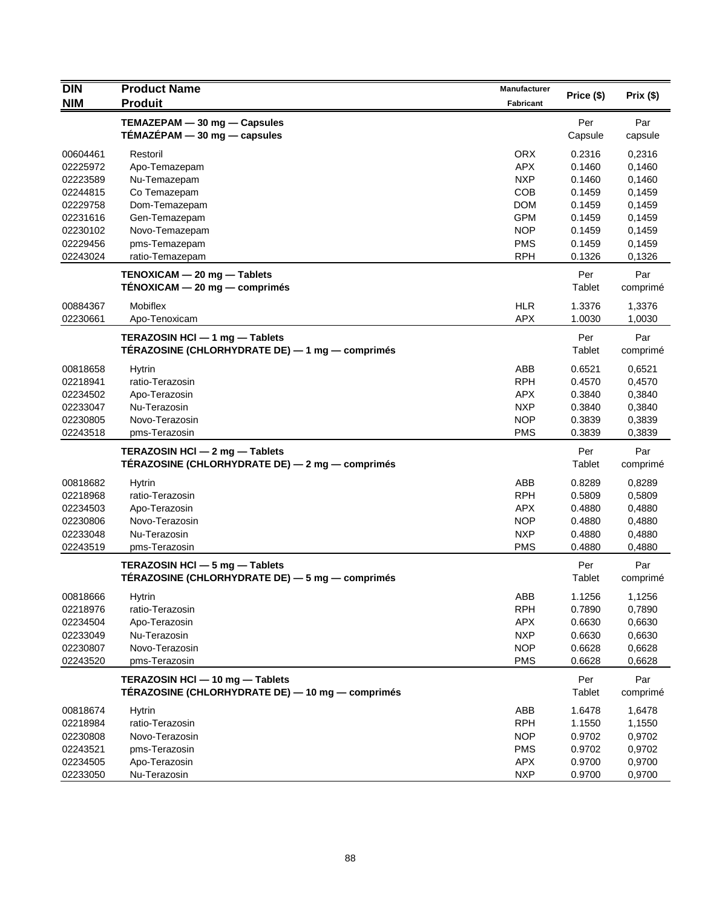| <b>DIN</b> | <b>Product Name</b>                                                                 | <b>Manufacturer</b> |               |                 |
|------------|-------------------------------------------------------------------------------------|---------------------|---------------|-----------------|
| <b>NIM</b> | <b>Produit</b>                                                                      | <b>Fabricant</b>    | Price (\$)    | Prix(\$)        |
|            | TEMAZEPAM - 30 mg - Capsules                                                        |                     | Per           | Par             |
|            | TÉMAZÉPAM - 30 mg - capsules                                                        |                     | Capsule       | capsule         |
| 00604461   | Restoril                                                                            | <b>ORX</b>          | 0.2316        | 0,2316          |
| 02225972   | Apo-Temazepam                                                                       | <b>APX</b>          | 0.1460        | 0,1460          |
| 02223589   | Nu-Temazepam                                                                        | <b>NXP</b>          | 0.1460        | 0,1460          |
| 02244815   | Co Temazepam                                                                        | COB                 | 0.1459        | 0,1459          |
| 02229758   | Dom-Temazepam                                                                       | <b>DOM</b>          | 0.1459        | 0,1459          |
| 02231616   | Gen-Temazepam                                                                       | <b>GPM</b>          | 0.1459        | 0,1459          |
| 02230102   | Novo-Temazepam                                                                      | <b>NOP</b>          | 0.1459        | 0,1459          |
| 02229456   | pms-Temazepam                                                                       | <b>PMS</b>          | 0.1459        | 0,1459          |
| 02243024   | ratio-Temazepam                                                                     | <b>RPH</b>          | 0.1326        | 0,1326          |
|            | TENOXICAM - 20 mg - Tablets                                                         |                     | Per           | Par             |
|            | $TENOXICAM - 20 mg - comprimés$                                                     |                     | Tablet        | comprimé        |
| 00884367   | <b>Mobiflex</b>                                                                     | <b>HLR</b>          | 1.3376        | 1,3376          |
| 02230661   | Apo-Tenoxicam                                                                       | <b>APX</b>          | 1.0030        | 1,0030          |
|            | TERAZOSIN HCl - 1 mg - Tablets                                                      |                     | Per           | Par             |
|            | TÉRAZOSINE (CHLORHYDRATE DE) — 1 mg — comprimés                                     |                     | Tablet        | comprimé        |
| 00818658   | <b>Hytrin</b>                                                                       | ABB                 | 0.6521        | 0,6521          |
| 02218941   | ratio-Terazosin                                                                     | <b>RPH</b>          | 0.4570        | 0,4570          |
| 02234502   | Apo-Terazosin                                                                       | <b>APX</b>          | 0.3840        | 0,3840          |
| 02233047   | Nu-Terazosin                                                                        | <b>NXP</b>          | 0.3840        | 0,3840          |
| 02230805   | Novo-Terazosin                                                                      | <b>NOP</b>          | 0.3839        | 0,3839          |
| 02243518   | pms-Terazosin                                                                       | <b>PMS</b>          | 0.3839        | 0,3839          |
|            | TERAZOSIN HCI - 2 mg - Tablets                                                      |                     | Per           | Par             |
|            | TÉRAZOSINE (CHLORHYDRATE DE) - 2 mg - comprimés                                     |                     | Tablet        | comprimé        |
| 00818682   | Hytrin                                                                              | ABB                 | 0.8289        | 0,8289          |
| 02218968   | ratio-Terazosin                                                                     | <b>RPH</b>          | 0.5809        | 0,5809          |
| 02234503   | Apo-Terazosin                                                                       | <b>APX</b>          | 0.4880        | 0,4880          |
| 02230806   | Novo-Terazosin                                                                      | <b>NOP</b>          | 0.4880        | 0,4880          |
| 02233048   | Nu-Terazosin                                                                        | <b>NXP</b>          | 0.4880        | 0,4880          |
| 02243519   | pms-Terazosin                                                                       | <b>PMS</b>          | 0.4880        | 0,4880          |
|            | <b>TERAZOSIN HCI</b> $-$ 5 mg $-$ Tablets                                           |                     | Per           | Par             |
|            | TÉRAZOSINE (CHLORHYDRATE DE) — 5 mg — comprimés                                     |                     | Tablet        | comprimé        |
| 00818666   | Hytrin                                                                              | ABB                 | 1.1256        | 1,1256          |
| 02218976   | ratio-Terazosin                                                                     | <b>RPH</b>          | 0.7890        | 0,7890          |
| 02234504   | Apo-Terazosin                                                                       | <b>APX</b>          | 0.6630        | 0,6630          |
| 02233049   | Nu-Terazosin                                                                        | <b>NXP</b>          | 0.6630        | 0,6630          |
| 02230807   | Novo-Terazosin                                                                      | <b>NOP</b>          | 0.6628        | 0,6628          |
| 02243520   | pms-Terazosin                                                                       | <b>PMS</b>          | 0.6628        | 0,6628          |
|            | TERAZOSIN HCI - 10 mg - Tablets<br>TÉRAZOSINE (CHLORHYDRATE DE) — 10 mg — comprimés |                     | Per<br>Tablet | Par<br>comprimé |
| 00818674   | <b>Hytrin</b>                                                                       | ABB                 | 1.6478        | 1,6478          |
| 02218984   | ratio-Terazosin                                                                     | <b>RPH</b>          | 1.1550        | 1,1550          |
| 02230808   | Novo-Terazosin                                                                      | <b>NOP</b>          | 0.9702        | 0,9702          |
| 02243521   | pms-Terazosin                                                                       | <b>PMS</b>          | 0.9702        | 0,9702          |
| 02234505   | Apo-Terazosin                                                                       | <b>APX</b>          | 0.9700        | 0,9700          |
| 02233050   | Nu-Terazosin                                                                        | <b>NXP</b>          | 0.9700        | 0,9700          |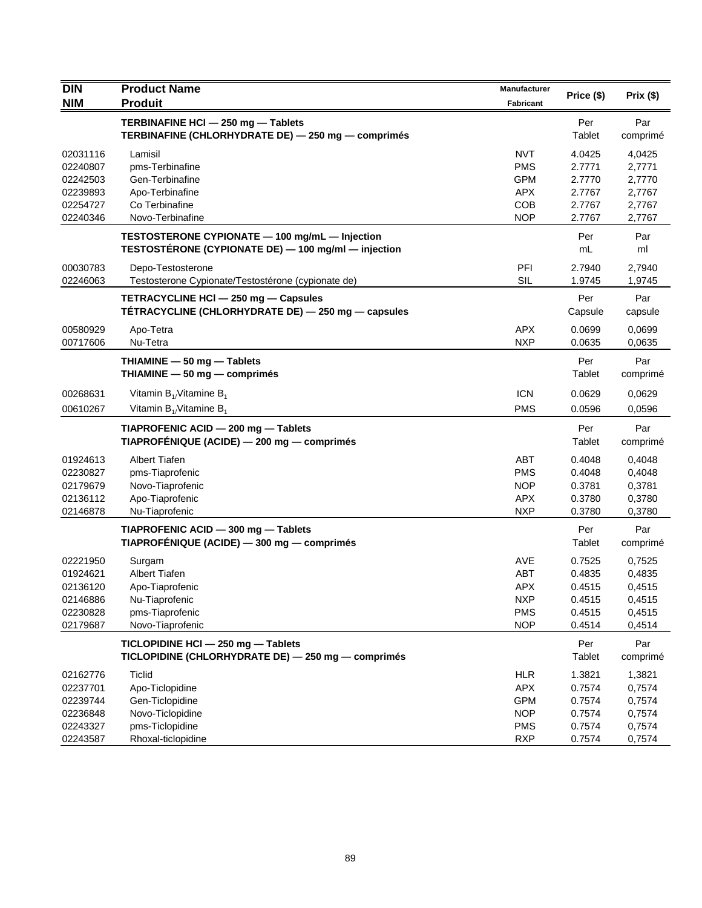| <b>DIN</b> | <b>Product Name</b>                                 | <b>Manufacturer</b> |            | Prix(\$) |
|------------|-----------------------------------------------------|---------------------|------------|----------|
| <b>NIM</b> | <b>Produit</b>                                      | Fabricant           | Price (\$) |          |
|            | TERBINAFINE HCI - 250 mg - Tablets                  |                     | Per        | Par      |
|            | TERBINAFINE (CHLORHYDRATE DE) - 250 mg - comprimés  |                     | Tablet     | comprimé |
| 02031116   | Lamisil                                             | <b>NVT</b>          | 4.0425     | 4,0425   |
| 02240807   | pms-Terbinafine                                     | <b>PMS</b>          | 2.7771     | 2,7771   |
| 02242503   | Gen-Terbinafine                                     | <b>GPM</b>          | 2.7770     | 2,7770   |
| 02239893   | Apo-Terbinafine                                     | <b>APX</b>          | 2.7767     | 2,7767   |
| 02254727   | Co Terbinafine                                      | COB                 | 2.7767     | 2,7767   |
| 02240346   | Novo-Terbinafine                                    | <b>NOP</b>          | 2.7767     | 2,7767   |
|            | TESTOSTERONE CYPIONATE - 100 mg/mL - Injection      |                     | Per        | Par      |
|            | TESTOSTÉRONE (CYPIONATE DE) - 100 mg/ml - injection |                     | mL         | ml       |
| 00030783   | Depo-Testosterone                                   | PFI                 | 2.7940     | 2,7940   |
| 02246063   | Testosterone Cypionate/Testostérone (cypionate de)  | <b>SIL</b>          | 1.9745     | 1,9745   |
|            | TETRACYCLINE HCI - 250 mg - Capsules                |                     | Per        | Par      |
|            | TÉTRACYCLINE (CHLORHYDRATE DE) - 250 mg - capsules  |                     | Capsule    | capsule  |
| 00580929   | Apo-Tetra                                           | <b>APX</b>          | 0.0699     | 0,0699   |
| 00717606   | Nu-Tetra                                            | <b>NXP</b>          | 0.0635     | 0,0635   |
|            | THIAMINE - 50 mg - Tablets                          |                     | Per        | Par      |
|            | THIAMINE - 50 mg - comprimés                        |                     | Tablet     | comprimé |
| 00268631   | Vitamin $B_{1}/V$ itamine $B_{1}$                   | <b>ICN</b>          | 0.0629     | 0,0629   |
| 00610267   | Vitamin $B_{1}/V$ itamine $B_{1}$                   | <b>PMS</b>          | 0.0596     | 0.0596   |
|            | TIAPROFENIC ACID - 200 mg - Tablets                 |                     | Per        | Par      |
|            | TIAPROFÉNIQUE (ACIDE) — 200 mg — comprimés          |                     | Tablet     | comprimé |
| 01924613   | <b>Albert Tiafen</b>                                | <b>ABT</b>          | 0.4048     | 0,4048   |
| 02230827   | pms-Tiaprofenic                                     | <b>PMS</b>          | 0.4048     | 0,4048   |
| 02179679   | Novo-Tiaprofenic                                    | <b>NOP</b>          | 0.3781     | 0,3781   |
| 02136112   | Apo-Tiaprofenic                                     | <b>APX</b>          | 0.3780     | 0,3780   |
| 02146878   | Nu-Tiaprofenic                                      | <b>NXP</b>          | 0.3780     | 0,3780   |
|            | TIAPROFENIC ACID - 300 mg - Tablets                 |                     | Per        | Par      |
|            | TIAPROFÉNIQUE (ACIDE) — 300 mg — comprimés          |                     | Tablet     | comprimé |
| 02221950   | Surgam                                              | <b>AVE</b>          | 0.7525     | 0,7525   |
| 01924621   | <b>Albert Tiafen</b>                                | <b>ABT</b>          | 0.4835     | 0,4835   |
| 02136120   | Apo-Tiaprofenic                                     | <b>APX</b>          | 0.4515     | 0,4515   |
| 02146886   | Nu-Tiaprofenic                                      | <b>NXP</b>          | 0.4515     | 0,4515   |
| 02230828   | pms-Tiaprofenic                                     | <b>PMS</b>          | 0.4515     | 0,4515   |
| 02179687   | Novo-Tiaprofenic                                    | <b>NOP</b>          | 0.4514     | 0,4514   |
|            | TICLOPIDINE HCI - 250 mg - Tablets                  |                     | Per        | Par      |
|            | TICLOPIDINE (CHLORHYDRATE DE) - 250 mg - comprimés  |                     | Tablet     | comprimé |
| 02162776   | <b>Ticlid</b>                                       | <b>HLR</b>          | 1.3821     | 1,3821   |
| 02237701   | Apo-Ticlopidine                                     | <b>APX</b>          | 0.7574     | 0,7574   |
| 02239744   | Gen-Ticlopidine                                     | <b>GPM</b>          | 0.7574     | 0,7574   |
| 02236848   | Novo-Ticlopidine                                    | <b>NOP</b>          | 0.7574     | 0,7574   |
| 02243327   | pms-Ticlopidine                                     | <b>PMS</b>          | 0.7574     | 0,7574   |
| 02243587   | Rhoxal-ticlopidine                                  | <b>RXP</b>          | 0.7574     | 0,7574   |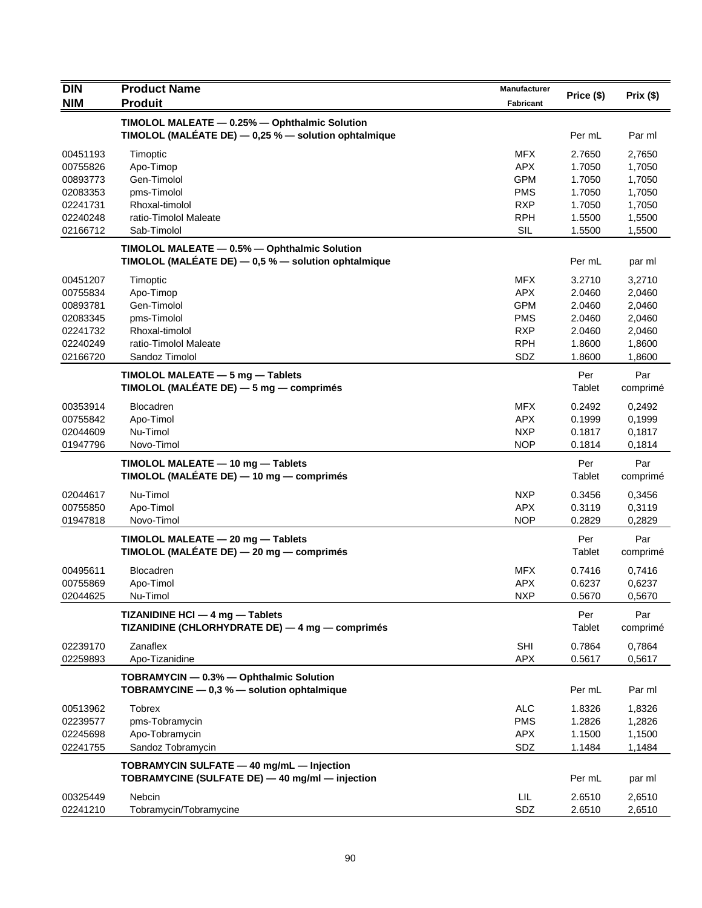| <b>DIN</b>           | <b>Product Name</b>                                                                                       | Manufacturer      |                  |                  |
|----------------------|-----------------------------------------------------------------------------------------------------------|-------------------|------------------|------------------|
| <b>NIM</b>           | <b>Produit</b>                                                                                            | <b>Fabricant</b>  | Price (\$)       | Prix (\$)        |
|                      | TIMOLOL MALEATE - 0.25% - Ophthalmic Solution<br>TIMOLOL (MALÉATE DE) $-$ 0,25 % $-$ solution ophtalmique |                   | Per mL           | Par ml           |
| 00451193             | Timoptic                                                                                                  | <b>MFX</b>        | 2.7650           | 2,7650           |
| 00755826             | Apo-Timop                                                                                                 | <b>APX</b>        | 1.7050           | 1,7050           |
| 00893773             | Gen-Timolol                                                                                               | <b>GPM</b>        | 1.7050           | 1,7050           |
| 02083353             | pms-Timolol                                                                                               | <b>PMS</b>        | 1.7050           | 1,7050           |
| 02241731             | Rhoxal-timolol                                                                                            | <b>RXP</b>        | 1.7050           | 1,7050           |
| 02240248             | ratio-Timolol Maleate                                                                                     | <b>RPH</b>        | 1.5500           | 1,5500           |
| 02166712             | Sab-Timolol                                                                                               | SIL               | 1.5500           | 1,5500           |
|                      | TIMOLOL MALEATE - 0.5% - Ophthalmic Solution<br>TIMOLOL (MALÉATE DE) $-$ 0,5 % $-$ solution ophtalmique   |                   | Per mL           | par ml           |
| 00451207             | Timoptic                                                                                                  | <b>MFX</b>        | 3.2710           | 3,2710           |
| 00755834             | Apo-Timop                                                                                                 | <b>APX</b>        | 2.0460           | 2,0460           |
| 00893781             | Gen-Timolol                                                                                               | <b>GPM</b>        | 2.0460           | 2,0460           |
| 02083345             | pms-Timolol                                                                                               | <b>PMS</b>        | 2.0460           | 2,0460           |
| 02241732             | Rhoxal-timolol                                                                                            | <b>RXP</b>        | 2.0460           | 2,0460           |
| 02240249<br>02166720 | ratio-Timolol Maleate<br>Sandoz Timolol                                                                   | <b>RPH</b><br>SDZ | 1.8600<br>1.8600 | 1,8600<br>1,8600 |
|                      |                                                                                                           |                   |                  |                  |
|                      | TIMOLOL MALEATE $-5$ mg $-$ Tablets<br>TIMOLOL (MALÉATE DE) - 5 mg - comprimés                            |                   | Per<br>Tablet    | Par<br>comprimé  |
| 00353914             | <b>Blocadren</b>                                                                                          | <b>MFX</b>        | 0.2492           | 0,2492           |
| 00755842             | Apo-Timol                                                                                                 | <b>APX</b>        | 0.1999           | 0,1999           |
| 02044609             | Nu-Timol                                                                                                  | <b>NXP</b>        | 0.1817           | 0,1817           |
| 01947796             | Novo-Timol                                                                                                | <b>NOP</b>        | 0.1814           | 0,1814           |
|                      | TIMOLOL MALEATE - 10 mg - Tablets<br>TIMOLOL (MALÉATE DE) — 10 mg — comprimés                             |                   | Per<br>Tablet    | Par<br>comprimé  |
| 02044617             | Nu-Timol                                                                                                  | <b>NXP</b>        | 0.3456           | 0,3456           |
| 00755850             | Apo-Timol                                                                                                 | <b>APX</b>        | 0.3119           | 0,3119           |
| 01947818             | Novo-Timol                                                                                                | <b>NOP</b>        | 0.2829           | 0,2829           |
|                      | TIMOLOL MALEATE - 20 mg - Tablets<br>TIMOLOL (MALÉATE DE) - 20 mg - comprimés                             |                   | Per<br>Tablet    | Par<br>comprimé  |
| 00495611             | <b>Blocadren</b>                                                                                          | <b>MFX</b>        | 0.7416           | 0,7416           |
| 00755869             | Apo-Timol                                                                                                 | <b>APX</b>        | 0.6237           | 0,6237           |
| 02044625             | Nu-Timol                                                                                                  | <b>NXP</b>        | 0.5670           | 0,5670           |
|                      | TIZANIDINE HCI - 4 mg - Tablets<br>TIZANIDINE (CHLORHYDRATE DE) - 4 mg - comprimés                        |                   | Per<br>Tablet    | Par<br>comprimé  |
| 02239170             | Zanaflex                                                                                                  | <b>SHI</b>        | 0.7864           | 0,7864           |
| 02259893             | Apo-Tizanidine                                                                                            | <b>APX</b>        | 0.5617           | 0,5617           |
|                      | TOBRAMYCIN - 0.3% - Ophthalmic Solution<br>TOBRAMYCINE - 0,3 % - solution ophtalmique                     |                   | Per mL           | Par ml           |
| 00513962             | <b>Tobrex</b>                                                                                             | <b>ALC</b>        | 1.8326           | 1,8326           |
| 02239577             | pms-Tobramycin                                                                                            | <b>PMS</b>        | 1.2826           | 1,2826           |
| 02245698             | Apo-Tobramycin                                                                                            | APX               | 1.1500           | 1,1500           |
| 02241755             | Sandoz Tobramycin                                                                                         | SDZ               | 1.1484           | 1,1484           |
|                      | TOBRAMYCIN SULFATE - 40 mg/mL - Injection                                                                 |                   |                  |                  |
|                      | TOBRAMYCINE (SULFATE DE) - 40 mg/ml - injection                                                           |                   | Per mL           | par ml           |
| 00325449             | Nebcin                                                                                                    | LIL               | 2.6510           | 2,6510           |
| 02241210             | Tobramycin/Tobramycine                                                                                    | SDZ               | 2.6510           | 2,6510           |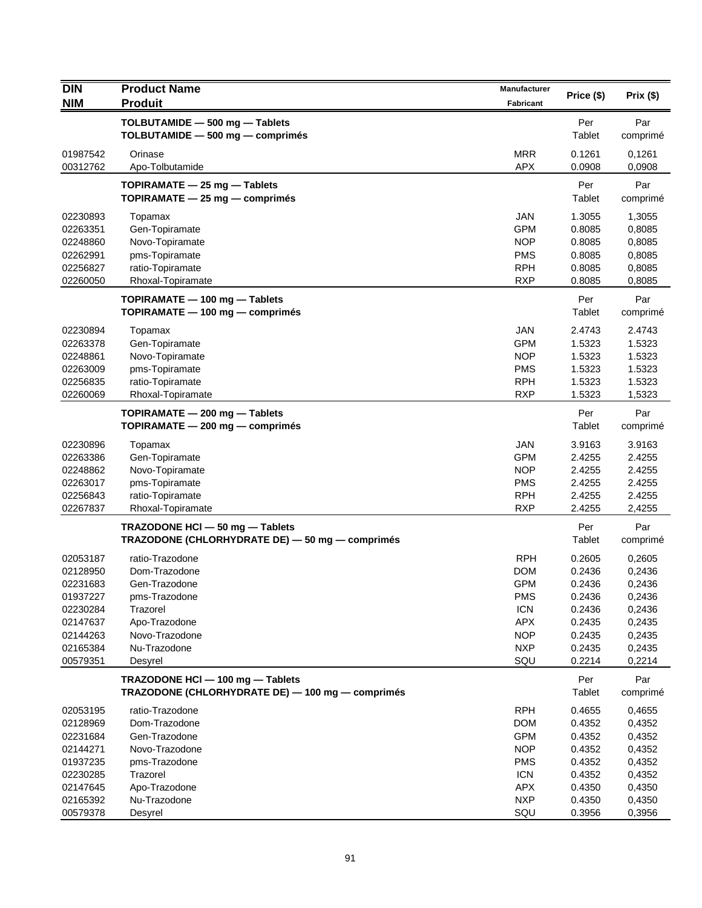| <b>DIN</b><br><b>NIM</b> | <b>Product Name</b><br><b>Produit</b>                                                | <b>Manufacturer</b><br>Fabricant | Price (\$)       | Prix(\$)         |
|--------------------------|--------------------------------------------------------------------------------------|----------------------------------|------------------|------------------|
|                          | TOLBUTAMIDE - 500 mg - Tablets                                                       |                                  | Per              | Par              |
|                          | TOLBUTAMIDE - 500 mg - comprimés                                                     |                                  | Tablet           | comprimé         |
| 01987542<br>00312762     | Orinase<br>Apo-Tolbutamide                                                           | <b>MRR</b><br><b>APX</b>         | 0.1261<br>0.0908 | 0,1261<br>0,0908 |
|                          | TOPIRAMATE - 25 mg - Tablets                                                         |                                  | Per              | Par              |
|                          | TOPIRAMATE $-$ 25 mg $-$ comprimes                                                   |                                  | Tablet           | comprimé         |
| 02230893                 | Topamax                                                                              | <b>JAN</b>                       | 1.3055           | 1,3055           |
| 02263351                 | Gen-Topiramate                                                                       | <b>GPM</b>                       | 0.8085           | 0,8085           |
| 02248860                 | Novo-Topiramate                                                                      | <b>NOP</b>                       | 0.8085           | 0,8085           |
| 02262991<br>02256827     | pms-Topiramate<br>ratio-Topiramate                                                   | <b>PMS</b><br><b>RPH</b>         | 0.8085<br>0.8085 | 0,8085<br>0,8085 |
| 02260050                 | Rhoxal-Topiramate                                                                    | <b>RXP</b>                       | 0.8085           | 0,8085           |
|                          | TOPIRAMATE - 100 mg - Tablets                                                        |                                  | Per              | Par              |
|                          | TOPIRAMATE - 100 mg - comprimés                                                      |                                  | Tablet           | comprimé         |
| 02230894                 | Topamax                                                                              | <b>JAN</b>                       | 2.4743           | 2.4743           |
| 02263378                 | Gen-Topiramate                                                                       | <b>GPM</b>                       | 1.5323           | 1.5323           |
| 02248861                 | Novo-Topiramate                                                                      | <b>NOP</b>                       | 1.5323           | 1.5323           |
| 02263009                 | pms-Topiramate                                                                       | <b>PMS</b>                       | 1.5323           | 1.5323           |
| 02256835                 | ratio-Topiramate                                                                     | <b>RPH</b>                       | 1.5323           | 1.5323           |
| 02260069                 | Rhoxal-Topiramate                                                                    | <b>RXP</b>                       | 1.5323           | 1,5323           |
|                          | TOPIRAMATE - 200 mg - Tablets<br>TOPIRAMATE - 200 mg - comprimés                     |                                  | Per<br>Tablet    | Par<br>comprimé  |
| 02230896                 | Topamax                                                                              | JAN                              | 3.9163           | 3.9163           |
| 02263386                 | Gen-Topiramate                                                                       | <b>GPM</b>                       | 2.4255           | 2.4255           |
| 02248862                 | Novo-Topiramate                                                                      | <b>NOP</b>                       | 2.4255           | 2.4255           |
| 02263017                 | pms-Topiramate                                                                       | <b>PMS</b>                       | 2.4255           | 2.4255           |
| 02256843                 | ratio-Topiramate                                                                     | <b>RPH</b>                       | 2.4255           | 2.4255           |
| 02267837                 | Rhoxal-Topiramate                                                                    | <b>RXP</b>                       | 2.4255           | 2,4255           |
|                          | TRAZODONE HCI - 50 mg - Tablets<br>TRAZODONE (CHLORHYDRATE DE) - 50 mg - comprimés   |                                  | Per<br>Tablet    | Par<br>comprimé  |
| 02053187                 | ratio-Trazodone                                                                      | <b>RPH</b>                       | 0.2605           | 0,2605           |
| 02128950                 | Dom-Trazodone                                                                        | <b>DOM</b>                       | 0.2436           | 0,2436           |
| 02231683                 | Gen-Trazodone                                                                        | <b>GPM</b>                       | 0.2436           | 0,2436           |
| 01937227                 | pms-Trazodone                                                                        | <b>PMS</b>                       | 0.2436           | 0,2436           |
| 02230284                 | Trazorel                                                                             | <b>ICN</b>                       | 0.2436           | 0,2436           |
| 02147637                 | Apo-Trazodone                                                                        | <b>APX</b>                       | 0.2435           | 0,2435           |
| 02144263<br>02165384     | Novo-Trazodone<br>Nu-Trazodone                                                       | <b>NOP</b><br><b>NXP</b>         | 0.2435<br>0.2435 | 0,2435<br>0,2435 |
| 00579351                 | Desyrel                                                                              | SQU                              | 0.2214           | 0,2214           |
|                          | TRAZODONE HCI - 100 mg - Tablets<br>TRAZODONE (CHLORHYDRATE DE) - 100 mg - comprimés |                                  | Per<br>Tablet    | Par<br>comprimé  |
|                          |                                                                                      |                                  |                  |                  |
| 02053195<br>02128969     | ratio-Trazodone<br>Dom-Trazodone                                                     | <b>RPH</b>                       | 0.4655           | 0,4655           |
| 02231684                 | Gen-Trazodone                                                                        | <b>DOM</b><br><b>GPM</b>         | 0.4352<br>0.4352 | 0,4352<br>0,4352 |
| 02144271                 | Novo-Trazodone                                                                       | <b>NOP</b>                       | 0.4352           | 0,4352           |
| 01937235                 | pms-Trazodone                                                                        | <b>PMS</b>                       | 0.4352           | 0,4352           |
| 02230285                 | Trazorel                                                                             | <b>ICN</b>                       | 0.4352           | 0,4352           |
| 02147645                 | Apo-Trazodone                                                                        | <b>APX</b>                       | 0.4350           | 0,4350           |
| 02165392                 | Nu-Trazodone                                                                         | <b>NXP</b>                       | 0.4350           | 0,4350           |
| 00579378                 | Desyrel                                                                              | SQU                              | 0.3956           | 0,3956           |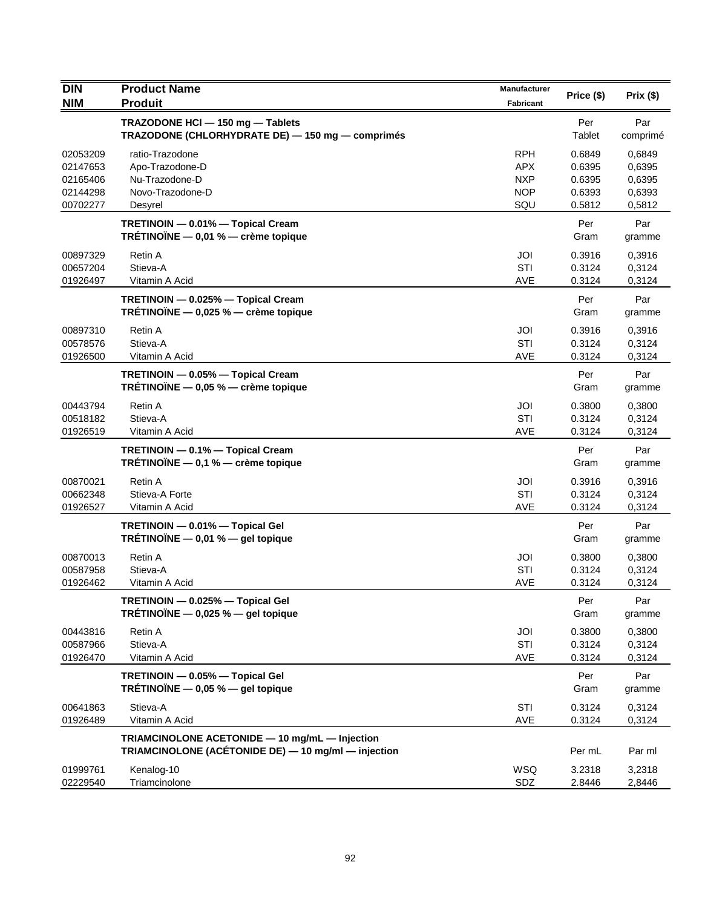| <b>DIN</b>                                               | <b>Product Name</b>                                                                                   | Manufacturer                                                | Price (\$)                                     | Prix(\$)                                       |
|----------------------------------------------------------|-------------------------------------------------------------------------------------------------------|-------------------------------------------------------------|------------------------------------------------|------------------------------------------------|
| <b>NIM</b>                                               | <b>Produit</b>                                                                                        | Fabricant                                                   |                                                |                                                |
|                                                          | TRAZODONE HCI - 150 mg - Tablets<br>TRAZODONE (CHLORHYDRATE DE) - 150 mg - comprimés                  |                                                             | Per<br>Tablet                                  | Par<br>comprimé                                |
| 02053209<br>02147653<br>02165406<br>02144298<br>00702277 | ratio-Trazodone<br>Apo-Trazodone-D<br>Nu-Trazodone-D<br>Novo-Trazodone-D<br>Desyrel                   | <b>RPH</b><br><b>APX</b><br><b>NXP</b><br><b>NOP</b><br>SQU | 0.6849<br>0.6395<br>0.6395<br>0.6393<br>0.5812 | 0,6849<br>0,6395<br>0,6395<br>0,6393<br>0,5812 |
|                                                          | TRETINOIN - 0.01% - Topical Cream<br>TRÉTINOÏNE - 0,01 % - crème topique                              |                                                             | Per<br>Gram                                    | Par<br>gramme                                  |
| 00897329<br>00657204<br>01926497                         | Retin A<br>Stieva-A<br>Vitamin A Acid                                                                 | JOI<br>STI<br>AVE                                           | 0.3916<br>0.3124<br>0.3124                     | 0,3916<br>0,3124<br>0,3124                     |
|                                                          | TRETINOIN - 0.025% - Topical Cream<br>TRÉTINOÏNE $-$ 0,025 % $-$ crème topique                        |                                                             | Per<br>Gram                                    | Par<br>gramme                                  |
| 00897310<br>00578576<br>01926500                         | Retin A<br>Stieva-A<br>Vitamin A Acid                                                                 | JOI<br>STI<br>AVE                                           | 0.3916<br>0.3124<br>0.3124                     | 0,3916<br>0,3124<br>0,3124                     |
|                                                          | TRETINOIN - 0.05% - Topical Cream<br>TRÉTINOÏNE - 0,05 % - crème topique                              |                                                             | Per<br>Gram                                    | Par<br>gramme                                  |
| 00443794<br>00518182<br>01926519                         | Retin A<br>Stieva-A<br>Vitamin A Acid                                                                 | JOI<br>STI<br>AVE                                           | 0.3800<br>0.3124<br>0.3124                     | 0,3800<br>0,3124<br>0,3124                     |
|                                                          | TRETINOIN - 0.1% - Topical Cream<br>TRÉTINOÏNE $-$ 0,1 % $-$ crème topique                            |                                                             | Per<br>Gram                                    | Par<br>gramme                                  |
| 00870021<br>00662348<br>01926527                         | Retin A<br>Stieva-A Forte<br>Vitamin A Acid                                                           | JOI<br>STI<br>AVE                                           | 0.3916<br>0.3124<br>0.3124                     | 0,3916<br>0,3124<br>0,3124                     |
|                                                          | TRETINOIN - 0.01% - Topical Gel<br>TRÉTINOÏNE $-$ 0,01 % $-$ gel topique                              |                                                             | Per<br>Gram                                    | Par<br>gramme                                  |
| 00870013<br>00587958<br>01926462                         | Retin A<br>Stieva-A<br>Vitamin A Acid                                                                 | JOI<br>STI<br><b>AVE</b>                                    | 0.3800<br>0.3124<br>0.3124                     | 0,3800<br>0,3124<br>0,3124                     |
|                                                          | TRETINOIN - 0.025% - Topical Gel<br>TRÉTINOÏNE $-$ 0,025 % $-$ gel topique                            |                                                             | Per<br>Gram                                    | Par<br>gramme                                  |
| 00443816<br>00587966<br>01926470                         | Retin A<br>Stieva-A<br>Vitamin A Acid                                                                 | JOI<br>STI<br>AVE                                           | 0.3800<br>0.3124<br>0.3124                     | 0,3800<br>0,3124<br>0,3124                     |
|                                                          | TRETINOIN - 0.05% - Topical Gel<br>TRÉTINOÏNE $-$ 0,05 % $-$ gel topique                              |                                                             | Per<br>Gram                                    | Par<br>gramme                                  |
| 00641863<br>01926489                                     | Stieva-A<br>Vitamin A Acid                                                                            | STI<br>AVE                                                  | 0.3124<br>0.3124                               | 0,3124<br>0,3124                               |
|                                                          | TRIAMCINOLONE ACETONIDE - 10 mg/mL - Injection<br>TRIAMCINOLONE (ACÉTONIDE DE) - 10 mg/ml - injection |                                                             | Per mL                                         | Par ml                                         |
| 01999761<br>02229540                                     | Kenalog-10<br>Triamcinolone                                                                           | WSQ<br>SDZ                                                  | 3.2318<br>2.8446                               | 3,2318<br>2,8446                               |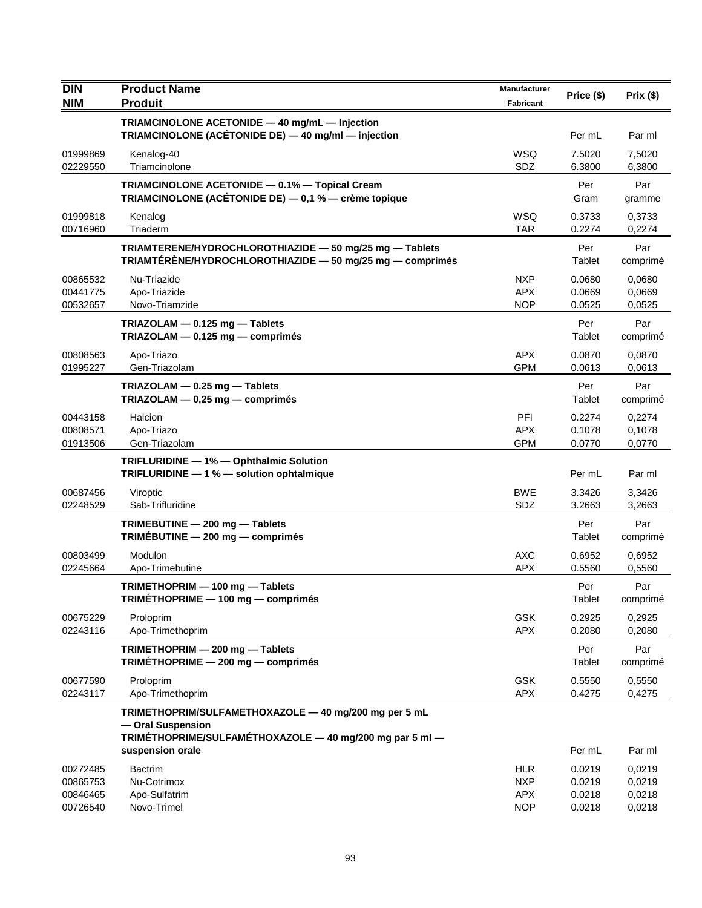| <b>DIN</b><br><b>NIM</b>                     | <b>Product Name</b><br><b>Produit</b>                                                                                | <b>Manufacturer</b><br><b>Fabricant</b>              | Price (\$)                           | Prix(\$)                             |
|----------------------------------------------|----------------------------------------------------------------------------------------------------------------------|------------------------------------------------------|--------------------------------------|--------------------------------------|
|                                              | TRIAMCINOLONE ACETONIDE - 40 mg/mL - Injection<br>TRIAMCINOLONE (ACÉTONIDE DE) - 40 mg/ml - injection                |                                                      | Per mL                               | Par ml                               |
| 01999869<br>02229550                         | Kenalog-40<br>Triamcinolone                                                                                          | WSQ<br>SDZ                                           | 7.5020<br>6.3800                     | 7,5020<br>6,3800                     |
|                                              | TRIAMCINOLONE ACETONIDE - 0.1% - Topical Cream<br><b>TRIAMCINOLONE (ACÉTONIDE DE)</b> $-$ 0,1 % $-$ crème topique    |                                                      | Per<br>Gram                          | Par<br>gramme                        |
| 01999818<br>00716960                         | Kenalog<br>Triaderm                                                                                                  | WSQ<br><b>TAR</b>                                    | 0.3733<br>0.2274                     | 0,3733<br>0,2274                     |
|                                              | TRIAMTERENE/HYDROCHLOROTHIAZIDE - 50 mg/25 mg - Tablets<br>TRIAMTÉRÈNE/HYDROCHLOROTHIAZIDE - 50 mg/25 mg - comprimés |                                                      | Per<br>Tablet                        | Par<br>comprimé                      |
| 00865532<br>00441775<br>00532657             | Nu-Triazide<br>Apo-Triazide<br>Novo-Triamzide                                                                        | <b>NXP</b><br><b>APX</b><br><b>NOP</b>               | 0.0680<br>0.0669<br>0.0525           | 0.0680<br>0,0669<br>0,0525           |
|                                              | TRIAZOLAM - 0.125 mg - Tablets<br>TRIAZOLAM - 0,125 mg - comprimés                                                   |                                                      | Per<br>Tablet                        | Par<br>comprimé                      |
| 00808563<br>01995227                         | Apo-Triazo<br>Gen-Triazolam                                                                                          | <b>APX</b><br><b>GPM</b>                             | 0.0870<br>0.0613                     | 0,0870<br>0,0613                     |
|                                              | TRIAZOLAM $-$ 0.25 mg $-$ Tablets<br>TRIAZOLAM - 0,25 mg - comprimés                                                 |                                                      | Per<br>Tablet                        | Par<br>comprimé                      |
| 00443158<br>00808571<br>01913506             | Halcion<br>Apo-Triazo<br>Gen-Triazolam                                                                               | PFI<br><b>APX</b><br><b>GPM</b>                      | 0.2274<br>0.1078<br>0.0770           | 0,2274<br>0,1078<br>0,0770           |
|                                              | TRIFLURIDINE - 1% - Ophthalmic Solution<br>TRIFLURIDINE - 1 % - solution ophtalmique                                 |                                                      | Per mL                               | Par ml                               |
| 00687456<br>02248529                         | Viroptic<br>Sab-Trifluridine                                                                                         | <b>BWE</b><br>SDZ                                    | 3.3426<br>3.2663                     | 3,3426<br>3,2663                     |
|                                              | TRIMEBUTINE - 200 mg - Tablets<br>TRIMEBUTINE - 200 mg - comprimés                                                   |                                                      | Per<br>Tablet                        | Par<br>comprimé                      |
| 00803499<br>02245664                         | Modulon<br>Apo-Trimebutine                                                                                           | <b>AXC</b><br><b>APX</b>                             | 0.6952<br>0.5560                     | 0,6952<br>0,5560                     |
|                                              | TRIMETHOPRIM - 100 mg - Tablets<br>TRIMÉTHOPRIME - 100 mg - comprimés                                                |                                                      | Per<br>Tablet                        | Par<br>comprimé                      |
| 00675229<br>02243116                         | Proloprim<br>Apo-Trimethoprim                                                                                        | <b>GSK</b><br><b>APX</b>                             | 0.2925<br>0.2080                     | 0,2925<br>0,2080                     |
|                                              | TRIMETHOPRIM - 200 mg - Tablets<br>TRIMÉTHOPRIME - 200 mg - comprimés                                                |                                                      | Per<br>Tablet                        | Par<br>comprimé                      |
| 00677590<br>02243117                         | Proloprim<br>Apo-Trimethoprim                                                                                        | <b>GSK</b><br><b>APX</b>                             | 0.5550<br>0.4275                     | 0,5550<br>0,4275                     |
|                                              | TRIMETHOPRIM/SULFAMETHOXAZOLE - 40 mg/200 mg per 5 mL<br>- Oral Suspension                                           |                                                      |                                      |                                      |
|                                              | TRIMÉTHOPRIME/SULFAMÉTHOXAZOLE - 40 mg/200 mg par 5 ml -<br>suspension orale                                         |                                                      | Per mL                               | Par ml                               |
| 00272485<br>00865753<br>00846465<br>00726540 | <b>Bactrim</b><br>Nu-Cotrimox<br>Apo-Sulfatrim<br>Novo-Trimel                                                        | <b>HLR</b><br><b>NXP</b><br><b>APX</b><br><b>NOP</b> | 0.0219<br>0.0219<br>0.0218<br>0.0218 | 0,0219<br>0,0219<br>0,0218<br>0,0218 |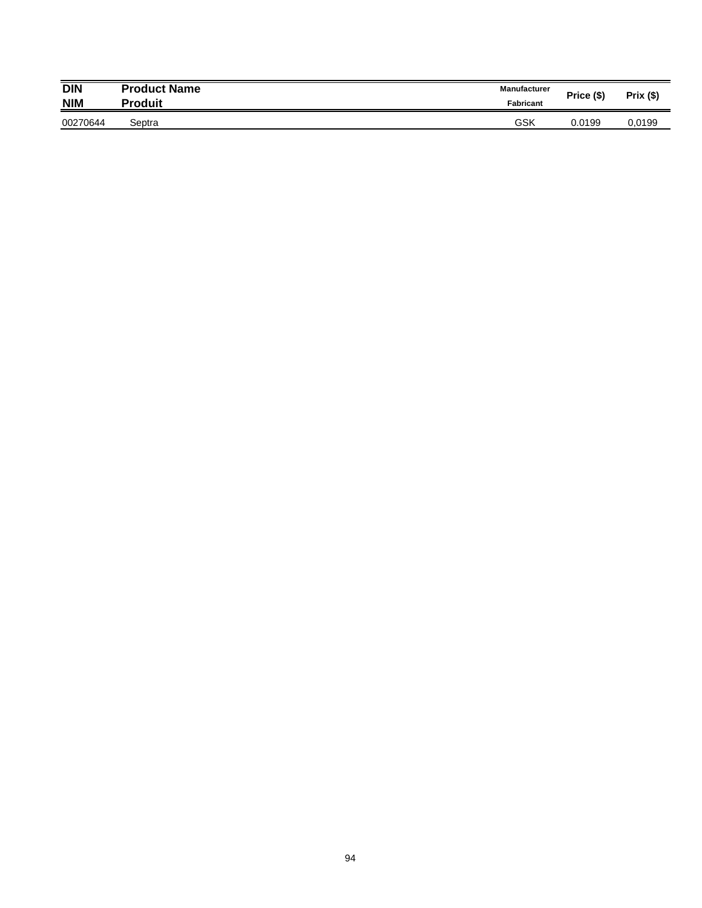| <b>DIN</b> | <b>Product Name</b> | <b>Manufacturer</b> | Price (\$) | Prix (\$) |
|------------|---------------------|---------------------|------------|-----------|
| <b>NIM</b> | Produit             | <b>Fabricant</b>    |            |           |
| 00270644   | Septra              | GSK                 | 0.0199     | 0.0199    |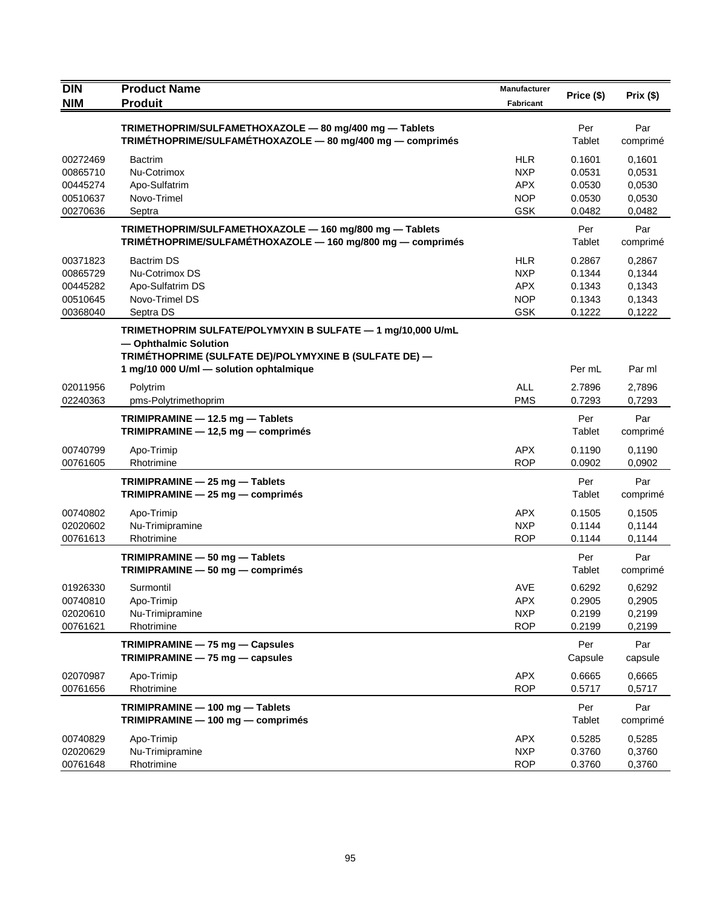| <b>DIN</b>                                               | <b>Product Name</b>                                                                                                                                                                       | Manufacturer                                                       | Price (\$)                                     | Prix(\$)                                       |
|----------------------------------------------------------|-------------------------------------------------------------------------------------------------------------------------------------------------------------------------------------------|--------------------------------------------------------------------|------------------------------------------------|------------------------------------------------|
| <b>NIM</b>                                               | <b>Produit</b>                                                                                                                                                                            | <b>Fabricant</b>                                                   |                                                |                                                |
|                                                          | TRIMETHOPRIM/SULFAMETHOXAZOLE - 80 mg/400 mg - Tablets<br>TRIMÉTHOPRIME/SULFAMÉTHOXAZOLE - 80 mg/400 mg - comprimés                                                                       |                                                                    | Per<br>Tablet                                  | Par<br>comprimé                                |
| 00272469<br>00865710<br>00445274<br>00510637<br>00270636 | <b>Bactrim</b><br>Nu-Cotrimox<br>Apo-Sulfatrim<br>Novo-Trimel<br>Septra                                                                                                                   | <b>HLR</b><br><b>NXP</b><br><b>APX</b><br><b>NOP</b><br><b>GSK</b> | 0.1601<br>0.0531<br>0.0530<br>0.0530<br>0.0482 | 0,1601<br>0,0531<br>0,0530<br>0,0530<br>0,0482 |
|                                                          | TRIMETHOPRIM/SULFAMETHOXAZOLE - 160 mg/800 mg - Tablets<br>TRIMÉTHOPRIME/SULFAMÉTHOXAZOLE - 160 mg/800 mg - comprimés                                                                     |                                                                    | Per<br>Tablet                                  | Par<br>comprimé                                |
| 00371823<br>00865729<br>00445282<br>00510645<br>00368040 | <b>Bactrim DS</b><br>Nu-Cotrimox DS<br>Apo-Sulfatrim DS<br>Novo-Trimel DS<br>Septra DS                                                                                                    | <b>HLR</b><br><b>NXP</b><br><b>APX</b><br><b>NOP</b><br><b>GSK</b> | 0.2867<br>0.1344<br>0.1343<br>0.1343<br>0.1222 | 0,2867<br>0,1344<br>0,1343<br>0,1343<br>0,1222 |
|                                                          | TRIMETHOPRIM SULFATE/POLYMYXIN B SULFATE - 1 mg/10,000 U/mL<br>- Ophthalmic Solution<br>TRIMÉTHOPRIME (SULFATE DE)/POLYMYXINE B (SULFATE DE) -<br>1 mg/10 000 U/ml - solution ophtalmique |                                                                    | Per mL                                         | Par ml                                         |
| 02011956<br>02240363                                     | Polytrim<br>pms-Polytrimethoprim                                                                                                                                                          | <b>ALL</b><br><b>PMS</b>                                           | 2.7896<br>0.7293                               | 2,7896<br>0,7293                               |
|                                                          | TRIMIPRAMINE - 12.5 mg - Tablets<br>TRIMIPRAMINE - 12,5 mg - comprimés                                                                                                                    |                                                                    | Per<br>Tablet                                  | Par<br>comprimé                                |
| 00740799<br>00761605                                     | Apo-Trimip<br>Rhotrimine                                                                                                                                                                  | <b>APX</b><br><b>ROP</b>                                           | 0.1190<br>0.0902                               | 0,1190<br>0,0902                               |
|                                                          | TRIMIPRAMINE - 25 mg - Tablets<br>TRIMIPRAMINE - 25 mg - comprimés                                                                                                                        |                                                                    | Per<br>Tablet                                  | Par<br>comprimé                                |
| 00740802<br>02020602<br>00761613                         | Apo-Trimip<br>Nu-Trimipramine<br>Rhotrimine                                                                                                                                               | <b>APX</b><br><b>NXP</b><br><b>ROP</b>                             | 0.1505<br>0.1144<br>0.1144                     | 0,1505<br>0,1144<br>0,1144                     |
|                                                          | TRIMIPRAMINE - 50 mg - Tablets<br>TRIMIPRAMINE - 50 mg - comprimés                                                                                                                        |                                                                    | Per<br>Tablet                                  | Par<br>comprimé                                |
| 01926330<br>00740810<br>02020610<br>00761621             | Surmontil<br>Apo-Trimip<br>Nu-Trimipramine<br>Rhotrimine                                                                                                                                  | AVE<br><b>APX</b><br><b>NXP</b><br><b>ROP</b>                      | 0.6292<br>0.2905<br>0.2199<br>0.2199           | 0,6292<br>0,2905<br>0,2199<br>0,2199           |
|                                                          | TRIMIPRAMINE - 75 mg - Capsules<br>$TRIMIPRAMINE - 75 mg - capsules$                                                                                                                      |                                                                    | Per<br>Capsule                                 | Par<br>capsule                                 |
| 02070987<br>00761656                                     | Apo-Trimip<br>Rhotrimine                                                                                                                                                                  | <b>APX</b><br><b>ROP</b>                                           | 0.6665<br>0.5717                               | 0,6665<br>0,5717                               |
|                                                          | TRIMIPRAMINE - 100 mg - Tablets<br>TRIMIPRAMINE - 100 mg - comprimés                                                                                                                      |                                                                    | Per<br>Tablet                                  | Par<br>comprimé                                |
| 00740829<br>02020629<br>00761648                         | Apo-Trimip<br>Nu-Trimipramine<br>Rhotrimine                                                                                                                                               | <b>APX</b><br><b>NXP</b><br><b>ROP</b>                             | 0.5285<br>0.3760<br>0.3760                     | 0,5285<br>0,3760<br>0,3760                     |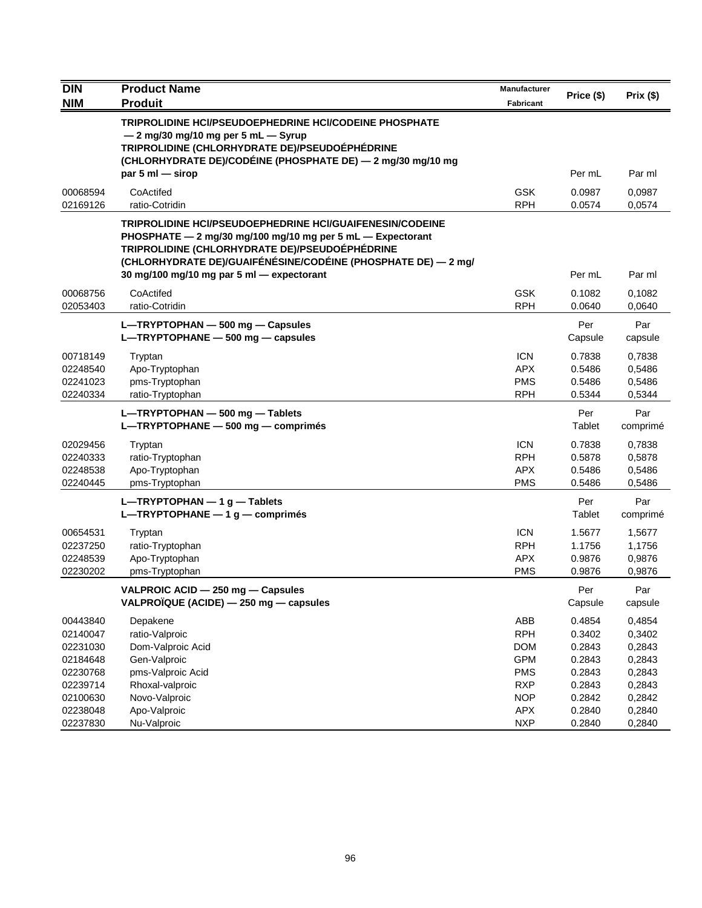| <b>DIN</b> | <b>Product Name</b>                                                                                                                                                                                                                                                                    | Manufacturer     | Price (\$)     | Prix(\$)        |
|------------|----------------------------------------------------------------------------------------------------------------------------------------------------------------------------------------------------------------------------------------------------------------------------------------|------------------|----------------|-----------------|
| <b>NIM</b> | <b>Produit</b>                                                                                                                                                                                                                                                                         | <b>Fabricant</b> |                |                 |
|            | TRIPROLIDINE HCI/PSEUDOEPHEDRINE HCI/CODEINE PHOSPHATE                                                                                                                                                                                                                                 |                  |                |                 |
|            | $-2$ mg/30 mg/10 mg per 5 mL $-$ Syrup<br>TRIPROLIDINE (CHLORHYDRATE DE)/PSEUDOÉPHÉDRINE                                                                                                                                                                                               |                  |                |                 |
|            | (CHLORHYDRATE DE)/CODÉINE (PHOSPHATE DE) — 2 mg/30 mg/10 mg                                                                                                                                                                                                                            |                  |                |                 |
|            | par 5 ml $-$ sirop                                                                                                                                                                                                                                                                     |                  | Per mL         | Par ml          |
| 00068594   | CoActifed                                                                                                                                                                                                                                                                              | <b>GSK</b>       | 0.0987         | 0,0987          |
| 02169126   | ratio-Cotridin                                                                                                                                                                                                                                                                         | <b>RPH</b>       | 0.0574         | 0,0574          |
|            | TRIPROLIDINE HCI/PSEUDOEPHEDRINE HCI/GUAIFENESIN/CODEINE<br>PHOSPHATE - 2 mg/30 mg/100 mg/10 mg per 5 mL - Expectorant<br>TRIPROLIDINE (CHLORHYDRATE DE)/PSEUDOÉPHÉDRINE<br>(CHLORHYDRATE DE)/GUAIFÉNÉSINE/CODÉINE (PHOSPHATE DE) - 2 mg/<br>30 mg/100 mg/10 mg par 5 ml - expectorant |                  | Per mL         | Par ml          |
| 00068756   | CoActifed                                                                                                                                                                                                                                                                              | <b>GSK</b>       | 0.1082         | 0,1082          |
| 02053403   | ratio-Cotridin                                                                                                                                                                                                                                                                         | <b>RPH</b>       | 0.0640         | 0,0640          |
|            | L-TRYPTOPHAN - 500 mg - Capsules<br>L-TRYPTOPHANE - 500 mg - capsules                                                                                                                                                                                                                  |                  | Per<br>Capsule | Par<br>capsule  |
| 00718149   | Tryptan                                                                                                                                                                                                                                                                                | <b>ICN</b>       | 0.7838         | 0,7838          |
| 02248540   | Apo-Tryptophan                                                                                                                                                                                                                                                                         | <b>APX</b>       | 0.5486         | 0,5486          |
| 02241023   | pms-Tryptophan                                                                                                                                                                                                                                                                         | <b>PMS</b>       | 0.5486         | 0,5486          |
| 02240334   | ratio-Tryptophan                                                                                                                                                                                                                                                                       | <b>RPH</b>       | 0.5344         | 0,5344          |
|            | L-TRYPTOPHAN - 500 mg - Tablets<br>L-TRYPTOPHANE - 500 mg - comprimés                                                                                                                                                                                                                  |                  | Per<br>Tablet  | Par<br>comprimé |
| 02029456   | Tryptan                                                                                                                                                                                                                                                                                | <b>ICN</b>       | 0.7838         | 0,7838          |
| 02240333   | ratio-Tryptophan                                                                                                                                                                                                                                                                       | <b>RPH</b>       | 0.5878         | 0,5878          |
| 02248538   | Apo-Tryptophan                                                                                                                                                                                                                                                                         | <b>APX</b>       | 0.5486         | 0,5486          |
| 02240445   | pms-Tryptophan                                                                                                                                                                                                                                                                         | <b>PMS</b>       | 0.5486         | 0,5486          |
|            | $L$ -TRYPTOPHAN - 1 g - Tablets<br>L-TRYPTOPHANE $-1$ g $-$ comprimés                                                                                                                                                                                                                  |                  | Per<br>Tablet  | Par<br>comprimé |
| 00654531   | Tryptan                                                                                                                                                                                                                                                                                | <b>ICN</b>       | 1.5677         | 1,5677          |
| 02237250   | ratio-Tryptophan                                                                                                                                                                                                                                                                       | <b>RPH</b>       | 1.1756         | 1,1756          |
| 02248539   | Apo-Tryptophan                                                                                                                                                                                                                                                                         | <b>APX</b>       | 0.9876         | 0,9876          |
| 02230202   | pms-Tryptophan                                                                                                                                                                                                                                                                         | <b>PMS</b>       | 0.9876         | 0,9876          |
|            | VALPROIC ACID - 250 mg - Capsules<br>VALPROÏQUE (ACIDE) - 250 mg - capsules                                                                                                                                                                                                            |                  | Per<br>Capsule | Par<br>capsule  |
| 00443840   | Depakene                                                                                                                                                                                                                                                                               | ABB              | 0.4854         | 0,4854          |
| 02140047   | ratio-Valproic                                                                                                                                                                                                                                                                         | <b>RPH</b>       | 0.3402         | 0,3402          |
| 02231030   | Dom-Valproic Acid                                                                                                                                                                                                                                                                      | <b>DOM</b>       | 0.2843         | 0,2843          |
| 02184648   | Gen-Valproic                                                                                                                                                                                                                                                                           | <b>GPM</b>       | 0.2843         | 0,2843          |
| 02230768   | pms-Valproic Acid                                                                                                                                                                                                                                                                      | <b>PMS</b>       | 0.2843         | 0,2843          |
| 02239714   | Rhoxal-valproic                                                                                                                                                                                                                                                                        | <b>RXP</b>       | 0.2843         | 0,2843          |
| 02100630   | Novo-Valproic                                                                                                                                                                                                                                                                          | <b>NOP</b>       | 0.2842         | 0,2842          |
| 02238048   | Apo-Valproic                                                                                                                                                                                                                                                                           | <b>APX</b>       | 0.2840         | 0,2840          |
| 02237830   | Nu-Valproic                                                                                                                                                                                                                                                                            | <b>NXP</b>       | 0.2840         | 0,2840          |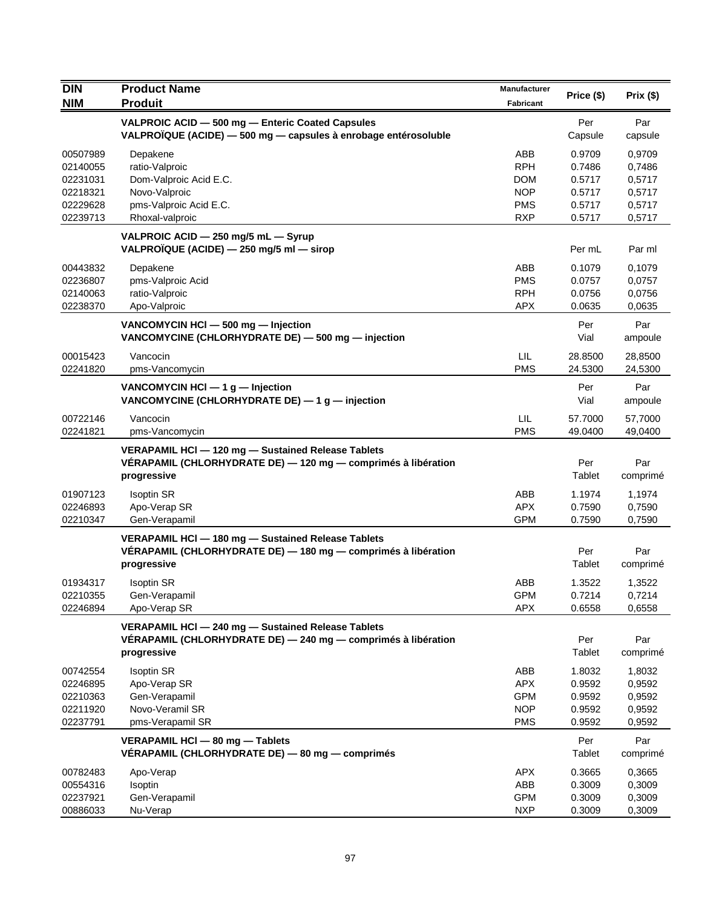| <b>DIN</b>           | <b>Product Name</b>                                                                                                                | Manufacturer             |                  |                  |
|----------------------|------------------------------------------------------------------------------------------------------------------------------------|--------------------------|------------------|------------------|
| <b>NIM</b>           | <b>Produit</b>                                                                                                                     | Fabricant                | Price (\$)       | Prix(\$)         |
|                      | VALPROIC ACID - 500 mg - Enteric Coated Capsules                                                                                   |                          | Per              | Par              |
|                      | VALPROÏQUE (ACIDE) - 500 mg - capsules à enrobage entérosoluble                                                                    |                          | Capsule          | capsule          |
| 00507989             | Depakene                                                                                                                           | ABB                      | 0.9709           | 0,9709           |
| 02140055             | ratio-Valproic                                                                                                                     | <b>RPH</b>               | 0.7486           | 0,7486           |
| 02231031             | Dom-Valproic Acid E.C.                                                                                                             | <b>DOM</b>               | 0.5717           | 0,5717           |
| 02218321             | Novo-Valproic                                                                                                                      | <b>NOP</b>               | 0.5717           | 0,5717           |
| 02229628             | pms-Valproic Acid E.C.                                                                                                             | <b>PMS</b>               | 0.5717           | 0,5717           |
| 02239713             | Rhoxal-valproic                                                                                                                    | <b>RXP</b>               | 0.5717           | 0,5717           |
|                      | VALPROIC ACID - 250 mg/5 mL - Syrup<br>VALPROÏQUE (ACIDE) - 250 mg/5 ml - sirop                                                    |                          | Per mL           | Par ml           |
| 00443832             | Depakene                                                                                                                           | ABB                      | 0.1079           | 0,1079           |
| 02236807             | pms-Valproic Acid                                                                                                                  | <b>PMS</b>               | 0.0757           | 0,0757           |
| 02140063             | ratio-Valproic                                                                                                                     | <b>RPH</b>               | 0.0756           | 0,0756           |
| 02238370             | Apo-Valproic                                                                                                                       | <b>APX</b>               | 0.0635           | 0,0635           |
|                      | VANCOMYCIN HCI - 500 mg - Injection<br>VANCOMYCINE (CHLORHYDRATE DE) - 500 mg - injection                                          |                          | Per<br>Vial      | Par<br>ampoule   |
| 00015423             | Vancocin                                                                                                                           | LIL                      | 28.8500          | 28,8500          |
| 02241820             | pms-Vancomycin                                                                                                                     | <b>PMS</b>               | 24.5300          | 24,5300          |
|                      | VANCOMYCIN HCI $-$ 1 g $-$ Injection<br>VANCOMYCINE (CHLORHYDRATE DE) - 1 g - injection                                            |                          | Per<br>Vial      | Par<br>ampoule   |
| 00722146             | Vancocin                                                                                                                           | LIL                      | 57.7000          | 57,7000          |
| 02241821             | pms-Vancomycin                                                                                                                     | <b>PMS</b>               | 49.0400          | 49,0400          |
|                      | VERAPAMIL HCl - 120 mg - Sustained Release Tablets<br>VÉRAPAMIL (CHLORHYDRATE DE) - 120 mg - comprimés à libération<br>progressive |                          | Per<br>Tablet    | Par<br>comprimé  |
| 01907123             | <b>Isoptin SR</b>                                                                                                                  | ABB                      | 1.1974           | 1,1974           |
| 02246893             | Apo-Verap SR                                                                                                                       | <b>APX</b>               | 0.7590           | 0,7590           |
| 02210347             | Gen-Verapamil                                                                                                                      | <b>GPM</b>               | 0.7590           | 0,7590           |
|                      | VERAPAMIL HCl - 180 mg - Sustained Release Tablets<br>VÉRAPAMIL (CHLORHYDRATE DE) - 180 mg - comprimés à libération<br>progressive |                          | Per<br>Tablet    | Par<br>comprimé  |
| 01934317             | <b>Isoptin SR</b>                                                                                                                  | ABB                      | 1.3522           | 1,3522           |
| 02210355             | Gen-Verapamil                                                                                                                      | <b>GPM</b>               | 0.7214           | 0,7214           |
| 02246894             | Apo-Verap SR                                                                                                                       | <b>APX</b>               | 0.6558           | 0,6558           |
|                      | VERAPAMIL HCI - 240 mg - Sustained Release Tablets<br>VERAPAMIL (CHLORHYDRATE DE) - 240 mg - comprimés à libération<br>progressive |                          | Per<br>Tablet    | Par<br>comprimé  |
|                      |                                                                                                                                    |                          |                  |                  |
| 00742554<br>02246895 | <b>Isoptin SR</b>                                                                                                                  | ABB                      | 1.8032           | 1,8032           |
| 02210363             | Apo-Verap SR<br>Gen-Verapamil                                                                                                      | <b>APX</b><br><b>GPM</b> | 0.9592<br>0.9592 | 0,9592<br>0,9592 |
| 02211920             | Novo-Veramil SR                                                                                                                    | <b>NOP</b>               | 0.9592           | 0,9592           |
| 02237791             | pms-Verapamil SR                                                                                                                   | <b>PMS</b>               | 0.9592           | 0,9592           |
|                      | VERAPAMIL HCI - 80 mg - Tablets<br>VÉRAPAMIL (CHLORHYDRATE DE) - 80 mg - comprimés                                                 |                          | Per<br>Tablet    | Par<br>comprimé  |
| 00782483             | Apo-Verap                                                                                                                          | <b>APX</b>               | 0.3665           | 0,3665           |
| 00554316             | Isoptin                                                                                                                            | ABB                      | 0.3009           | 0,3009           |
| 02237921             | Gen-Verapamil                                                                                                                      | <b>GPM</b>               | 0.3009           | 0,3009           |
| 00886033             | Nu-Verap                                                                                                                           | <b>NXP</b>               | 0.3009           | 0,3009           |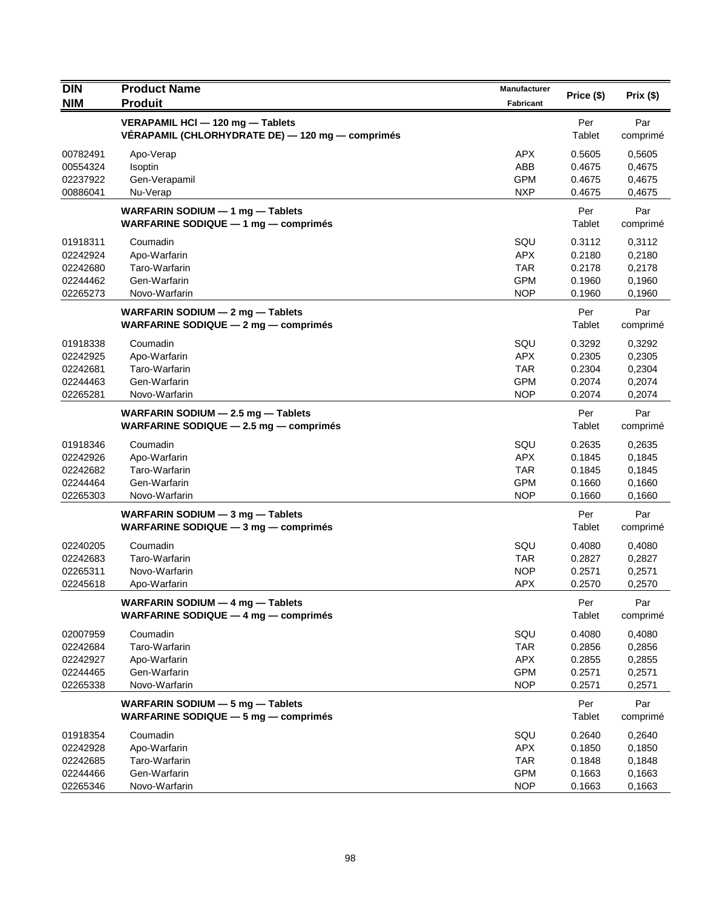| <b>DIN</b>                                               | <b>Product Name</b>                                                                  | Manufacturer                                                |                                                |                                                |
|----------------------------------------------------------|--------------------------------------------------------------------------------------|-------------------------------------------------------------|------------------------------------------------|------------------------------------------------|
| <b>NIM</b>                                               | <b>Produit</b>                                                                       | <b>Fabricant</b>                                            | Price (\$)                                     | Prix (\$)                                      |
|                                                          | VERAPAMIL HCI - 120 mg - Tablets<br>VÉRAPAMIL (CHLORHYDRATE DE) — 120 mg — comprimés |                                                             | Per<br>Tablet                                  | Par<br>comprimé                                |
| 00782491<br>00554324<br>02237922<br>00886041             | Apo-Verap<br>Isoptin<br>Gen-Verapamil<br>Nu-Verap                                    | <b>APX</b><br>ABB<br><b>GPM</b><br><b>NXP</b>               | 0.5605<br>0.4675<br>0.4675<br>0.4675           | 0,5605<br>0,4675<br>0,4675<br>0,4675           |
|                                                          | WARFARIN SODIUM $-$ 1 mg $-$ Tablets<br>WARFARINE SODIQUE $-1$ mg $-$ comprimes      |                                                             | Per<br>Tablet                                  | Par<br>comprimé                                |
| 01918311<br>02242924<br>02242680<br>02244462<br>02265273 | Coumadin<br>Apo-Warfarin<br>Taro-Warfarin<br>Gen-Warfarin<br>Novo-Warfarin           | SQU<br><b>APX</b><br><b>TAR</b><br><b>GPM</b><br><b>NOP</b> | 0.3112<br>0.2180<br>0.2178<br>0.1960<br>0.1960 | 0,3112<br>0,2180<br>0,2178<br>0,1960<br>0,1960 |
|                                                          | WARFARIN SODIUM - 2 mg - Tablets<br>WARFARINE SODIQUE - 2 mg - comprimés             |                                                             | Per<br>Tablet                                  | Par<br>comprimé                                |
| 01918338<br>02242925<br>02242681<br>02244463<br>02265281 | Coumadin<br>Apo-Warfarin<br>Taro-Warfarin<br>Gen-Warfarin<br>Novo-Warfarin           | SQU<br><b>APX</b><br><b>TAR</b><br><b>GPM</b><br><b>NOP</b> | 0.3292<br>0.2305<br>0.2304<br>0.2074<br>0.2074 | 0,3292<br>0,2305<br>0,2304<br>0,2074<br>0,2074 |
|                                                          | WARFARIN SODIUM $-$ 2.5 mg $-$ Tablets<br>WARFARINE SODIQUE $-$ 2.5 mg $-$ comprimes |                                                             | Per<br>Tablet                                  | Par<br>comprimé                                |
| 01918346<br>02242926<br>02242682<br>02244464<br>02265303 | Coumadin<br>Apo-Warfarin<br>Taro-Warfarin<br>Gen-Warfarin<br>Novo-Warfarin           | SQU<br><b>APX</b><br><b>TAR</b><br><b>GPM</b><br><b>NOP</b> | 0.2635<br>0.1845<br>0.1845<br>0.1660<br>0.1660 | 0,2635<br>0,1845<br>0,1845<br>0,1660<br>0,1660 |
|                                                          | WARFARIN SODIUM - 3 mg - Tablets<br>WARFARINE SODIQUE $-$ 3 mg $-$ comprimes         |                                                             | Per<br>Tablet                                  | Par<br>comprimé                                |
| 02240205<br>02242683<br>02265311<br>02245618             | Coumadin<br>Taro-Warfarin<br>Novo-Warfarin<br>Apo-Warfarin                           | SQU<br><b>TAR</b><br><b>NOP</b><br><b>APX</b>               | 0.4080<br>0.2827<br>0.2571<br>0.2570           | 0,4080<br>0,2827<br>0,2571<br>0,2570           |
|                                                          | WARFARIN SODIUM - 4 mg - Tablets<br>WARFARINE SODIQUE $-$ 4 mg $-$ comprimes         |                                                             | Per<br>Tablet                                  | Par<br>comprimé                                |
| 02007959<br>02242684<br>02242927<br>02244465<br>02265338 | Coumadin<br>Taro-Warfarin<br>Apo-Warfarin<br>Gen-Warfarin<br>Novo-Warfarin           | SQU<br><b>TAR</b><br><b>APX</b><br><b>GPM</b><br><b>NOP</b> | 0.4080<br>0.2856<br>0.2855<br>0.2571<br>0.2571 | 0,4080<br>0,2856<br>0,2855<br>0,2571<br>0,2571 |
|                                                          | WARFARIN SODIUM - 5 mg - Tablets<br>WARFARINE SODIQUE - 5 mg - comprimés             |                                                             | Per<br>Tablet                                  | Par<br>comprimé                                |
| 01918354<br>02242928<br>02242685<br>02244466             | Coumadin<br>Apo-Warfarin<br>Taro-Warfarin<br>Gen-Warfarin                            | SQU<br><b>APX</b><br><b>TAR</b><br><b>GPM</b>               | 0.2640<br>0.1850<br>0.1848<br>0.1663           | 0,2640<br>0,1850<br>0,1848<br>0,1663           |
| 02265346                                                 | Novo-Warfarin                                                                        | <b>NOP</b>                                                  | 0.1663                                         | 0,1663                                         |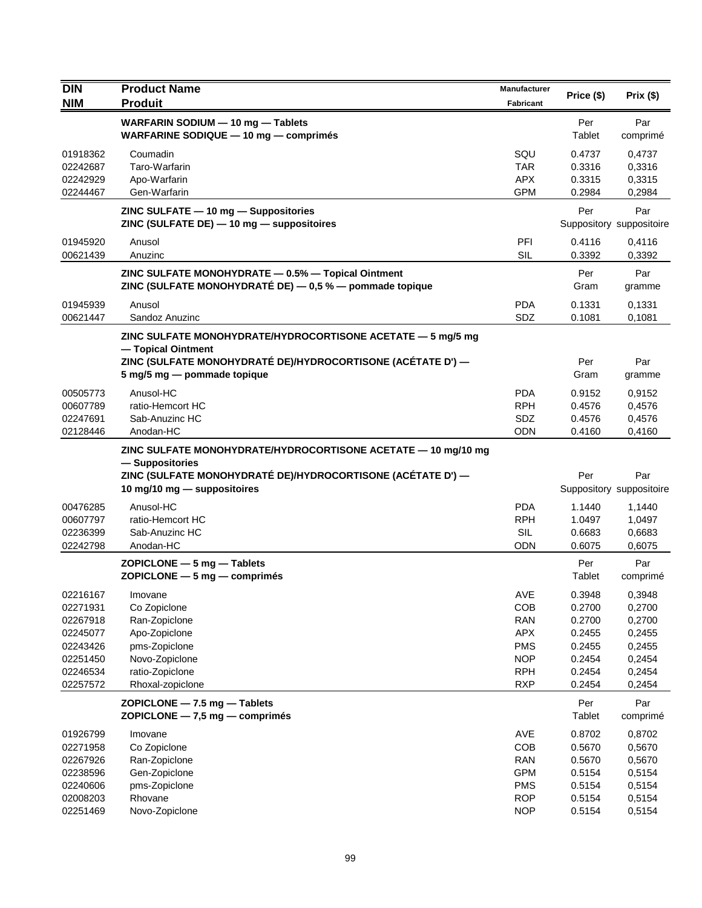| <b>DIN</b>           | <b>Product Name</b>                                                                                           | Manufacturer             | Price (\$)       | Prix(\$)                        |
|----------------------|---------------------------------------------------------------------------------------------------------------|--------------------------|------------------|---------------------------------|
| <b>NIM</b>           | <b>Produit</b>                                                                                                | Fabricant                |                  |                                 |
|                      | WARFARIN SODIUM - 10 mg - Tablets<br>WARFARINE SODIQUE - 10 mg - comprimés                                    |                          | Per<br>Tablet    | Par<br>comprimé                 |
| 01918362             | Coumadin                                                                                                      | SQU                      | 0.4737           | 0,4737                          |
| 02242687             | Taro-Warfarin                                                                                                 | <b>TAR</b>               | 0.3316           | 0,3316                          |
| 02242929             | Apo-Warfarin                                                                                                  | <b>APX</b>               | 0.3315           | 0,3315                          |
| 02244467             | Gen-Warfarin                                                                                                  | <b>GPM</b>               | 0.2984           | 0,2984                          |
|                      | ZINC SULFATE - 10 mg - Suppositories<br>ZINC (SULFATE DE) - 10 mg - suppositoires                             |                          | Per              | Par<br>Suppository suppositoire |
| 01945920<br>00621439 | Anusol<br>Anuzinc                                                                                             | PFI<br><b>SIL</b>        | 0.4116<br>0.3392 | 0,4116<br>0,3392                |
|                      | ZINC SULFATE MONOHYDRATE - 0.5% - Topical Ointment<br>ZINC (SULFATE MONOHYDRATÉ DE) - 0,5 % - pommade topique |                          | Per<br>Gram      | Par<br>gramme                   |
| 01945939             | Anusol                                                                                                        | <b>PDA</b>               | 0.1331           | 0,1331                          |
| 00621447             | Sandoz Anuzinc                                                                                                | SDZ                      | 0.1081           | 0,1081                          |
|                      | ZINC SULFATE MONOHYDRATE/HYDROCORTISONE ACETATE - 5 mg/5 mg                                                   |                          |                  |                                 |
|                      | - Topical Ointment<br>ZINC (SULFATE MONOHYDRATÉ DE)/HYDROCORTISONE (ACÉTATE D') —                             |                          | Per              | Par                             |
|                      | 5 mg/5 mg - pommade topique                                                                                   |                          | Gram             | gramme                          |
| 00505773             | Anusol-HC                                                                                                     | <b>PDA</b>               | 0.9152           | 0,9152                          |
| 00607789             | ratio-Hemcort HC                                                                                              | <b>RPH</b>               | 0.4576           | 0,4576                          |
| 02247691             | Sab-Anuzinc HC                                                                                                | SDZ                      | 0.4576           | 0,4576                          |
| 02128446             | Anodan-HC                                                                                                     | <b>ODN</b>               | 0.4160           | 0,4160                          |
|                      | ZINC SULFATE MONOHYDRATE/HYDROCORTISONE ACETATE - 10 mg/10 mg                                                 |                          |                  |                                 |
|                      | - Suppositories                                                                                               |                          |                  |                                 |
|                      | ZINC (SULFATE MONOHYDRATÉ DE)/HYDROCORTISONE (ACÉTATE D') —<br>10 mg/10 mg - suppositoires                    |                          | Per              | Par<br>Suppository suppositoire |
|                      |                                                                                                               | <b>PDA</b>               |                  |                                 |
| 00476285<br>00607797 | Anusol-HC<br>ratio-Hemcort HC                                                                                 | <b>RPH</b>               | 1.1440<br>1.0497 | 1,1440<br>1,0497                |
| 02236399             | Sab-Anuzinc HC                                                                                                | <b>SIL</b>               | 0.6683           | 0,6683                          |
| 02242798             | Anodan-HC                                                                                                     | ODN                      | 0.6075           | 0,6075                          |
|                      | $ZOPICLONE - 5 mg - Tables$                                                                                   |                          | Per              | Par                             |
|                      | $ZOPICLONE - 5 mg - comprimés$                                                                                |                          | Tablet           | comprimé                        |
| 02216167             | Imovane                                                                                                       | AVE                      | 0.3948           | 0,3948                          |
| 02271931             | Co Zopiclone                                                                                                  | COB                      | 0.2700           | 0,2700                          |
| 02267918             | Ran-Zopiclone                                                                                                 | <b>RAN</b>               | 0.2700           | 0,2700                          |
| 02245077             | Apo-Zopiclone                                                                                                 | <b>APX</b>               | 0.2455           | 0,2455                          |
| 02243426             | pms-Zopiclone                                                                                                 | <b>PMS</b>               | 0.2455           | 0,2455                          |
| 02251450<br>02246534 | Novo-Zopiclone<br>ratio-Zopiclone                                                                             | <b>NOP</b><br><b>RPH</b> | 0.2454<br>0.2454 | 0,2454<br>0,2454                |
| 02257572             | Rhoxal-zopiclone                                                                                              | <b>RXP</b>               | 0.2454           | 0,2454                          |
|                      | ZOPICLONE - 7.5 mg - Tablets                                                                                  |                          | Per              | Par                             |
|                      | ZOPICLONE - 7,5 mg - comprimés                                                                                |                          | Tablet           | comprimé                        |
| 01926799             | Imovane                                                                                                       | AVE                      | 0.8702           | 0,8702                          |
| 02271958             | Co Zopiclone                                                                                                  | COB                      | 0.5670           | 0,5670                          |
| 02267926<br>02238596 | Ran-Zopiclone<br>Gen-Zopiclone                                                                                | <b>RAN</b><br><b>GPM</b> | 0.5670<br>0.5154 | 0,5670<br>0,5154                |
| 02240606             | pms-Zopiclone                                                                                                 | <b>PMS</b>               | 0.5154           | 0,5154                          |
| 02008203             | Rhovane                                                                                                       | <b>ROP</b>               | 0.5154           | 0,5154                          |
| 02251469             | Novo-Zopiclone                                                                                                | <b>NOP</b>               | 0.5154           | 0,5154                          |